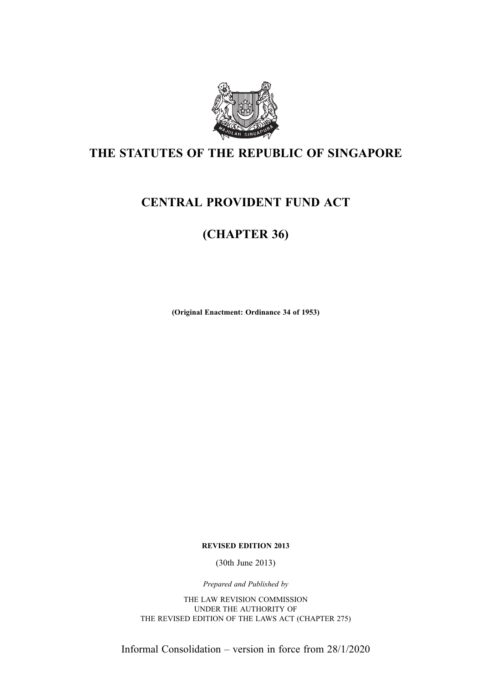

# THE STATUTES OF THE REPUBLIC OF SINGAPORE

# CENTRAL PROVIDENT FUND ACT

# (CHAPTER 36)

(Original Enactment: Ordinance 34 of 1953)

REVISED EDITION 2013

(30th June 2013)

Prepared and Published by

THE LAW REVISION COMMISSION UNDER THE AUTHORITY OF THE REVISED EDITION OF THE LAWS ACT (CHAPTER 275)

Informal Consolidation – version in force from 28/1/2020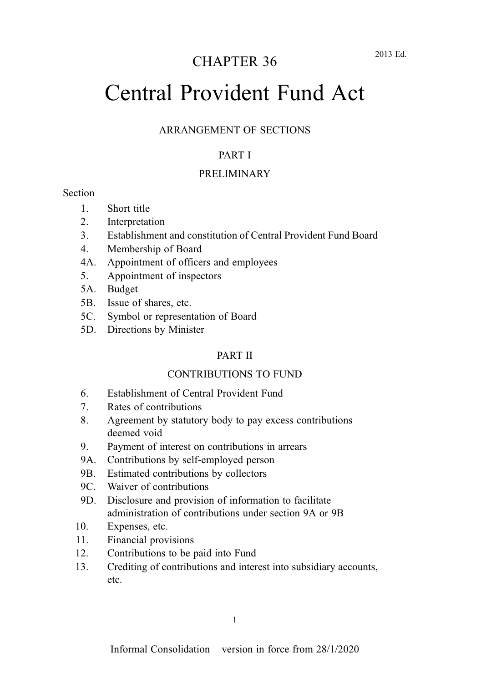# CHAPTER 36

# Central Provident Fund Act

#### ARRANGEMENT OF SECTIONS

#### PART I

#### PRELIMINARY

#### **Section**

- 1. Short title
- 2. Interpretation
- 3. Establishment and constitution of Central Provident Fund Board
- 4. Membership of Board
- 4A. Appointment of officers and employees
- 5. Appointment of inspectors
- 5A. Budget
- 5B. Issue of shares, etc.
- 5C. Symbol or representation of Board
- 5D. Directions by Minister

#### PART II

#### CONTRIBUTIONS TO FUND

- 6. Establishment of Central Provident Fund
- 7. Rates of contributions
- 8. Agreement by statutory body to pay excess contributions deemed void
- 9. Payment of interest on contributions in arrears
- 9A. Contributions by self-employed person
- 9B. Estimated contributions by collectors
- 9C. Waiver of contributions
- 9D. Disclosure and provision of information to facilitate administration of contributions under section 9A or 9B
- 10. Expenses, etc.
- 11. Financial provisions
- 12. Contributions to be paid into Fund
- 13. Crediting of contributions and interest into subsidiary accounts, etc.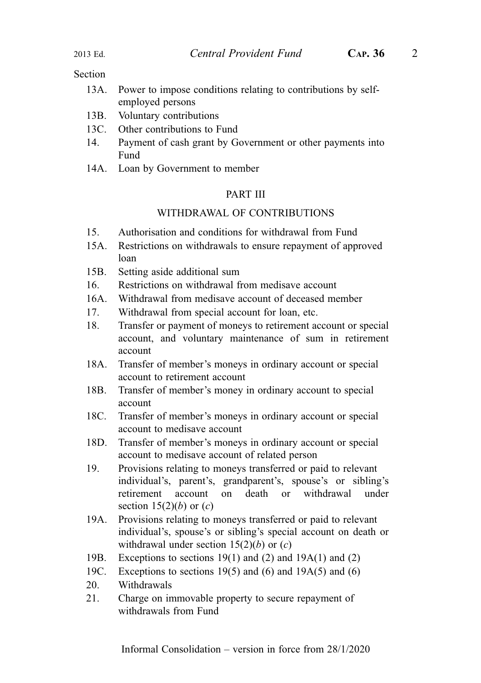- 13A. Power to impose conditions relating to contributions by selfemployed persons
- 13B. Voluntary contributions
- 13C. Other contributions to Fund
- 14. Payment of cash grant by Government or other payments into Fund
- 14A. Loan by Government to member

#### PART III

#### WITHDRAWAL OF CONTRIBUTIONS

- 15. Authorisation and conditions for withdrawal from Fund
- 15A. Restrictions on withdrawals to ensure repayment of approved loan
- 15B. Setting aside additional sum
- 16. Restrictions on withdrawal from medisave account
- 16A. Withdrawal from medisave account of deceased member
- 17. Withdrawal from special account for loan, etc.
- 18. Transfer or payment of moneys to retirement account or special account, and voluntary maintenance of sum in retirement account
- 18A. Transfer of member's moneys in ordinary account or special account to retirement account
- 18B. Transfer of member's money in ordinary account to special account
- 18C. Transfer of member's moneys in ordinary account or special account to medisave account
- 18D. Transfer of member's moneys in ordinary account or special account to medisave account of related person
- 19. Provisions relating to moneys transferred or paid to relevant individual's, parent's, grandparent's, spouse's or sibling's retirement account on death or withdrawal under section  $15(2)(b)$  or  $(c)$
- 19A. Provisions relating to moneys transferred or paid to relevant individual's, spouse's or sibling's special account on death or withdrawal under section  $15(2)(b)$  or  $(c)$
- 19B. Exceptions to sections 19(1) and (2) and 19A(1) and (2)
- 19C. Exceptions to sections 19(5) and (6) and 19A(5) and (6)
- 20. Withdrawals
- 21. Charge on immovable property to secure repayment of withdrawals from Fund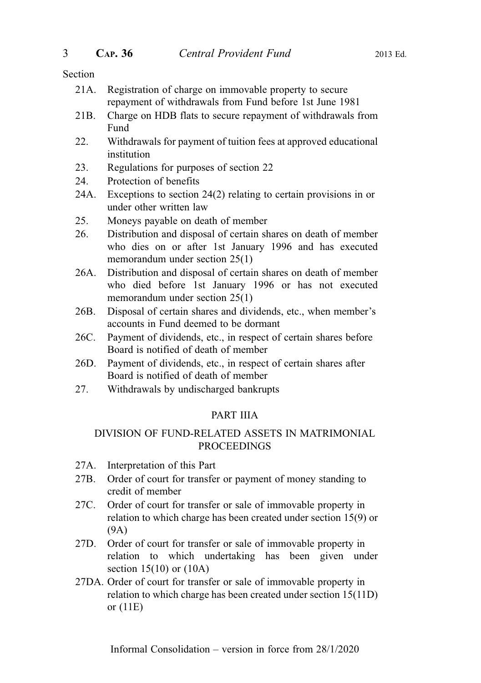- 21A. Registration of charge on immovable property to secure repayment of withdrawals from Fund before 1st June 1981
- 21B. Charge on HDB flats to secure repayment of withdrawals from Fund
- 22. Withdrawals for payment of tuition fees at approved educational institution
- 23. Regulations for purposes of section 22
- 24. Protection of benefits
- 24A. Exceptions to section 24(2) relating to certain provisions in or under other written law
- 25. Moneys payable on death of member
- 26. Distribution and disposal of certain shares on death of member who dies on or after 1st January 1996 and has executed memorandum under section 25(1)
- 26A. Distribution and disposal of certain shares on death of member who died before 1st January 1996 or has not executed memorandum under section 25(1)
- 26B. Disposal of certain shares and dividends, etc., when member's accounts in Fund deemed to be dormant
- 26C. Payment of dividends, etc., in respect of certain shares before Board is notified of death of member
- 26D. Payment of dividends, etc., in respect of certain shares after Board is notified of death of member
- 27. Withdrawals by undischarged bankrupts

## PART IIIA

#### DIVISION OF FUND-RELATED ASSETS IN MATRIMONIAL PROCEEDINGS

- 27A. Interpretation of this Part
- 27B. Order of court for transfer or payment of money standing to credit of member
- 27C. Order of court for transfer or sale of immovable property in relation to which charge has been created under section 15(9) or (9A)
- 27D. Order of court for transfer or sale of immovable property in relation to which undertaking has been given under section 15(10) or (10A)
- 27DA. Order of court for transfer or sale of immovable property in relation to which charge has been created under section 15(11D) or (11E)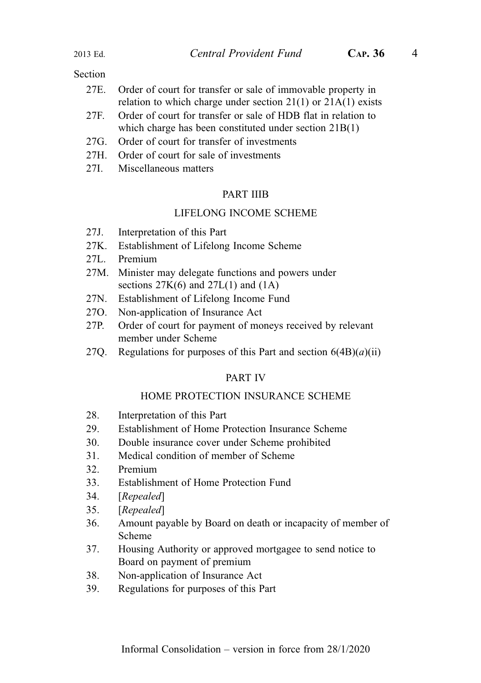- 27E. Order of court for transfer or sale of immovable property in relation to which charge under section  $21(1)$  or  $21A(1)$  exists
- 27F. Order of court for transfer or sale of HDB flat in relation to which charge has been constituted under section 21B(1)
- 27G. Order of court for transfer of investments
- 27H. Order of court for sale of investments
- 27I. Miscellaneous matters

#### PART IIIB

#### LIFELONG INCOME SCHEME

- 27J. Interpretation of this Part
- 27K. Establishment of Lifelong Income Scheme
- 27L. Premium
- 27M. Minister may delegate functions and powers under sections  $27K(6)$  and  $27L(1)$  and  $(1A)$
- 27N. Establishment of Lifelong Income Fund
- 27O. Non-application of Insurance Act
- 27P. Order of court for payment of moneys received by relevant member under Scheme
- 27Q. Regulations for purposes of this Part and section  $6(4B)(a)(ii)$

#### PART IV

#### HOME PROTECTION INSURANCE SCHEME

- 28. Interpretation of this Part
- 29. Establishment of Home Protection Insurance Scheme
- 30. Double insurance cover under Scheme prohibited
- 31. Medical condition of member of Scheme
- 32. Premium
- 33. Establishment of Home Protection Fund
- 34. [Repealed]
- 35. [Repealed]
- 36. Amount payable by Board on death or incapacity of member of Scheme
- 37. Housing Authority or approved mortgagee to send notice to Board on payment of premium
- 38. Non-application of Insurance Act
- 39. Regulations for purposes of this Part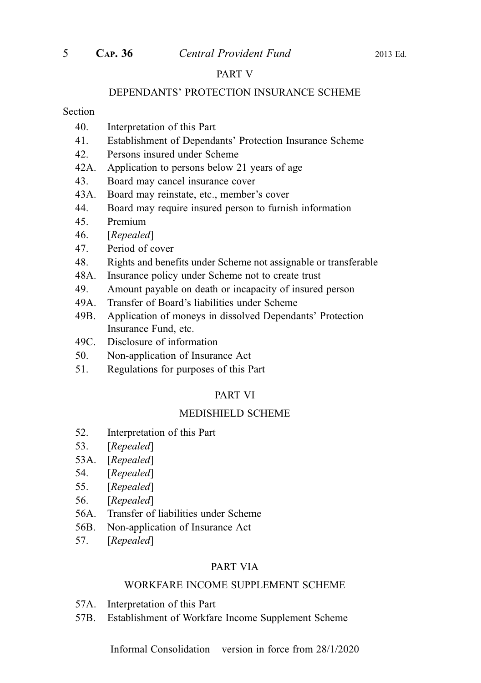#### PART V

#### DEPENDANTS' PROTECTION INSURANCE SCHEME

#### Section

- 40. Interpretation of this Part
- 41. Establishment of Dependants' Protection Insurance Scheme
- 42. Persons insured under Scheme
- 42A. Application to persons below 21 years of age
- 43. Board may cancel insurance cover
- 43A. Board may reinstate, etc., member's cover
- 44. Board may require insured person to furnish information
- 45. Premium
- 46. [Repealed]
- 47. Period of cover
- 48. Rights and benefits under Scheme not assignable or transferable
- 48A. Insurance policy under Scheme not to create trust
- 49. Amount payable on death or incapacity of insured person
- 49A. Transfer of Board's liabilities under Scheme
- 49B. Application of moneys in dissolved Dependants' Protection Insurance Fund, etc.
- 49C. Disclosure of information
- 50. Non-application of Insurance Act
- 51. Regulations for purposes of this Part

#### PART VI

#### MEDISHIELD SCHEME

- 52. Interpretation of this Part
- 53. [Repealed]
- 53A. [Repealed]
- 54. [Repealed]
- 55. [Repealed]
- 56. [Repealed]
- 56A. Transfer of liabilities under Scheme
- 56B. Non-application of Insurance Act
- 57. [Repealed]

#### PART VIA

#### WORKFARE INCOME SUPPLEMENT SCHEME

- 57A. Interpretation of this Part
- 57B. Establishment of Workfare Income Supplement Scheme

Informal Consolidation – version in force from 28/1/2020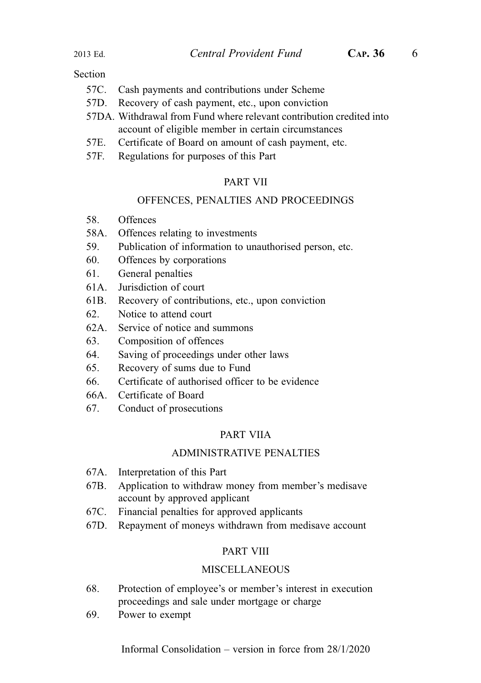- 57C. Cash payments and contributions under Scheme
- 57D. Recovery of cash payment, etc., upon conviction
- 57DA. Withdrawal from Fund where relevant contribution credited into account of eligible member in certain circumstances
- 57E. Certificate of Board on amount of cash payment, etc.
- 57F. Regulations for purposes of this Part

#### PART VII

#### OFFENCES, PENALTIES AND PROCEEDINGS

- 58. Offences
- 58A. Offences relating to investments
- 59. Publication of information to unauthorised person, etc.
- 60. Offences by corporations
- 61. General penalties
- 61A. Jurisdiction of court
- 61B. Recovery of contributions, etc., upon conviction
- 62. Notice to attend court
- 62A. Service of notice and summons
- 63. Composition of offences
- 64. Saving of proceedings under other laws
- 65. Recovery of sums due to Fund
- 66. Certificate of authorised officer to be evidence
- 66A. Certificate of Board
- 67. Conduct of prosecutions

#### PART VIIA

#### ADMINISTRATIVE PENALTIES

- 67A. Interpretation of this Part
- 67B. Application to withdraw money from member's medisave account by approved applicant
- 67C. Financial penalties for approved applicants
- 67D. Repayment of moneys withdrawn from medisave account

#### PART VIII

#### MISCELLANEOUS

- 68. Protection of employee's or member's interest in execution proceedings and sale under mortgage or charge
- 69. Power to exempt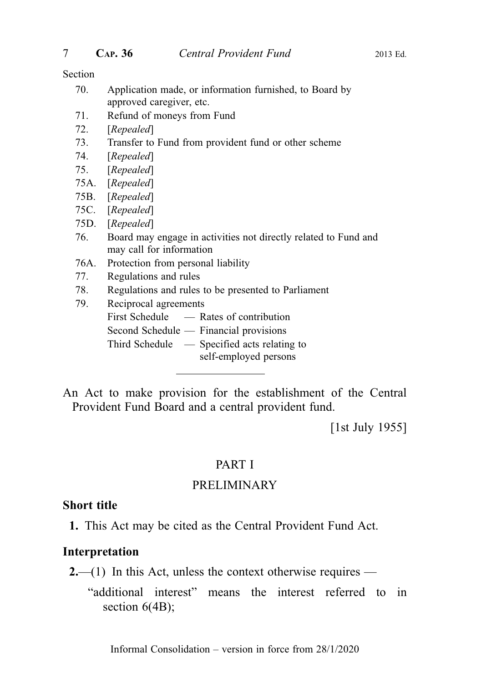- 70. Application made, or information furnished, to Board by approved caregiver, etc.
- 71. Refund of moneys from Fund
- 72. [Repealed]
- 73. Transfer to Fund from provident fund or other scheme
- 74. [Repealed]
- 75. [Repealed]
- 75A. [Repealed]
- 75B. [Repealed]
- 75C. [Repealed]
- 75D. [Repealed]
- 76. Board may engage in activities not directly related to Fund and may call for information
- 76A. Protection from personal liability
- 77. Regulations and rules
- 78. Regulations and rules to be presented to Parliament
- 79. Reciprocal agreements First Schedule — Rates of contribution Second Schedule — Financial provisions Third Schedule — Specified acts relating to self-employed persons

An Act to make provision for the establishment of the Central Provident Fund Board and a central provident fund.

[1st July 1955]

## PART I

# PRELIMINARY

#### Short title

1. This Act may be cited as the Central Provident Fund Act.

#### Interpretation

- $2,-(1)$  In this Act, unless the context otherwise requires
	- "additional interest" means the interest referred to in section 6(4B);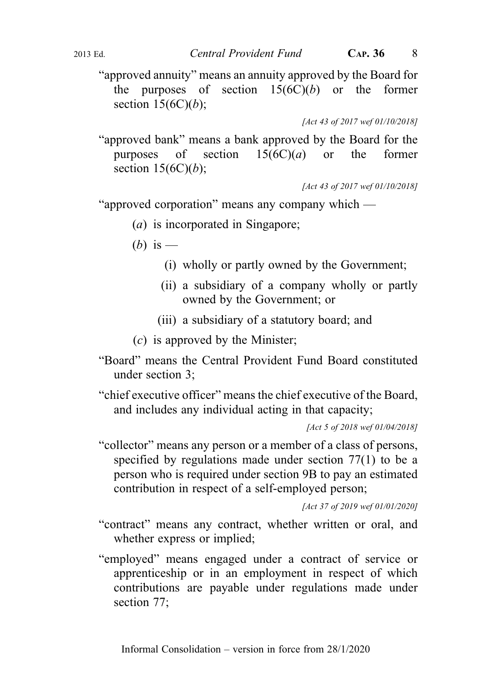"approved annuity" means an annuity approved by the Board for the purposes of section  $15(6C)(b)$  or the former section  $15(6C)(b)$ ;

[Act 43 of 2017 wef 01/10/2018]

"approved bank" means a bank approved by the Board for the purposes of section  $15(6C)(a)$  or the former section  $15(6C)(b)$ ;

[Act 43 of 2017 wef 01/10/2018]

"approved corporation" means any company which —

(a) is incorporated in Singapore;

(b) is  $-$ 

- (i) wholly or partly owned by the Government;
- (ii) a subsidiary of a company wholly or partly owned by the Government; or
- (iii) a subsidiary of a statutory board; and
- (c) is approved by the Minister;
- "Board" means the Central Provident Fund Board constituted under section 3;

"chief executive officer" means the chief executive of the Board, and includes any individual acting in that capacity;

"collector" means any person or a member of a class of persons, specified by regulations made under section 77(1) to be a person who is required under section 9B to pay an estimated contribution in respect of a self-employed person;

[Act 37 of 2019 wef 01/01/2020]

- "contract" means any contract, whether written or oral, and whether express or implied;
- "employed" means engaged under a contract of service or apprenticeship or in an employment in respect of which contributions are payable under regulations made under section 77;

<sup>[</sup>Act 5 of 2018 wef 01/04/2018]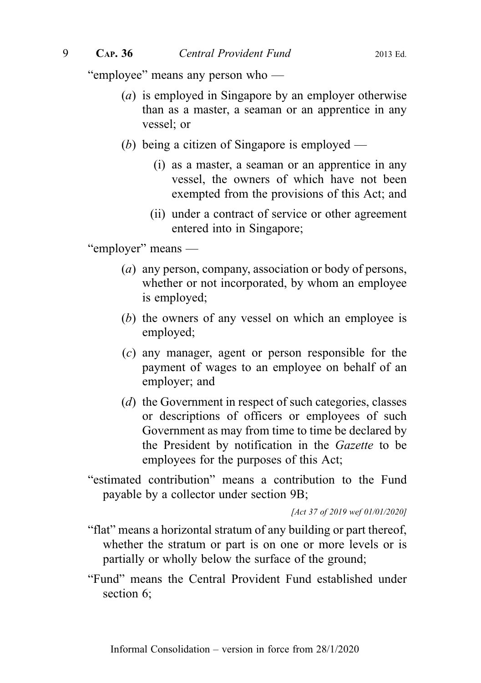"employee" means any person who —

- (a) is employed in Singapore by an employer otherwise than as a master, a seaman or an apprentice in any vessel; or
- (b) being a citizen of Singapore is employed
	- (i) as a master, a seaman or an apprentice in any vessel, the owners of which have not been exempted from the provisions of this Act; and
	- (ii) under a contract of service or other agreement entered into in Singapore;

"employer" means —

- (a) any person, company, association or body of persons, whether or not incorporated, by whom an employee is employed;
- (b) the owners of any vessel on which an employee is employed;
- (c) any manager, agent or person responsible for the payment of wages to an employee on behalf of an employer; and
- (*d*) the Government in respect of such categories, classes or descriptions of officers or employees of such Government as may from time to time be declared by the President by notification in the Gazette to be employees for the purposes of this Act;
- "estimated contribution" means a contribution to the Fund payable by a collector under section 9B;

[Act 37 of 2019 wef 01/01/2020]

- "flat" means a horizontal stratum of any building or part thereof, whether the stratum or part is on one or more levels or is partially or wholly below the surface of the ground;
- "Fund" means the Central Provident Fund established under section 6;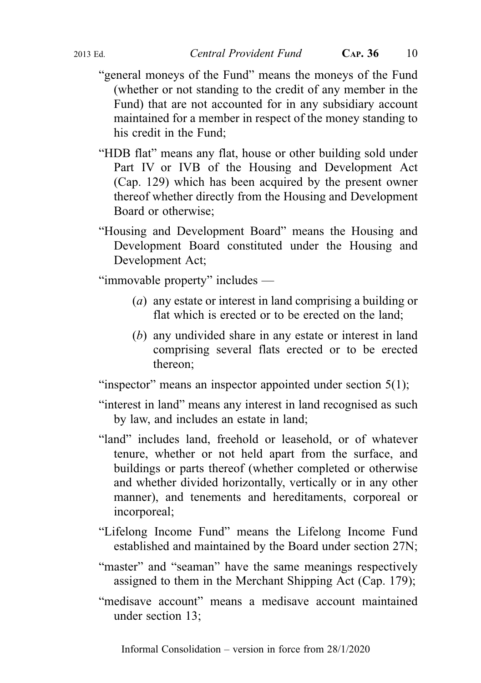- "general moneys of the Fund" means the moneys of the Fund (whether or not standing to the credit of any member in the Fund) that are not accounted for in any subsidiary account maintained for a member in respect of the money standing to his credit in the Fund;
- "HDB flat" means any flat, house or other building sold under Part IV or IVB of the Housing and Development Act (Cap. 129) which has been acquired by the present owner thereof whether directly from the Housing and Development Board or otherwise;
- "Housing and Development Board" means the Housing and Development Board constituted under the Housing and Development Act;

"immovable property" includes —

- (a) any estate or interest in land comprising a building or flat which is erected or to be erected on the land;
- (b) any undivided share in any estate or interest in land comprising several flats erected or to be erected thereon;

"inspector" means an inspector appointed under section 5(1);

- "interest in land" means any interest in land recognised as such by law, and includes an estate in land;
- "land" includes land, freehold or leasehold, or of whatever tenure, whether or not held apart from the surface, and buildings or parts thereof (whether completed or otherwise and whether divided horizontally, vertically or in any other manner), and tenements and hereditaments, corporeal or incorporeal;
- "Lifelong Income Fund" means the Lifelong Income Fund established and maintained by the Board under section 27N;
- "master" and "seaman" have the same meanings respectively assigned to them in the Merchant Shipping Act (Cap. 179);
- "medisave account" means a medisave account maintained under section 13;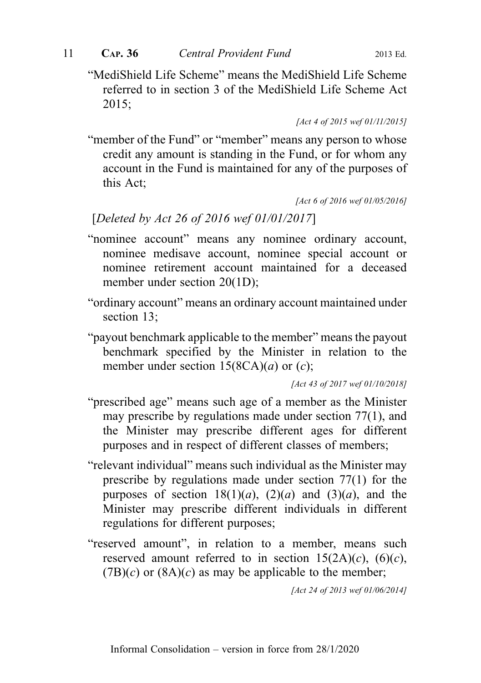"MediShield Life Scheme" means the MediShield Life Scheme referred to in section 3 of the MediShield Life Scheme Act 2015;

[Act 4 of 2015 wef 01/11/2015]

"member of the Fund" or "member" means any person to whose credit any amount is standing in the Fund, or for whom any account in the Fund is maintained for any of the purposes of this Act;

[Act 6 of 2016 wef 01/05/2016]

[Deleted by Act 26 of 2016 wef 01/01/2017]

- "nominee account" means any nominee ordinary account, nominee medisave account, nominee special account or nominee retirement account maintained for a deceased member under section 20(1D);
- "ordinary account" means an ordinary account maintained under section 13:
- "payout benchmark applicable to the member" means the payout benchmark specified by the Minister in relation to the member under section  $15(8CA)(a)$  or  $(c)$ ;

[Act 43 of 2017 wef 01/10/2018]

- "prescribed age" means such age of a member as the Minister may prescribe by regulations made under section 77(1), and the Minister may prescribe different ages for different purposes and in respect of different classes of members;
- "relevant individual" means such individual as the Minister may prescribe by regulations made under section 77(1) for the purposes of section  $18(1)(a)$ ,  $(2)(a)$  and  $(3)(a)$ , and the Minister may prescribe different individuals in different regulations for different purposes;
- "reserved amount", in relation to a member, means such reserved amount referred to in section  $15(2A)(c)$ ,  $(6)(c)$ ,  $(7B)(c)$  or  $(8A)(c)$  as may be applicable to the member;

[Act 24 of 2013 wef 01/06/2014]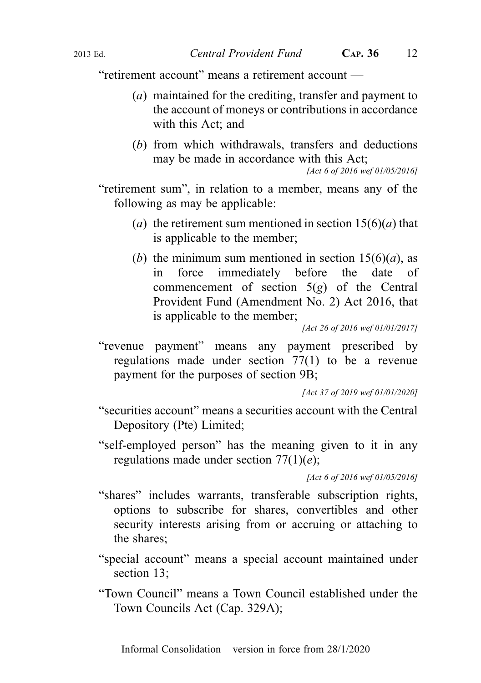"retirement account" means a retirement account —

- (a) maintained for the crediting, transfer and payment to the account of moneys or contributions in accordance with this Act; and
- (b) from which withdrawals, transfers and deductions may be made in accordance with this Act;

[Act 6 of 2016 wef 01/05/2016]

"retirement sum", in relation to a member, means any of the following as may be applicable:

- (a) the retirement sum mentioned in section  $15(6)(a)$  that is applicable to the member;
- (b) the minimum sum mentioned in section  $15(6)(a)$ , as in force immediately before the date of commencement of section  $5(g)$  of the Central Provident Fund (Amendment No. 2) Act 2016, that is applicable to the member;

[Act 26 of 2016 wef 01/01/2017]

"revenue payment" means any payment prescribed by regulations made under section 77(1) to be a revenue payment for the purposes of section 9B;

[Act 37 of 2019 wef 01/01/2020]

- "securities account" means a securities account with the Central Depository (Pte) Limited;
- "self-employed person" has the meaning given to it in any regulations made under section  $77(1)(e)$ ;

[Act 6 of 2016 wef 01/05/2016]

- "shares" includes warrants, transferable subscription rights, options to subscribe for shares, convertibles and other security interests arising from or accruing or attaching to the shares;
- "special account" means a special account maintained under section 13;
- "Town Council" means a Town Council established under the Town Councils Act (Cap. 329A);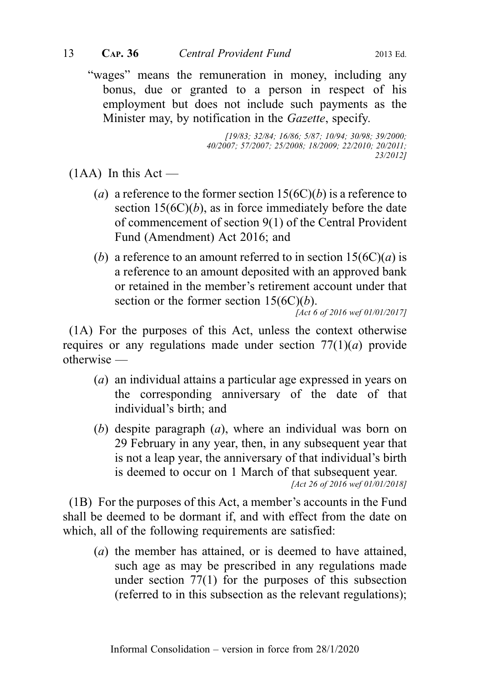"wages" means the remuneration in money, including any bonus, due or granted to a person in respect of his employment but does not include such payments as the Minister may, by notification in the Gazette, specify.

> [19/83; 32/84; 16/86; 5/87; 10/94; 30/98; 39/2000; 40/2007; 57/2007; 25/2008; 18/2009; 22/2010; 20/2011; 23/2012]

 $(1AA)$  In this Act —

- (a) a reference to the former section  $15(6C)(b)$  is a reference to section  $15(6C)(b)$ , as in force immediately before the date of commencement of section 9(1) of the Central Provident Fund (Amendment) Act 2016; and
- (b) a reference to an amount referred to in section  $15(6C)(a)$  is a reference to an amount deposited with an approved bank or retained in the member's retirement account under that section or the former section  $15(6C)(b)$ .

[Act 6 of 2016 wef 01/01/2017]

(1A) For the purposes of this Act, unless the context otherwise requires or any regulations made under section  $77(1)(a)$  provide otherwise —

- (a) an individual attains a particular age expressed in years on the corresponding anniversary of the date of that individual's birth; and
- (b) despite paragraph (a), where an individual was born on 29 February in any year, then, in any subsequent year that is not a leap year, the anniversary of that individual's birth is deemed to occur on 1 March of that subsequent year. [Act 26 of 2016 wef 01/01/2018]

(1B) For the purposes of this Act, a member's accounts in the Fund shall be deemed to be dormant if, and with effect from the date on which, all of the following requirements are satisfied:

(a) the member has attained, or is deemed to have attained, such age as may be prescribed in any regulations made under section 77(1) for the purposes of this subsection (referred to in this subsection as the relevant regulations);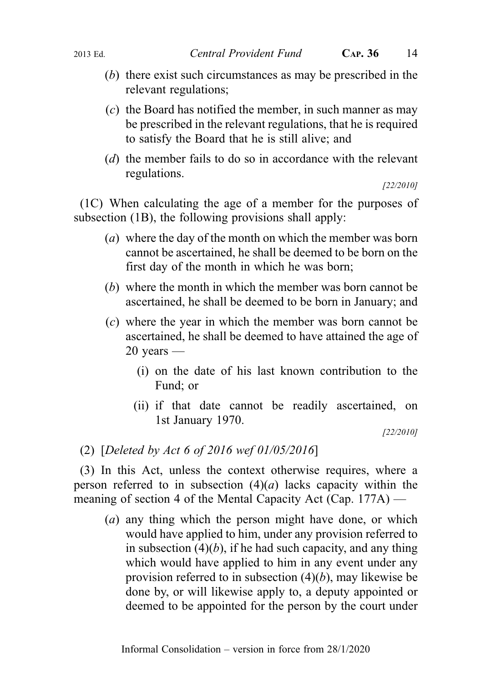- (b) there exist such circumstances as may be prescribed in the relevant regulations;
- $(c)$  the Board has notified the member, in such manner as may be prescribed in the relevant regulations, that he is required to satisfy the Board that he is still alive; and
- (d) the member fails to do so in accordance with the relevant regulations.

```
[22/2010]
```
(1C) When calculating the age of a member for the purposes of subsection (1B), the following provisions shall apply:

- (a) where the day of the month on which the member was born cannot be ascertained, he shall be deemed to be born on the first day of the month in which he was born;
- (b) where the month in which the member was born cannot be ascertained, he shall be deemed to be born in January; and
- (c) where the year in which the member was born cannot be ascertained, he shall be deemed to have attained the age of  $20$  years —
	- (i) on the date of his last known contribution to the Fund; or
	- (ii) if that date cannot be readily ascertained, on 1st January 1970.

[22/2010]

(2) [Deleted by Act 6 of 2016 wef 01/05/2016]

(3) In this Act, unless the context otherwise requires, where a person referred to in subsection  $(4)(a)$  lacks capacity within the meaning of section 4 of the Mental Capacity Act (Cap. 177A) —

(a) any thing which the person might have done, or which would have applied to him, under any provision referred to in subsection  $(4)(b)$ , if he had such capacity, and any thing which would have applied to him in any event under any provision referred to in subsection  $(4)(b)$ , may likewise be done by, or will likewise apply to, a deputy appointed or deemed to be appointed for the person by the court under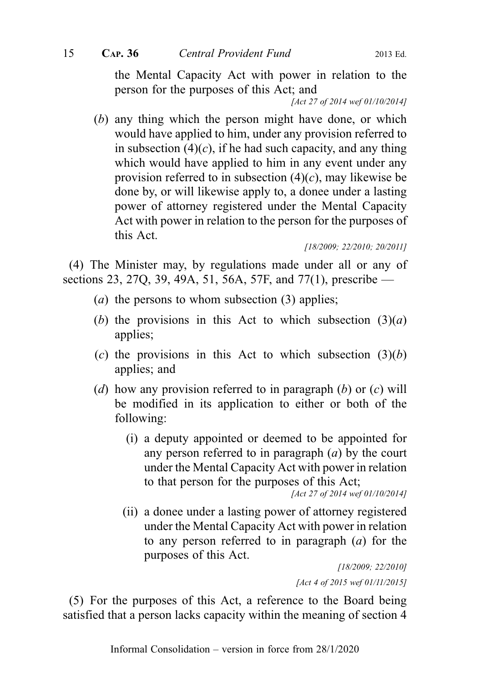the Mental Capacity Act with power in relation to the person for the purposes of this Act; and

[Act 27 of 2014 wef 01/10/2014]

(b) any thing which the person might have done, or which would have applied to him, under any provision referred to in subsection  $(4)(c)$ , if he had such capacity, and any thing which would have applied to him in any event under any provision referred to in subsection  $(4)(c)$ , may likewise be done by, or will likewise apply to, a donee under a lasting power of attorney registered under the Mental Capacity Act with power in relation to the person for the purposes of this Act.

[18/2009; 22/2010; 20/2011]

(4) The Minister may, by regulations made under all or any of sections 23, 27Q, 39, 49A, 51, 56A, 57F, and 77(1), prescribe —

- (*a*) the persons to whom subsection  $(3)$  applies;
- (b) the provisions in this Act to which subsection  $(3)(a)$ applies;
- (c) the provisions in this Act to which subsection  $(3)(b)$ applies; and
- (d) how any provision referred to in paragraph (b) or  $(c)$  will be modified in its application to either or both of the following:
	- (i) a deputy appointed or deemed to be appointed for any person referred to in paragraph  $(a)$  by the court under the Mental Capacity Act with power in relation to that person for the purposes of this Act;

[Act 27 of 2014 wef 01/10/2014]

(ii) a donee under a lasting power of attorney registered under the Mental Capacity Act with power in relation to any person referred to in paragraph  $(a)$  for the purposes of this Act.

> [18/2009; 22/2010] [Act 4 of 2015 wef 01/11/2015]

(5) For the purposes of this Act, a reference to the Board being satisfied that a person lacks capacity within the meaning of section 4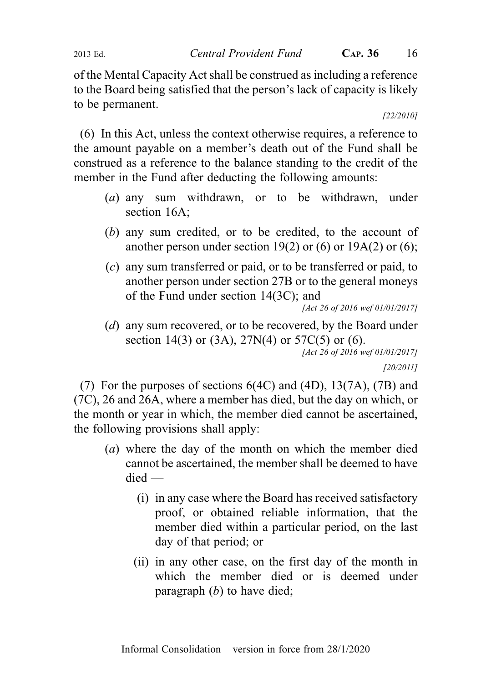2013 Ed. Central Provident Fund CAP. 36 16

of the Mental Capacity Act shall be construed as including a reference to the Board being satisfied that the person's lack of capacity is likely to be permanent.

[22/2010]

(6) In this Act, unless the context otherwise requires, a reference to the amount payable on a member's death out of the Fund shall be construed as a reference to the balance standing to the credit of the member in the Fund after deducting the following amounts:

- (a) any sum withdrawn, or to be withdrawn, under section 16A;
- (b) any sum credited, or to be credited, to the account of another person under section 19(2) or (6) or 19A(2) or (6);
- (c) any sum transferred or paid, or to be transferred or paid, to another person under section 27B or to the general moneys of the Fund under section 14(3C); and

[Act 26 of 2016 wef 01/01/2017]

(d) any sum recovered, or to be recovered, by the Board under section 14(3) or (3A),  $27N(4)$  or  $57C(5)$  or (6). [Act 26 of 2016 wef 01/01/2017]

[20/2011]

(7) For the purposes of sections 6(4C) and (4D), 13(7A), (7B) and (7C), 26 and 26A, where a member has died, but the day on which, or the month or year in which, the member died cannot be ascertained, the following provisions shall apply:

- (a) where the day of the month on which the member died cannot be ascertained, the member shall be deemed to have died —
	- (i) in any case where the Board has received satisfactory proof, or obtained reliable information, that the member died within a particular period, on the last day of that period; or
	- (ii) in any other case, on the first day of the month in which the member died or is deemed under paragraph  $(b)$  to have died;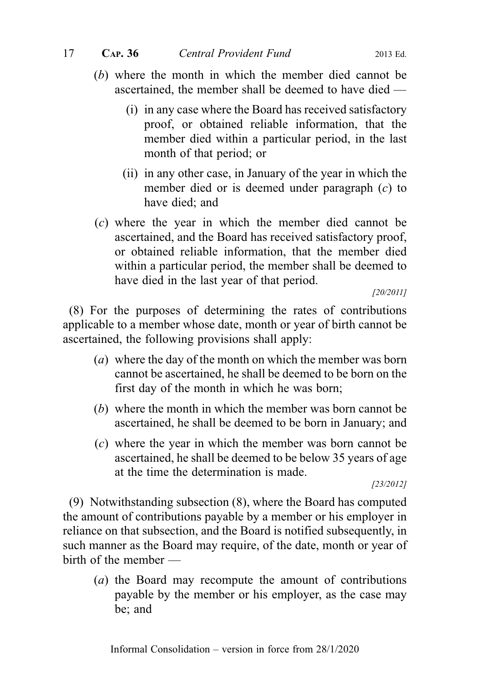- (b) where the month in which the member died cannot be ascertained, the member shall be deemed to have died —
	- (i) in any case where the Board has received satisfactory proof, or obtained reliable information, that the member died within a particular period, in the last month of that period; or
	- (ii) in any other case, in January of the year in which the member died or is deemed under paragraph (c) to have died; and
- (c) where the year in which the member died cannot be ascertained, and the Board has received satisfactory proof, or obtained reliable information, that the member died within a particular period, the member shall be deemed to have died in the last year of that period.

[20/2011]

(8) For the purposes of determining the rates of contributions applicable to a member whose date, month or year of birth cannot be ascertained, the following provisions shall apply:

- (a) where the day of the month on which the member was born cannot be ascertained, he shall be deemed to be born on the first day of the month in which he was born;
- (b) where the month in which the member was born cannot be ascertained, he shall be deemed to be born in January; and
- (c) where the year in which the member was born cannot be ascertained, he shall be deemed to be below 35 years of age at the time the determination is made.

[23/2012]

(9) Notwithstanding subsection (8), where the Board has computed the amount of contributions payable by a member or his employer in reliance on that subsection, and the Board is notified subsequently, in such manner as the Board may require, of the date, month or year of birth of the member —

(a) the Board may recompute the amount of contributions payable by the member or his employer, as the case may be; and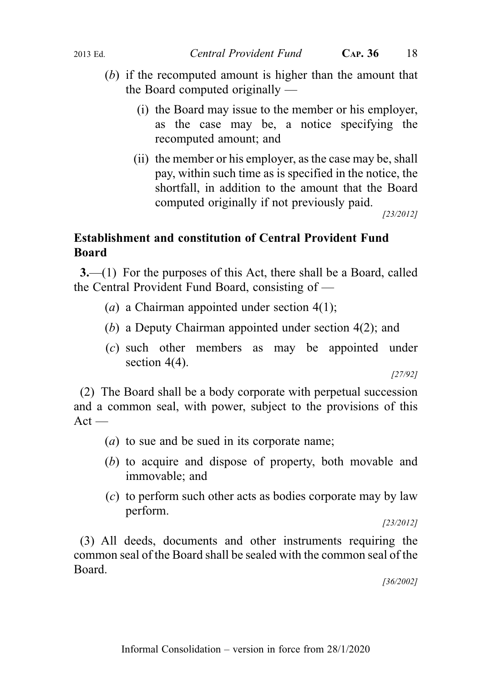- (b) if the recomputed amount is higher than the amount that the Board computed originally —
	- (i) the Board may issue to the member or his employer, as the case may be, a notice specifying the recomputed amount; and
	- (ii) the member or his employer, as the case may be, shall pay, within such time as is specified in the notice, the shortfall, in addition to the amount that the Board computed originally if not previously paid.

[23/2012]

# Establishment and constitution of Central Provident Fund Board

3.—(1) For the purposes of this Act, there shall be a Board, called the Central Provident Fund Board, consisting of —

- (a) a Chairman appointed under section  $4(1)$ ;
- (b) a Deputy Chairman appointed under section 4(2); and
- (c) such other members as may be appointed under section  $4(4)$ .

[27/92]

(2) The Board shall be a body corporate with perpetual succession and a common seal, with power, subject to the provisions of this  $Act -$ 

- (a) to sue and be sued in its corporate name;
- (b) to acquire and dispose of property, both movable and immovable; and
- (c) to perform such other acts as bodies corporate may by law perform.

[23/2012]

(3) All deeds, documents and other instruments requiring the common seal of the Board shall be sealed with the common seal of the Board.

[36/2002]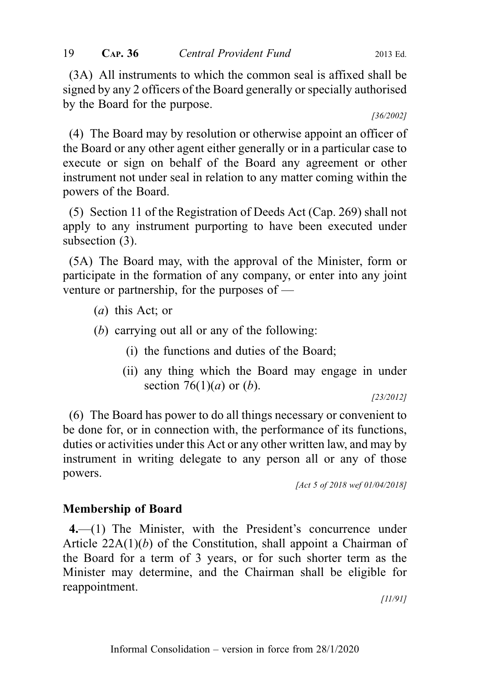(3A) All instruments to which the common seal is affixed shall be signed by any 2 officers of the Board generally or specially authorised by the Board for the purpose.

#### [36/2002]

(4) The Board may by resolution or otherwise appoint an officer of the Board or any other agent either generally or in a particular case to execute or sign on behalf of the Board any agreement or other instrument not under seal in relation to any matter coming within the powers of the Board.

(5) Section 11 of the Registration of Deeds Act (Cap. 269) shall not apply to any instrument purporting to have been executed under subsection (3).

(5A) The Board may, with the approval of the Minister, form or participate in the formation of any company, or enter into any joint venture or partnership, for the purposes of —

- (a) this Act; or
- (b) carrying out all or any of the following:
	- (i) the functions and duties of the Board;
	- (ii) any thing which the Board may engage in under section 76(1)(*a*) or (*b*).

[23/2012]

(6) The Board has power to do all things necessary or convenient to be done for, or in connection with, the performance of its functions, duties or activities under this Act or any other written law, and may by instrument in writing delegate to any person all or any of those powers.

[Act 5 of 2018 wef 01/04/2018]

# Membership of Board

4.—(1) The Minister, with the President's concurrence under Article  $22A(1)(b)$  of the Constitution, shall appoint a Chairman of the Board for a term of 3 years, or for such shorter term as the Minister may determine, and the Chairman shall be eligible for reappointment.

[11/91]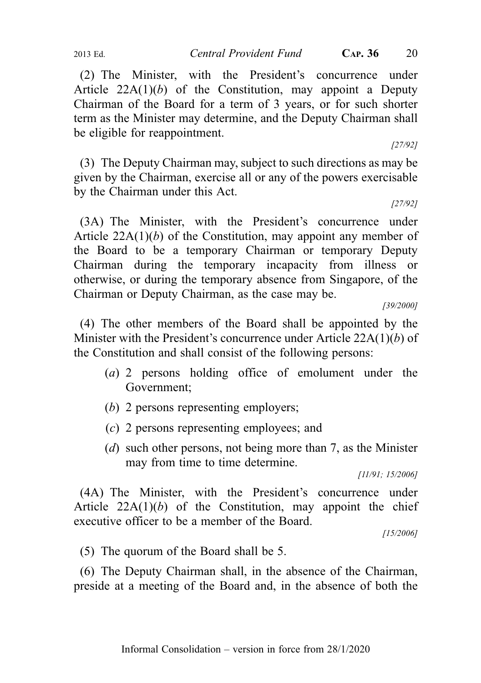2013 Ed. Central Provident Fund CAP. 36 20

(2) The Minister, with the President's concurrence under Article  $22A(1)(b)$  of the Constitution, may appoint a Deputy Chairman of the Board for a term of 3 years, or for such shorter term as the Minister may determine, and the Deputy Chairman shall be eligible for reappointment.

[27/92]

(3) The Deputy Chairman may, subject to such directions as may be given by the Chairman, exercise all or any of the powers exercisable by the Chairman under this Act.

[27/92]

(3A) The Minister, with the President's concurrence under Article  $22A(1)(b)$  of the Constitution, may appoint any member of the Board to be a temporary Chairman or temporary Deputy Chairman during the temporary incapacity from illness or otherwise, or during the temporary absence from Singapore, of the Chairman or Deputy Chairman, as the case may be.

[39/2000]

(4) The other members of the Board shall be appointed by the Minister with the President's concurrence under Article 22A(1)(b) of the Constitution and shall consist of the following persons:

- (a) 2 persons holding office of emolument under the Government;
- (b) 2 persons representing employers;
- (c) 2 persons representing employees; and
- (d) such other persons, not being more than 7, as the Minister may from time to time determine.

[11/91; 15/2006]

(4A) The Minister, with the President's concurrence under Article  $22A(1)(b)$  of the Constitution, may appoint the chief executive officer to be a member of the Board.

[15/2006]

(5) The quorum of the Board shall be 5.

(6) The Deputy Chairman shall, in the absence of the Chairman, preside at a meeting of the Board and, in the absence of both the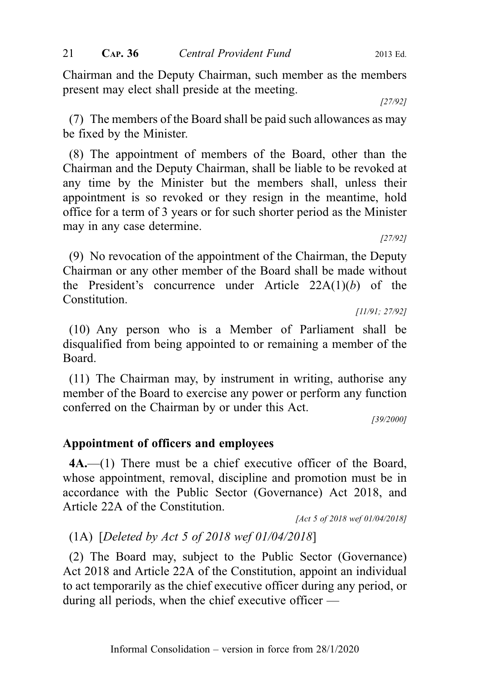Chairman and the Deputy Chairman, such member as the members present may elect shall preside at the meeting.

[27/92]

[27/92]

(7) The members of the Board shall be paid such allowances as may be fixed by the Minister.

(8) The appointment of members of the Board, other than the Chairman and the Deputy Chairman, shall be liable to be revoked at any time by the Minister but the members shall, unless their appointment is so revoked or they resign in the meantime, hold office for a term of 3 years or for such shorter period as the Minister may in any case determine.

(9) No revocation of the appointment of the Chairman, the Deputy Chairman or any other member of the Board shall be made without the President's concurrence under Article  $22A(1)(b)$  of the Constitution.

[11/91; 27/92]

(10) Any person who is a Member of Parliament shall be disqualified from being appointed to or remaining a member of the Board.

(11) The Chairman may, by instrument in writing, authorise any member of the Board to exercise any power or perform any function conferred on the Chairman by or under this Act.

[39/2000]

# Appointment of officers and employees

4A.—(1) There must be a chief executive officer of the Board, whose appointment, removal, discipline and promotion must be in accordance with the Public Sector (Governance) Act 2018, and Article 22A of the Constitution.

# (1A) [Deleted by Act 5 of 2018 wef 01/04/2018]

(2) The Board may, subject to the Public Sector (Governance) Act 2018 and Article 22A of the Constitution, appoint an individual to act temporarily as the chief executive officer during any period, or during all periods, when the chief executive officer —

<sup>[</sup>Act 5 of 2018 wef 01/04/2018]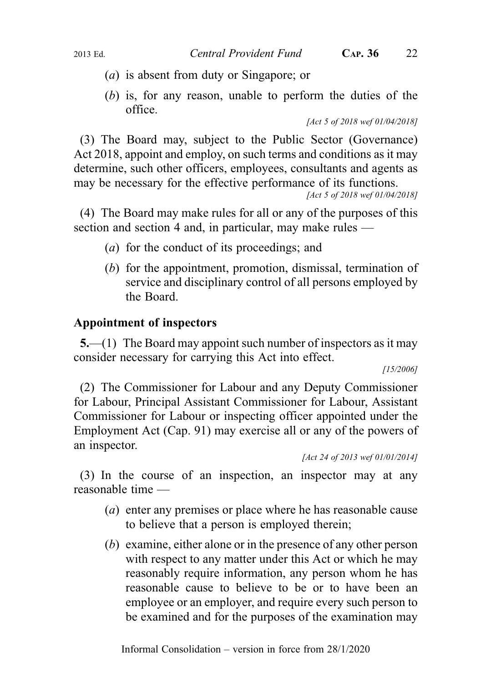- (a) is absent from duty or Singapore; or
- (b) is, for any reason, unable to perform the duties of the office.

[Act 5 of 2018 wef 01/04/2018]

(3) The Board may, subject to the Public Sector (Governance) Act 2018, appoint and employ, on such terms and conditions as it may determine, such other officers, employees, consultants and agents as may be necessary for the effective performance of its functions.

[Act 5 of 2018 wef 01/04/2018]

(4) The Board may make rules for all or any of the purposes of this section and section 4 and, in particular, may make rules —

- (a) for the conduct of its proceedings; and
- (b) for the appointment, promotion, dismissal, termination of service and disciplinary control of all persons employed by the Board.

# Appointment of inspectors

5.—(1) The Board may appoint such number of inspectors as it may consider necessary for carrying this Act into effect.

[15/2006]

(2) The Commissioner for Labour and any Deputy Commissioner for Labour, Principal Assistant Commissioner for Labour, Assistant Commissioner for Labour or inspecting officer appointed under the Employment Act (Cap. 91) may exercise all or any of the powers of an inspector.

[Act 24 of 2013 wef 01/01/2014]

(3) In the course of an inspection, an inspector may at any reasonable time —

- (a) enter any premises or place where he has reasonable cause to believe that a person is employed therein;
- (b) examine, either alone or in the presence of any other person with respect to any matter under this Act or which he may reasonably require information, any person whom he has reasonable cause to believe to be or to have been an employee or an employer, and require every such person to be examined and for the purposes of the examination may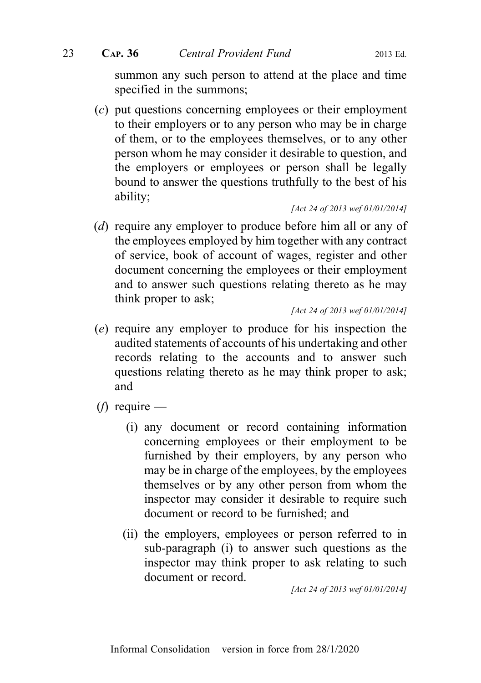summon any such person to attend at the place and time specified in the summons;

(c) put questions concerning employees or their employment to their employers or to any person who may be in charge of them, or to the employees themselves, or to any other person whom he may consider it desirable to question, and the employers or employees or person shall be legally bound to answer the questions truthfully to the best of his ability;

[Act 24 of 2013 wef 01/01/2014]

(d) require any employer to produce before him all or any of the employees employed by him together with any contract of service, book of account of wages, register and other document concerning the employees or their employment and to answer such questions relating thereto as he may think proper to ask;

[Act 24 of 2013 wef 01/01/2014]

- (e) require any employer to produce for his inspection the audited statements of accounts of his undertaking and other records relating to the accounts and to answer such questions relating thereto as he may think proper to ask; and
- (*f*) require
	- (i) any document or record containing information concerning employees or their employment to be furnished by their employers, by any person who may be in charge of the employees, by the employees themselves or by any other person from whom the inspector may consider it desirable to require such document or record to be furnished; and
	- (ii) the employers, employees or person referred to in sub-paragraph (i) to answer such questions as the inspector may think proper to ask relating to such document or record.

[Act 24 of 2013 wef 01/01/2014]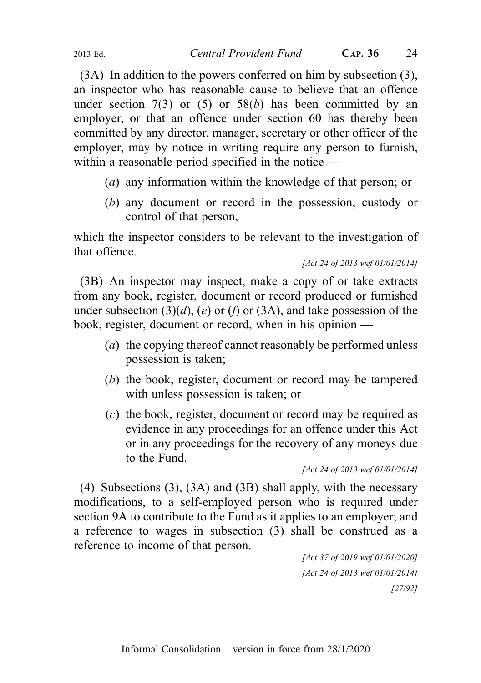(3A) In addition to the powers conferred on him by subsection (3), an inspector who has reasonable cause to believe that an offence under section  $7(3)$  or  $(5)$  or  $58(b)$  has been committed by an

employer, or that an offence under section 60 has thereby been committed by any director, manager, secretary or other officer of the employer, may by notice in writing require any person to furnish, within a reasonable period specified in the notice —

- (a) any information within the knowledge of that person; or
- (b) any document or record in the possession, custody or control of that person,

which the inspector considers to be relevant to the investigation of that offence.

[Act 24 of 2013 wef 01/01/2014]

(3B) An inspector may inspect, make a copy of or take extracts from any book, register, document or record produced or furnished under subsection  $(3)(d)$ ,  $(e)$  or  $(f)$  or  $(3A)$ , and take possession of the book, register, document or record, when in his opinion —

- (*a*) the copying thereof cannot reasonably be performed unless possession is taken;
- (b) the book, register, document or record may be tampered with unless possession is taken; or
- (c) the book, register, document or record may be required as evidence in any proceedings for an offence under this Act or in any proceedings for the recovery of any moneys due to the Fund.

[Act 24 of 2013 wef 01/01/2014]

(4) Subsections (3), (3A) and (3B) shall apply, with the necessary modifications, to a self-employed person who is required under section 9A to contribute to the Fund as it applies to an employer; and a reference to wages in subsection (3) shall be construed as a reference to income of that person.

[Act 37 of 2019 wef 01/01/2020] [Act 24 of 2013 wef 01/01/2014] [27/92]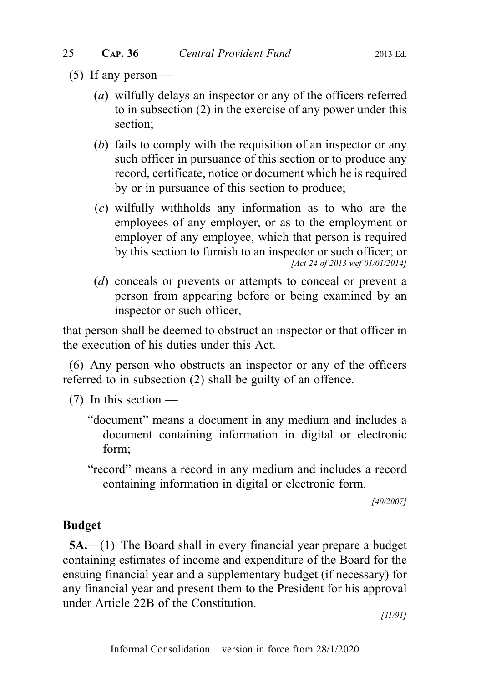- $(5)$  If any person
	- (a) wilfully delays an inspector or any of the officers referred to in subsection (2) in the exercise of any power under this section;
	- (b) fails to comply with the requisition of an inspector or any such officer in pursuance of this section or to produce any record, certificate, notice or document which he is required by or in pursuance of this section to produce;
	- (c) wilfully withholds any information as to who are the employees of any employer, or as to the employment or employer of any employee, which that person is required by this section to furnish to an inspector or such officer; or [Act 24 of 2013 wef 01/01/2014]
	- (d) conceals or prevents or attempts to conceal or prevent a person from appearing before or being examined by an inspector or such officer,

that person shall be deemed to obstruct an inspector or that officer in the execution of his duties under this Act.

(6) Any person who obstructs an inspector or any of the officers referred to in subsection (2) shall be guilty of an offence.

- $(7)$  In this section
	- "document" means a document in any medium and includes a document containing information in digital or electronic form;
	- "record" means a record in any medium and includes a record containing information in digital or electronic form.

[40/2007]

# Budget

5A.—(1) The Board shall in every financial year prepare a budget containing estimates of income and expenditure of the Board for the ensuing financial year and a supplementary budget (if necessary) for any financial year and present them to the President for his approval under Article 22B of the Constitution.

[11/91]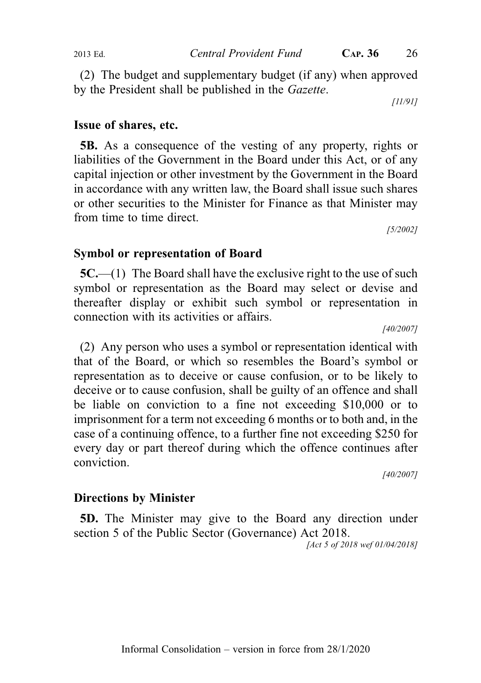(2) The budget and supplementary budget (if any) when approved by the President shall be published in the Gazette.

[11/91]

## Issue of shares, etc.

5B. As a consequence of the vesting of any property, rights or liabilities of the Government in the Board under this Act, or of any capital injection or other investment by the Government in the Board in accordance with any written law, the Board shall issue such shares or other securities to the Minister for Finance as that Minister may from time to time direct.

[5/2002]

#### Symbol or representation of Board

5C.—(1) The Board shall have the exclusive right to the use of such symbol or representation as the Board may select or devise and thereafter display or exhibit such symbol or representation in connection with its activities or affairs.

[40/2007]

(2) Any person who uses a symbol or representation identical with that of the Board, or which so resembles the Board's symbol or representation as to deceive or cause confusion, or to be likely to deceive or to cause confusion, shall be guilty of an offence and shall be liable on conviction to a fine not exceeding \$10,000 or to imprisonment for a term not exceeding 6 months or to both and, in the case of a continuing offence, to a further fine not exceeding \$250 for every day or part thereof during which the offence continues after conviction.

[40/2007]

#### Directions by Minister

5D. The Minister may give to the Board any direction under section 5 of the Public Sector (Governance) Act 2018.

[Act 5 of 2018 wef 01/04/2018]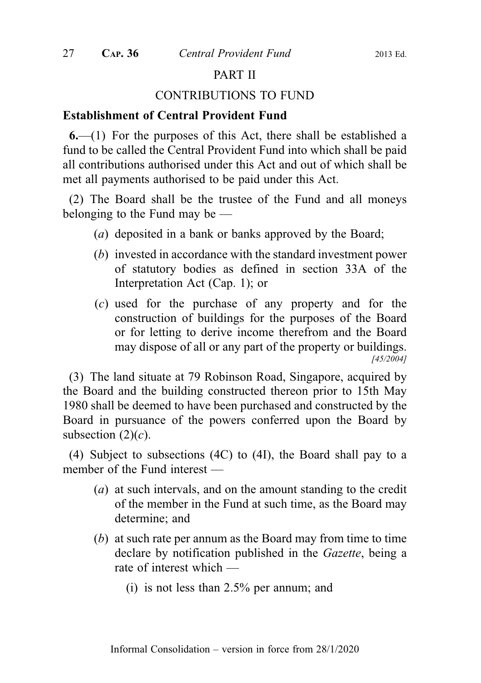## PART II

#### CONTRIBUTIONS TO FUND

#### Establishment of Central Provident Fund

 $6-(1)$  For the purposes of this Act, there shall be established a fund to be called the Central Provident Fund into which shall be paid all contributions authorised under this Act and out of which shall be met all payments authorised to be paid under this Act.

(2) The Board shall be the trustee of the Fund and all moneys belonging to the Fund may be —

- (a) deposited in a bank or banks approved by the Board;
- (b) invested in accordance with the standard investment power of statutory bodies as defined in section 33A of the Interpretation Act (Cap. 1); or
- (c) used for the purchase of any property and for the construction of buildings for the purposes of the Board or for letting to derive income therefrom and the Board may dispose of all or any part of the property or buildings. [45/2004]

(3) The land situate at 79 Robinson Road, Singapore, acquired by the Board and the building constructed thereon prior to 15th May 1980 shall be deemed to have been purchased and constructed by the Board in pursuance of the powers conferred upon the Board by subsection  $(2)(c)$ .

(4) Subject to subsections (4C) to (4I), the Board shall pay to a member of the Fund interest —

- (a) at such intervals, and on the amount standing to the credit of the member in the Fund at such time, as the Board may determine; and
- (b) at such rate per annum as the Board may from time to time declare by notification published in the Gazette, being a rate of interest which —
	- (i) is not less than 2.5% per annum; and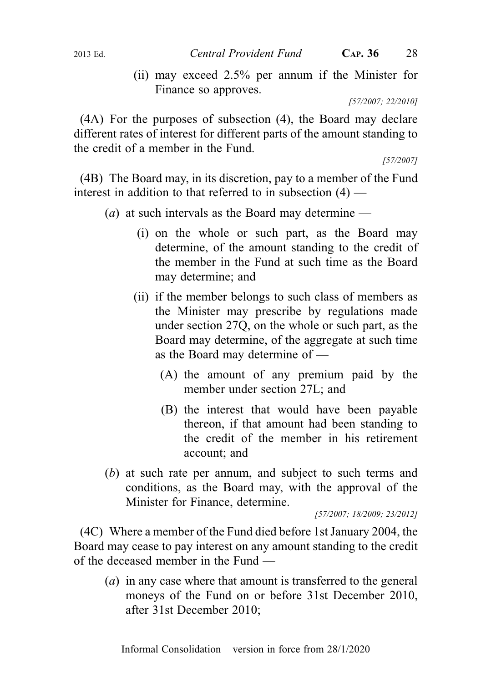(ii) may exceed 2.5% per annum if the Minister for Finance so approves.

[57/2007; 22/2010]

(4A) For the purposes of subsection (4), the Board may declare different rates of interest for different parts of the amount standing to the credit of a member in the Fund.

[57/2007]

(4B) The Board may, in its discretion, pay to a member of the Fund interest in addition to that referred to in subsection  $(4)$  —

- (*a*) at such intervals as the Board may determine
	- (i) on the whole or such part, as the Board may determine, of the amount standing to the credit of the member in the Fund at such time as the Board may determine; and
	- (ii) if the member belongs to such class of members as the Minister may prescribe by regulations made under section 27Q, on the whole or such part, as the Board may determine, of the aggregate at such time as the Board may determine of —
		- (A) the amount of any premium paid by the member under section 27L; and
		- (B) the interest that would have been payable thereon, if that amount had been standing to the credit of the member in his retirement account; and
- (b) at such rate per annum, and subject to such terms and conditions, as the Board may, with the approval of the Minister for Finance, determine.

[57/2007; 18/2009; 23/2012]

(4C) Where a member of the Fund died before 1st January 2004, the Board may cease to pay interest on any amount standing to the credit of the deceased member in the Fund —

(a) in any case where that amount is transferred to the general moneys of the Fund on or before 31st December 2010, after 31st December 2010;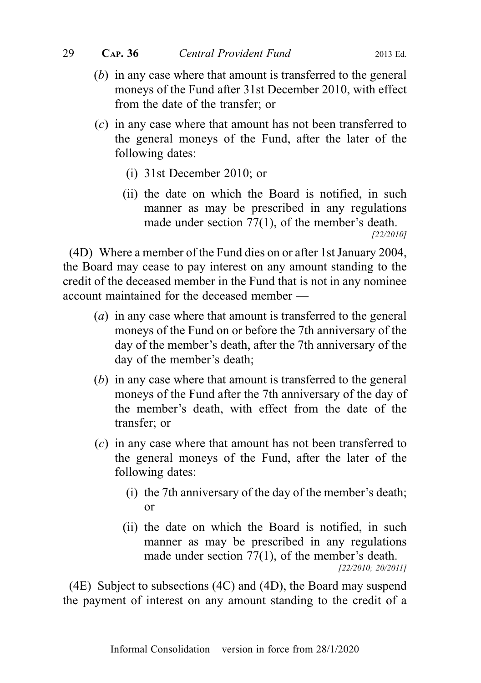- (b) in any case where that amount is transferred to the general moneys of the Fund after 31st December 2010, with effect from the date of the transfer; or
- (c) in any case where that amount has not been transferred to the general moneys of the Fund, after the later of the following dates:
	- (i) 31st December 2010; or
	- (ii) the date on which the Board is notified, in such manner as may be prescribed in any regulations made under section 77(1), of the member's death.

[22/2010]

(4D) Where a member of the Fund dies on or after 1st January 2004, the Board may cease to pay interest on any amount standing to the credit of the deceased member in the Fund that is not in any nominee account maintained for the deceased member —

- (a) in any case where that amount is transferred to the general moneys of the Fund on or before the 7th anniversary of the day of the member's death, after the 7th anniversary of the day of the member's death;
- (b) in any case where that amount is transferred to the general moneys of the Fund after the 7th anniversary of the day of the member's death, with effect from the date of the transfer; or
- (c) in any case where that amount has not been transferred to the general moneys of the Fund, after the later of the following dates:
	- (i) the 7th anniversary of the day of the member's death; or
	- (ii) the date on which the Board is notified, in such manner as may be prescribed in any regulations made under section 77(1), of the member's death. [22/2010; 20/2011]

(4E) Subject to subsections (4C) and (4D), the Board may suspend the payment of interest on any amount standing to the credit of a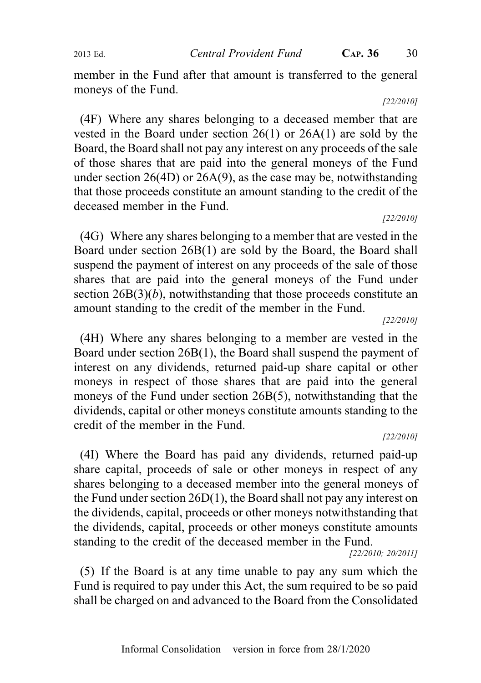2013 Ed. Central Provident Fund CAP. 36 30

member in the Fund after that amount is transferred to the general moneys of the Fund.

[22/2010]

(4F) Where any shares belonging to a deceased member that are vested in the Board under section 26(1) or 26A(1) are sold by the Board, the Board shall not pay any interest on any proceeds of the sale of those shares that are paid into the general moneys of the Fund under section 26(4D) or 26A(9), as the case may be, notwithstanding that those proceeds constitute an amount standing to the credit of the deceased member in the Fund.

#### [22/2010]

(4G) Where any shares belonging to a member that are vested in the Board under section 26B(1) are sold by the Board, the Board shall suspend the payment of interest on any proceeds of the sale of those shares that are paid into the general moneys of the Fund under section  $26B(3)(b)$ , notwithstanding that those proceeds constitute an amount standing to the credit of the member in the Fund.

[22/2010]

(4H) Where any shares belonging to a member are vested in the Board under section 26B(1), the Board shall suspend the payment of interest on any dividends, returned paid-up share capital or other moneys in respect of those shares that are paid into the general moneys of the Fund under section 26B(5), notwithstanding that the dividends, capital or other moneys constitute amounts standing to the credit of the member in the Fund.

#### [22/2010]

(4I) Where the Board has paid any dividends, returned paid-up share capital, proceeds of sale or other moneys in respect of any shares belonging to a deceased member into the general moneys of the Fund under section 26D(1), the Board shall not pay any interest on the dividends, capital, proceeds or other moneys notwithstanding that the dividends, capital, proceeds or other moneys constitute amounts standing to the credit of the deceased member in the Fund.

[22/2010; 20/2011]

(5) If the Board is at any time unable to pay any sum which the Fund is required to pay under this Act, the sum required to be so paid shall be charged on and advanced to the Board from the Consolidated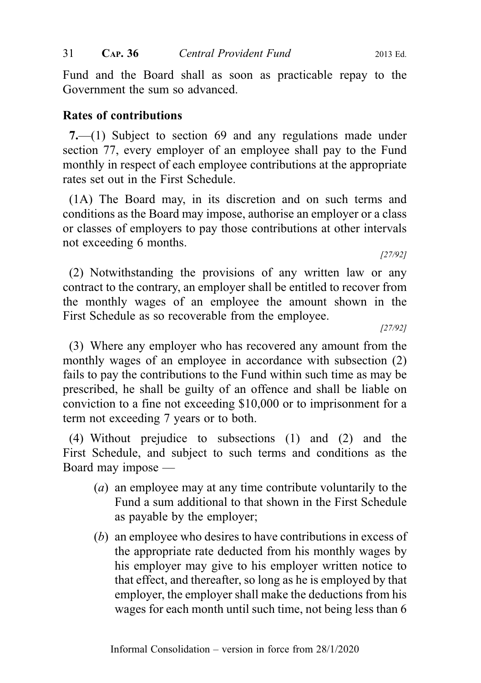31 CAP. 36 Central Provident Fund 2013 Ed.

Fund and the Board shall as soon as practicable repay to the Government the sum so advanced.

# Rates of contributions

7.—(1) Subject to section 69 and any regulations made under section 77, every employer of an employee shall pay to the Fund monthly in respect of each employee contributions at the appropriate rates set out in the First Schedule.

(1A) The Board may, in its discretion and on such terms and conditions as the Board may impose, authorise an employer or a class or classes of employers to pay those contributions at other intervals not exceeding 6 months.

(2) Notwithstanding the provisions of any written law or any contract to the contrary, an employer shall be entitled to recover from the monthly wages of an employee the amount shown in the First Schedule as so recoverable from the employee.

[27/92]

[27/92]

(3) Where any employer who has recovered any amount from the monthly wages of an employee in accordance with subsection  $(2)$ fails to pay the contributions to the Fund within such time as may be prescribed, he shall be guilty of an offence and shall be liable on conviction to a fine not exceeding \$10,000 or to imprisonment for a term not exceeding 7 years or to both.

(4) Without prejudice to subsections (1) and (2) and the First Schedule, and subject to such terms and conditions as the Board may impose —

- (a) an employee may at any time contribute voluntarily to the Fund a sum additional to that shown in the First Schedule as payable by the employer;
- (b) an employee who desires to have contributions in excess of the appropriate rate deducted from his monthly wages by his employer may give to his employer written notice to that effect, and thereafter, so long as he is employed by that employer, the employer shall make the deductions from his wages for each month until such time, not being less than 6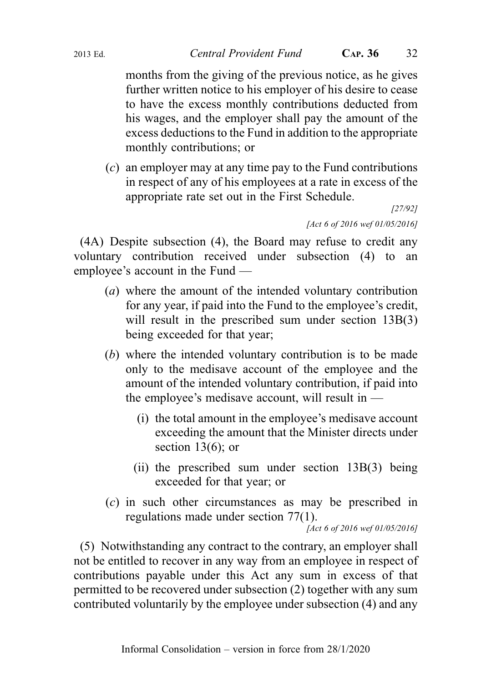months from the giving of the previous notice, as he gives further written notice to his employer of his desire to cease to have the excess monthly contributions deducted from his wages, and the employer shall pay the amount of the excess deductions to the Fund in addition to the appropriate monthly contributions; or

(c) an employer may at any time pay to the Fund contributions in respect of any of his employees at a rate in excess of the appropriate rate set out in the First Schedule.

[27/92]

[Act 6 of 2016 wef 01/05/2016]

(4A) Despite subsection (4), the Board may refuse to credit any voluntary contribution received under subsection (4) to an employee's account in the Fund —

- (a) where the amount of the intended voluntary contribution for any year, if paid into the Fund to the employee's credit, will result in the prescribed sum under section 13B(3) being exceeded for that year;
- (b) where the intended voluntary contribution is to be made only to the medisave account of the employee and the amount of the intended voluntary contribution, if paid into the employee's medisave account, will result in —
	- (i) the total amount in the employee's medisave account exceeding the amount that the Minister directs under section  $13(6)$ ; or
	- (ii) the prescribed sum under section 13B(3) being exceeded for that year; or
- (c) in such other circumstances as may be prescribed in regulations made under section 77(1).

[Act 6 of 2016 wef 01/05/2016]

(5) Notwithstanding any contract to the contrary, an employer shall not be entitled to recover in any way from an employee in respect of contributions payable under this Act any sum in excess of that permitted to be recovered under subsection (2) together with any sum contributed voluntarily by the employee under subsection (4) and any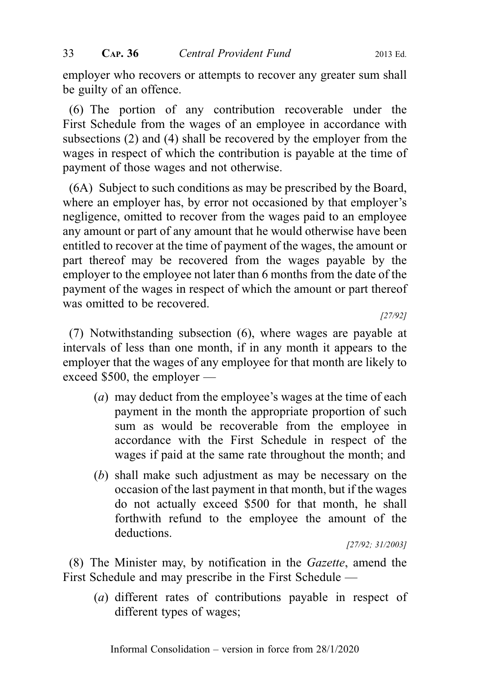employer who recovers or attempts to recover any greater sum shall be guilty of an offence.

(6) The portion of any contribution recoverable under the First Schedule from the wages of an employee in accordance with subsections (2) and (4) shall be recovered by the employer from the wages in respect of which the contribution is payable at the time of payment of those wages and not otherwise.

(6A) Subject to such conditions as may be prescribed by the Board, where an employer has, by error not occasioned by that employer's negligence, omitted to recover from the wages paid to an employee any amount or part of any amount that he would otherwise have been entitled to recover at the time of payment of the wages, the amount or part thereof may be recovered from the wages payable by the employer to the employee not later than 6 months from the date of the payment of the wages in respect of which the amount or part thereof was omitted to be recovered.

[27/92]

(7) Notwithstanding subsection (6), where wages are payable at intervals of less than one month, if in any month it appears to the employer that the wages of any employee for that month are likely to exceed \$500, the employer —

- (a) may deduct from the employee's wages at the time of each payment in the month the appropriate proportion of such sum as would be recoverable from the employee in accordance with the First Schedule in respect of the wages if paid at the same rate throughout the month; and
- (b) shall make such adjustment as may be necessary on the occasion of the last payment in that month, but if the wages do not actually exceed \$500 for that month, he shall forthwith refund to the employee the amount of the deductions.

[27/92; 31/2003]

(8) The Minister may, by notification in the Gazette, amend the First Schedule and may prescribe in the First Schedule —

(a) different rates of contributions payable in respect of different types of wages;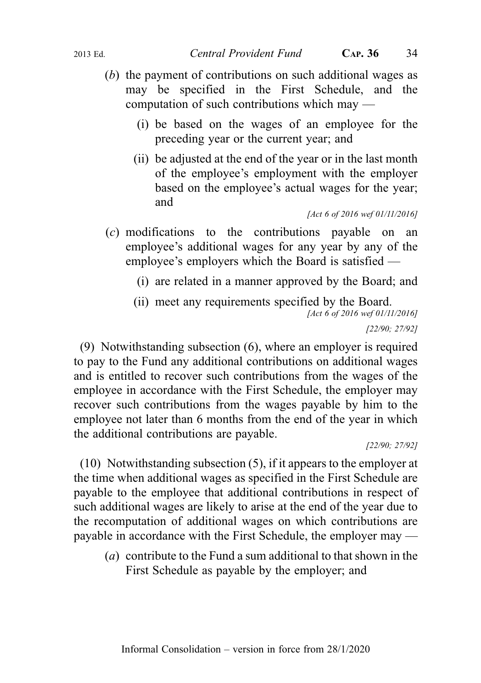- (b) the payment of contributions on such additional wages as may be specified in the First Schedule, and the computation of such contributions which may —
	- (i) be based on the wages of an employee for the preceding year or the current year; and
	- (ii) be adjusted at the end of the year or in the last month of the employee's employment with the employer based on the employee's actual wages for the year; and

- (c) modifications to the contributions payable on an employee's additional wages for any year by any of the employee's employers which the Board is satisfied —
	- (i) are related in a manner approved by the Board; and
	- (ii) meet any requirements specified by the Board. [Act 6 of 2016 wef 01/11/2016] [22/90; 27/92]

(9) Notwithstanding subsection (6), where an employer is required to pay to the Fund any additional contributions on additional wages and is entitled to recover such contributions from the wages of the employee in accordance with the First Schedule, the employer may recover such contributions from the wages payable by him to the employee not later than 6 months from the end of the year in which the additional contributions are payable.

[22/90; 27/92]

(10) Notwithstanding subsection (5), if it appears to the employer at the time when additional wages as specified in the First Schedule are payable to the employee that additional contributions in respect of such additional wages are likely to arise at the end of the year due to the recomputation of additional wages on which contributions are payable in accordance with the First Schedule, the employer may —

(a) contribute to the Fund a sum additional to that shown in the First Schedule as payable by the employer; and

<sup>[</sup>Act 6 of 2016 wef 01/11/2016]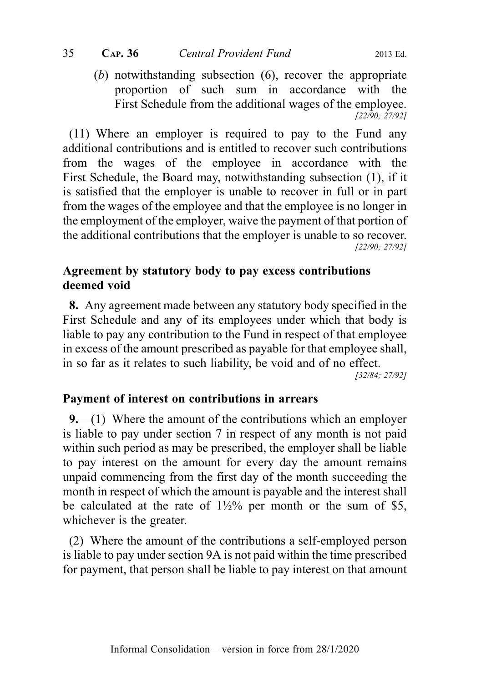(b) notwithstanding subsection (6), recover the appropriate proportion of such sum in accordance with the First Schedule from the additional wages of the employee. [22/90; 27/92]

(11) Where an employer is required to pay to the Fund any additional contributions and is entitled to recover such contributions from the wages of the employee in accordance with the First Schedule, the Board may, notwithstanding subsection (1), if it is satisfied that the employer is unable to recover in full or in part from the wages of the employee and that the employee is no longer in the employment of the employer, waive the payment of that portion of the additional contributions that the employer is unable to so recover. [22/90; 27/92]

# Agreement by statutory body to pay excess contributions deemed void

8. Any agreement made between any statutory body specified in the First Schedule and any of its employees under which that body is liable to pay any contribution to the Fund in respect of that employee in excess of the amount prescribed as payable for that employee shall, in so far as it relates to such liability, be void and of no effect. [32/84; 27/92]

# Payment of interest on contributions in arrears

9.—(1) Where the amount of the contributions which an employer is liable to pay under section 7 in respect of any month is not paid within such period as may be prescribed, the employer shall be liable to pay interest on the amount for every day the amount remains unpaid commencing from the first day of the month succeeding the month in respect of which the amount is payable and the interest shall be calculated at the rate of  $1\frac{1}{2}\%$  per month or the sum of \$5, whichever is the greater.

(2) Where the amount of the contributions a self-employed person is liable to pay under section 9A is not paid within the time prescribed for payment, that person shall be liable to pay interest on that amount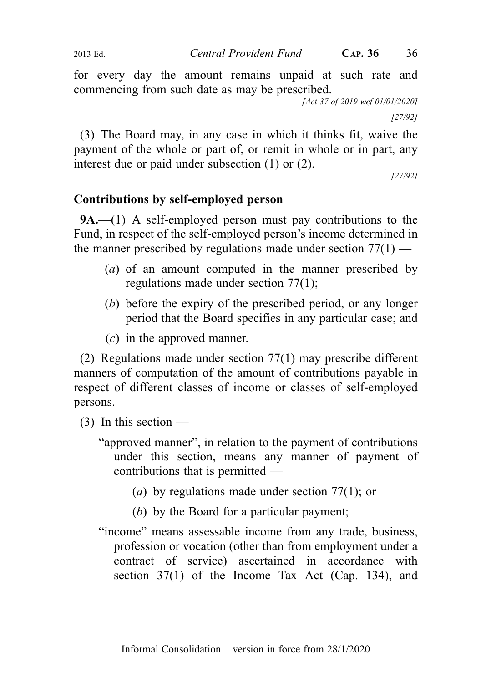for every day the amount remains unpaid at such rate and commencing from such date as may be prescribed.

[Act 37 of 2019 wef 01/01/2020]

[27/92]

(3) The Board may, in any case in which it thinks fit, waive the payment of the whole or part of, or remit in whole or in part, any interest due or paid under subsection (1) or (2).

[27/92]

# Contributions by self-employed person

9A.—(1) A self-employed person must pay contributions to the Fund, in respect of the self-employed person's income determined in the manner prescribed by regulations made under section  $77(1)$  —

- (a) of an amount computed in the manner prescribed by regulations made under section 77(1);
- (b) before the expiry of the prescribed period, or any longer period that the Board specifies in any particular case; and
- (c) in the approved manner.

(2) Regulations made under section 77(1) may prescribe different manners of computation of the amount of contributions payable in respect of different classes of income or classes of self-employed persons.

- $(3)$  In this section
	- "approved manner", in relation to the payment of contributions under this section, means any manner of payment of contributions that is permitted —
		- (a) by regulations made under section 77(1); or
		- (b) by the Board for a particular payment;
	- "income" means assessable income from any trade, business, profession or vocation (other than from employment under a contract of service) ascertained in accordance with section 37(1) of the Income Tax Act (Cap. 134), and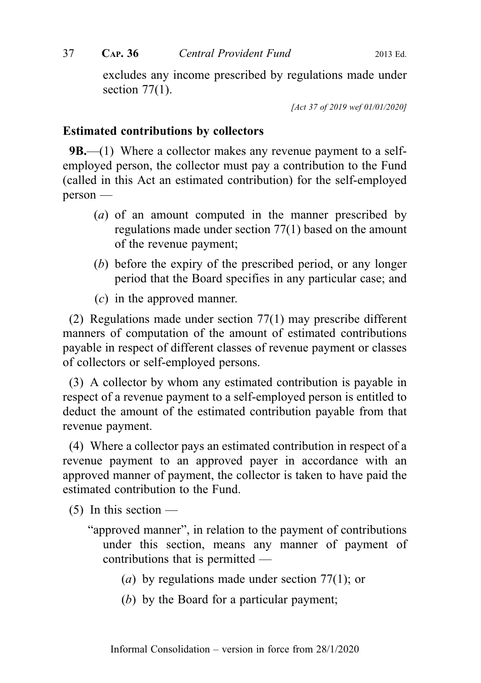excludes any income prescribed by regulations made under section  $77(1)$ .

[Act 37 of 2019 wef 01/01/2020]

## Estimated contributions by collectors

**9B.**—(1) Where a collector makes any revenue payment to a selfemployed person, the collector must pay a contribution to the Fund (called in this Act an estimated contribution) for the self-employed person —

- (a) of an amount computed in the manner prescribed by regulations made under section 77(1) based on the amount of the revenue payment;
- (b) before the expiry of the prescribed period, or any longer period that the Board specifies in any particular case; and
- (c) in the approved manner.

(2) Regulations made under section 77(1) may prescribe different manners of computation of the amount of estimated contributions payable in respect of different classes of revenue payment or classes of collectors or self-employed persons.

(3) A collector by whom any estimated contribution is payable in respect of a revenue payment to a self-employed person is entitled to deduct the amount of the estimated contribution payable from that revenue payment.

(4) Where a collector pays an estimated contribution in respect of a revenue payment to an approved payer in accordance with an approved manner of payment, the collector is taken to have paid the estimated contribution to the Fund.

 $(5)$  In this section —

- "approved manner", in relation to the payment of contributions under this section, means any manner of payment of contributions that is permitted —
	- (a) by regulations made under section 77(1); or
	- (b) by the Board for a particular payment;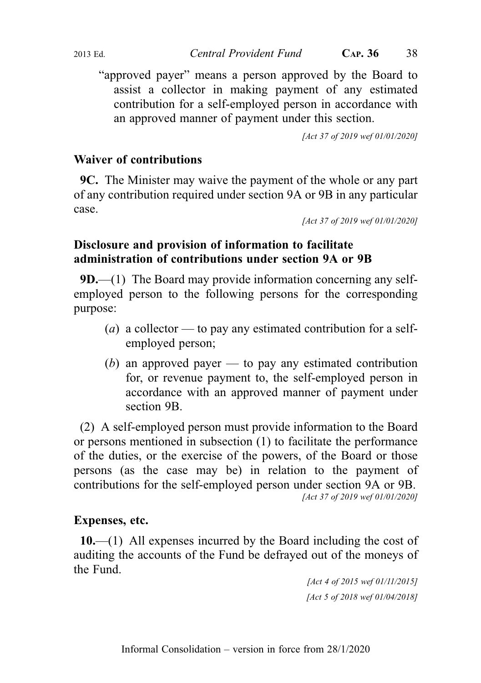"approved payer" means a person approved by the Board to assist a collector in making payment of any estimated contribution for a self-employed person in accordance with an approved manner of payment under this section.

[Act 37 of 2019 wef 01/01/2020]

## Waiver of contributions

9C. The Minister may waive the payment of the whole or any part of any contribution required under section 9A or 9B in any particular case.

[Act 37 of 2019 wef 01/01/2020]

## Disclosure and provision of information to facilitate administration of contributions under section 9A or 9B

9D.—(1) The Board may provide information concerning any selfemployed person to the following persons for the corresponding purpose:

- (a) a collector to pay any estimated contribution for a selfemployed person;
- (b) an approved payer to pay any estimated contribution for, or revenue payment to, the self-employed person in accordance with an approved manner of payment under section 9B.

(2) A self-employed person must provide information to the Board or persons mentioned in subsection (1) to facilitate the performance of the duties, or the exercise of the powers, of the Board or those persons (as the case may be) in relation to the payment of contributions for the self-employed person under section 9A or 9B. [Act 37 of 2019 wef 01/01/2020]

### Expenses, etc.

10.—(1) All expenses incurred by the Board including the cost of auditing the accounts of the Fund be defrayed out of the moneys of the Fund.

> [Act 4 of 2015 wef 01/11/2015] [Act 5 of 2018 wef 01/04/2018]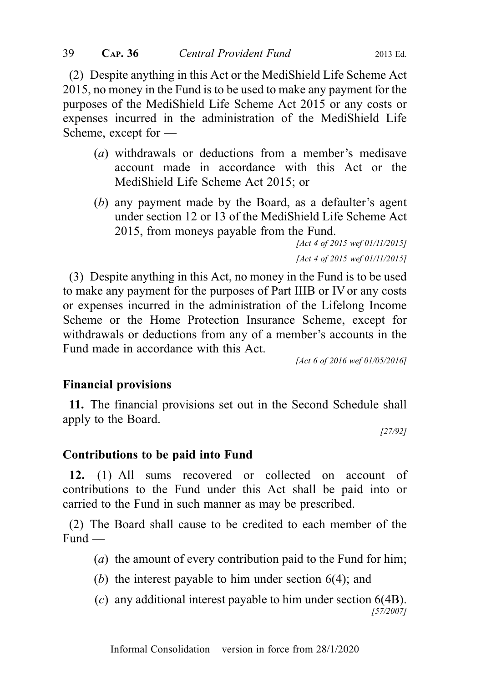(2) Despite anything in this Act or the MediShield Life Scheme Act 2015, no money in the Fund is to be used to make any payment for the purposes of the MediShield Life Scheme Act 2015 or any costs or expenses incurred in the administration of the MediShield Life Scheme, except for —

- (a) withdrawals or deductions from a member's medisave account made in accordance with this Act or the MediShield Life Scheme Act 2015; or
- (b) any payment made by the Board, as a defaulter's agent under section 12 or 13 of the MediShield Life Scheme Act 2015, from moneys payable from the Fund.

[Act 4 of 2015 wef 01/11/2015] [Act 4 of 2015 wef 01/11/2015]

(3) Despite anything in this Act, no money in the Fund is to be used to make any payment for the purposes of Part IIIB or IV or any costs or expenses incurred in the administration of the Lifelong Income Scheme or the Home Protection Insurance Scheme, except for withdrawals or deductions from any of a member's accounts in the Fund made in accordance with this Act.

[Act 6 of 2016 wef 01/05/2016]

#### Financial provisions

11. The financial provisions set out in the Second Schedule shall apply to the Board.

[27/92]

#### Contributions to be paid into Fund

12.—(1) All sums recovered or collected on account of contributions to the Fund under this Act shall be paid into or carried to the Fund in such manner as may be prescribed.

(2) The Board shall cause to be credited to each member of the Fund —

- (a) the amount of every contribution paid to the Fund for him;
- (b) the interest payable to him under section 6(4); and
- (c) any additional interest payable to him under section 6(4B). [57/2007]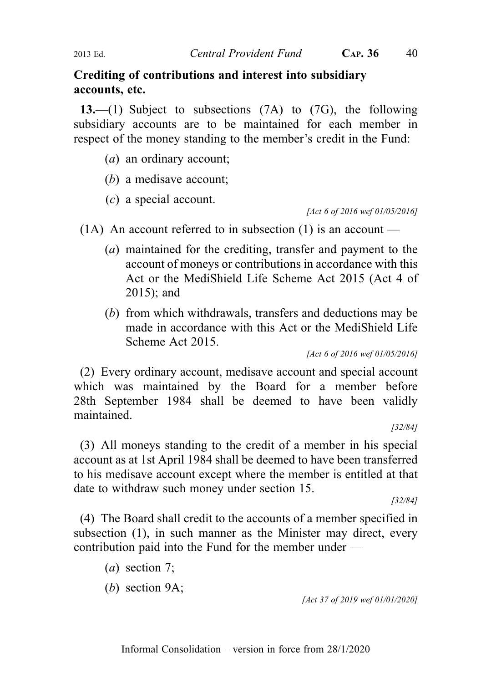## Crediting of contributions and interest into subsidiary accounts, etc.

13.—(1) Subject to subsections (7A) to (7G), the following subsidiary accounts are to be maintained for each member in respect of the money standing to the member's credit in the Fund:

- (a) an ordinary account;
- (b) a medisave account;
- (c) a special account.

[Act 6 of 2016 wef 01/05/2016]

(1A) An account referred to in subsection (1) is an account —

- (a) maintained for the crediting, transfer and payment to the account of moneys or contributions in accordance with this Act or the MediShield Life Scheme Act 2015 (Act 4 of 2015); and
- (b) from which withdrawals, transfers and deductions may be made in accordance with this Act or the MediShield Life Scheme Act 2015.

[Act 6 of 2016 wef 01/05/2016]

(2) Every ordinary account, medisave account and special account which was maintained by the Board for a member before 28th September 1984 shall be deemed to have been validly maintained.

[32/84]

(3) All moneys standing to the credit of a member in his special account as at 1st April 1984 shall be deemed to have been transferred to his medisave account except where the member is entitled at that date to withdraw such money under section 15.

[32/84]

(4) The Board shall credit to the accounts of a member specified in subsection (1), in such manner as the Minister may direct, every contribution paid into the Fund for the member under —

- (a) section 7;
- (b) section 9A;

[Act 37 of 2019 wef 01/01/2020]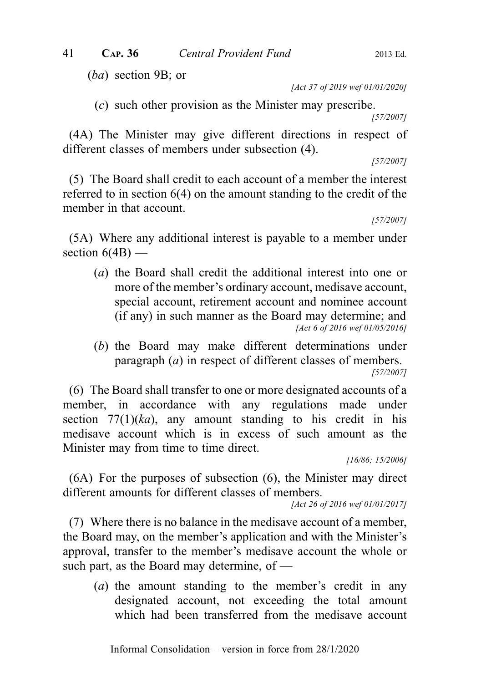(ba) section 9B; or

[Act 37 of 2019 wef 01/01/2020]

(c) such other provision as the Minister may prescribe.

[57/2007]

(4A) The Minister may give different directions in respect of different classes of members under subsection (4).

[57/2007]

(5) The Board shall credit to each account of a member the interest referred to in section 6(4) on the amount standing to the credit of the member in that account.

[57/2007]

(5A) Where any additional interest is payable to a member under section  $6(4B)$  —

- (a) the Board shall credit the additional interest into one or more of the member's ordinary account, medisave account, special account, retirement account and nominee account (if any) in such manner as the Board may determine; and [Act 6 of 2016 wef 01/05/2016]
- (b) the Board may make different determinations under paragraph (a) in respect of different classes of members. [57/2007]

(6) The Board shall transfer to one or more designated accounts of a member, in accordance with any regulations made under section  $77(1)(ka)$ , any amount standing to his credit in his medisave account which is in excess of such amount as the Minister may from time to time direct.

[16/86; 15/2006]

(6A) For the purposes of subsection (6), the Minister may direct different amounts for different classes of members.

[Act 26 of 2016 wef 01/01/2017]

(7) Where there is no balance in the medisave account of a member, the Board may, on the member's application and with the Minister's approval, transfer to the member's medisave account the whole or such part, as the Board may determine, of —

(a) the amount standing to the member's credit in any designated account, not exceeding the total amount which had been transferred from the medisave account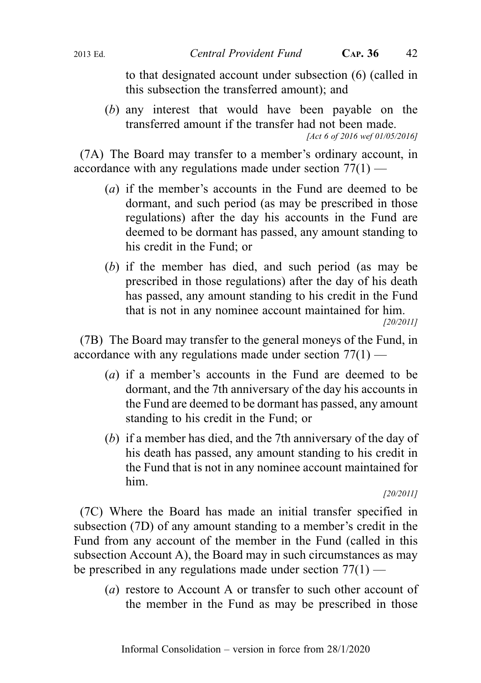to that designated account under subsection (6) (called in this subsection the transferred amount); and

(b) any interest that would have been payable on the transferred amount if the transfer had not been made. [Act 6 of 2016 wef 01/05/2016]

(7A) The Board may transfer to a member's ordinary account, in accordance with any regulations made under section  $77(1)$  —

- (a) if the member's accounts in the Fund are deemed to be dormant, and such period (as may be prescribed in those regulations) after the day his accounts in the Fund are deemed to be dormant has passed, any amount standing to his credit in the Fund; or
- (b) if the member has died, and such period (as may be prescribed in those regulations) after the day of his death has passed, any amount standing to his credit in the Fund that is not in any nominee account maintained for him.

[20/2011]

(7B) The Board may transfer to the general moneys of the Fund, in accordance with any regulations made under section 77(1) —

- (a) if a member's accounts in the Fund are deemed to be dormant, and the 7th anniversary of the day his accounts in the Fund are deemed to be dormant has passed, any amount standing to his credit in the Fund; or
- (b) if a member has died, and the 7th anniversary of the day of his death has passed, any amount standing to his credit in the Fund that is not in any nominee account maintained for him.

#### [20/2011]

(7C) Where the Board has made an initial transfer specified in subsection (7D) of any amount standing to a member's credit in the Fund from any account of the member in the Fund (called in this subsection Account A), the Board may in such circumstances as may be prescribed in any regulations made under section  $77(1)$  —

(a) restore to Account A or transfer to such other account of the member in the Fund as may be prescribed in those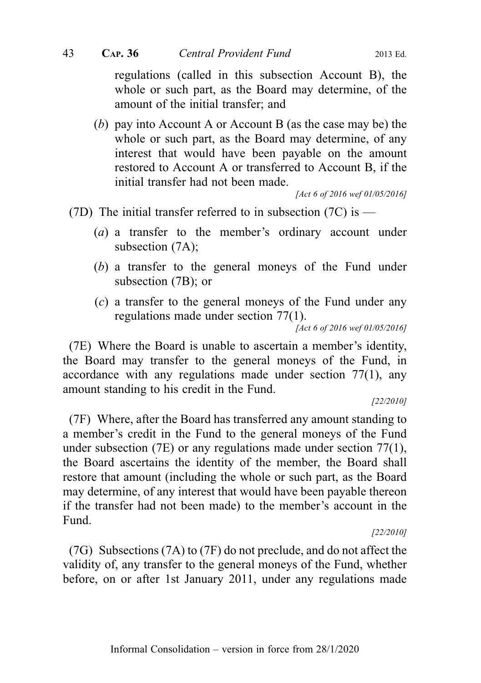regulations (called in this subsection Account B), the whole or such part, as the Board may determine, of the amount of the initial transfer; and

(b) pay into Account A or Account B (as the case may be) the whole or such part, as the Board may determine, of any interest that would have been payable on the amount restored to Account A or transferred to Account B, if the initial transfer had not been made.

[Act 6 of 2016 wef 01/05/2016]

- (7D) The initial transfer referred to in subsection (7C) is  $-$ 
	- (a) a transfer to the member's ordinary account under subsection (7A);
	- (b) a transfer to the general moneys of the Fund under subsection (7B); or
	- (c) a transfer to the general moneys of the Fund under any regulations made under section 77(1).

[Act 6 of 2016 wef 01/05/2016]

(7E) Where the Board is unable to ascertain a member's identity, the Board may transfer to the general moneys of the Fund, in accordance with any regulations made under section 77(1), any amount standing to his credit in the Fund.

[22/2010]

(7F) Where, after the Board has transferred any amount standing to a member's credit in the Fund to the general moneys of the Fund under subsection (7E) or any regulations made under section 77(1), the Board ascertains the identity of the member, the Board shall restore that amount (including the whole or such part, as the Board may determine, of any interest that would have been payable thereon if the transfer had not been made) to the member's account in the Fund.

[22/2010]

(7G) Subsections (7A) to (7F) do not preclude, and do not affect the validity of, any transfer to the general moneys of the Fund, whether before, on or after 1st January 2011, under any regulations made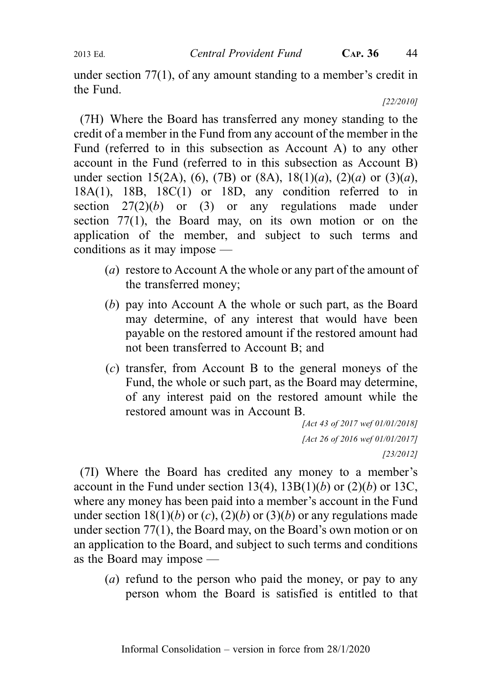under section 77(1), of any amount standing to a member's credit in the Fund.

[22/2010]

(7H) Where the Board has transferred any money standing to the credit of a member in the Fund from any account of the member in the Fund (referred to in this subsection as Account A) to any other account in the Fund (referred to in this subsection as Account B) under section 15(2A), (6), (7B) or (8A), 18(1)(*a*), (2)(*a*) or (3)(*a*), 18A(1), 18B, 18C(1) or 18D, any condition referred to in section  $27(2)(b)$  or (3) or any regulations made under section 77(1), the Board may, on its own motion or on the application of the member, and subject to such terms and conditions as it may impose —

- (a) restore to Account A the whole or any part of the amount of the transferred money;
- (b) pay into Account A the whole or such part, as the Board may determine, of any interest that would have been payable on the restored amount if the restored amount had not been transferred to Account B; and
- (c) transfer, from Account B to the general moneys of the Fund, the whole or such part, as the Board may determine, of any interest paid on the restored amount while the restored amount was in Account B.

```
[Act 43 of 2017 wef 01/01/2018]
[Act 26 of 2016 wef 01/01/2017]
                     [23/2012]
```
(7I) Where the Board has credited any money to a member's account in the Fund under section  $13(4)$ ,  $13B(1)(b)$  or  $(2)(b)$  or  $13C$ , where any money has been paid into a member's account in the Fund under section 18(1)(b) or (c), (2)(b) or (3)(b) or any regulations made under section 77(1), the Board may, on the Board's own motion or on an application to the Board, and subject to such terms and conditions as the Board may impose —

(a) refund to the person who paid the money, or pay to any person whom the Board is satisfied is entitled to that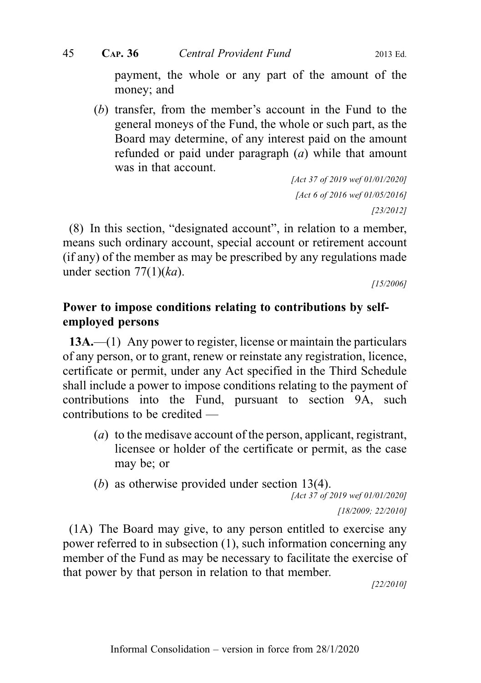payment, the whole or any part of the amount of the money; and

(b) transfer, from the member's account in the Fund to the general moneys of the Fund, the whole or such part, as the Board may determine, of any interest paid on the amount refunded or paid under paragraph (a) while that amount was in that account.

```
[Act 37 of 2019 wef 01/01/2020]
 [Act 6 of 2016 wef 01/05/2016]
                     [23/2012]
```
(8) In this section, "designated account", in relation to a member, means such ordinary account, special account or retirement account (if any) of the member as may be prescribed by any regulations made under section  $77(1)(ka)$ .

[15/2006]

# Power to impose conditions relating to contributions by selfemployed persons

13A.—(1) Any power to register, license or maintain the particulars of any person, or to grant, renew or reinstate any registration, licence, certificate or permit, under any Act specified in the Third Schedule shall include a power to impose conditions relating to the payment of contributions into the Fund, pursuant to section 9A, such contributions to be credited —

- (a) to the medisave account of the person, applicant, registrant, licensee or holder of the certificate or permit, as the case may be; or
- (b) as otherwise provided under section 13(4).

```
[Act 37 of 2019 wef 01/01/2020]
```
[18/2009; 22/2010]

(1A) The Board may give, to any person entitled to exercise any power referred to in subsection (1), such information concerning any member of the Fund as may be necessary to facilitate the exercise of that power by that person in relation to that member.

[22/2010]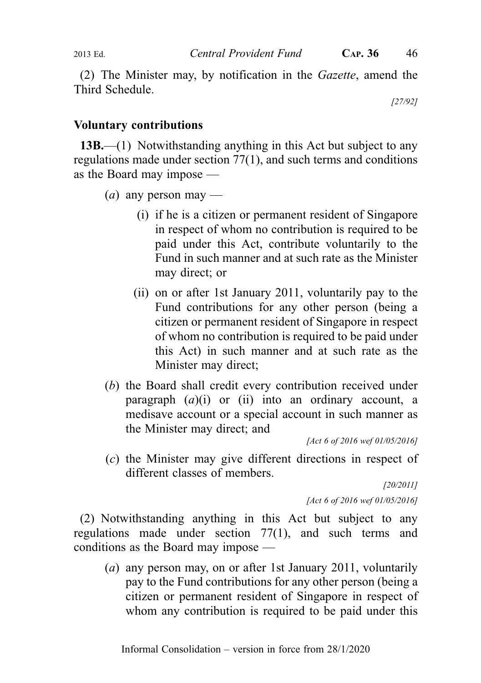(2) The Minister may, by notification in the Gazette, amend the Third Schedule.

[27/92]

# Voluntary contributions

13B.—(1) Notwithstanding anything in this Act but subject to any regulations made under section 77(1), and such terms and conditions as the Board may impose —

- (*a*) any person may
	- (i) if he is a citizen or permanent resident of Singapore in respect of whom no contribution is required to be paid under this Act, contribute voluntarily to the Fund in such manner and at such rate as the Minister may direct; or
	- (ii) on or after 1st January 2011, voluntarily pay to the Fund contributions for any other person (being a citizen or permanent resident of Singapore in respect of whom no contribution is required to be paid under this Act) in such manner and at such rate as the Minister may direct;
- (b) the Board shall credit every contribution received under paragraph  $(a)(i)$  or (ii) into an ordinary account, a medisave account or a special account in such manner as the Minister may direct; and

[Act 6 of 2016 wef 01/05/2016]

(c) the Minister may give different directions in respect of different classes of members.

> [20/2011] [Act 6 of 2016 wef 01/05/2016]

(2) Notwithstanding anything in this Act but subject to any regulations made under section 77(1), and such terms and conditions as the Board may impose —

(a) any person may, on or after 1st January 2011, voluntarily pay to the Fund contributions for any other person (being a citizen or permanent resident of Singapore in respect of whom any contribution is required to be paid under this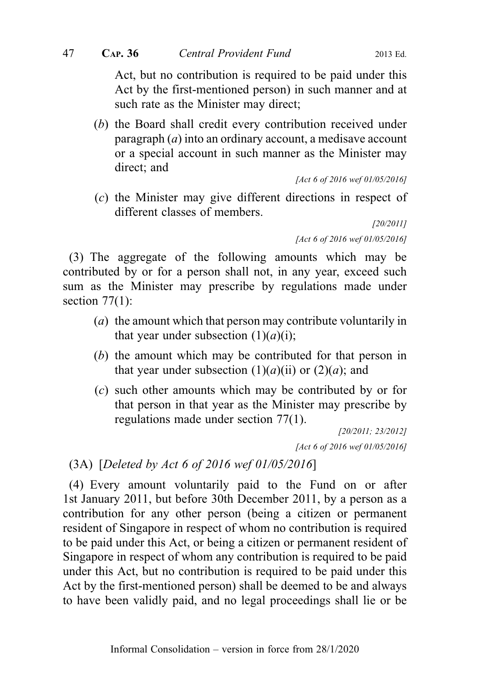Act, but no contribution is required to be paid under this Act by the first-mentioned person) in such manner and at such rate as the Minister may direct;

(b) the Board shall credit every contribution received under paragraph  $(a)$  into an ordinary account, a medisave account or a special account in such manner as the Minister may direct; and

```
[Act 6 of 2016 wef 01/05/2016]
```
(c) the Minister may give different directions in respect of different classes of members.

> [20/2011] [Act 6 of 2016 wef 01/05/2016]

(3) The aggregate of the following amounts which may be contributed by or for a person shall not, in any year, exceed such sum as the Minister may prescribe by regulations made under section  $77(1)$ :

- (a) the amount which that person may contribute voluntarily in that year under subsection  $(1)(a)(i)$ ;
- (b) the amount which may be contributed for that person in that year under subsection  $(1)(a)(ii)$  or  $(2)(a)$ ; and
- (c) such other amounts which may be contributed by or for that person in that year as the Minister may prescribe by regulations made under section 77(1).

[20/2011; 23/2012] [Act 6 of 2016 wef 01/05/2016]

(3A) [Deleted by Act 6 of 2016 wef 01/05/2016]

(4) Every amount voluntarily paid to the Fund on or after 1st January 2011, but before 30th December 2011, by a person as a contribution for any other person (being a citizen or permanent resident of Singapore in respect of whom no contribution is required to be paid under this Act, or being a citizen or permanent resident of Singapore in respect of whom any contribution is required to be paid under this Act, but no contribution is required to be paid under this Act by the first-mentioned person) shall be deemed to be and always to have been validly paid, and no legal proceedings shall lie or be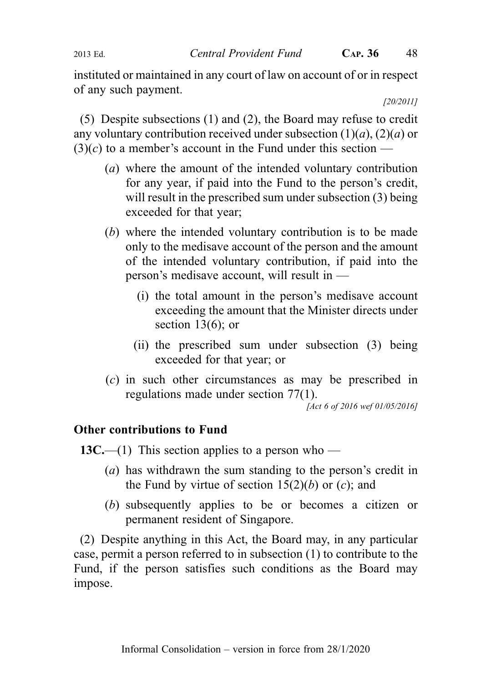#### 2013 Ed. Central Provident Fund C<sub>AP</sub>. 36 48

instituted or maintained in any court of law on account of or in respect of any such payment.

[20/2011]

(5) Despite subsections (1) and (2), the Board may refuse to credit any voluntary contribution received under subsection  $(1)(a)$ ,  $(2)(a)$  or  $(3)(c)$  to a member's account in the Fund under this section —

- (a) where the amount of the intended voluntary contribution for any year, if paid into the Fund to the person's credit, will result in the prescribed sum under subsection (3) being exceeded for that year;
- (b) where the intended voluntary contribution is to be made only to the medisave account of the person and the amount of the intended voluntary contribution, if paid into the person's medisave account, will result in —
	- (i) the total amount in the person's medisave account exceeding the amount that the Minister directs under section  $13(6)$ ; or
	- (ii) the prescribed sum under subsection (3) being exceeded for that year; or
- (c) in such other circumstances as may be prescribed in regulations made under section 77(1).

[Act 6 of 2016 wef 01/05/2016]

## Other contributions to Fund

13C.—(1) This section applies to a person who —

- (a) has withdrawn the sum standing to the person's credit in the Fund by virtue of section  $15(2)(b)$  or  $(c)$ ; and
- (b) subsequently applies to be or becomes a citizen or permanent resident of Singapore.

(2) Despite anything in this Act, the Board may, in any particular case, permit a person referred to in subsection (1) to contribute to the Fund, if the person satisfies such conditions as the Board may impose.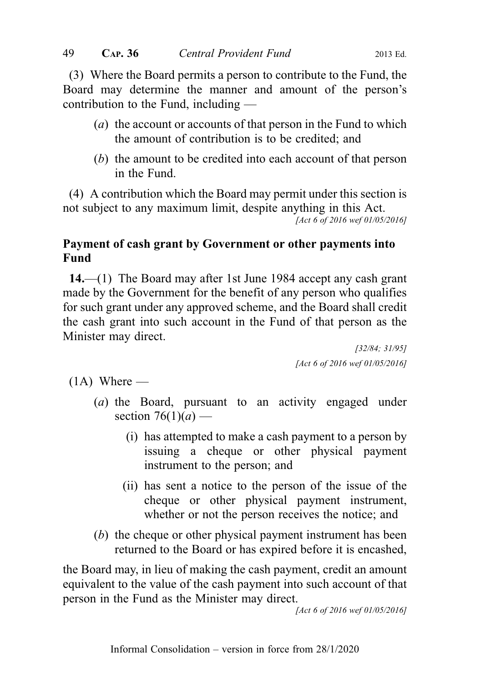(3) Where the Board permits a person to contribute to the Fund, the Board may determine the manner and amount of the person's contribution to the Fund, including —

- (a) the account or accounts of that person in the Fund to which the amount of contribution is to be credited; and
- (b) the amount to be credited into each account of that person in the Fund.

(4) A contribution which the Board may permit under this section is not subject to any maximum limit, despite anything in this Act.

[Act 6 of 2016 wef 01/05/2016]

# Payment of cash grant by Government or other payments into Fund

14.—(1) The Board may after 1st June 1984 accept any cash grant made by the Government for the benefit of any person who qualifies for such grant under any approved scheme, and the Board shall credit the cash grant into such account in the Fund of that person as the Minister may direct.

> [32/84; 31/95] [Act 6 of 2016 wef 01/05/2016]

 $(1A)$  Where —

- (a) the Board, pursuant to an activity engaged under section  $76(1)(a)$  —
	- (i) has attempted to make a cash payment to a person by issuing a cheque or other physical payment instrument to the person; and
	- (ii) has sent a notice to the person of the issue of the cheque or other physical payment instrument, whether or not the person receives the notice; and
- (b) the cheque or other physical payment instrument has been returned to the Board or has expired before it is encashed,

the Board may, in lieu of making the cash payment, credit an amount equivalent to the value of the cash payment into such account of that person in the Fund as the Minister may direct.

[Act 6 of 2016 wef 01/05/2016]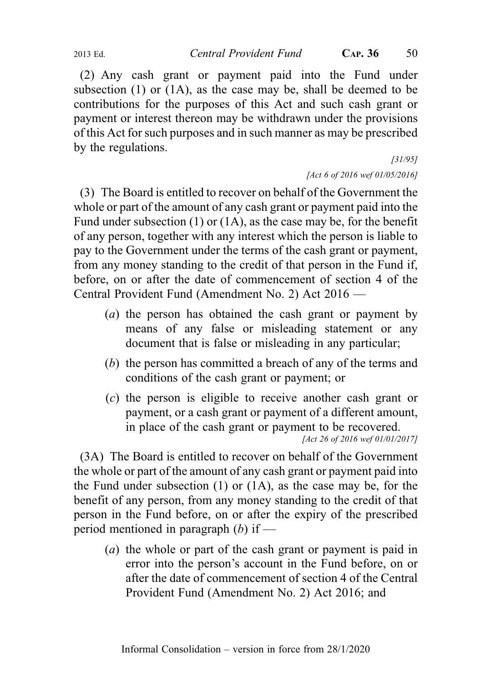(2) Any cash grant or payment paid into the Fund under subsection  $(1)$  or  $(1A)$ , as the case may be, shall be deemed to be contributions for the purposes of this Act and such cash grant or payment or interest thereon may be withdrawn under the provisions of this Act for such purposes and in such manner as may be prescribed by the regulations.

[31/95]

[Act 6 of 2016 wef 01/05/2016]

(3) The Board is entitled to recover on behalf of the Government the whole or part of the amount of any cash grant or payment paid into the Fund under subsection (1) or (1A), as the case may be, for the benefit of any person, together with any interest which the person is liable to pay to the Government under the terms of the cash grant or payment, from any money standing to the credit of that person in the Fund if, before, on or after the date of commencement of section 4 of the Central Provident Fund (Amendment No. 2) Act 2016 —

- (a) the person has obtained the cash grant or payment by means of any false or misleading statement or any document that is false or misleading in any particular;
- (b) the person has committed a breach of any of the terms and conditions of the cash grant or payment; or
- (c) the person is eligible to receive another cash grant or payment, or a cash grant or payment of a different amount, in place of the cash grant or payment to be recovered. [Act 26 of 2016 wef 01/01/2017]

(3A) The Board is entitled to recover on behalf of the Government the whole or part of the amount of any cash grant or payment paid into the Fund under subsection (1) or (1A), as the case may be, for the benefit of any person, from any money standing to the credit of that person in the Fund before, on or after the expiry of the prescribed period mentioned in paragraph  $(b)$  if —

(a) the whole or part of the cash grant or payment is paid in error into the person's account in the Fund before, on or after the date of commencement of section 4 of the Central Provident Fund (Amendment No. 2) Act 2016; and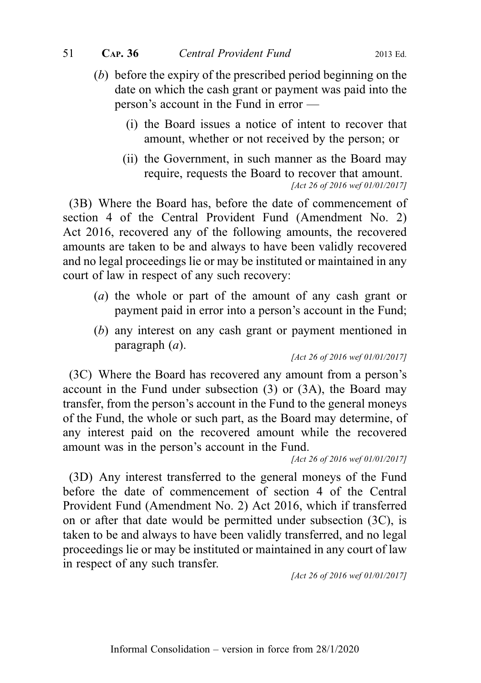- (b) before the expiry of the prescribed period beginning on the date on which the cash grant or payment was paid into the person's account in the Fund in error —
	- (i) the Board issues a notice of intent to recover that amount, whether or not received by the person; or
	- (ii) the Government, in such manner as the Board may require, requests the Board to recover that amount. [Act 26 of 2016 wef 01/01/2017]

(3B) Where the Board has, before the date of commencement of section 4 of the Central Provident Fund (Amendment No. 2) Act 2016, recovered any of the following amounts, the recovered amounts are taken to be and always to have been validly recovered and no legal proceedings lie or may be instituted or maintained in any court of law in respect of any such recovery:

- (a) the whole or part of the amount of any cash grant or payment paid in error into a person's account in the Fund;
- (b) any interest on any cash grant or payment mentioned in paragraph  $(a)$ .

[Act 26 of 2016 wef 01/01/2017]

(3C) Where the Board has recovered any amount from a person's account in the Fund under subsection (3) or (3A), the Board may transfer, from the person's account in the Fund to the general moneys of the Fund, the whole or such part, as the Board may determine, of any interest paid on the recovered amount while the recovered amount was in the person's account in the Fund.

[Act 26 of 2016 wef 01/01/2017]

(3D) Any interest transferred to the general moneys of the Fund before the date of commencement of section 4 of the Central Provident Fund (Amendment No. 2) Act 2016, which if transferred on or after that date would be permitted under subsection (3C), is taken to be and always to have been validly transferred, and no legal proceedings lie or may be instituted or maintained in any court of law in respect of any such transfer.

[Act 26 of 2016 wef 01/01/2017]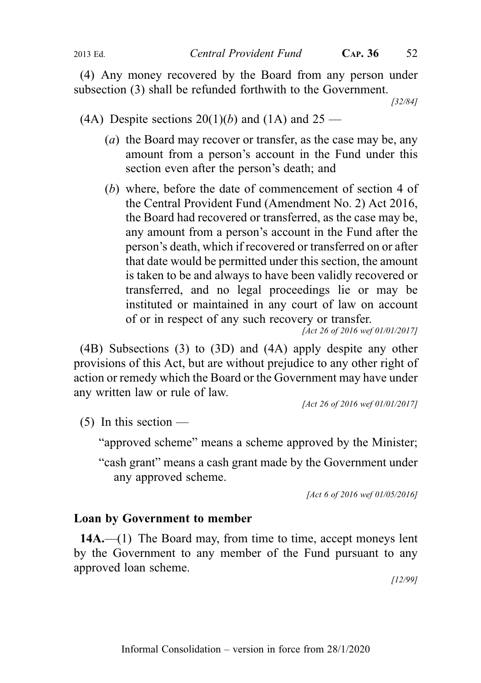(4) Any money recovered by the Board from any person under subsection (3) shall be refunded forthwith to the Government.

[32/84]

(4A) Despite sections  $20(1)(b)$  and  $(1)$  and  $25 -$ 

- (a) the Board may recover or transfer, as the case may be, any amount from a person's account in the Fund under this section even after the person's death; and
- (b) where, before the date of commencement of section 4 of the Central Provident Fund (Amendment No. 2) Act 2016, the Board had recovered or transferred, as the case may be, any amount from a person's account in the Fund after the person's death, which if recovered or transferred on or after that date would be permitted under this section, the amount is taken to be and always to have been validly recovered or transferred, and no legal proceedings lie or may be instituted or maintained in any court of law on account of or in respect of any such recovery or transfer.

[Act 26 of 2016 wef 01/01/2017]

(4B) Subsections (3) to (3D) and (4A) apply despite any other provisions of this Act, but are without prejudice to any other right of action or remedy which the Board or the Government may have under any written law or rule of law.

[Act 26 of 2016 wef 01/01/2017]

 $(5)$  In this section —

"approved scheme" means a scheme approved by the Minister;

"cash grant" means a cash grant made by the Government under any approved scheme.

[Act 6 of 2016 wef 01/05/2016]

### Loan by Government to member

14A.—(1) The Board may, from time to time, accept moneys lent by the Government to any member of the Fund pursuant to any approved loan scheme.

[12/99]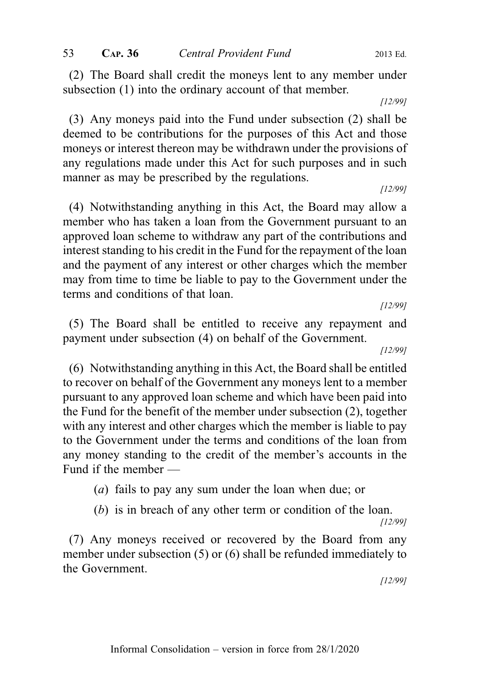(2) The Board shall credit the moneys lent to any member under subsection (1) into the ordinary account of that member.

[12/99]

(3) Any moneys paid into the Fund under subsection (2) shall be deemed to be contributions for the purposes of this Act and those moneys or interest thereon may be withdrawn under the provisions of any regulations made under this Act for such purposes and in such manner as may be prescribed by the regulations.

[12/99]

(4) Notwithstanding anything in this Act, the Board may allow a member who has taken a loan from the Government pursuant to an approved loan scheme to withdraw any part of the contributions and interest standing to his credit in the Fund for the repayment of the loan and the payment of any interest or other charges which the member may from time to time be liable to pay to the Government under the terms and conditions of that loan.

[12/99]

(5) The Board shall be entitled to receive any repayment and payment under subsection (4) on behalf of the Government.

[12/99]

(6) Notwithstanding anything in this Act, the Board shall be entitled to recover on behalf of the Government any moneys lent to a member pursuant to any approved loan scheme and which have been paid into the Fund for the benefit of the member under subsection (2), together with any interest and other charges which the member is liable to pay to the Government under the terms and conditions of the loan from any money standing to the credit of the member's accounts in the Fund if the member —

(a) fails to pay any sum under the loan when due; or

(b) is in breach of any other term or condition of the loan. [12/99]

(7) Any moneys received or recovered by the Board from any member under subsection (5) or (6) shall be refunded immediately to the Government.

[12/99]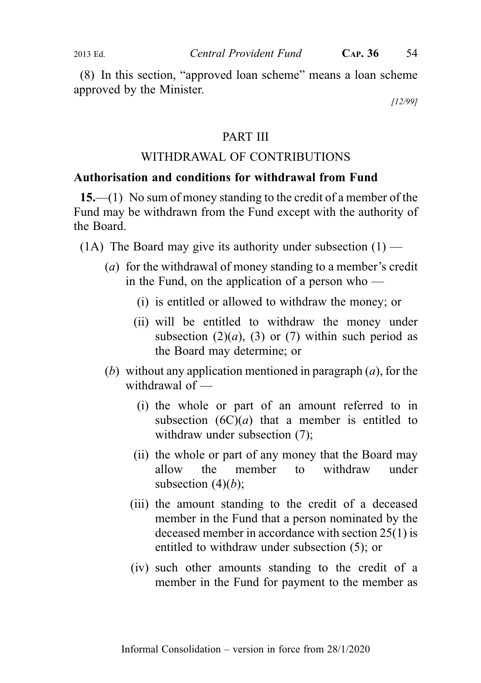(8) In this section, "approved loan scheme" means a loan scheme approved by the Minister.

[12/99]

## PART III

# WITHDRAWAL OF CONTRIBUTIONS

# Authorisation and conditions for withdrawal from Fund

15.—(1) No sum of money standing to the credit of a member of the Fund may be withdrawn from the Fund except with the authority of the Board.

- (1A) The Board may give its authority under subsection  $(1)$ 
	- (a) for the withdrawal of money standing to a member's credit in the Fund, on the application of a person who  $-$ 
		- (i) is entitled or allowed to withdraw the money; or
		- (ii) will be entitled to withdraw the money under subsection (2)(*a*), (3) or (7) within such period as the Board may determine; or
	- (b) without any application mentioned in paragraph  $(a)$ , for the withdrawal of —
		- (i) the whole or part of an amount referred to in subsection  $(6C)(a)$  that a member is entitled to withdraw under subsection  $(7)$ ;
		- (ii) the whole or part of any money that the Board may allow the member to withdraw under subsection  $(4)(b)$ ;
		- (iii) the amount standing to the credit of a deceased member in the Fund that a person nominated by the deceased member in accordance with section 25(1) is entitled to withdraw under subsection (5); or
		- (iv) such other amounts standing to the credit of a member in the Fund for payment to the member as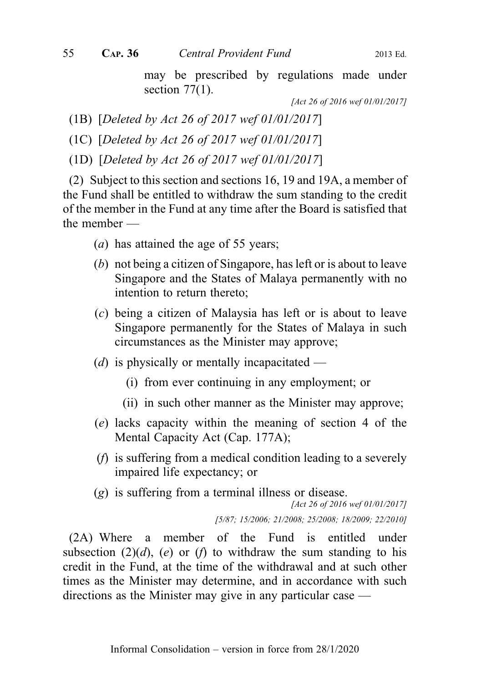may be prescribed by regulations made under section  $77(1)$ .

[Act 26 of 2016 wef 01/01/2017]

(1B) [Deleted by Act 26 of 2017 wef 01/01/2017]

(1C) [Deleted by Act 26 of 2017 wef 01/01/2017]

(1D) [Deleted by Act 26 of 2017 wef 01/01/2017]

(2) Subject to this section and sections 16, 19 and 19A, a member of the Fund shall be entitled to withdraw the sum standing to the credit of the member in the Fund at any time after the Board is satisfied that the member —

- (a) has attained the age of 55 years;
- (b) not being a citizen of Singapore, has left or is about to leave Singapore and the States of Malaya permanently with no intention to return thereto;
- (c) being a citizen of Malaysia has left or is about to leave Singapore permanently for the States of Malaya in such circumstances as the Minister may approve;
- ( $d$ ) is physically or mentally incapacitated
	- (i) from ever continuing in any employment; or
	- (ii) in such other manner as the Minister may approve;
- (e) lacks capacity within the meaning of section 4 of the Mental Capacity Act (Cap. 177A);
- (f) is suffering from a medical condition leading to a severely impaired life expectancy; or
- (g) is suffering from a terminal illness or disease.

[Act 26 of 2016 wef 01/01/2017]

[5/87; 15/2006; 21/2008; 25/2008; 18/2009; 22/2010]

(2A) Where a member of the Fund is entitled under subsection (2)(d), (e) or (f) to withdraw the sum standing to his credit in the Fund, at the time of the withdrawal and at such other times as the Minister may determine, and in accordance with such directions as the Minister may give in any particular case —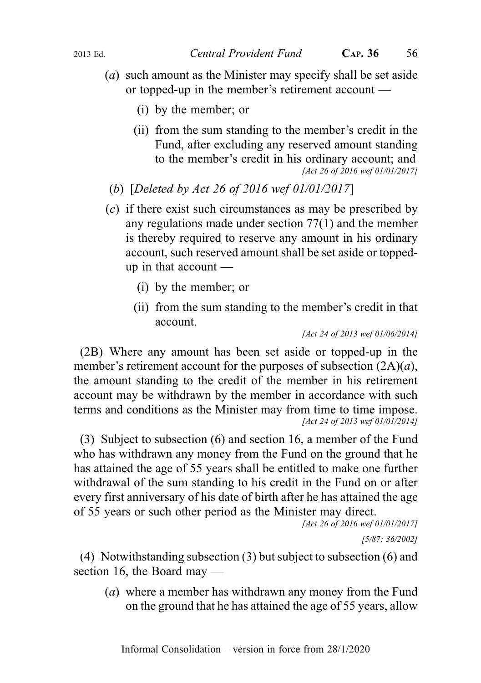- (a) such amount as the Minister may specify shall be set aside or topped-up in the member's retirement account —
	- (i) by the member; or
	- (ii) from the sum standing to the member's credit in the Fund, after excluding any reserved amount standing to the member's credit in his ordinary account; and [Act 26 of 2016 wef 01/01/2017]
- (b) [Deleted by Act 26 of 2016 wef 01/01/2017]
- (c) if there exist such circumstances as may be prescribed by any regulations made under section 77(1) and the member is thereby required to reserve any amount in his ordinary account, such reserved amount shall be set aside or toppedup in that account —
	- (i) by the member; or
	- (ii) from the sum standing to the member's credit in that account.

[Act 24 of 2013 wef 01/06/2014]

(2B) Where any amount has been set aside or topped-up in the member's retirement account for the purposes of subsection  $(2A)(a)$ , the amount standing to the credit of the member in his retirement account may be withdrawn by the member in accordance with such terms and conditions as the Minister may from time to time impose. [Act 24 of 2013 wef 01/01/2014]

(3) Subject to subsection (6) and section 16, a member of the Fund who has withdrawn any money from the Fund on the ground that he has attained the age of 55 years shall be entitled to make one further withdrawal of the sum standing to his credit in the Fund on or after every first anniversary of his date of birth after he has attained the age of 55 years or such other period as the Minister may direct.

[Act 26 of 2016 wef 01/01/2017]

[5/87; 36/2002]

(4) Notwithstanding subsection (3) but subject to subsection (6) and section 16, the Board may —

(a) where a member has withdrawn any money from the Fund on the ground that he has attained the age of 55 years, allow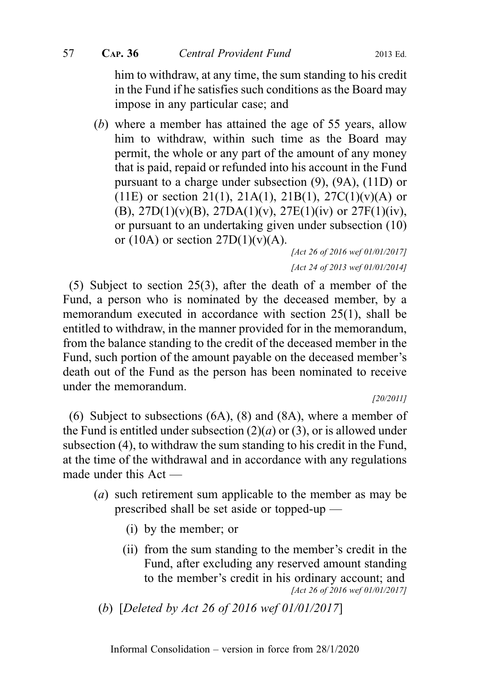him to withdraw, at any time, the sum standing to his credit in the Fund if he satisfies such conditions as the Board may impose in any particular case; and

(b) where a member has attained the age of 55 years, allow him to withdraw, within such time as the Board may permit, the whole or any part of the amount of any money that is paid, repaid or refunded into his account in the Fund pursuant to a charge under subsection (9), (9A), (11D) or (11E) or section 21(1), 21A(1), 21B(1), 27C(1)(v)(A) or (B), 27D(1)(v)(B), 27DA(1)(v), 27E(1)(iv) or 27F(1)(iv), or pursuant to an undertaking given under subsection (10) or (10A) or section  $27D(1)(v)(A)$ .

[Act 26 of 2016 wef 01/01/2017] [Act 24 of 2013 wef 01/01/2014]

(5) Subject to section 25(3), after the death of a member of the Fund, a person who is nominated by the deceased member, by a memorandum executed in accordance with section 25(1), shall be entitled to withdraw, in the manner provided for in the memorandum, from the balance standing to the credit of the deceased member in the Fund, such portion of the amount payable on the deceased member's death out of the Fund as the person has been nominated to receive under the memorandum.

[20/2011]

(6) Subject to subsections (6A), (8) and (8A), where a member of the Fund is entitled under subsection  $(2)(a)$  or  $(3)$ , or is allowed under subsection (4), to withdraw the sum standing to his credit in the Fund, at the time of the withdrawal and in accordance with any regulations made under this Act —

- (a) such retirement sum applicable to the member as may be prescribed shall be set aside or topped-up —
	- (i) by the member; or
	- (ii) from the sum standing to the member's credit in the Fund, after excluding any reserved amount standing to the member's credit in his ordinary account; and [Act 26 of 2016 wef 01/01/2017]

(b) [Deleted by Act 26 of 2016 wef 01/01/2017]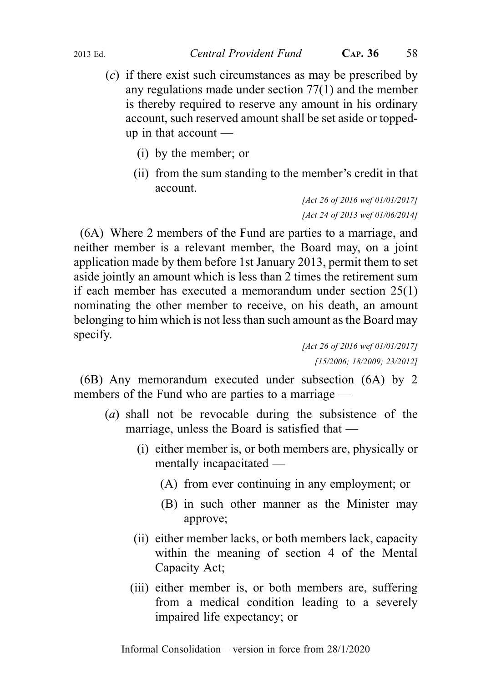- (c) if there exist such circumstances as may be prescribed by any regulations made under section 77(1) and the member is thereby required to reserve any amount in his ordinary account, such reserved amount shall be set aside or toppedup in that account —
	- (i) by the member; or
	- (ii) from the sum standing to the member's credit in that account.

[Act 26 of 2016 wef 01/01/2017] [Act 24 of 2013 wef 01/06/2014]

(6A) Where 2 members of the Fund are parties to a marriage, and neither member is a relevant member, the Board may, on a joint application made by them before 1st January 2013, permit them to set aside jointly an amount which is less than 2 times the retirement sum if each member has executed a memorandum under section 25(1) nominating the other member to receive, on his death, an amount belonging to him which is not less than such amount as the Board may specify.

[Act 26 of 2016 wef 01/01/2017] [15/2006; 18/2009; 23/2012]

(6B) Any memorandum executed under subsection (6A) by 2 members of the Fund who are parties to a marriage —

- (a) shall not be revocable during the subsistence of the marriage, unless the Board is satisfied that —
	- (i) either member is, or both members are, physically or mentally incapacitated —
		- (A) from ever continuing in any employment; or
		- (B) in such other manner as the Minister may approve;
	- (ii) either member lacks, or both members lack, capacity within the meaning of section 4 of the Mental Capacity Act;
	- (iii) either member is, or both members are, suffering from a medical condition leading to a severely impaired life expectancy; or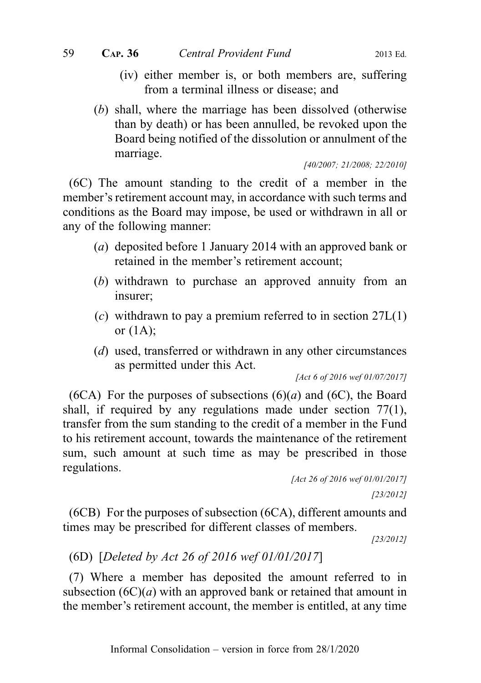- (iv) either member is, or both members are, suffering from a terminal illness or disease; and
- (b) shall, where the marriage has been dissolved (otherwise than by death) or has been annulled, be revoked upon the Board being notified of the dissolution or annulment of the marriage.

[40/2007; 21/2008; 22/2010]

(6C) The amount standing to the credit of a member in the member's retirement account may, in accordance with such terms and conditions as the Board may impose, be used or withdrawn in all or any of the following manner:

- (a) deposited before 1 January 2014 with an approved bank or retained in the member's retirement account;
- (b) withdrawn to purchase an approved annuity from an insurer;
- (c) withdrawn to pay a premium referred to in section  $27L(1)$ or (1A);
- (d) used, transferred or withdrawn in any other circumstances as permitted under this Act.

[Act 6 of 2016 wef 01/07/2017]

(6CA) For the purposes of subsections  $(6)(a)$  and  $(6C)$ , the Board shall, if required by any regulations made under section 77(1), transfer from the sum standing to the credit of a member in the Fund to his retirement account, towards the maintenance of the retirement sum, such amount at such time as may be prescribed in those regulations.

```
[Act 26 of 2016 wef 01/01/2017]
                     [23/2012]
```
(6CB) For the purposes of subsection (6CA), different amounts and times may be prescribed for different classes of members.

[23/2012]

## (6D) [Deleted by Act 26 of 2016 wef 01/01/2017]

(7) Where a member has deposited the amount referred to in subsection  $(6C)(a)$  with an approved bank or retained that amount in the member's retirement account, the member is entitled, at any time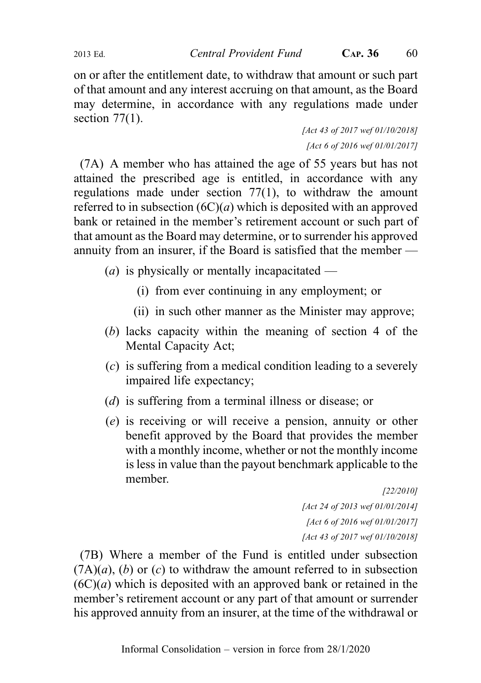2013 Ed. Central Provident Fund CAP. 36 60

on or after the entitlement date, to withdraw that amount or such part of that amount and any interest accruing on that amount, as the Board may determine, in accordance with any regulations made under section  $77(1)$ .

> [Act 43 of 2017 wef 01/10/2018] [Act 6 of 2016 wef 01/01/2017]

(7A) A member who has attained the age of 55 years but has not attained the prescribed age is entitled, in accordance with any regulations made under section 77(1), to withdraw the amount referred to in subsection  $(6C)(a)$  which is deposited with an approved bank or retained in the member's retirement account or such part of that amount as the Board may determine, or to surrender his approved annuity from an insurer, if the Board is satisfied that the member —

(*a*) is physically or mentally incapacitated —

- (i) from ever continuing in any employment; or
- (ii) in such other manner as the Minister may approve;
- (b) lacks capacity within the meaning of section 4 of the Mental Capacity Act;
- (c) is suffering from a medical condition leading to a severely impaired life expectancy;
- (d) is suffering from a terminal illness or disease; or
- (e) is receiving or will receive a pension, annuity or other benefit approved by the Board that provides the member with a monthly income, whether or not the monthly income is less in value than the payout benchmark applicable to the member.

[22/2010] [Act 24 of 2013 wef 01/01/2014] [Act 6 of 2016 wef 01/01/2017] [Act 43 of 2017 wef 01/10/2018]

(7B) Where a member of the Fund is entitled under subsection  $(7A)(a)$ , (b) or (c) to withdraw the amount referred to in subsection  $(6C)(a)$  which is deposited with an approved bank or retained in the member's retirement account or any part of that amount or surrender his approved annuity from an insurer, at the time of the withdrawal or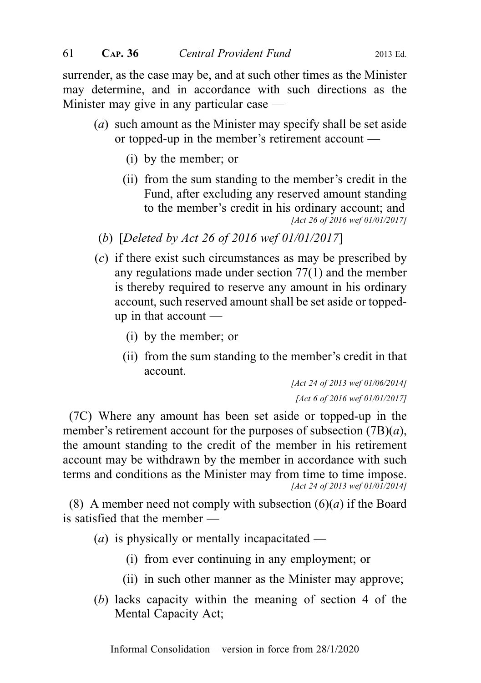surrender, as the case may be, and at such other times as the Minister may determine, and in accordance with such directions as the Minister may give in any particular case —

- (a) such amount as the Minister may specify shall be set aside or topped-up in the member's retirement account —
	- (i) by the member; or
	- (ii) from the sum standing to the member's credit in the Fund, after excluding any reserved amount standing to the member's credit in his ordinary account; and [Act 26 of 2016 wef 01/01/2017]
- (b) [Deleted by Act 26 of 2016 wef 01/01/2017]
- (c) if there exist such circumstances as may be prescribed by any regulations made under section 77(1) and the member is thereby required to reserve any amount in his ordinary account, such reserved amount shall be set aside or toppedup in that account —
	- (i) by the member; or
	- (ii) from the sum standing to the member's credit in that account.

[Act 24 of 2013 wef 01/06/2014] [Act 6 of 2016 wef 01/01/2017]

(7C) Where any amount has been set aside or topped-up in the member's retirement account for the purposes of subsection  $(7B)(a)$ , the amount standing to the credit of the member in his retirement account may be withdrawn by the member in accordance with such terms and conditions as the Minister may from time to time impose. [Act 24 of 2013 wef 01/01/2014]

(8) A member need not comply with subsection  $(6)(a)$  if the Board is satisfied that the member —

- (*a*) is physically or mentally incapacitated
	- (i) from ever continuing in any employment; or
	- (ii) in such other manner as the Minister may approve;
- (b) lacks capacity within the meaning of section 4 of the Mental Capacity Act;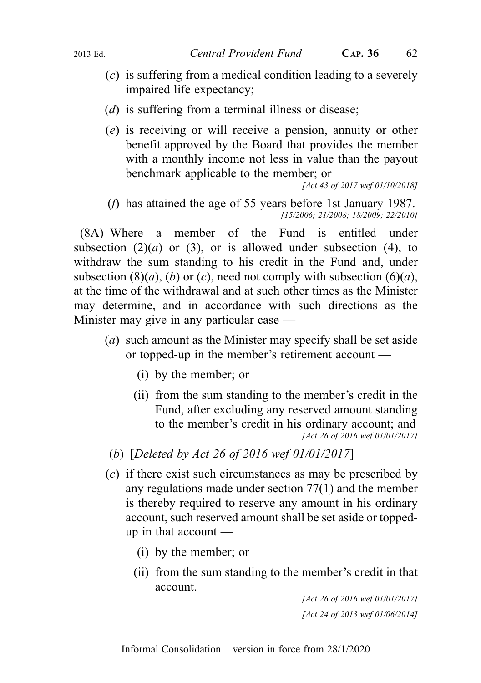- (c) is suffering from a medical condition leading to a severely impaired life expectancy;
- (*d*) is suffering from a terminal illness or disease;
- (e) is receiving or will receive a pension, annuity or other benefit approved by the Board that provides the member with a monthly income not less in value than the payout benchmark applicable to the member; or

[Act 43 of 2017 wef 01/10/2018]

(f) has attained the age of 55 years before 1st January 1987. [15/2006; 21/2008; 18/2009; 22/2010]

(8A) Where a member of the Fund is entitled under subsection  $(2)(a)$  or  $(3)$ , or is allowed under subsection  $(4)$ , to withdraw the sum standing to his credit in the Fund and, under subsection (8)(*a*), (*b*) or (*c*), need not comply with subsection (6)(*a*), at the time of the withdrawal and at such other times as the Minister may determine, and in accordance with such directions as the Minister may give in any particular case —

- (a) such amount as the Minister may specify shall be set aside or topped-up in the member's retirement account —
	- (i) by the member; or
	- (ii) from the sum standing to the member's credit in the Fund, after excluding any reserved amount standing to the member's credit in his ordinary account; and [Act 26 of 2016 wef 01/01/2017]
	- (b) [Deleted by Act 26 of 2016 wef 01/01/2017]
- (c) if there exist such circumstances as may be prescribed by any regulations made under section 77(1) and the member is thereby required to reserve any amount in his ordinary account, such reserved amount shall be set aside or toppedup in that account —
	- (i) by the member; or
	- (ii) from the sum standing to the member's credit in that account.

[Act 26 of 2016 wef 01/01/2017] [Act 24 of 2013 wef 01/06/2014]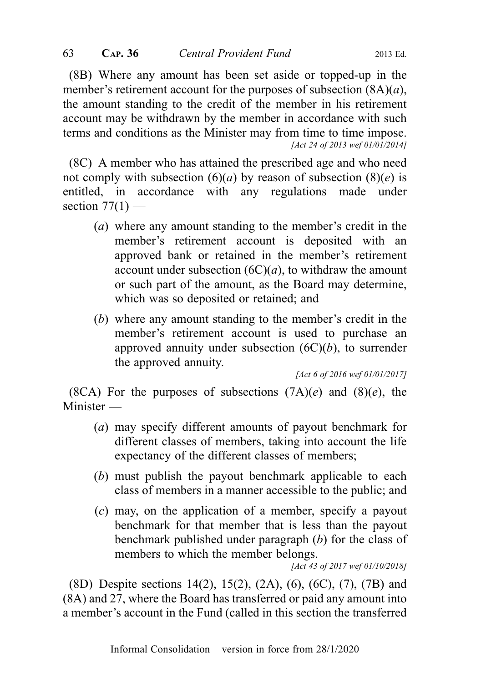(8B) Where any amount has been set aside or topped-up in the member's retirement account for the purposes of subsection  $(8A)(a)$ , the amount standing to the credit of the member in his retirement account may be withdrawn by the member in accordance with such terms and conditions as the Minister may from time to time impose. [Act 24 of 2013 wef 01/01/2014]

(8C) A member who has attained the prescribed age and who need not comply with subsection  $(6)(a)$  by reason of subsection  $(8)(e)$  is entitled, in accordance with any regulations made under section  $77(1)$  —

- (a) where any amount standing to the member's credit in the member's retirement account is deposited with an approved bank or retained in the member's retirement account under subsection  $(6C)(a)$ , to withdraw the amount or such part of the amount, as the Board may determine, which was so deposited or retained; and
- (b) where any amount standing to the member's credit in the member's retirement account is used to purchase an approved annuity under subsection  $(6C)(b)$ , to surrender the approved annuity.

[Act 6 of 2016 wef 01/01/2017]

(8CA) For the purposes of subsections  $(7A)(e)$  and  $(8)(e)$ , the Minister —

- (a) may specify different amounts of payout benchmark for different classes of members, taking into account the life expectancy of the different classes of members;
- (b) must publish the payout benchmark applicable to each class of members in a manner accessible to the public; and
- (c) may, on the application of a member, specify a payout benchmark for that member that is less than the payout benchmark published under paragraph (b) for the class of members to which the member belongs.

[Act 43 of 2017 wef 01/10/2018]

(8D) Despite sections 14(2), 15(2), (2A), (6), (6C), (7), (7B) and (8A) and 27, where the Board has transferred or paid any amount into a member's account in the Fund (called in this section the transferred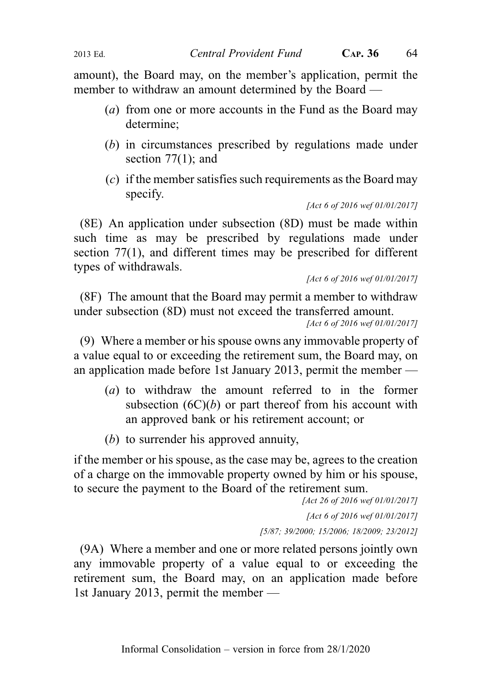amount), the Board may, on the member's application, permit the member to withdraw an amount determined by the Board —

- (a) from one or more accounts in the Fund as the Board may determine;
- (b) in circumstances prescribed by regulations made under section 77(1); and
- (c) if the member satisfies such requirements as the Board may specify.

[Act 6 of 2016 wef 01/01/2017]

(8E) An application under subsection (8D) must be made within such time as may be prescribed by regulations made under section 77(1), and different times may be prescribed for different types of withdrawals.

[Act 6 of 2016 wef 01/01/2017]

(8F) The amount that the Board may permit a member to withdraw under subsection (8D) must not exceed the transferred amount.

[Act 6 of 2016 wef 01/01/2017]

(9) Where a member or his spouse owns any immovable property of a value equal to or exceeding the retirement sum, the Board may, on an application made before 1st January 2013, permit the member —

- (a) to withdraw the amount referred to in the former subsection  $(6C)(b)$  or part thereof from his account with an approved bank or his retirement account; or
- (b) to surrender his approved annuity,

if the member or his spouse, as the case may be, agrees to the creation of a charge on the immovable property owned by him or his spouse, to secure the payment to the Board of the retirement sum.

> [Act 26 of 2016 wef 01/01/2017] [Act 6 of 2016 wef 01/01/2017] [5/87; 39/2000; 15/2006; 18/2009; 23/2012]

(9A) Where a member and one or more related persons jointly own any immovable property of a value equal to or exceeding the retirement sum, the Board may, on an application made before 1st January 2013, permit the member —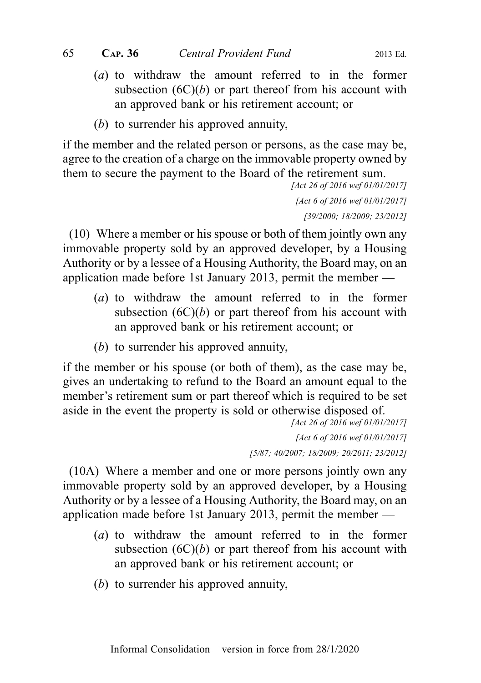- (a) to withdraw the amount referred to in the former subsection  $(6C)(b)$  or part thereof from his account with an approved bank or his retirement account; or
- (b) to surrender his approved annuity,

if the member and the related person or persons, as the case may be, agree to the creation of a charge on the immovable property owned by them to secure the payment to the Board of the retirement sum.

[Act 26 of 2016 wef 01/01/2017] [Act 6 of 2016 wef 01/01/2017] [39/2000; 18/2009; 23/2012]

(10) Where a member or his spouse or both of them jointly own any immovable property sold by an approved developer, by a Housing Authority or by a lessee of a Housing Authority, the Board may, on an application made before 1st January 2013, permit the member —

- (a) to withdraw the amount referred to in the former subsection  $(6C)(b)$  or part thereof from his account with an approved bank or his retirement account; or
- (b) to surrender his approved annuity,

if the member or his spouse (or both of them), as the case may be, gives an undertaking to refund to the Board an amount equal to the member's retirement sum or part thereof which is required to be set aside in the event the property is sold or otherwise disposed of.

> [Act 26 of 2016 wef 01/01/2017] [Act 6 of 2016 wef 01/01/2017] [5/87; 40/2007; 18/2009; 20/2011; 23/2012]

(10A) Where a member and one or more persons jointly own any immovable property sold by an approved developer, by a Housing Authority or by a lessee of a Housing Authority, the Board may, on an application made before 1st January 2013, permit the member —

- (a) to withdraw the amount referred to in the former subsection  $(6C)(b)$  or part thereof from his account with an approved bank or his retirement account; or
- (b) to surrender his approved annuity,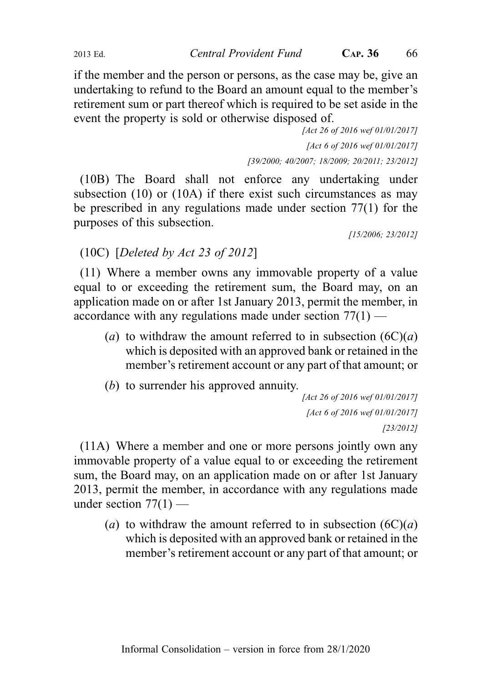if the member and the person or persons, as the case may be, give an undertaking to refund to the Board an amount equal to the member's retirement sum or part thereof which is required to be set aside in the event the property is sold or otherwise disposed of.

> [Act 26 of 2016 wef 01/01/2017] [Act 6 of 2016 wef 01/01/2017] [39/2000; 40/2007; 18/2009; 20/2011; 23/2012]

(10B) The Board shall not enforce any undertaking under subsection (10) or (10A) if there exist such circumstances as may be prescribed in any regulations made under section 77(1) for the purposes of this subsection.

[15/2006; 23/2012]

# (10C) [Deleted by Act 23 of 2012]

(11) Where a member owns any immovable property of a value equal to or exceeding the retirement sum, the Board may, on an application made on or after 1st January 2013, permit the member, in accordance with any regulations made under section  $77(1)$  —

- (a) to withdraw the amount referred to in subsection  $(6C)(a)$ which is deposited with an approved bank or retained in the member's retirement account or any part of that amount; or
- (b) to surrender his approved annuity.

```
[Act 26 of 2016 wef 01/01/2017]
 [Act 6 of 2016 wef 01/01/2017]
                     [23/2012]
```
(11A) Where a member and one or more persons jointly own any immovable property of a value equal to or exceeding the retirement sum, the Board may, on an application made on or after 1st January 2013, permit the member, in accordance with any regulations made under section  $77(1)$  —

(a) to withdraw the amount referred to in subsection  $(6C)(a)$ which is deposited with an approved bank or retained in the member's retirement account or any part of that amount; or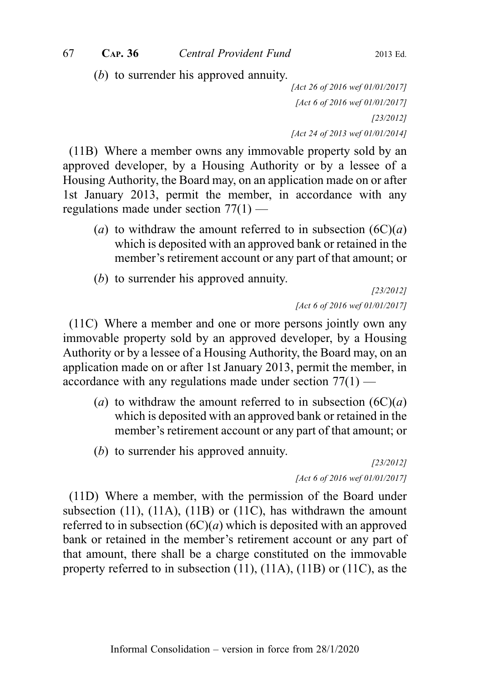(b) to surrender his approved annuity.

[Act 26 of 2016 wef 01/01/2017] [Act 6 of 2016 wef 01/01/2017] [23/2012] [Act 24 of 2013 wef 01/01/2014]

(11B) Where a member owns any immovable property sold by an approved developer, by a Housing Authority or by a lessee of a Housing Authority, the Board may, on an application made on or after 1st January 2013, permit the member, in accordance with any regulations made under section 77(1) —

- (a) to withdraw the amount referred to in subsection  $(6C)(a)$ which is deposited with an approved bank or retained in the member's retirement account or any part of that amount; or
- (b) to surrender his approved annuity.

[23/2012] [Act 6 of 2016 wef 01/01/2017]

(11C) Where a member and one or more persons jointly own any immovable property sold by an approved developer, by a Housing Authority or by a lessee of a Housing Authority, the Board may, on an application made on or after 1st January 2013, permit the member, in accordance with any regulations made under section 77(1) —

- (a) to withdraw the amount referred to in subsection  $(6C)(a)$ which is deposited with an approved bank or retained in the member's retirement account or any part of that amount; or
- (b) to surrender his approved annuity.

[23/2012] [Act 6 of 2016 wef 01/01/2017]

(11D) Where a member, with the permission of the Board under subsection (11), (11A), (11B) or (11C), has withdrawn the amount referred to in subsection  $(6C)(a)$  which is deposited with an approved bank or retained in the member's retirement account or any part of that amount, there shall be a charge constituted on the immovable property referred to in subsection (11), (11A), (11B) or (11C), as the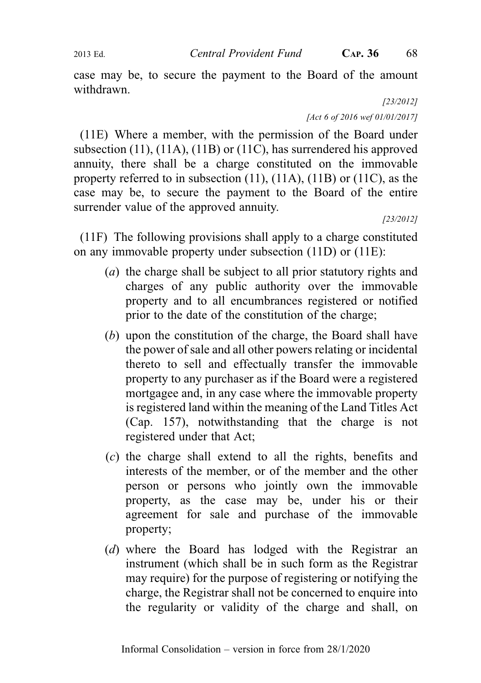2013 Ed. Central Provident Fund C<sub>AP</sub>. 36 68

case may be, to secure the payment to the Board of the amount withdrawn.

[23/2012]

[Act 6 of 2016 wef 01/01/2017]

(11E) Where a member, with the permission of the Board under subsection (11), (11A), (11B) or (11C), has surrendered his approved annuity, there shall be a charge constituted on the immovable property referred to in subsection (11), (11A), (11B) or (11C), as the case may be, to secure the payment to the Board of the entire surrender value of the approved annuity.

[23/2012]

(11F) The following provisions shall apply to a charge constituted on any immovable property under subsection (11D) or (11E):

- (a) the charge shall be subject to all prior statutory rights and charges of any public authority over the immovable property and to all encumbrances registered or notified prior to the date of the constitution of the charge;
- (b) upon the constitution of the charge, the Board shall have the power of sale and all other powers relating or incidental thereto to sell and effectually transfer the immovable property to any purchaser as if the Board were a registered mortgagee and, in any case where the immovable property is registered land within the meaning of the Land Titles Act (Cap. 157), notwithstanding that the charge is not registered under that Act;
- (c) the charge shall extend to all the rights, benefits and interests of the member, or of the member and the other person or persons who jointly own the immovable property, as the case may be, under his or their agreement for sale and purchase of the immovable property;
- (d) where the Board has lodged with the Registrar an instrument (which shall be in such form as the Registrar may require) for the purpose of registering or notifying the charge, the Registrar shall not be concerned to enquire into the regularity or validity of the charge and shall, on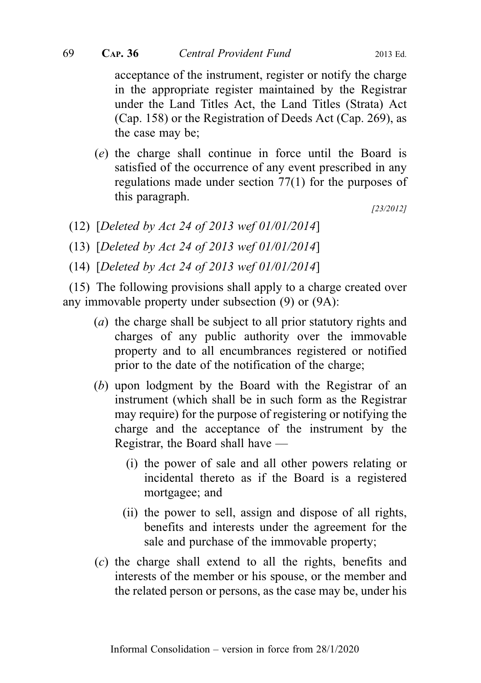acceptance of the instrument, register or notify the charge in the appropriate register maintained by the Registrar under the Land Titles Act, the Land Titles (Strata) Act (Cap. 158) or the Registration of Deeds Act (Cap. 269), as the case may be;

(e) the charge shall continue in force until the Board is satisfied of the occurrence of any event prescribed in any regulations made under section 77(1) for the purposes of this paragraph.

[23/2012]

(12) [Deleted by Act 24 of 2013 wef 01/01/2014]

(13) [Deleted by Act 24 of 2013 wef 01/01/2014]

(14) [Deleted by Act 24 of 2013 wef 01/01/2014]

(15) The following provisions shall apply to a charge created over any immovable property under subsection (9) or (9A):

- (a) the charge shall be subject to all prior statutory rights and charges of any public authority over the immovable property and to all encumbrances registered or notified prior to the date of the notification of the charge;
- (b) upon lodgment by the Board with the Registrar of an instrument (which shall be in such form as the Registrar may require) for the purpose of registering or notifying the charge and the acceptance of the instrument by the Registrar, the Board shall have —
	- (i) the power of sale and all other powers relating or incidental thereto as if the Board is a registered mortgagee; and
	- (ii) the power to sell, assign and dispose of all rights, benefits and interests under the agreement for the sale and purchase of the immovable property;
- (c) the charge shall extend to all the rights, benefits and interests of the member or his spouse, or the member and the related person or persons, as the case may be, under his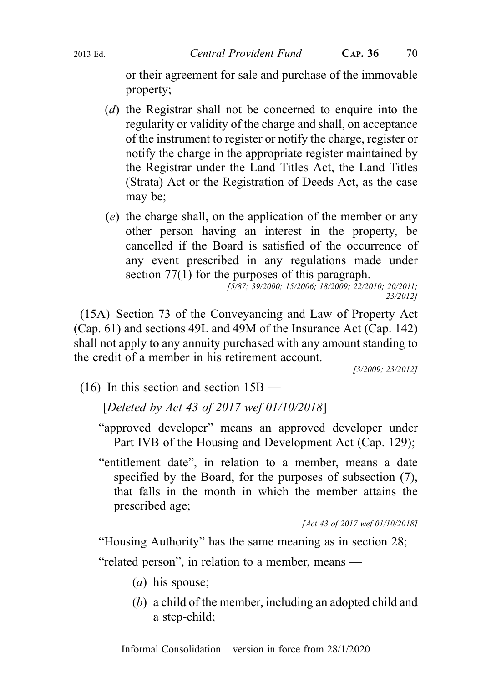or their agreement for sale and purchase of the immovable property;

- (d) the Registrar shall not be concerned to enquire into the regularity or validity of the charge and shall, on acceptance of the instrument to register or notify the charge, register or notify the charge in the appropriate register maintained by the Registrar under the Land Titles Act, the Land Titles (Strata) Act or the Registration of Deeds Act, as the case may be;
- (e) the charge shall, on the application of the member or any other person having an interest in the property, be cancelled if the Board is satisfied of the occurrence of any event prescribed in any regulations made under section 77(1) for the purposes of this paragraph.

[5/87; 39/2000; 15/2006; 18/2009; 22/2010; 20/2011; 23/2012]

(15A) Section 73 of the Conveyancing and Law of Property Act (Cap. 61) and sections 49L and 49M of the Insurance Act (Cap. 142) shall not apply to any annuity purchased with any amount standing to the credit of a member in his retirement account.

[3/2009; 23/2012]

(16) In this section and section 15B —

[Deleted by Act 43 of 2017 wef 01/10/2018]

- "approved developer" means an approved developer under Part IVB of the Housing and Development Act (Cap. 129);
- "entitlement date", in relation to a member, means a date specified by the Board, for the purposes of subsection (7), that falls in the month in which the member attains the prescribed age;

[Act 43 of 2017 wef 01/10/2018]

"Housing Authority" has the same meaning as in section 28;

"related person", in relation to a member, means —

- $(a)$  his spouse;
- (b) a child of the member, including an adopted child and a step-child;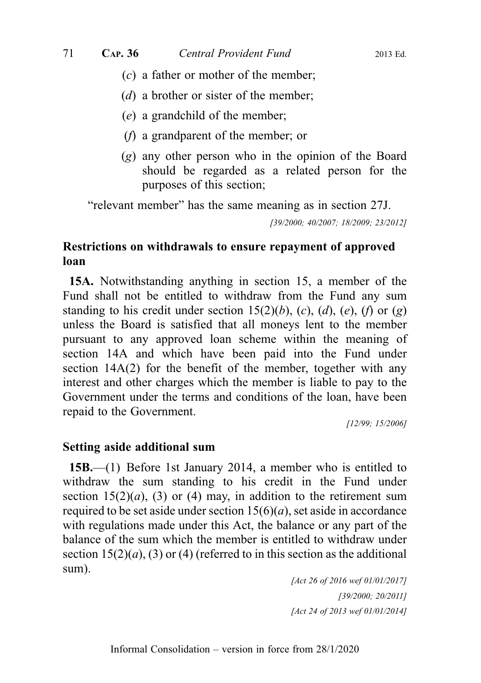- (c) a father or mother of the member;
- (*d*) a brother or sister of the member;
- (e) a grandchild of the member;
- (f) a grandparent of the member; or
- (g) any other person who in the opinion of the Board should be regarded as a related person for the purposes of this section;

"relevant member" has the same meaning as in section 27J.

[39/2000; 40/2007; 18/2009; 23/2012]

# Restrictions on withdrawals to ensure repayment of approved loan

15A. Notwithstanding anything in section 15, a member of the Fund shall not be entitled to withdraw from the Fund any sum standing to his credit under section 15(2)(b), (c), (d), (e), (f) or (g) unless the Board is satisfied that all moneys lent to the member pursuant to any approved loan scheme within the meaning of section 14A and which have been paid into the Fund under section 14A(2) for the benefit of the member, together with any interest and other charges which the member is liable to pay to the Government under the terms and conditions of the loan, have been repaid to the Government.

[12/99; 15/2006]

### Setting aside additional sum

15B.—(1) Before 1st January 2014, a member who is entitled to withdraw the sum standing to his credit in the Fund under section  $15(2)(a)$ , (3) or (4) may, in addition to the retirement sum required to be set aside under section  $15(6)(a)$ , set aside in accordance with regulations made under this Act, the balance or any part of the balance of the sum which the member is entitled to withdraw under section  $15(2)(a)$ , (3) or (4) (referred to in this section as the additional sum).

> [Act 26 of 2016 wef 01/01/2017] [39/2000; 20/2011] [Act 24 of 2013 wef 01/01/2014]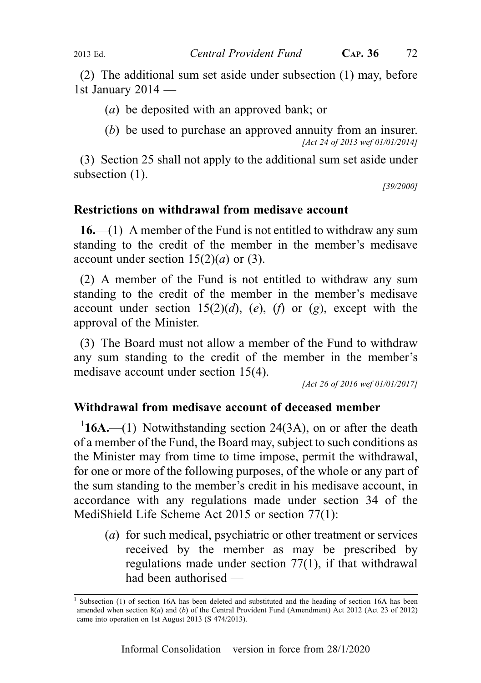(2) The additional sum set aside under subsection (1) may, before 1st January 2014 —

(a) be deposited with an approved bank; or

(b) be used to purchase an approved annuity from an insurer. [Act 24 of 2013 wef 01/01/2014]

(3) Section 25 shall not apply to the additional sum set aside under subsection  $(1)$ .

[39/2000]

#### Restrictions on withdrawal from medisave account

 $16.$ —(1) A member of the Fund is not entitled to withdraw any sum standing to the credit of the member in the member's medisave account under section  $15(2)(a)$  or (3).

(2) A member of the Fund is not entitled to withdraw any sum standing to the credit of the member in the member's medisave account under section  $15(2)(d)$ , (e), (f) or (g), except with the approval of the Minister.

(3) The Board must not allow a member of the Fund to withdraw any sum standing to the credit of the member in the member's medisave account under section 15(4).

[Act 26 of 2016 wef 01/01/2017]

#### Withdrawal from medisave account of deceased member

 $116A$ .—(1) Notwithstanding section 24(3A), on or after the death of a member of the Fund, the Board may, subject to such conditions as the Minister may from time to time impose, permit the withdrawal, for one or more of the following purposes, of the whole or any part of the sum standing to the member's credit in his medisave account, in accordance with any regulations made under section 34 of the MediShield Life Scheme Act 2015 or section 77(1):

(a) for such medical, psychiatric or other treatment or services received by the member as may be prescribed by regulations made under section 77(1), if that withdrawal had been authorised —

Subsection (1) of section 16A has been deleted and substituted and the heading of section 16A has been amended when section  $8(a)$  and (b) of the Central Provident Fund (Amendment) Act 2012 (Act 23 of 2012) came into operation on 1st August 2013 (S 474/2013).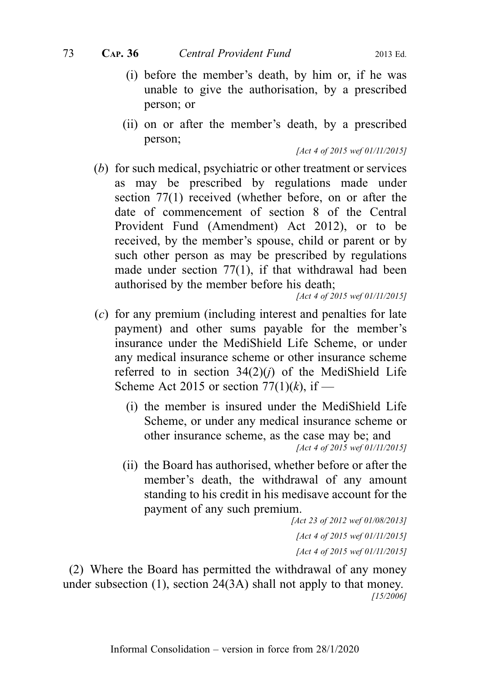- (i) before the member's death, by him or, if he was unable to give the authorisation, by a prescribed person; or
- (ii) on or after the member's death, by a prescribed person;

[Act 4 of 2015 wef 01/11/2015]

(b) for such medical, psychiatric or other treatment or services as may be prescribed by regulations made under section 77(1) received (whether before, on or after the date of commencement of section 8 of the Central Provident Fund (Amendment) Act 2012), or to be received, by the member's spouse, child or parent or by such other person as may be prescribed by regulations made under section 77(1), if that withdrawal had been authorised by the member before his death;

[Act 4 of 2015 wef 01/11/2015]

- (c) for any premium (including interest and penalties for late payment) and other sums payable for the member's insurance under the MediShield Life Scheme, or under any medical insurance scheme or other insurance scheme referred to in section  $34(2)(i)$  of the MediShield Life Scheme Act 2015 or section  $77(1)(k)$ , if —
	- (i) the member is insured under the MediShield Life Scheme, or under any medical insurance scheme or other insurance scheme, as the case may be; and [Act 4 of 2015 wef 01/11/2015]
	- (ii) the Board has authorised, whether before or after the member's death, the withdrawal of any amount standing to his credit in his medisave account for the payment of any such premium.

[Act 23 of 2012 wef 01/08/2013] [Act 4 of 2015 wef 01/11/2015] [Act 4 of 2015 wef 01/11/2015]

(2) Where the Board has permitted the withdrawal of any money under subsection (1), section 24(3A) shall not apply to that money. [15/2006]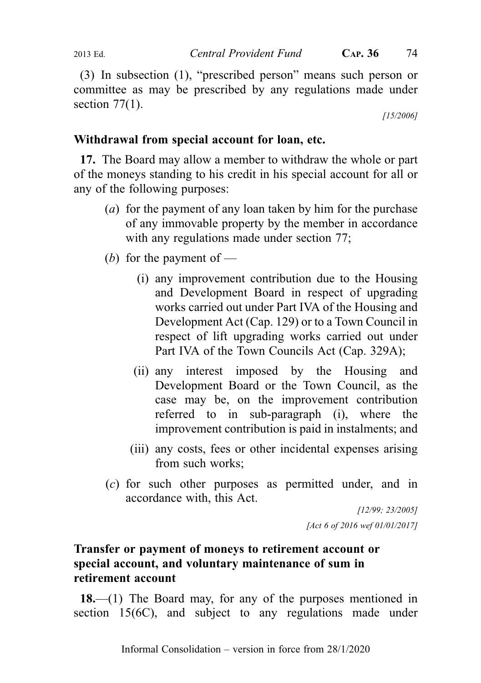(3) In subsection (1), "prescribed person" means such person or committee as may be prescribed by any regulations made under section  $77(1)$ .

[15/2006]

# Withdrawal from special account for loan, etc.

17. The Board may allow a member to withdraw the whole or part of the moneys standing to his credit in his special account for all or any of the following purposes:

- (a) for the payment of any loan taken by him for the purchase of any immovable property by the member in accordance with any regulations made under section 77;
- (b) for the payment of
	- (i) any improvement contribution due to the Housing and Development Board in respect of upgrading works carried out under Part IVA of the Housing and Development Act (Cap. 129) or to a Town Council in respect of lift upgrading works carried out under Part IVA of the Town Councils Act (Cap. 329A);
	- (ii) any interest imposed by the Housing and Development Board or the Town Council, as the case may be, on the improvement contribution referred to in sub-paragraph (i), where the improvement contribution is paid in instalments; and
	- (iii) any costs, fees or other incidental expenses arising from such works;
- (c) for such other purposes as permitted under, and in accordance with, this Act.

[12/99; 23/2005] [Act 6 of 2016 wef 01/01/2017]

# Transfer or payment of moneys to retirement account or special account, and voluntary maintenance of sum in retirement account

18.—(1) The Board may, for any of the purposes mentioned in section 15(6C), and subject to any regulations made under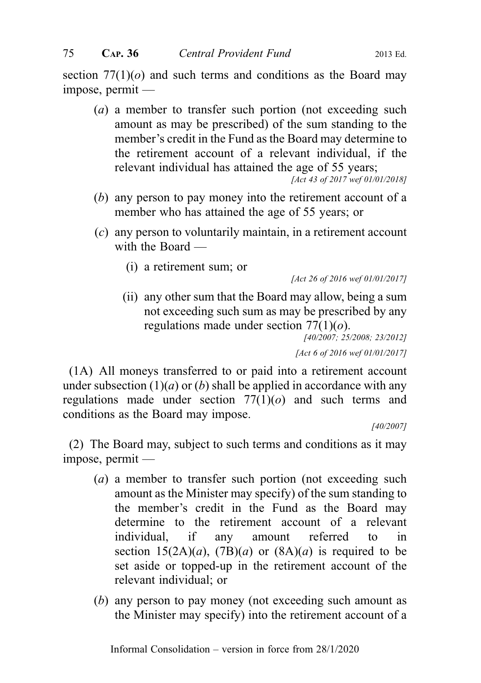section  $77(1)(o)$  and such terms and conditions as the Board may impose, permit —

(a) a member to transfer such portion (not exceeding such amount as may be prescribed) of the sum standing to the member's credit in the Fund as the Board may determine to the retirement account of a relevant individual, if the relevant individual has attained the age of 55 years;

[Act 43 of 2017 wef 01/01/2018]

- (b) any person to pay money into the retirement account of a member who has attained the age of 55 years; or
- (c) any person to voluntarily maintain, in a retirement account with the Board —
	- (i) a retirement sum; or

[Act 26 of 2016 wef 01/01/2017]

(ii) any other sum that the Board may allow, being a sum not exceeding such sum as may be prescribed by any regulations made under section  $77(1)(o)$ .

[40/2007; 25/2008; 23/2012] [Act 6 of 2016 wef 01/01/2017]

(1A) All moneys transferred to or paid into a retirement account under subsection  $(1)(a)$  or  $(b)$  shall be applied in accordance with any regulations made under section  $77(1)(o)$  and such terms and conditions as the Board may impose.

[40/2007]

(2) The Board may, subject to such terms and conditions as it may impose, permit —

- (a) a member to transfer such portion (not exceeding such amount as the Minister may specify) of the sum standing to the member's credit in the Fund as the Board may determine to the retirement account of a relevant individual, if any amount referred to in section  $15(2A)(a)$ ,  $(7B)(a)$  or  $(8A)(a)$  is required to be set aside or topped-up in the retirement account of the relevant individual; or
- (b) any person to pay money (not exceeding such amount as the Minister may specify) into the retirement account of a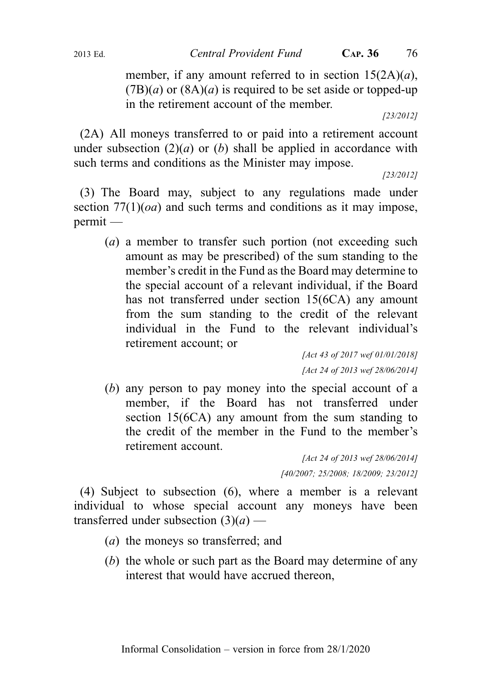member, if any amount referred to in section  $15(2A)(a)$ ,  $(TB)(a)$  or  $(8A)(a)$  is required to be set aside or topped-up in the retirement account of the member.

[23/2012]

(2A) All moneys transferred to or paid into a retirement account under subsection  $(2)(a)$  or  $(b)$  shall be applied in accordance with such terms and conditions as the Minister may impose.

[23/2012]

(3) The Board may, subject to any regulations made under section  $77(1)(oa)$  and such terms and conditions as it may impose, permit —

(a) a member to transfer such portion (not exceeding such amount as may be prescribed) of the sum standing to the member's credit in the Fund as the Board may determine to the special account of a relevant individual, if the Board has not transferred under section 15(6CA) any amount from the sum standing to the credit of the relevant individual in the Fund to the relevant individual's retirement account; or

> [Act 43 of 2017 wef 01/01/2018] [Act 24 of 2013 wef 28/06/2014]

(b) any person to pay money into the special account of a member, if the Board has not transferred under section 15(6CA) any amount from the sum standing to the credit of the member in the Fund to the member's retirement account.

> [Act 24 of 2013 wef 28/06/2014] [40/2007; 25/2008; 18/2009; 23/2012]

(4) Subject to subsection (6), where a member is a relevant individual to whose special account any moneys have been transferred under subsection  $(3)(a)$  —

- (a) the moneys so transferred; and
- (b) the whole or such part as the Board may determine of any interest that would have accrued thereon,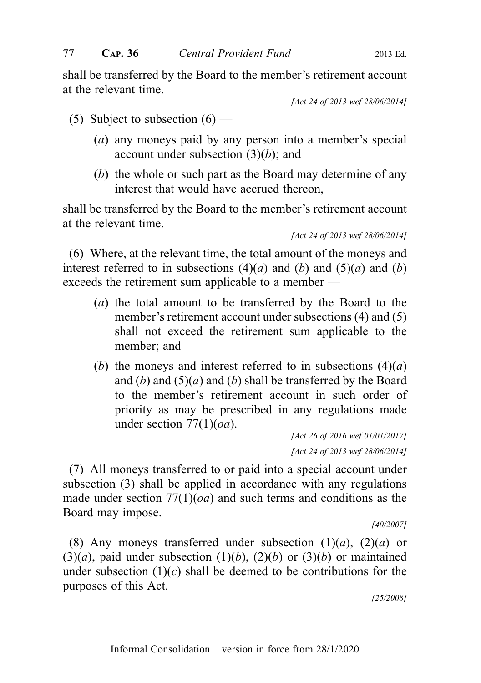shall be transferred by the Board to the member's retirement account at the relevant time.

[Act 24 of 2013 wef 28/06/2014]

- (5) Subject to subsection  $(6)$ 
	- (a) any moneys paid by any person into a member's special account under subsection  $(3)(b)$ ; and
	- (b) the whole or such part as the Board may determine of any interest that would have accrued thereon,

shall be transferred by the Board to the member's retirement account at the relevant time.

[Act 24 of 2013 wef 28/06/2014]

(6) Where, at the relevant time, the total amount of the moneys and interest referred to in subsections  $(4)(a)$  and  $(b)$  and  $(5)(a)$  and  $(b)$ exceeds the retirement sum applicable to a member —

- (a) the total amount to be transferred by the Board to the member's retirement account under subsections (4) and (5) shall not exceed the retirement sum applicable to the member; and
- (b) the moneys and interest referred to in subsections  $(4)(a)$ and  $(b)$  and  $(5)(a)$  and  $(b)$  shall be transferred by the Board to the member's retirement account in such order of priority as may be prescribed in any regulations made under section  $77(1)(oa)$ .

[Act 26 of 2016 wef 01/01/2017] [Act 24 of 2013 wef 28/06/2014]

(7) All moneys transferred to or paid into a special account under subsection (3) shall be applied in accordance with any regulations made under section  $77(1)(oa)$  and such terms and conditions as the Board may impose.

[40/2007]

(8) Any moneys transferred under subsection  $(1)(a)$ ,  $(2)(a)$  or  $(3)(a)$ , paid under subsection  $(1)(b)$ ,  $(2)(b)$  or  $(3)(b)$  or maintained under subsection  $(1)(c)$  shall be deemed to be contributions for the purposes of this Act.

[25/2008]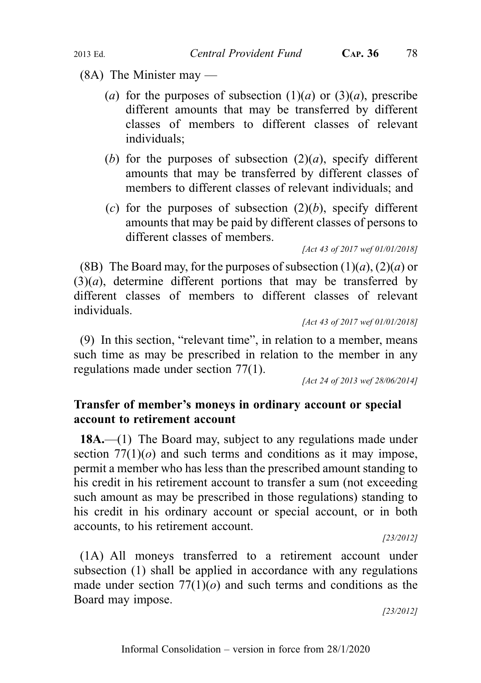(8A) The Minister may —

- (a) for the purposes of subsection  $(1)(a)$  or  $(3)(a)$ , prescribe different amounts that may be transferred by different classes of members to different classes of relevant individuals;
- (b) for the purposes of subsection  $(2)(a)$ , specify different amounts that may be transferred by different classes of members to different classes of relevant individuals; and
- (c) for the purposes of subsection  $(2)(b)$ , specify different amounts that may be paid by different classes of persons to different classes of members.

[Act 43 of 2017 wef 01/01/2018]

(8B) The Board may, for the purposes of subsection  $(1)(a)$ ,  $(2)(a)$  or  $(3)(a)$ , determine different portions that may be transferred by different classes of members to different classes of relevant individuals.

```
[Act 43 of 2017 wef 01/01/2018]
```
(9) In this section, "relevant time", in relation to a member, means such time as may be prescribed in relation to the member in any regulations made under section 77(1).

[Act 24 of 2013 wef 28/06/2014]

## Transfer of member's moneys in ordinary account or special account to retirement account

18A.—(1) The Board may, subject to any regulations made under section  $77(1)(o)$  and such terms and conditions as it may impose, permit a member who has less than the prescribed amount standing to his credit in his retirement account to transfer a sum (not exceeding such amount as may be prescribed in those regulations) standing to his credit in his ordinary account or special account, or in both accounts, to his retirement account.

[23/2012]

(1A) All moneys transferred to a retirement account under subsection (1) shall be applied in accordance with any regulations made under section  $77(1)(o)$  and such terms and conditions as the Board may impose.

[23/2012]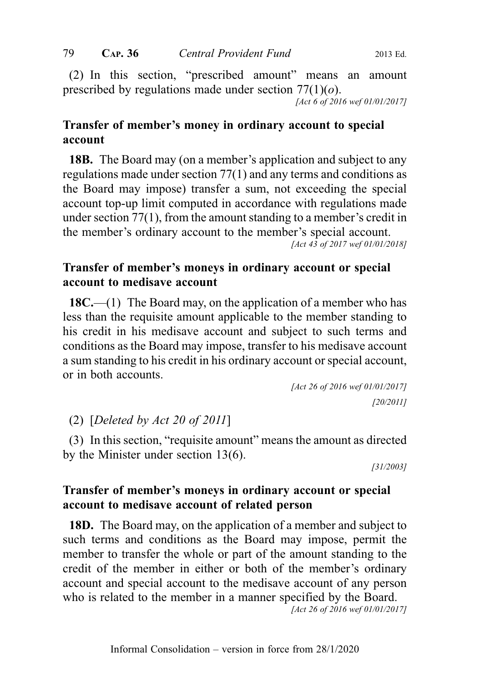(2) In this section, "prescribed amount" means an amount prescribed by regulations made under section  $77(1)(o)$ .

[Act 6 of 2016 wef 01/01/2017]

# Transfer of member's money in ordinary account to special account

18B. The Board may (on a member's application and subject to any regulations made under section 77(1) and any terms and conditions as the Board may impose) transfer a sum, not exceeding the special account top-up limit computed in accordance with regulations made under section 77(1), from the amount standing to a member's credit in the member's ordinary account to the member's special account. [Act 43 of 2017 wef 01/01/2018]

## Transfer of member's moneys in ordinary account or special account to medisave account

18C.—(1) The Board may, on the application of a member who has less than the requisite amount applicable to the member standing to his credit in his medisave account and subject to such terms and conditions as the Board may impose, transfer to his medisave account a sum standing to his credit in his ordinary account or special account, or in both accounts.

[Act 26 of 2016 wef 01/01/2017] [20/2011]

(2) [Deleted by Act 20 of 2011]

(3) In this section, "requisite amount" means the amount as directed by the Minister under section 13(6).

[31/2003]

## Transfer of member's moneys in ordinary account or special account to medisave account of related person

18D. The Board may, on the application of a member and subject to such terms and conditions as the Board may impose, permit the member to transfer the whole or part of the amount standing to the credit of the member in either or both of the member's ordinary account and special account to the medisave account of any person who is related to the member in a manner specified by the Board.

[Act 26 of 2016 wef 01/01/2017]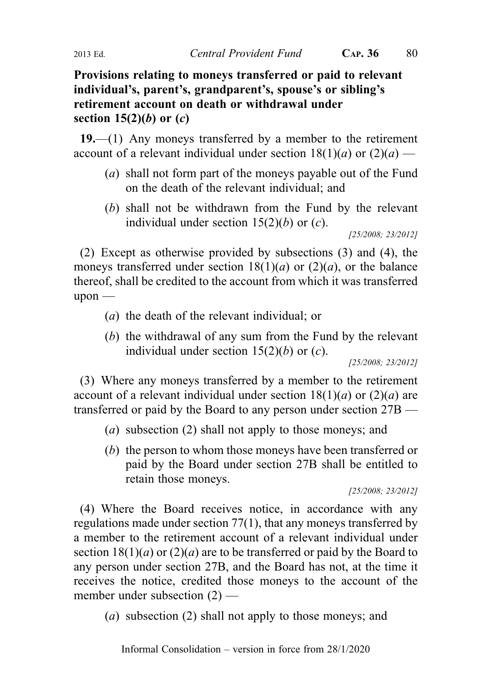Provisions relating to moneys transferred or paid to relevant individual's, parent's, grandparent's, spouse's or sibling's retirement account on death or withdrawal under section  $15(2)(b)$  or  $(c)$ 

19.—(1) Any moneys transferred by a member to the retirement account of a relevant individual under section  $18(1)(a)$  or  $(2)(a)$  —

- (a) shall not form part of the moneys payable out of the Fund on the death of the relevant individual; and
- (b) shall not be withdrawn from the Fund by the relevant individual under section  $15(2)(b)$  or  $(c)$ .

[25/2008; 23/2012]

(2) Except as otherwise provided by subsections (3) and (4), the moneys transferred under section  $18(1)(a)$  or  $(2)(a)$ , or the balance thereof, shall be credited to the account from which it was transferred upon —

- (a) the death of the relevant individual; or
- (b) the withdrawal of any sum from the Fund by the relevant individual under section  $15(2)(b)$  or  $(c)$ .

[25/2008; 23/2012]

(3) Where any moneys transferred by a member to the retirement account of a relevant individual under section  $18(1)(a)$  or  $(2)(a)$  are transferred or paid by the Board to any person under section 27B —

- (a) subsection (2) shall not apply to those moneys; and
- (b) the person to whom those moneys have been transferred or paid by the Board under section 27B shall be entitled to retain those moneys.

```
[25/2008; 23/2012]
```
(4) Where the Board receives notice, in accordance with any regulations made under section 77(1), that any moneys transferred by a member to the retirement account of a relevant individual under section  $18(1)(a)$  or  $(2)(a)$  are to be transferred or paid by the Board to any person under section 27B, and the Board has not, at the time it receives the notice, credited those moneys to the account of the member under subsection (2) —

(a) subsection (2) shall not apply to those moneys; and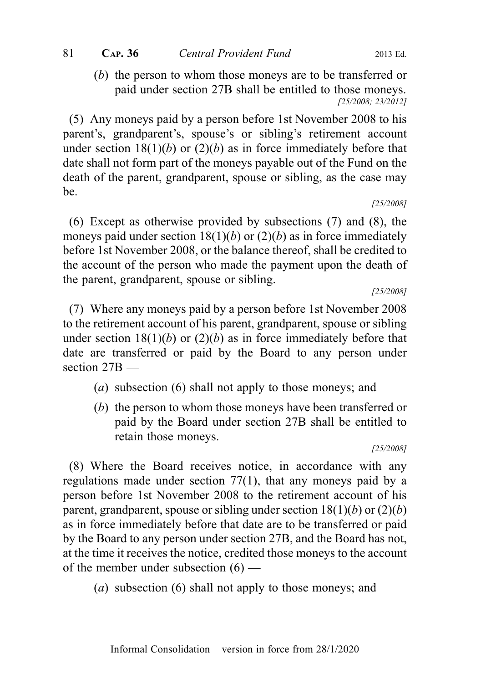(b) the person to whom those moneys are to be transferred or paid under section 27B shall be entitled to those moneys. [25/2008; 23/2012]

(5) Any moneys paid by a person before 1st November 2008 to his parent's, grandparent's, spouse's or sibling's retirement account under section  $18(1)(b)$  or  $(2)(b)$  as in force immediately before that date shall not form part of the moneys payable out of the Fund on the death of the parent, grandparent, spouse or sibling, as the case may be.

[25/2008]

(6) Except as otherwise provided by subsections (7) and (8), the moneys paid under section  $18(1)(b)$  or  $(2)(b)$  as in force immediately before 1st November 2008, or the balance thereof, shall be credited to the account of the person who made the payment upon the death of the parent, grandparent, spouse or sibling.

[25/2008]

(7) Where any moneys paid by a person before 1st November 2008 to the retirement account of his parent, grandparent, spouse or sibling under section  $18(1)(b)$  or  $(2)(b)$  as in force immediately before that date are transferred or paid by the Board to any person under section 27<sub>B</sub>

- (a) subsection (6) shall not apply to those moneys; and
- (b) the person to whom those moneys have been transferred or paid by the Board under section 27B shall be entitled to retain those moneys.

[25/2008]

(8) Where the Board receives notice, in accordance with any regulations made under section 77(1), that any moneys paid by a person before 1st November 2008 to the retirement account of his parent, grandparent, spouse or sibling under section  $18(1)(b)$  or  $(2)(b)$ as in force immediately before that date are to be transferred or paid by the Board to any person under section 27B, and the Board has not, at the time it receives the notice, credited those moneys to the account of the member under subsection (6) —

(a) subsection (6) shall not apply to those moneys; and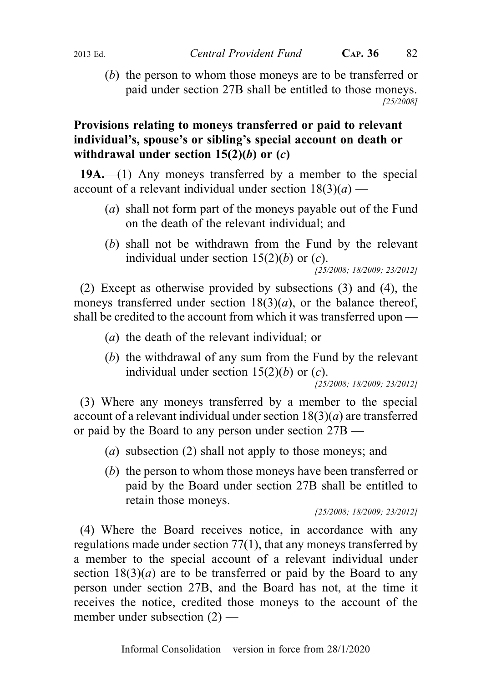(b) the person to whom those moneys are to be transferred or paid under section 27B shall be entitled to those moneys. [25/2008]

## Provisions relating to moneys transferred or paid to relevant individual's, spouse's or sibling's special account on death or withdrawal under section  $15(2)(b)$  or  $(c)$

19A.—(1) Any moneys transferred by a member to the special account of a relevant individual under section  $18(3)(a)$  —

- (a) shall not form part of the moneys payable out of the Fund on the death of the relevant individual; and
- (b) shall not be withdrawn from the Fund by the relevant individual under section  $15(2)(b)$  or  $(c)$ .

[25/2008; 18/2009; 23/2012]

(2) Except as otherwise provided by subsections (3) and (4), the moneys transferred under section  $18(3)(a)$ , or the balance thereof, shall be credited to the account from which it was transferred upon —

- (a) the death of the relevant individual; or
- (b) the withdrawal of any sum from the Fund by the relevant individual under section  $15(2)(b)$  or  $(c)$ .

[25/2008; 18/2009; 23/2012]

(3) Where any moneys transferred by a member to the special account of a relevant individual under section  $18(3)(a)$  are transferred or paid by the Board to any person under section 27B —

- (a) subsection (2) shall not apply to those moneys; and
- (b) the person to whom those moneys have been transferred or paid by the Board under section 27B shall be entitled to retain those moneys.

[25/2008; 18/2009; 23/2012]

(4) Where the Board receives notice, in accordance with any regulations made under section 77(1), that any moneys transferred by a member to the special account of a relevant individual under section  $18(3)(a)$  are to be transferred or paid by the Board to any person under section 27B, and the Board has not, at the time it receives the notice, credited those moneys to the account of the member under subsection (2) —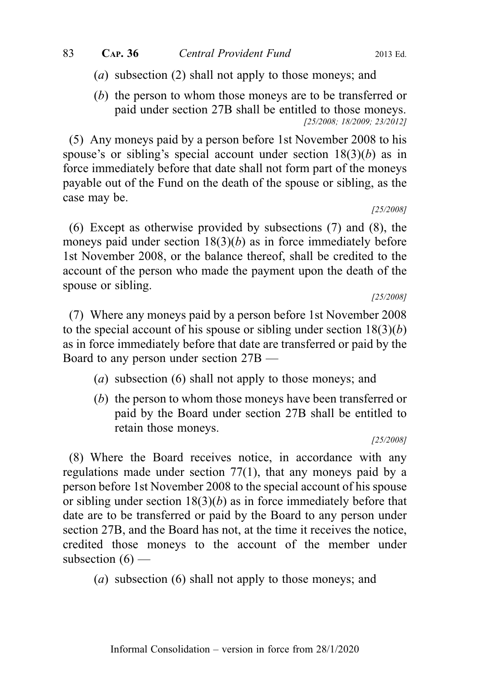- (a) subsection (2) shall not apply to those moneys; and
- (b) the person to whom those moneys are to be transferred or paid under section 27B shall be entitled to those moneys. [25/2008; 18/2009; 23/2012]

(5) Any moneys paid by a person before 1st November 2008 to his spouse's or sibling's special account under section  $18(3)(b)$  as in force immediately before that date shall not form part of the moneys payable out of the Fund on the death of the spouse or sibling, as the case may be.

[25/2008]

(6) Except as otherwise provided by subsections (7) and (8), the moneys paid under section  $18(3)(b)$  as in force immediately before 1st November 2008, or the balance thereof, shall be credited to the account of the person who made the payment upon the death of the spouse or sibling.

[25/2008]

(7) Where any moneys paid by a person before 1st November 2008 to the special account of his spouse or sibling under section  $18(3)(b)$ as in force immediately before that date are transferred or paid by the Board to any person under section 27B —

- (a) subsection (6) shall not apply to those moneys; and
- (b) the person to whom those moneys have been transferred or paid by the Board under section 27B shall be entitled to retain those moneys.

[25/2008]

(8) Where the Board receives notice, in accordance with any regulations made under section 77(1), that any moneys paid by a person before 1st November 2008 to the special account of his spouse or sibling under section  $18(3)(b)$  as in force immediately before that date are to be transferred or paid by the Board to any person under section 27B, and the Board has not, at the time it receives the notice, credited those moneys to the account of the member under subsection  $(6)$  —

(a) subsection (6) shall not apply to those moneys; and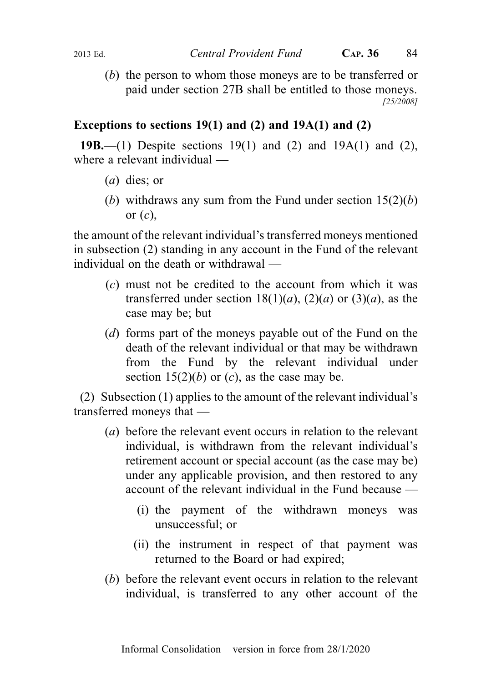(b) the person to whom those moneys are to be transferred or paid under section 27B shall be entitled to those moneys. [25/2008]

## Exceptions to sections  $19(1)$  and  $(2)$  and  $19A(1)$  and  $(2)$

19B.—(1) Despite sections 19(1) and (2) and 19A(1) and (2), where a relevant individual —

- (a) dies; or
- (b) withdraws any sum from the Fund under section  $15(2)(b)$ or  $(c)$ ,

the amount of the relevant individual's transferred moneys mentioned in subsection (2) standing in any account in the Fund of the relevant individual on the death or withdrawal —

- (c) must not be credited to the account from which it was transferred under section  $18(1)(a)$ ,  $(2)(a)$  or  $(3)(a)$ , as the case may be; but
- (d) forms part of the moneys payable out of the Fund on the death of the relevant individual or that may be withdrawn from the Fund by the relevant individual under section  $15(2)(b)$  or  $(c)$ , as the case may be.

(2) Subsection (1) applies to the amount of the relevant individual's transferred moneys that —

- (a) before the relevant event occurs in relation to the relevant individual, is withdrawn from the relevant individual's retirement account or special account (as the case may be) under any applicable provision, and then restored to any account of the relevant individual in the Fund because —
	- (i) the payment of the withdrawn moneys was unsuccessful; or
	- (ii) the instrument in respect of that payment was returned to the Board or had expired;
- (b) before the relevant event occurs in relation to the relevant individual, is transferred to any other account of the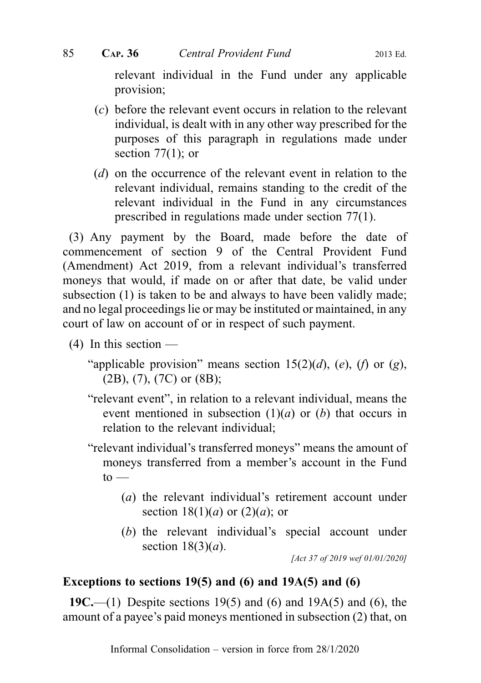relevant individual in the Fund under any applicable provision;

- (c) before the relevant event occurs in relation to the relevant individual, is dealt with in any other way prescribed for the purposes of this paragraph in regulations made under section  $77(1)$ ; or
- (d) on the occurrence of the relevant event in relation to the relevant individual, remains standing to the credit of the relevant individual in the Fund in any circumstances prescribed in regulations made under section 77(1).

(3) Any payment by the Board, made before the date of commencement of section 9 of the Central Provident Fund (Amendment) Act 2019, from a relevant individual's transferred moneys that would, if made on or after that date, be valid under subsection (1) is taken to be and always to have been validly made; and no legal proceedings lie or may be instituted or maintained, in any court of law on account of or in respect of such payment.

- $(4)$  In this section
	- "applicable provision" means section  $15(2)(d)$ , (e), (f) or (g), (2B), (7), (7C) or (8B);
	- "relevant event", in relation to a relevant individual, means the event mentioned in subsection  $(1)(a)$  or  $(b)$  that occurs in relation to the relevant individual;

"relevant individual's transferred moneys" means the amount of moneys transferred from a member's account in the Fund  $to -$ 

- (a) the relevant individual's retirement account under section  $18(1)(a)$  or  $(2)(a)$ ; or
- (b) the relevant individual's special account under section  $18(3)(a)$ .

[Act 37 of 2019 wef 01/01/2020]

#### Exceptions to sections  $19(5)$  and  $(6)$  and  $19A(5)$  and  $(6)$

19C.—(1) Despite sections 19(5) and (6) and 19A(5) and (6), the amount of a payee's paid moneys mentioned in subsection (2) that, on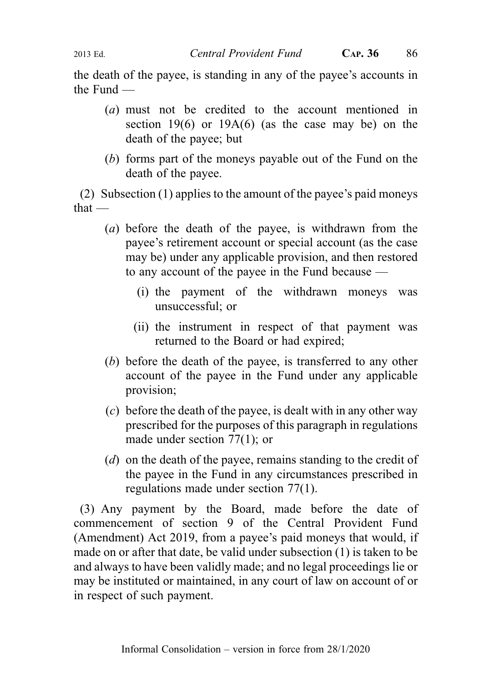the death of the payee, is standing in any of the payee's accounts in the Fund —

- (a) must not be credited to the account mentioned in section 19 $(6)$  or 19 $A(6)$  (as the case may be) on the death of the payee; but
- (b) forms part of the moneys payable out of the Fund on the death of the payee.

(2) Subsection (1) applies to the amount of the payee's paid moneys that —

- (a) before the death of the payee, is withdrawn from the payee's retirement account or special account (as the case may be) under any applicable provision, and then restored to any account of the payee in the Fund because —
	- (i) the payment of the withdrawn moneys was unsuccessful; or
	- (ii) the instrument in respect of that payment was returned to the Board or had expired;
- (b) before the death of the payee, is transferred to any other account of the payee in the Fund under any applicable provision;
- (c) before the death of the payee, is dealt with in any other way prescribed for the purposes of this paragraph in regulations made under section 77(1); or
- (d) on the death of the payee, remains standing to the credit of the payee in the Fund in any circumstances prescribed in regulations made under section 77(1).

(3) Any payment by the Board, made before the date of commencement of section 9 of the Central Provident Fund (Amendment) Act 2019, from a payee's paid moneys that would, if made on or after that date, be valid under subsection (1) is taken to be and always to have been validly made; and no legal proceedings lie or may be instituted or maintained, in any court of law on account of or in respect of such payment.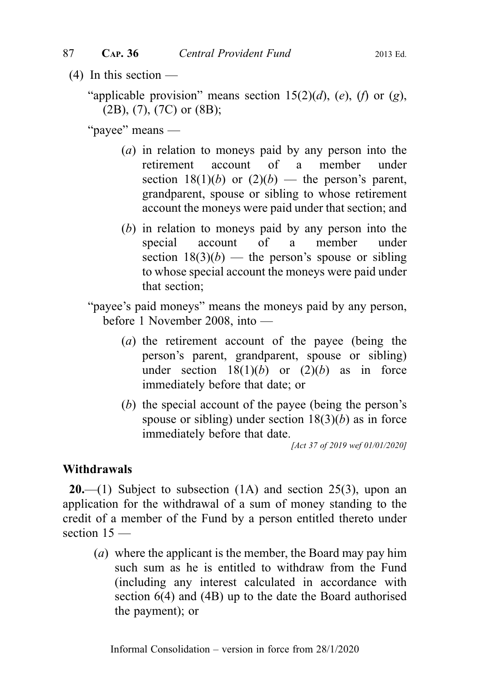$(4)$  In this section —

"applicable provision" means section  $15(2)(d)$ , (e), (f) or (g), (2B), (7), (7C) or (8B);

"payee" means —

- (a) in relation to moneys paid by any person into the retirement account of a member under section  $18(1)(b)$  or  $(2)(b)$  — the person's parent, grandparent, spouse or sibling to whose retirement account the moneys were paid under that section; and
- (b) in relation to moneys paid by any person into the special account of a member under section  $18(3)(b)$  — the person's spouse or sibling to whose special account the moneys were paid under that section;

"payee's paid moneys" means the moneys paid by any person, before 1 November 2008, into —

- (a) the retirement account of the payee (being the person's parent, grandparent, spouse or sibling) under section  $18(1)(b)$  or  $(2)(b)$  as in force immediately before that date; or
- (b) the special account of the payee (being the person's spouse or sibling) under section  $18(3)(b)$  as in force immediately before that date.

[Act 37 of 2019 wef 01/01/2020]

#### Withdrawals

**20.**—(1) Subject to subsection  $(1A)$  and section  $25(3)$ , upon an application for the withdrawal of a sum of money standing to the credit of a member of the Fund by a person entitled thereto under section 15 —

(a) where the applicant is the member, the Board may pay him such sum as he is entitled to withdraw from the Fund (including any interest calculated in accordance with section 6(4) and (4B) up to the date the Board authorised the payment); or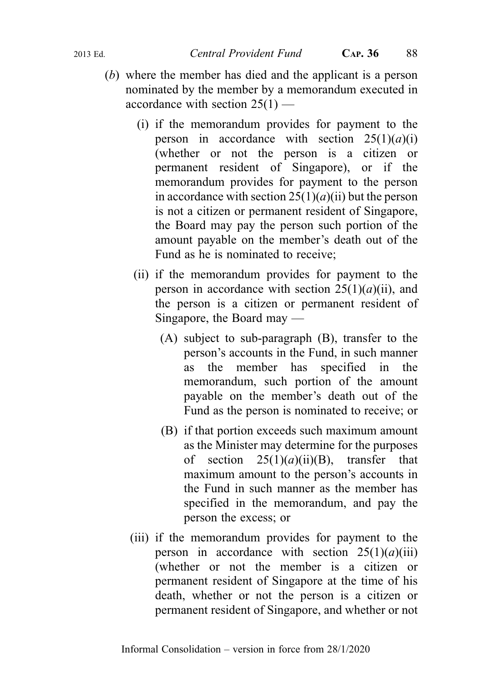- (b) where the member has died and the applicant is a person nominated by the member by a memorandum executed in accordance with section  $25(1)$  —
	- (i) if the memorandum provides for payment to the person in accordance with section  $25(1)(a)(i)$ (whether or not the person is a citizen or permanent resident of Singapore), or if the memorandum provides for payment to the person in accordance with section  $25(1)(a)(ii)$  but the person is not a citizen or permanent resident of Singapore, the Board may pay the person such portion of the amount payable on the member's death out of the Fund as he is nominated to receive;
	- (ii) if the memorandum provides for payment to the person in accordance with section  $25(1)(a)(ii)$ , and the person is a citizen or permanent resident of Singapore, the Board may —
		- (A) subject to sub-paragraph (B), transfer to the person's accounts in the Fund, in such manner as the member has specified in the memorandum, such portion of the amount payable on the member's death out of the Fund as the person is nominated to receive; or
		- (B) if that portion exceeds such maximum amount as the Minister may determine for the purposes of section  $25(1)(a)(ii)(B)$ , transfer that maximum amount to the person's accounts in the Fund in such manner as the member has specified in the memorandum, and pay the person the excess; or
	- (iii) if the memorandum provides for payment to the person in accordance with section  $25(1)(a)(iii)$ (whether or not the member is a citizen or permanent resident of Singapore at the time of his death, whether or not the person is a citizen or permanent resident of Singapore, and whether or not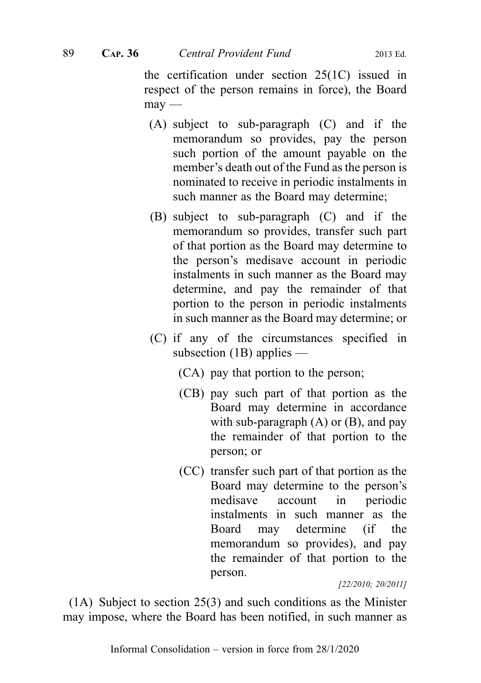the certification under section 25(1C) issued in respect of the person remains in force), the Board  $m$ ay —

- (A) subject to sub-paragraph (C) and if the memorandum so provides, pay the person such portion of the amount payable on the member's death out of the Fund as the person is nominated to receive in periodic instalments in such manner as the Board may determine;
- (B) subject to sub-paragraph (C) and if the memorandum so provides, transfer such part of that portion as the Board may determine to the person's medisave account in periodic instalments in such manner as the Board may determine, and pay the remainder of that portion to the person in periodic instalments in such manner as the Board may determine; or
- (C) if any of the circumstances specified in subsection (1B) applies —
	- (CA) pay that portion to the person;
	- (CB) pay such part of that portion as the Board may determine in accordance with sub-paragraph  $(A)$  or  $(B)$ , and pay the remainder of that portion to the person; or
	- (CC) transfer such part of that portion as the Board may determine to the person's medisave account in periodic instalments in such manner as the Board may determine (if the memorandum so provides), and pay the remainder of that portion to the person.

[22/2010; 20/2011]

(1A) Subject to section 25(3) and such conditions as the Minister may impose, where the Board has been notified, in such manner as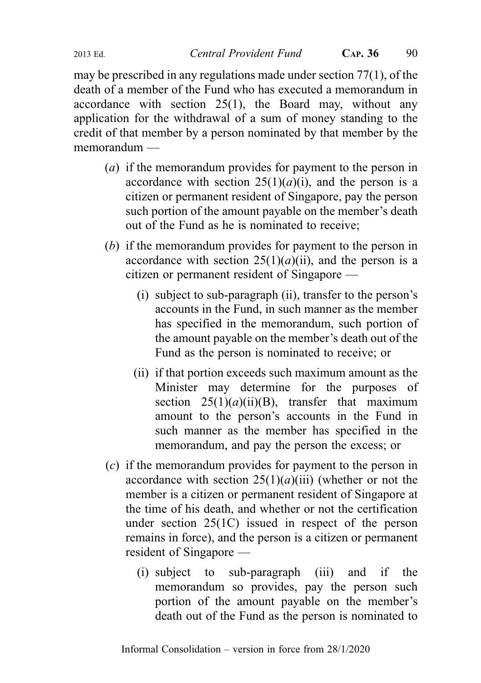may be prescribed in any regulations made under section 77(1), of the death of a member of the Fund who has executed a memorandum in accordance with section 25(1), the Board may, without any application for the withdrawal of a sum of money standing to the credit of that member by a person nominated by that member by the memorandum —

- (a) if the memorandum provides for payment to the person in accordance with section  $25(1)(a)(i)$ , and the person is a citizen or permanent resident of Singapore, pay the person such portion of the amount payable on the member's death out of the Fund as he is nominated to receive;
- (b) if the memorandum provides for payment to the person in accordance with section  $25(1)(a)(ii)$ , and the person is a citizen or permanent resident of Singapore —
	- (i) subject to sub-paragraph (ii), transfer to the person's accounts in the Fund, in such manner as the member has specified in the memorandum, such portion of the amount payable on the member's death out of the Fund as the person is nominated to receive; or
	- (ii) if that portion exceeds such maximum amount as the Minister may determine for the purposes of section  $25(1)(a)(ii)(B)$ , transfer that maximum amount to the person's accounts in the Fund in such manner as the member has specified in the memorandum, and pay the person the excess; or
- (c) if the memorandum provides for payment to the person in accordance with section  $25(1)(a)(iii)$  (whether or not the member is a citizen or permanent resident of Singapore at the time of his death, and whether or not the certification under section 25(1C) issued in respect of the person remains in force), and the person is a citizen or permanent resident of Singapore —
	- (i) subject to sub-paragraph (iii) and if the memorandum so provides, pay the person such portion of the amount payable on the member's death out of the Fund as the person is nominated to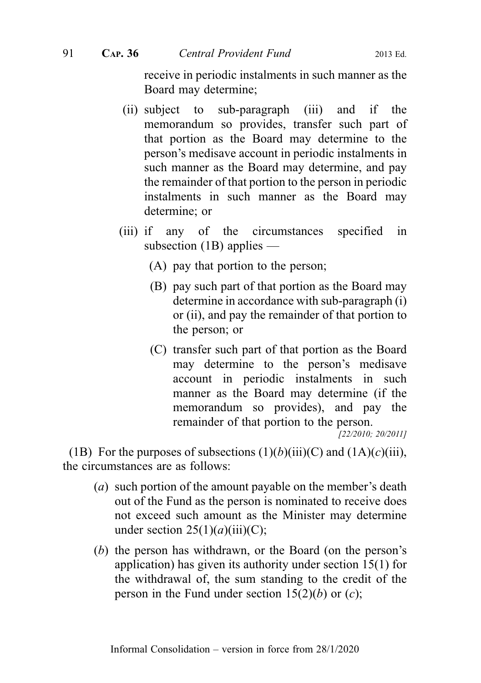receive in periodic instalments in such manner as the Board may determine;

- (ii) subject to sub-paragraph (iii) and if the memorandum so provides, transfer such part of that portion as the Board may determine to the person's medisave account in periodic instalments in such manner as the Board may determine, and pay the remainder of that portion to the person in periodic instalments in such manner as the Board may determine; or
- (iii) if any of the circumstances specified in subsection (1B) applies —
	- (A) pay that portion to the person;
	- (B) pay such part of that portion as the Board may determine in accordance with sub-paragraph (i) or (ii), and pay the remainder of that portion to the person; or
	- (C) transfer such part of that portion as the Board may determine to the person's medisave account in periodic instalments in such manner as the Board may determine (if the memorandum so provides), and pay the remainder of that portion to the person.

[22/2010; 20/2011]

(1B) For the purposes of subsections  $(1)(b)(iii)(C)$  and  $(1A)(c)(iii)$ , the circumstances are as follows:

- (a) such portion of the amount payable on the member's death out of the Fund as the person is nominated to receive does not exceed such amount as the Minister may determine under section  $25(1)(a)(iii)(C)$ ;
- (b) the person has withdrawn, or the Board (on the person's application) has given its authority under section 15(1) for the withdrawal of, the sum standing to the credit of the person in the Fund under section  $15(2)(b)$  or  $(c)$ ;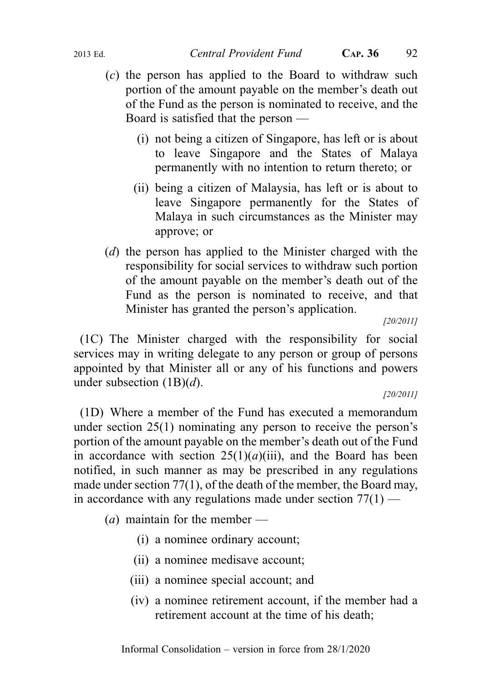- (c) the person has applied to the Board to withdraw such portion of the amount payable on the member's death out of the Fund as the person is nominated to receive, and the Board is satisfied that the person —
	- (i) not being a citizen of Singapore, has left or is about to leave Singapore and the States of Malaya permanently with no intention to return thereto; or
	- (ii) being a citizen of Malaysia, has left or is about to leave Singapore permanently for the States of Malaya in such circumstances as the Minister may approve; or
- (d) the person has applied to the Minister charged with the responsibility for social services to withdraw such portion of the amount payable on the member's death out of the Fund as the person is nominated to receive, and that Minister has granted the person's application.

[20/2011]

(1C) The Minister charged with the responsibility for social services may in writing delegate to any person or group of persons appointed by that Minister all or any of his functions and powers under subsection  $(1B)(d)$ .

#### [20/2011]

(1D) Where a member of the Fund has executed a memorandum under section 25(1) nominating any person to receive the person's portion of the amount payable on the member's death out of the Fund in accordance with section  $25(1)(a)(iii)$ , and the Board has been notified, in such manner as may be prescribed in any regulations made under section 77(1), of the death of the member, the Board may, in accordance with any regulations made under section  $77(1)$  —

(*a*) maintain for the member —

- (i) a nominee ordinary account;
- (ii) a nominee medisave account;
- (iii) a nominee special account; and
- (iv) a nominee retirement account, if the member had a retirement account at the time of his death;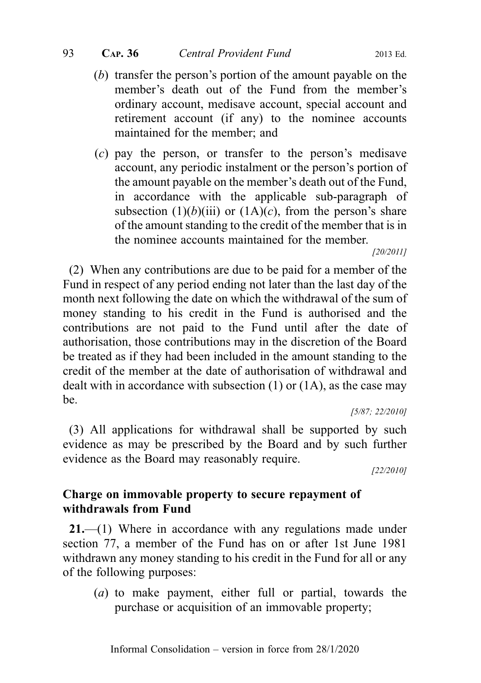- (b) transfer the person's portion of the amount payable on the member's death out of the Fund from the member's ordinary account, medisave account, special account and retirement account (if any) to the nominee accounts maintained for the member; and
- (c) pay the person, or transfer to the person's medisave account, any periodic instalment or the person's portion of the amount payable on the member's death out of the Fund, in accordance with the applicable sub-paragraph of subsection  $(1)(b)(iii)$  or  $(1A)(c)$ , from the person's share of the amount standing to the credit of the member that is in the nominee accounts maintained for the member.

[20/2011]

(2) When any contributions are due to be paid for a member of the Fund in respect of any period ending not later than the last day of the month next following the date on which the withdrawal of the sum of money standing to his credit in the Fund is authorised and the contributions are not paid to the Fund until after the date of authorisation, those contributions may in the discretion of the Board be treated as if they had been included in the amount standing to the credit of the member at the date of authorisation of withdrawal and dealt with in accordance with subsection (1) or (1A), as the case may be.

[5/87; 22/2010]

(3) All applications for withdrawal shall be supported by such evidence as may be prescribed by the Board and by such further evidence as the Board may reasonably require.

[22/2010]

# Charge on immovable property to secure repayment of withdrawals from Fund

21.—(1) Where in accordance with any regulations made under section 77, a member of the Fund has on or after 1st June 1981 withdrawn any money standing to his credit in the Fund for all or any of the following purposes:

(a) to make payment, either full or partial, towards the purchase or acquisition of an immovable property;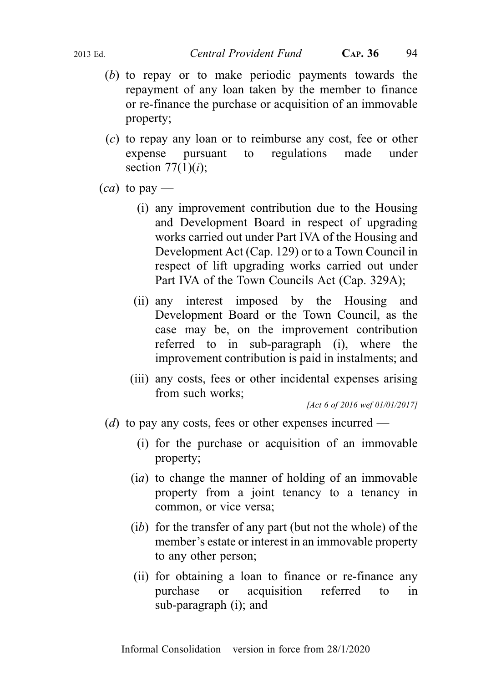- (b) to repay or to make periodic payments towards the repayment of any loan taken by the member to finance or re-finance the purchase or acquisition of an immovable property;
- (c) to repay any loan or to reimburse any cost, fee or other expense pursuant to regulations made under section  $77(1)(i)$ ;
- $(ca)$  to pay
	- (i) any improvement contribution due to the Housing and Development Board in respect of upgrading works carried out under Part IVA of the Housing and Development Act (Cap. 129) or to a Town Council in respect of lift upgrading works carried out under Part IVA of the Town Councils Act (Cap. 329A);
	- (ii) any interest imposed by the Housing and Development Board or the Town Council, as the case may be, on the improvement contribution referred to in sub-paragraph (i), where the improvement contribution is paid in instalments; and
	- (iii) any costs, fees or other incidental expenses arising from such works;

[Act 6 of 2016 wef 01/01/2017]

- (d) to pay any costs, fees or other expenses incurred
	- (i) for the purchase or acquisition of an immovable property;
	- (ia) to change the manner of holding of an immovable property from a joint tenancy to a tenancy in common, or vice versa;
	- (ib) for the transfer of any part (but not the whole) of the member's estate or interest in an immovable property to any other person;
	- (ii) for obtaining a loan to finance or re-finance any purchase or acquisition referred to in sub-paragraph (i); and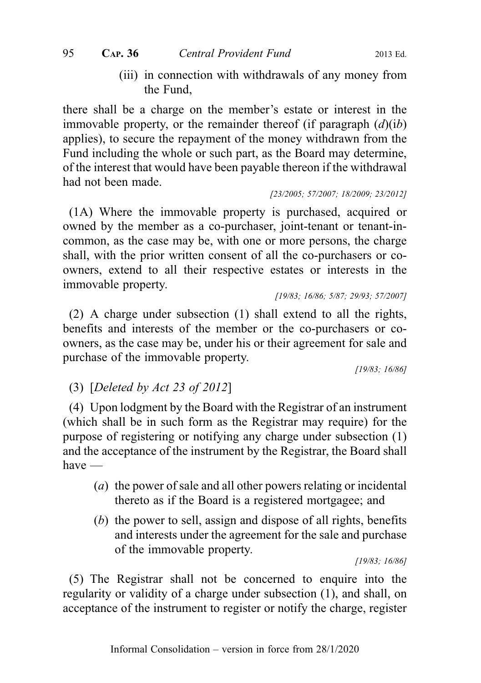(iii) in connection with withdrawals of any money from the Fund,

there shall be a charge on the member's estate or interest in the immovable property, or the remainder thereof (if paragraph  $(d)(ib)$ ) applies), to secure the repayment of the money withdrawn from the Fund including the whole or such part, as the Board may determine, of the interest that would have been payable thereon if the withdrawal had not been made.

[23/2005; 57/2007; 18/2009; 23/2012]

(1A) Where the immovable property is purchased, acquired or owned by the member as a co-purchaser, joint-tenant or tenant-incommon, as the case may be, with one or more persons, the charge shall, with the prior written consent of all the co-purchasers or coowners, extend to all their respective estates or interests in the immovable property.

[19/83; 16/86; 5/87; 29/93; 57/2007]

(2) A charge under subsection (1) shall extend to all the rights, benefits and interests of the member or the co-purchasers or coowners, as the case may be, under his or their agreement for sale and purchase of the immovable property.

[19/83; 16/86]

(3) [Deleted by Act 23 of 2012]

(4) Upon lodgment by the Board with the Registrar of an instrument (which shall be in such form as the Registrar may require) for the purpose of registering or notifying any charge under subsection (1) and the acceptance of the instrument by the Registrar, the Board shall have —

- (a) the power of sale and all other powers relating or incidental thereto as if the Board is a registered mortgagee; and
- (b) the power to sell, assign and dispose of all rights, benefits and interests under the agreement for the sale and purchase of the immovable property.

[19/83; 16/86]

(5) The Registrar shall not be concerned to enquire into the regularity or validity of a charge under subsection (1), and shall, on acceptance of the instrument to register or notify the charge, register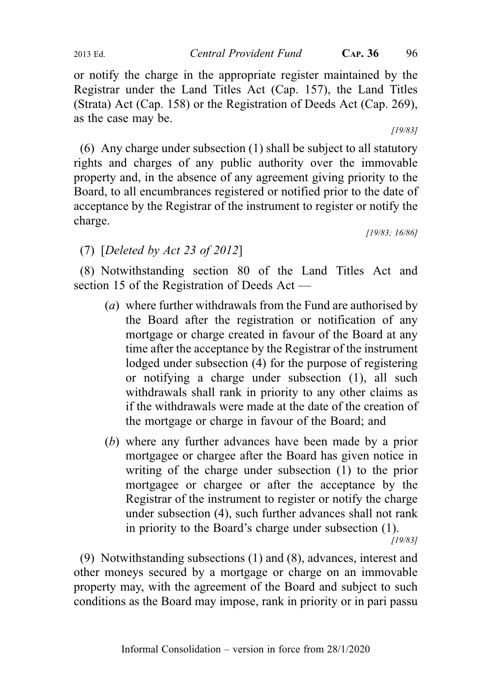or notify the charge in the appropriate register maintained by the Registrar under the Land Titles Act (Cap. 157), the Land Titles (Strata) Act (Cap. 158) or the Registration of Deeds Act (Cap. 269), as the case may be.

[19/83]

(6) Any charge under subsection (1) shall be subject to all statutory rights and charges of any public authority over the immovable property and, in the absence of any agreement giving priority to the Board, to all encumbrances registered or notified prior to the date of acceptance by the Registrar of the instrument to register or notify the charge.

[19/83; 16/86]

## (7) [Deleted by Act 23 of 2012]

(8) Notwithstanding section 80 of the Land Titles Act and section 15 of the Registration of Deeds Act —

- (a) where further withdrawals from the Fund are authorised by the Board after the registration or notification of any mortgage or charge created in favour of the Board at any time after the acceptance by the Registrar of the instrument lodged under subsection (4) for the purpose of registering or notifying a charge under subsection (1), all such withdrawals shall rank in priority to any other claims as if the withdrawals were made at the date of the creation of the mortgage or charge in favour of the Board; and
- (b) where any further advances have been made by a prior mortgagee or chargee after the Board has given notice in writing of the charge under subsection (1) to the prior mortgagee or chargee or after the acceptance by the Registrar of the instrument to register or notify the charge under subsection (4), such further advances shall not rank in priority to the Board's charge under subsection (1). [19/83]

(9) Notwithstanding subsections (1) and (8), advances, interest and other moneys secured by a mortgage or charge on an immovable property may, with the agreement of the Board and subject to such conditions as the Board may impose, rank in priority or in pari passu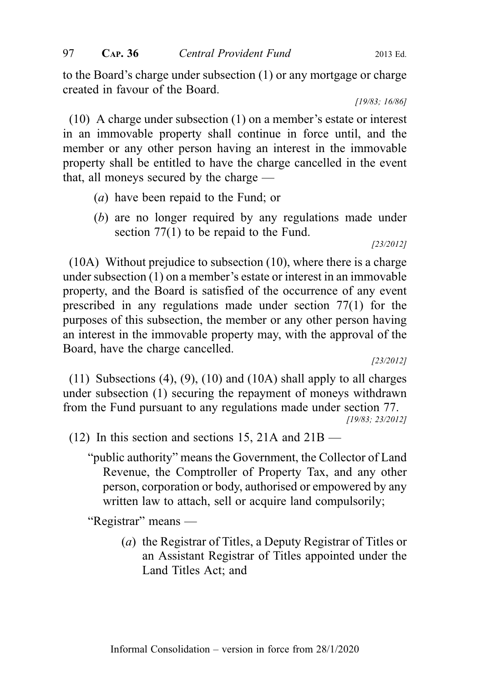to the Board's charge under subsection (1) or any mortgage or charge created in favour of the Board.

[19/83; 16/86]

(10) A charge under subsection (1) on a member's estate or interest in an immovable property shall continue in force until, and the member or any other person having an interest in the immovable property shall be entitled to have the charge cancelled in the event that, all moneys secured by the charge —

- (a) have been repaid to the Fund; or
- (b) are no longer required by any regulations made under section 77(1) to be repaid to the Fund.

[23/2012]

(10A) Without prejudice to subsection (10), where there is a charge under subsection (1) on a member's estate or interest in an immovable property, and the Board is satisfied of the occurrence of any event prescribed in any regulations made under section 77(1) for the purposes of this subsection, the member or any other person having an interest in the immovable property may, with the approval of the Board, have the charge cancelled.

[23/2012]

(11) Subsections  $(4)$ ,  $(9)$ ,  $(10)$  and  $(10A)$  shall apply to all charges under subsection (1) securing the repayment of moneys withdrawn from the Fund pursuant to any regulations made under section 77.

[19/83; 23/2012]

(12) In this section and sections 15, 21A and 21B —

"public authority" means the Government, the Collector of Land Revenue, the Comptroller of Property Tax, and any other person, corporation or body, authorised or empowered by any written law to attach, sell or acquire land compulsorily;

"Registrar" means —

(a) the Registrar of Titles, a Deputy Registrar of Titles or an Assistant Registrar of Titles appointed under the Land Titles Act; and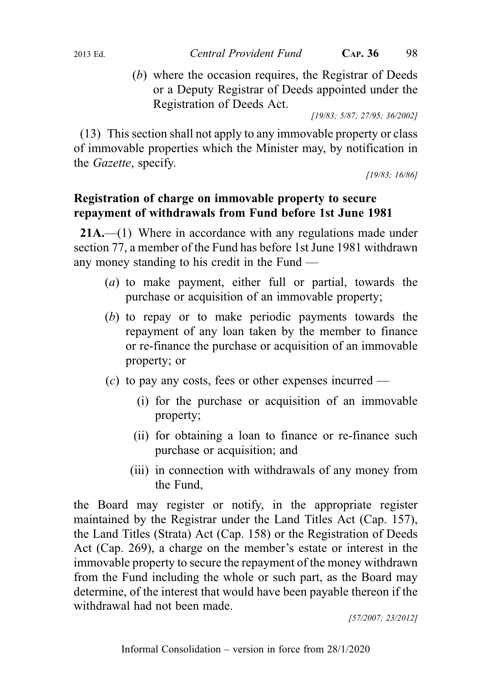- 
- (b) where the occasion requires, the Registrar of Deeds or a Deputy Registrar of Deeds appointed under the Registration of Deeds Act.

[19/83; 5/87; 27/95; 36/2002]

(13) This section shall not apply to any immovable property or class of immovable properties which the Minister may, by notification in the Gazette, specify.

[19/83; 16/86]

# Registration of charge on immovable property to secure repayment of withdrawals from Fund before 1st June 1981

21A.—(1) Where in accordance with any regulations made under section 77, a member of the Fund has before 1st June 1981 withdrawn any money standing to his credit in the Fund —

- (a) to make payment, either full or partial, towards the purchase or acquisition of an immovable property;
- (b) to repay or to make periodic payments towards the repayment of any loan taken by the member to finance or re-finance the purchase or acquisition of an immovable property; or
- (c) to pay any costs, fees or other expenses incurred
	- (i) for the purchase or acquisition of an immovable property;
	- (ii) for obtaining a loan to finance or re-finance such purchase or acquisition; and
	- (iii) in connection with withdrawals of any money from the Fund,

the Board may register or notify, in the appropriate register maintained by the Registrar under the Land Titles Act (Cap. 157), the Land Titles (Strata) Act (Cap. 158) or the Registration of Deeds Act (Cap. 269), a charge on the member's estate or interest in the immovable property to secure the repayment of the money withdrawn from the Fund including the whole or such part, as the Board may determine, of the interest that would have been payable thereon if the withdrawal had not been made.

[57/2007; 23/2012]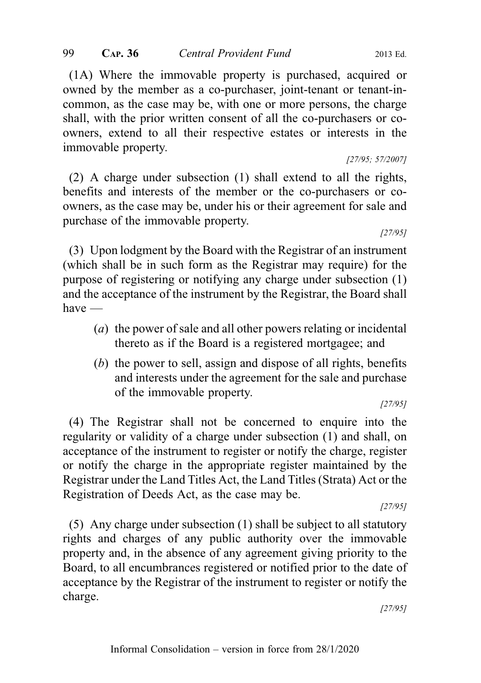(1A) Where the immovable property is purchased, acquired or owned by the member as a co-purchaser, joint-tenant or tenant-incommon, as the case may be, with one or more persons, the charge shall, with the prior written consent of all the co-purchasers or coowners, extend to all their respective estates or interests in the immovable property.

[27/95; 57/2007]

(2) A charge under subsection (1) shall extend to all the rights, benefits and interests of the member or the co-purchasers or coowners, as the case may be, under his or their agreement for sale and purchase of the immovable property.

[27/95]

(3) Upon lodgment by the Board with the Registrar of an instrument (which shall be in such form as the Registrar may require) for the purpose of registering or notifying any charge under subsection (1) and the acceptance of the instrument by the Registrar, the Board shall have —

- (a) the power of sale and all other powers relating or incidental thereto as if the Board is a registered mortgagee; and
- (b) the power to sell, assign and dispose of all rights, benefits and interests under the agreement for the sale and purchase of the immovable property.

[27/95]

(4) The Registrar shall not be concerned to enquire into the regularity or validity of a charge under subsection (1) and shall, on acceptance of the instrument to register or notify the charge, register or notify the charge in the appropriate register maintained by the Registrar under the Land Titles Act, the Land Titles (Strata) Act or the Registration of Deeds Act, as the case may be.

[27/95]

(5) Any charge under subsection (1) shall be subject to all statutory rights and charges of any public authority over the immovable property and, in the absence of any agreement giving priority to the Board, to all encumbrances registered or notified prior to the date of acceptance by the Registrar of the instrument to register or notify the charge.

[27/95]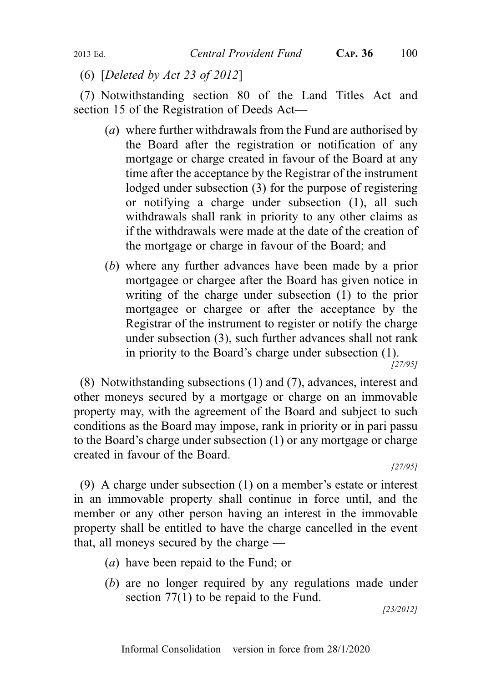(6) [Deleted by Act 23 of 2012]

(7) Notwithstanding section 80 of the Land Titles Act and section 15 of the Registration of Deeds Act—

- (a) where further withdrawals from the Fund are authorised by the Board after the registration or notification of any mortgage or charge created in favour of the Board at any time after the acceptance by the Registrar of the instrument lodged under subsection (3) for the purpose of registering or notifying a charge under subsection (1), all such withdrawals shall rank in priority to any other claims as if the withdrawals were made at the date of the creation of the mortgage or charge in favour of the Board; and
- (b) where any further advances have been made by a prior mortgagee or chargee after the Board has given notice in writing of the charge under subsection (1) to the prior mortgagee or chargee or after the acceptance by the Registrar of the instrument to register or notify the charge under subsection (3), such further advances shall not rank in priority to the Board's charge under subsection (1). [27/95]

(8) Notwithstanding subsections (1) and (7), advances, interest and other moneys secured by a mortgage or charge on an immovable property may, with the agreement of the Board and subject to such conditions as the Board may impose, rank in priority or in pari passu to the Board's charge under subsection (1) or any mortgage or charge created in favour of the Board.

[27/95]

(9) A charge under subsection (1) on a member's estate or interest in an immovable property shall continue in force until, and the member or any other person having an interest in the immovable property shall be entitled to have the charge cancelled in the event that, all moneys secured by the charge —

- (a) have been repaid to the Fund; or
- (b) are no longer required by any regulations made under section 77(1) to be repaid to the Fund.

[23/2012]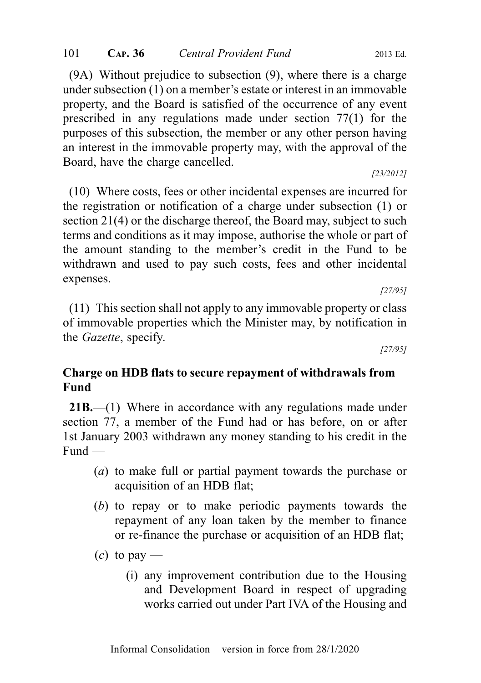(9A) Without prejudice to subsection (9), where there is a charge under subsection (1) on a member's estate or interest in an immovable property, and the Board is satisfied of the occurrence of any event prescribed in any regulations made under section 77(1) for the purposes of this subsection, the member or any other person having an interest in the immovable property may, with the approval of the Board, have the charge cancelled.

[23/2012]

(10) Where costs, fees or other incidental expenses are incurred for the registration or notification of a charge under subsection (1) or section 21(4) or the discharge thereof, the Board may, subject to such terms and conditions as it may impose, authorise the whole or part of the amount standing to the member's credit in the Fund to be withdrawn and used to pay such costs, fees and other incidental expenses.

[27/95]

(11) This section shall not apply to any immovable property or class of immovable properties which the Minister may, by notification in the Gazette, specify.

[27/95]

## Charge on HDB flats to secure repayment of withdrawals from Fund

21B.—(1) Where in accordance with any regulations made under section 77, a member of the Fund had or has before, on or after 1st January 2003 withdrawn any money standing to his credit in the Fund —

- (a) to make full or partial payment towards the purchase or acquisition of an HDB flat;
- (b) to repay or to make periodic payments towards the repayment of any loan taken by the member to finance or re-finance the purchase or acquisition of an HDB flat;
- $(c)$  to pay
	- (i) any improvement contribution due to the Housing and Development Board in respect of upgrading works carried out under Part IVA of the Housing and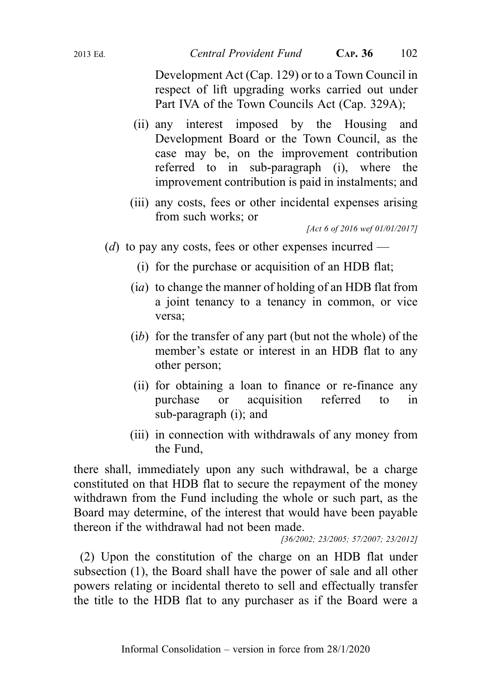Development Act (Cap. 129) or to a Town Council in respect of lift upgrading works carried out under Part IVA of the Town Councils Act (Cap. 329A);

- (ii) any interest imposed by the Housing and Development Board or the Town Council, as the case may be, on the improvement contribution referred to in sub-paragraph (i), where the improvement contribution is paid in instalments; and
- (iii) any costs, fees or other incidental expenses arising from such works; or

[Act 6 of 2016 wef 01/01/2017]

- (d) to pay any costs, fees or other expenses incurred
	- (i) for the purchase or acquisition of an HDB flat;
	- (ia) to change the manner of holding of an HDB flat from a joint tenancy to a tenancy in common, or vice versa;
	- (ib) for the transfer of any part (but not the whole) of the member's estate or interest in an HDB flat to any other person;
	- (ii) for obtaining a loan to finance or re-finance any purchase or acquisition referred to in sub-paragraph (i); and
	- (iii) in connection with withdrawals of any money from the Fund,

there shall, immediately upon any such withdrawal, be a charge constituted on that HDB flat to secure the repayment of the money withdrawn from the Fund including the whole or such part, as the Board may determine, of the interest that would have been payable thereon if the withdrawal had not been made.

[36/2002; 23/2005; 57/2007; 23/2012]

(2) Upon the constitution of the charge on an HDB flat under subsection (1), the Board shall have the power of sale and all other powers relating or incidental thereto to sell and effectually transfer the title to the HDB flat to any purchaser as if the Board were a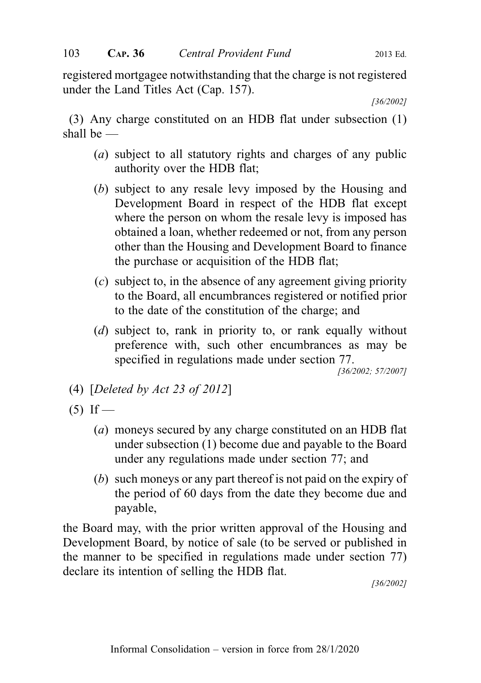registered mortgagee notwithstanding that the charge is not registered under the Land Titles Act (Cap. 157).

[36/2002]

(3) Any charge constituted on an HDB flat under subsection (1) shall be —

- (a) subject to all statutory rights and charges of any public authority over the HDB flat;
- (b) subject to any resale levy imposed by the Housing and Development Board in respect of the HDB flat except where the person on whom the resale levy is imposed has obtained a loan, whether redeemed or not, from any person other than the Housing and Development Board to finance the purchase or acquisition of the HDB flat;
- (c) subject to, in the absence of any agreement giving priority to the Board, all encumbrances registered or notified prior to the date of the constitution of the charge; and
- (d) subject to, rank in priority to, or rank equally without preference with, such other encumbrances as may be specified in regulations made under section 77.

[36/2002; 57/2007]

- (4) [Deleted by Act 23 of 2012]
- $(5)$  If
	- (a) moneys secured by any charge constituted on an HDB flat under subsection (1) become due and payable to the Board under any regulations made under section 77; and
	- (b) such moneys or any part thereof is not paid on the expiry of the period of 60 days from the date they become due and payable,

the Board may, with the prior written approval of the Housing and Development Board, by notice of sale (to be served or published in the manner to be specified in regulations made under section 77) declare its intention of selling the HDB flat.

[36/2002]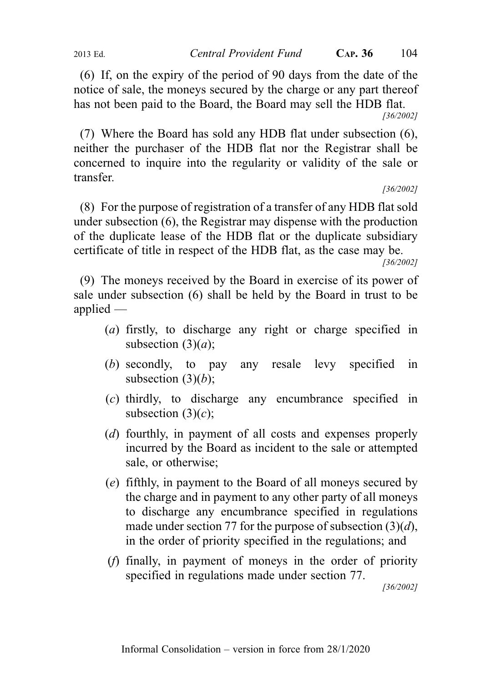(6) If, on the expiry of the period of 90 days from the date of the notice of sale, the moneys secured by the charge or any part thereof has not been paid to the Board, the Board may sell the HDB flat.

[36/2002]

(7) Where the Board has sold any HDB flat under subsection (6), neither the purchaser of the HDB flat nor the Registrar shall be concerned to inquire into the regularity or validity of the sale or transfer.

[36/2002]

(8) For the purpose of registration of a transfer of any HDB flat sold under subsection (6), the Registrar may dispense with the production of the duplicate lease of the HDB flat or the duplicate subsidiary certificate of title in respect of the HDB flat, as the case may be.

[36/2002]

(9) The moneys received by the Board in exercise of its power of sale under subsection (6) shall be held by the Board in trust to be applied —

- (a) firstly, to discharge any right or charge specified in subsection  $(3)(a)$ ;
- (b) secondly, to pay any resale levy specified in subsection  $(3)(b)$ ;
- (c) thirdly, to discharge any encumbrance specified in subsection  $(3)(c)$ ;
- (d) fourthly, in payment of all costs and expenses properly incurred by the Board as incident to the sale or attempted sale, or otherwise;
- (e) fifthly, in payment to the Board of all moneys secured by the charge and in payment to any other party of all moneys to discharge any encumbrance specified in regulations made under section 77 for the purpose of subsection  $(3)(d)$ , in the order of priority specified in the regulations; and
- (f) finally, in payment of moneys in the order of priority specified in regulations made under section 77.

[36/2002]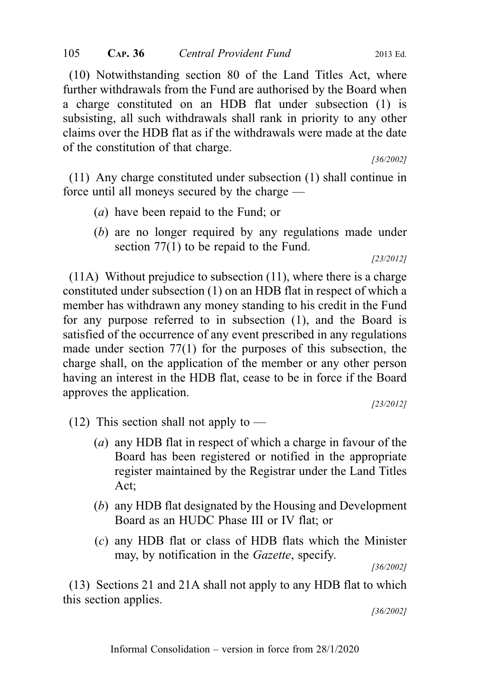(10) Notwithstanding section 80 of the Land Titles Act, where further withdrawals from the Fund are authorised by the Board when a charge constituted on an HDB flat under subsection (1) is subsisting, all such withdrawals shall rank in priority to any other claims over the HDB flat as if the withdrawals were made at the date of the constitution of that charge.

[36/2002]

(11) Any charge constituted under subsection (1) shall continue in force until all moneys secured by the charge —

- (a) have been repaid to the Fund; or
- (b) are no longer required by any regulations made under section 77(1) to be repaid to the Fund.

[23/2012]

(11A) Without prejudice to subsection (11), where there is a charge constituted under subsection (1) on an HDB flat in respect of which a member has withdrawn any money standing to his credit in the Fund for any purpose referred to in subsection (1), and the Board is satisfied of the occurrence of any event prescribed in any regulations made under section 77(1) for the purposes of this subsection, the charge shall, on the application of the member or any other person having an interest in the HDB flat, cease to be in force if the Board approves the application.

[23/2012]

 $(12)$  This section shall not apply to —

- (a) any HDB flat in respect of which a charge in favour of the Board has been registered or notified in the appropriate register maintained by the Registrar under the Land Titles Act;
- (b) any HDB flat designated by the Housing and Development Board as an HUDC Phase III or IV flat; or
- (c) any HDB flat or class of HDB flats which the Minister may, by notification in the Gazette, specify.

[36/2002]

(13) Sections 21 and 21A shall not apply to any HDB flat to which this section applies.

[36/2002]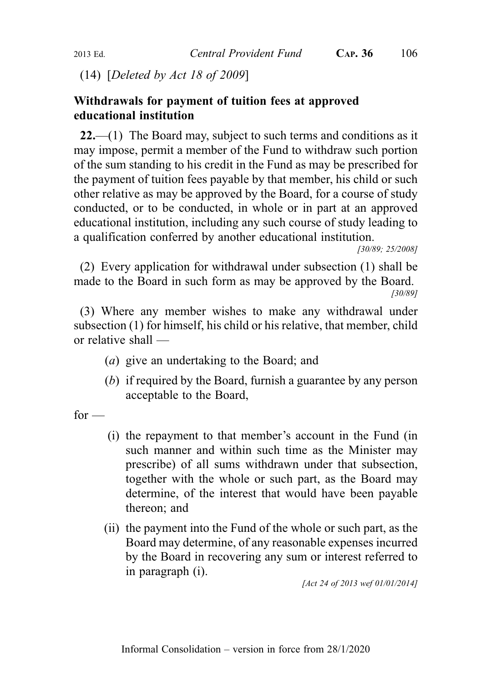(14) [Deleted by Act 18 of 2009]

### Withdrawals for payment of tuition fees at approved educational institution

22.—(1) The Board may, subject to such terms and conditions as it may impose, permit a member of the Fund to withdraw such portion of the sum standing to his credit in the Fund as may be prescribed for the payment of tuition fees payable by that member, his child or such other relative as may be approved by the Board, for a course of study conducted, or to be conducted, in whole or in part at an approved educational institution, including any such course of study leading to a qualification conferred by another educational institution.

(2) Every application for withdrawal under subsection (1) shall be made to the Board in such form as may be approved by the Board.

[30/89]

(3) Where any member wishes to make any withdrawal under subsection (1) for himself, his child or his relative, that member, child or relative shall —

- (a) give an undertaking to the Board; and
- (b) if required by the Board, furnish a guarantee by any person acceptable to the Board,

 $for -$ 

- (i) the repayment to that member's account in the Fund (in such manner and within such time as the Minister may prescribe) of all sums withdrawn under that subsection, together with the whole or such part, as the Board may determine, of the interest that would have been payable thereon; and
- (ii) the payment into the Fund of the whole or such part, as the Board may determine, of any reasonable expenses incurred by the Board in recovering any sum or interest referred to in paragraph (i).

[Act 24 of 2013 wef 01/01/2014]

<sup>[30/89; 25/2008]</sup>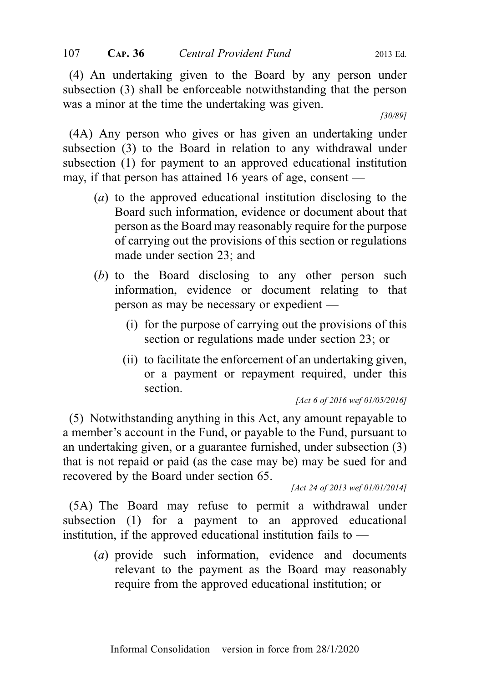(4) An undertaking given to the Board by any person under subsection (3) shall be enforceable notwithstanding that the person was a minor at the time the undertaking was given.

[30/89]

(4A) Any person who gives or has given an undertaking under subsection (3) to the Board in relation to any withdrawal under subsection (1) for payment to an approved educational institution may, if that person has attained 16 years of age, consent —

- (a) to the approved educational institution disclosing to the Board such information, evidence or document about that person as the Board may reasonably require for the purpose of carrying out the provisions of this section or regulations made under section 23; and
- (b) to the Board disclosing to any other person such information, evidence or document relating to that person as may be necessary or expedient —
	- (i) for the purpose of carrying out the provisions of this section or regulations made under section 23; or
	- (ii) to facilitate the enforcement of an undertaking given, or a payment or repayment required, under this section.

[Act 6 of 2016 wef 01/05/2016]

(5) Notwithstanding anything in this Act, any amount repayable to a member's account in the Fund, or payable to the Fund, pursuant to an undertaking given, or a guarantee furnished, under subsection (3) that is not repaid or paid (as the case may be) may be sued for and recovered by the Board under section 65.

[Act 24 of 2013 wef 01/01/2014]

(5A) The Board may refuse to permit a withdrawal under subsection (1) for a payment to an approved educational institution, if the approved educational institution fails to —

(a) provide such information, evidence and documents relevant to the payment as the Board may reasonably require from the approved educational institution; or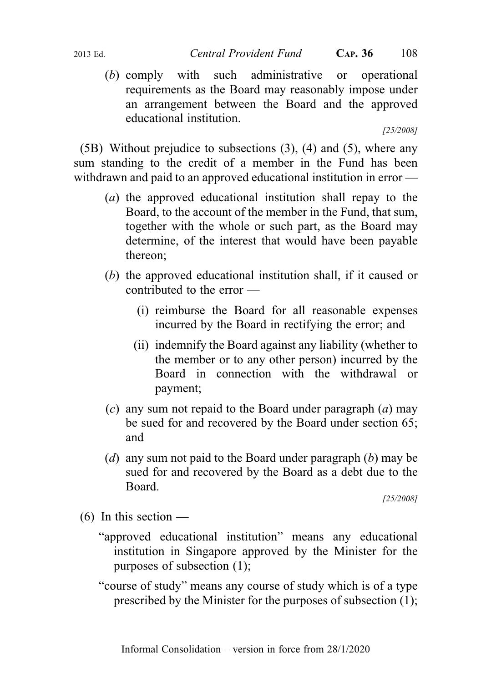(b) comply with such administrative or operational requirements as the Board may reasonably impose under an arrangement between the Board and the approved educational institution.

[25/2008]

(5B) Without prejudice to subsections (3), (4) and (5), where any sum standing to the credit of a member in the Fund has been withdrawn and paid to an approved educational institution in error —

- (a) the approved educational institution shall repay to the Board, to the account of the member in the Fund, that sum, together with the whole or such part, as the Board may determine, of the interest that would have been payable thereon;
- (b) the approved educational institution shall, if it caused or contributed to the error —
	- (i) reimburse the Board for all reasonable expenses incurred by the Board in rectifying the error; and
	- (ii) indemnify the Board against any liability (whether to the member or to any other person) incurred by the Board in connection with the withdrawal or payment;
- (c) any sum not repaid to the Board under paragraph  $(a)$  may be sued for and recovered by the Board under section 65; and
- (d) any sum not paid to the Board under paragraph  $(b)$  may be sued for and recovered by the Board as a debt due to the Board.

[25/2008]

- $(6)$  In this section
	- "approved educational institution" means any educational institution in Singapore approved by the Minister for the purposes of subsection (1);
	- "course of study" means any course of study which is of a type prescribed by the Minister for the purposes of subsection (1);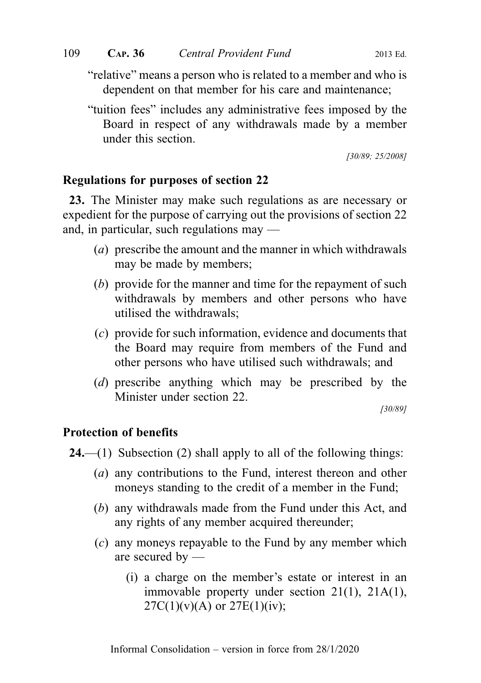"relative" means a person who is related to a member and who is dependent on that member for his care and maintenance;

"tuition fees" includes any administrative fees imposed by the Board in respect of any withdrawals made by a member under this section.

[30/89; 25/2008]

### Regulations for purposes of section 22

23. The Minister may make such regulations as are necessary or expedient for the purpose of carrying out the provisions of section 22 and, in particular, such regulations may —

- (a) prescribe the amount and the manner in which withdrawals may be made by members;
- (b) provide for the manner and time for the repayment of such withdrawals by members and other persons who have utilised the withdrawals;
- (c) provide for such information, evidence and documents that the Board may require from members of the Fund and other persons who have utilised such withdrawals; and
- (d) prescribe anything which may be prescribed by the Minister under section 22.

[30/89]

### Protection of benefits

- **24.**—(1) Subsection (2) shall apply to all of the following things:
	- (a) any contributions to the Fund, interest thereon and other moneys standing to the credit of a member in the Fund;
	- (b) any withdrawals made from the Fund under this Act, and any rights of any member acquired thereunder;
	- (c) any moneys repayable to the Fund by any member which are secured by —
		- (i) a charge on the member's estate or interest in an immovable property under section 21(1), 21A(1),  $27C(1)(v)(A)$  or  $27E(1)(iv)$ ;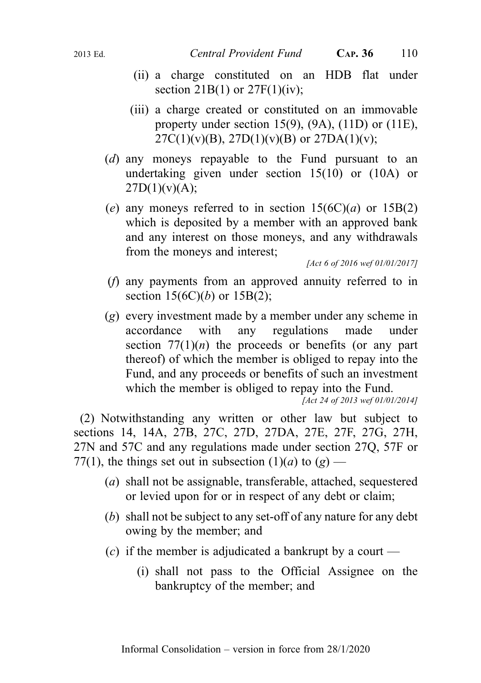- (ii) a charge constituted on an HDB flat under section  $21B(1)$  or  $27F(1)(iv)$ ;
- (iii) a charge created or constituted on an immovable property under section 15(9),  $(9A)$ ,  $(11D)$  or  $(11E)$ ,  $27C(1)(v)(B)$ ,  $27D(1)(v)(B)$  or  $27DA(1)(v)$ ;
- (d) any moneys repayable to the Fund pursuant to an undertaking given under section 15(10) or (10A) or  $27D(1)(v)(A);$
- (e) any moneys referred to in section  $15(6C)(a)$  or  $15B(2)$ which is deposited by a member with an approved bank and any interest on those moneys, and any withdrawals from the moneys and interest;

[Act 6 of 2016 wef 01/01/2017]

- (f) any payments from an approved annuity referred to in section  $15(6C)(b)$  or  $15B(2)$ ;
- (g) every investment made by a member under any scheme in accordance with any regulations made under section  $77(1)(n)$  the proceeds or benefits (or any part thereof) of which the member is obliged to repay into the Fund, and any proceeds or benefits of such an investment which the member is obliged to repay into the Fund.

[Act 24 of 2013 wef 01/01/2014]

(2) Notwithstanding any written or other law but subject to sections 14, 14A, 27B, 27C, 27D, 27DA, 27E, 27F, 27G, 27H, 27N and 57C and any regulations made under section 27Q, 57F or 77(1), the things set out in subsection (1)(*a*) to (*g*) —

- (a) shall not be assignable, transferable, attached, sequestered or levied upon for or in respect of any debt or claim;
- (b) shall not be subject to any set-off of any nature for any debt owing by the member; and
- (c) if the member is adjudicated a bankrupt by a court
	- (i) shall not pass to the Official Assignee on the bankruptcy of the member; and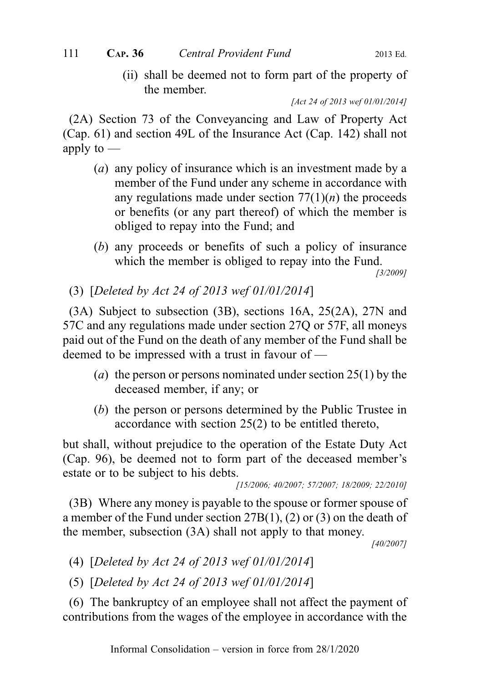(ii) shall be deemed not to form part of the property of the member.

[Act 24 of 2013 wef 01/01/2014]

(2A) Section 73 of the Conveyancing and Law of Property Act (Cap. 61) and section 49L of the Insurance Act (Cap. 142) shall not apply to  $-$ 

- (a) any policy of insurance which is an investment made by a member of the Fund under any scheme in accordance with any regulations made under section  $77(1)(n)$  the proceeds or benefits (or any part thereof) of which the member is obliged to repay into the Fund; and
- (b) any proceeds or benefits of such a policy of insurance which the member is obliged to repay into the Fund.

[3/2009]

(3) [Deleted by Act 24 of 2013 wef 01/01/2014]

(3A) Subject to subsection (3B), sections 16A, 25(2A), 27N and 57C and any regulations made under section 27Q or 57F, all moneys paid out of the Fund on the death of any member of the Fund shall be deemed to be impressed with a trust in favour of —

- (a) the person or persons nominated under section  $25(1)$  by the deceased member, if any; or
- (b) the person or persons determined by the Public Trustee in accordance with section 25(2) to be entitled thereto,

but shall, without prejudice to the operation of the Estate Duty Act (Cap. 96), be deemed not to form part of the deceased member's estate or to be subject to his debts.

[15/2006; 40/2007; 57/2007; 18/2009; 22/2010]

(3B) Where any money is payable to the spouse or former spouse of a member of the Fund under section 27B(1), (2) or (3) on the death of the member, subsection (3A) shall not apply to that money.

[40/2007]

(4) [Deleted by Act 24 of 2013 wef 01/01/2014]

(5) [Deleted by Act 24 of 2013 wef 01/01/2014]

(6) The bankruptcy of an employee shall not affect the payment of contributions from the wages of the employee in accordance with the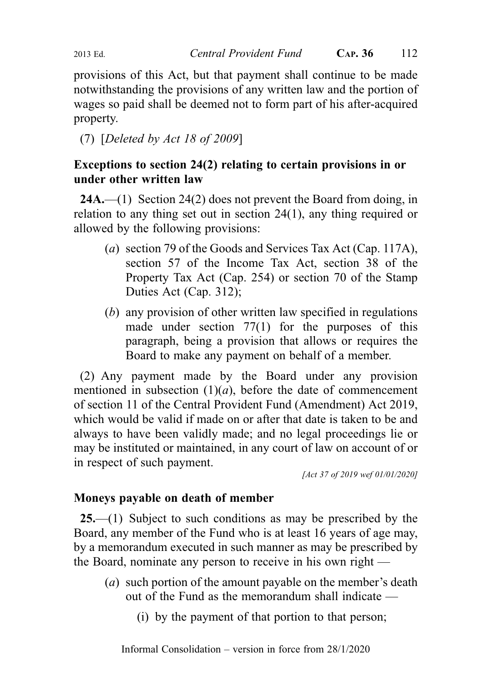provisions of this Act, but that payment shall continue to be made notwithstanding the provisions of any written law and the portion of wages so paid shall be deemed not to form part of his after-acquired property.

(7) [Deleted by Act 18 of 2009]

# Exceptions to section 24(2) relating to certain provisions in or under other written law

24A.—(1) Section 24(2) does not prevent the Board from doing, in relation to any thing set out in section 24(1), any thing required or allowed by the following provisions:

- (a) section 79 of the Goods and Services Tax Act (Cap. 117A), section 57 of the Income Tax Act, section 38 of the Property Tax Act (Cap. 254) or section 70 of the Stamp Duties Act (Cap. 312);
- (b) any provision of other written law specified in regulations made under section 77(1) for the purposes of this paragraph, being a provision that allows or requires the Board to make any payment on behalf of a member.

(2) Any payment made by the Board under any provision mentioned in subsection  $(1)(a)$ , before the date of commencement of section 11 of the Central Provident Fund (Amendment) Act 2019, which would be valid if made on or after that date is taken to be and always to have been validly made; and no legal proceedings lie or may be instituted or maintained, in any court of law on account of or in respect of such payment.

[Act 37 of 2019 wef 01/01/2020]

## Moneys payable on death of member

25.—(1) Subject to such conditions as may be prescribed by the Board, any member of the Fund who is at least 16 years of age may, by a memorandum executed in such manner as may be prescribed by the Board, nominate any person to receive in his own right —

- (a) such portion of the amount payable on the member's death out of the Fund as the memorandum shall indicate —
	- (i) by the payment of that portion to that person;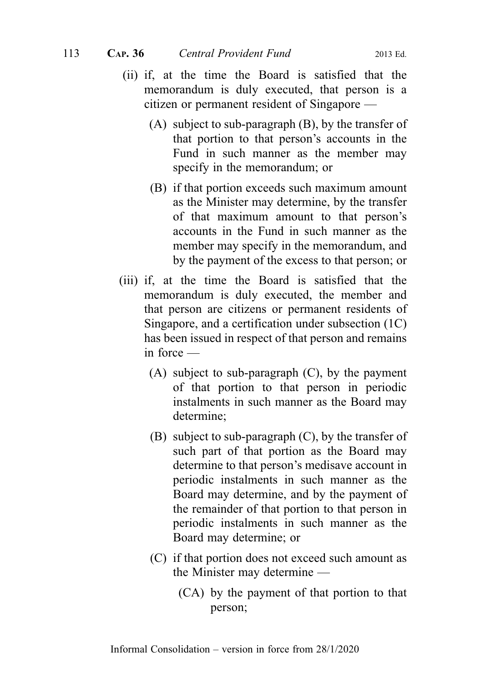- (ii) if, at the time the Board is satisfied that the memorandum is duly executed, that person is a citizen or permanent resident of Singapore —
	- (A) subject to sub-paragraph (B), by the transfer of that portion to that person's accounts in the Fund in such manner as the member may specify in the memorandum; or
	- (B) if that portion exceeds such maximum amount as the Minister may determine, by the transfer of that maximum amount to that person's accounts in the Fund in such manner as the member may specify in the memorandum, and by the payment of the excess to that person; or
- (iii) if, at the time the Board is satisfied that the memorandum is duly executed, the member and that person are citizens or permanent residents of Singapore, and a certification under subsection (1C) has been issued in respect of that person and remains in force —
	- (A) subject to sub-paragraph (C), by the payment of that portion to that person in periodic instalments in such manner as the Board may determine;
	- (B) subject to sub-paragraph (C), by the transfer of such part of that portion as the Board may determine to that person's medisave account in periodic instalments in such manner as the Board may determine, and by the payment of the remainder of that portion to that person in periodic instalments in such manner as the Board may determine; or
	- (C) if that portion does not exceed such amount as the Minister may determine —
		- (CA) by the payment of that portion to that person;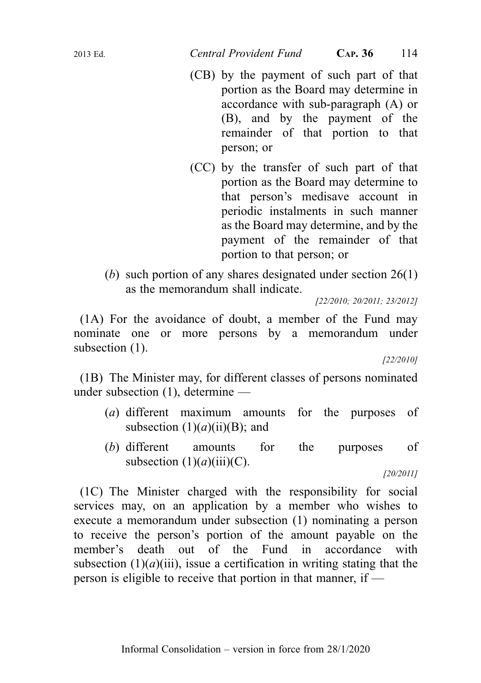- (CB) by the payment of such part of that portion as the Board may determine in accordance with sub-paragraph (A) or (B), and by the payment of the remainder of that portion to that person; or
- (CC) by the transfer of such part of that portion as the Board may determine to that person's medisave account in periodic instalments in such manner as the Board may determine, and by the payment of the remainder of that portion to that person; or
- (b) such portion of any shares designated under section 26(1) as the memorandum shall indicate.

[22/2010; 20/2011; 23/2012]

(1A) For the avoidance of doubt, a member of the Fund may nominate one or more persons by a memorandum under subsection  $(1)$ .

[22/2010]

(1B) The Minister may, for different classes of persons nominated under subsection (1), determine —

- (a) different maximum amounts for the purposes of subsection  $(1)(a)(ii)(B)$ ; and
- (b) different amounts for the purposes of subsection  $(1)(a)(iii)(C)$ .

(1C) The Minister charged with the responsibility for social services may, on an application by a member who wishes to execute a memorandum under subsection (1) nominating a person to receive the person's portion of the amount payable on the member's death out of the Fund in accordance with subsection  $(1)(a)$ (iii), issue a certification in writing stating that the person is eligible to receive that portion in that manner, if —

<sup>[20/2011]</sup>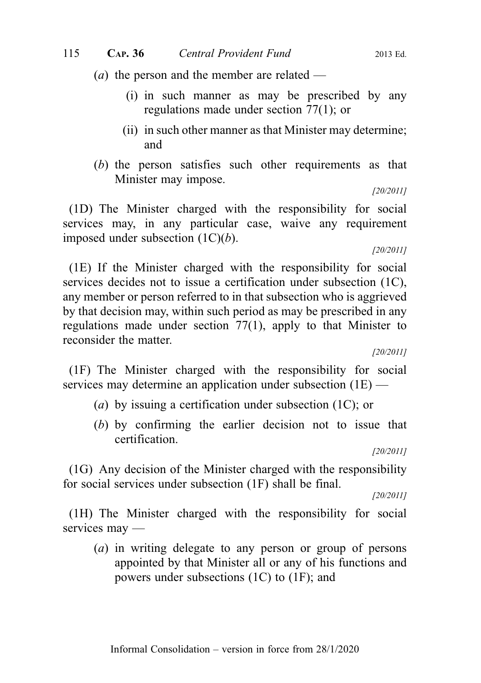(*a*) the person and the member are related —

- (i) in such manner as may be prescribed by any regulations made under section 77(1); or
- (ii) in such other manner as that Minister may determine; and
- (b) the person satisfies such other requirements as that Minister may impose.

[20/2011]

(1D) The Minister charged with the responsibility for social services may, in any particular case, waive any requirement imposed under subsection  $(1C)(b)$ .

[20/2011]

(1E) If the Minister charged with the responsibility for social services decides not to issue a certification under subsection (1C), any member or person referred to in that subsection who is aggrieved by that decision may, within such period as may be prescribed in any regulations made under section 77(1), apply to that Minister to reconsider the matter.

[20/2011]

(1F) The Minister charged with the responsibility for social services may determine an application under subsection (1E) —

- (a) by issuing a certification under subsection  $(1C)$ ; or
- (b) by confirming the earlier decision not to issue that certification.

[20/2011]

(1G) Any decision of the Minister charged with the responsibility for social services under subsection (1F) shall be final.

[20/2011]

(1H) The Minister charged with the responsibility for social services may —

(a) in writing delegate to any person or group of persons appointed by that Minister all or any of his functions and powers under subsections (1C) to (1F); and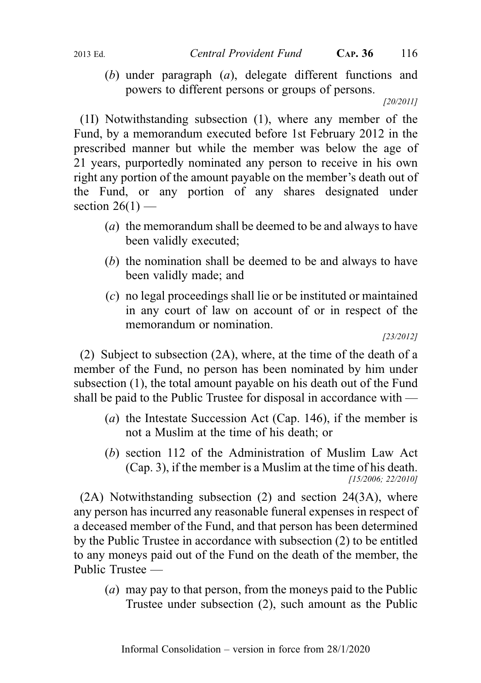- - (b) under paragraph (a), delegate different functions and powers to different persons or groups of persons.

[20/2011]

(1I) Notwithstanding subsection (1), where any member of the Fund, by a memorandum executed before 1st February 2012 in the prescribed manner but while the member was below the age of 21 years, purportedly nominated any person to receive in his own right any portion of the amount payable on the member's death out of the Fund, or any portion of any shares designated under section  $26(1)$  —

- (a) the memorandum shall be deemed to be and always to have been validly executed;
- (b) the nomination shall be deemed to be and always to have been validly made; and
- (c) no legal proceedings shall lie or be instituted or maintained in any court of law on account of or in respect of the memorandum or nomination.

(2) Subject to subsection (2A), where, at the time of the death of a member of the Fund, no person has been nominated by him under subsection (1), the total amount payable on his death out of the Fund shall be paid to the Public Trustee for disposal in accordance with —

- (a) the Intestate Succession Act (Cap. 146), if the member is not a Muslim at the time of his death; or
- (b) section 112 of the Administration of Muslim Law Act (Cap. 3), if the member is a Muslim at the time of his death. [15/2006; 22/2010]

(2A) Notwithstanding subsection (2) and section 24(3A), where any person has incurred any reasonable funeral expenses in respect of a deceased member of the Fund, and that person has been determined by the Public Trustee in accordance with subsection (2) to be entitled to any moneys paid out of the Fund on the death of the member, the Public Trustee —

(a) may pay to that person, from the moneys paid to the Public Trustee under subsection (2), such amount as the Public

<sup>[23/2012]</sup>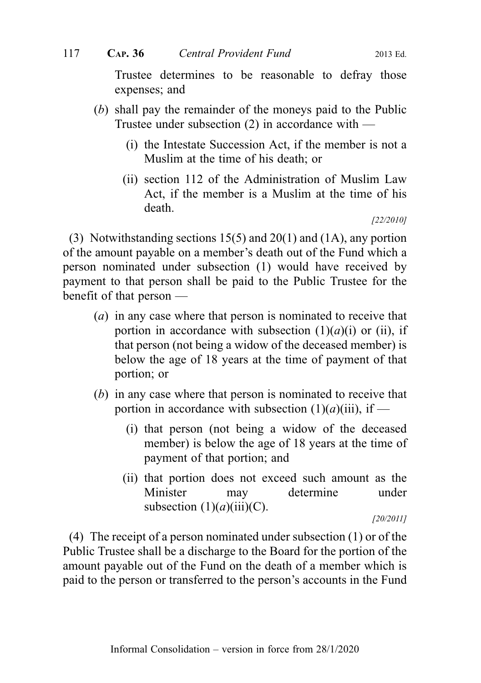Trustee determines to be reasonable to defray those expenses; and

- (b) shall pay the remainder of the moneys paid to the Public Trustee under subsection  $(2)$  in accordance with —
	- (i) the Intestate Succession Act, if the member is not a Muslim at the time of his death; or
	- (ii) section 112 of the Administration of Muslim Law Act, if the member is a Muslim at the time of his death.

[22/2010]

(3) Notwithstanding sections 15(5) and 20(1) and (1A), any portion of the amount payable on a member's death out of the Fund which a person nominated under subsection (1) would have received by payment to that person shall be paid to the Public Trustee for the benefit of that person —

- (a) in any case where that person is nominated to receive that portion in accordance with subsection  $(1)(a)(i)$  or (ii), if that person (not being a widow of the deceased member) is below the age of 18 years at the time of payment of that portion; or
- (b) in any case where that person is nominated to receive that portion in accordance with subsection  $(1)(a)(iii)$ , if —
	- (i) that person (not being a widow of the deceased member) is below the age of 18 years at the time of payment of that portion; and
	- (ii) that portion does not exceed such amount as the Minister may determine under subsection  $(1)(a)(iii)(C)$ .

[20/2011]

(4) The receipt of a person nominated under subsection (1) or of the Public Trustee shall be a discharge to the Board for the portion of the amount payable out of the Fund on the death of a member which is paid to the person or transferred to the person's accounts in the Fund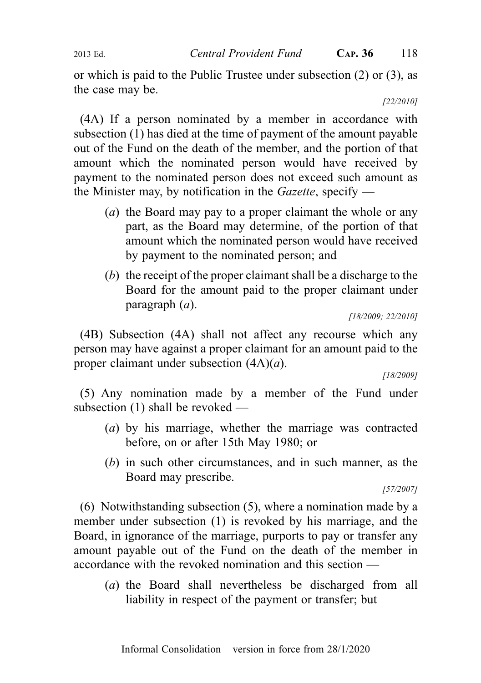or which is paid to the Public Trustee under subsection (2) or (3), as the case may be.

[22/2010]

(4A) If a person nominated by a member in accordance with subsection (1) has died at the time of payment of the amount payable out of the Fund on the death of the member, and the portion of that amount which the nominated person would have received by payment to the nominated person does not exceed such amount as the Minister may, by notification in the  $Gazette$ , specify —

- (a) the Board may pay to a proper claimant the whole or any part, as the Board may determine, of the portion of that amount which the nominated person would have received by payment to the nominated person; and
- (b) the receipt of the proper claimant shall be a discharge to the Board for the amount paid to the proper claimant under paragraph (a).

[18/2009; 22/2010]

(4B) Subsection (4A) shall not affect any recourse which any person may have against a proper claimant for an amount paid to the proper claimant under subsection  $(4A)(a)$ .

[18/2009]

(5) Any nomination made by a member of the Fund under subsection (1) shall be revoked —

- (a) by his marriage, whether the marriage was contracted before, on or after 15th May 1980; or
- (b) in such other circumstances, and in such manner, as the Board may prescribe.

[57/2007]

(6) Notwithstanding subsection (5), where a nomination made by a member under subsection (1) is revoked by his marriage, and the Board, in ignorance of the marriage, purports to pay or transfer any amount payable out of the Fund on the death of the member in accordance with the revoked nomination and this section —

(a) the Board shall nevertheless be discharged from all liability in respect of the payment or transfer; but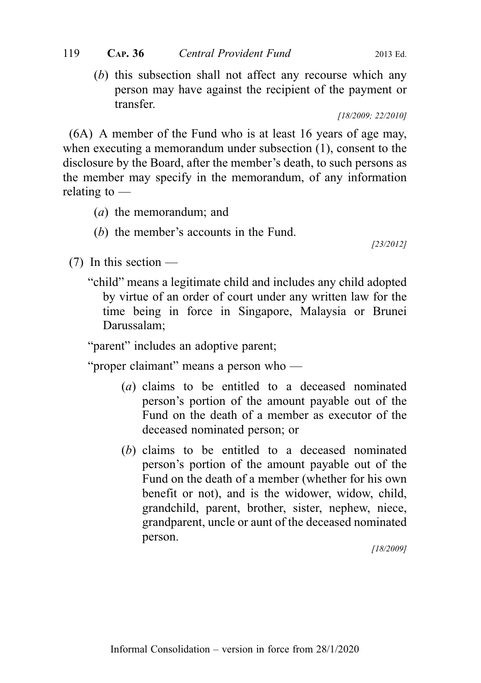(b) this subsection shall not affect any recourse which any person may have against the recipient of the payment or transfer.

[18/2009; 22/2010]

(6A) A member of the Fund who is at least 16 years of age may, when executing a memorandum under subsection (1), consent to the disclosure by the Board, after the member's death, to such persons as the member may specify in the memorandum, of any information relating to —

- (a) the memorandum; and
- (b) the member's accounts in the Fund.

[23/2012]

- (7) In this section
	- "child" means a legitimate child and includes any child adopted by virtue of an order of court under any written law for the time being in force in Singapore, Malaysia or Brunei Darussalam;

"parent" includes an adoptive parent;

"proper claimant" means a person who —

- (a) claims to be entitled to a deceased nominated person's portion of the amount payable out of the Fund on the death of a member as executor of the deceased nominated person; or
- (b) claims to be entitled to a deceased nominated person's portion of the amount payable out of the Fund on the death of a member (whether for his own benefit or not), and is the widower, widow, child, grandchild, parent, brother, sister, nephew, niece, grandparent, uncle or aunt of the deceased nominated person.

[18/2009]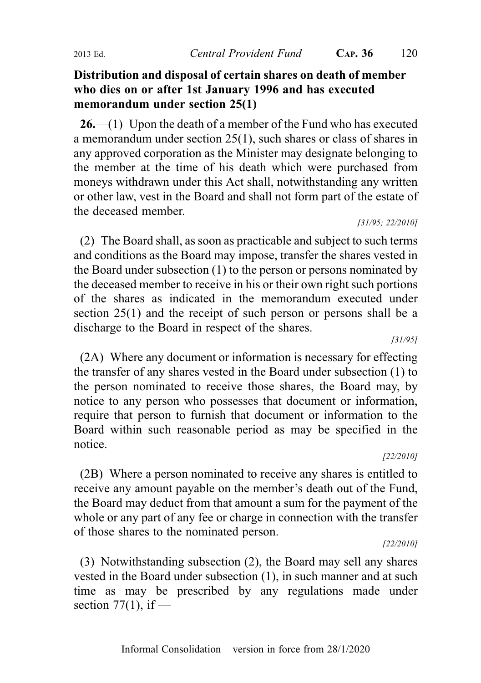## Distribution and disposal of certain shares on death of member who dies on or after 1st January 1996 and has executed memorandum under section 25(1)

 $26$ —(1) Upon the death of a member of the Fund who has executed a memorandum under section 25(1), such shares or class of shares in any approved corporation as the Minister may designate belonging to the member at the time of his death which were purchased from moneys withdrawn under this Act shall, notwithstanding any written or other law, vest in the Board and shall not form part of the estate of the deceased member.

[31/95; 22/2010]

(2) The Board shall, as soon as practicable and subject to such terms and conditions as the Board may impose, transfer the shares vested in the Board under subsection (1) to the person or persons nominated by the deceased member to receive in his or their own right such portions of the shares as indicated in the memorandum executed under section 25(1) and the receipt of such person or persons shall be a discharge to the Board in respect of the shares.

[31/95]

(2A) Where any document or information is necessary for effecting the transfer of any shares vested in the Board under subsection (1) to the person nominated to receive those shares, the Board may, by notice to any person who possesses that document or information, require that person to furnish that document or information to the Board within such reasonable period as may be specified in the notice.

[22/2010]

(2B) Where a person nominated to receive any shares is entitled to receive any amount payable on the member's death out of the Fund, the Board may deduct from that amount a sum for the payment of the whole or any part of any fee or charge in connection with the transfer of those shares to the nominated person.

[22/2010]

(3) Notwithstanding subsection (2), the Board may sell any shares vested in the Board under subsection (1), in such manner and at such time as may be prescribed by any regulations made under section  $77(1)$ , if —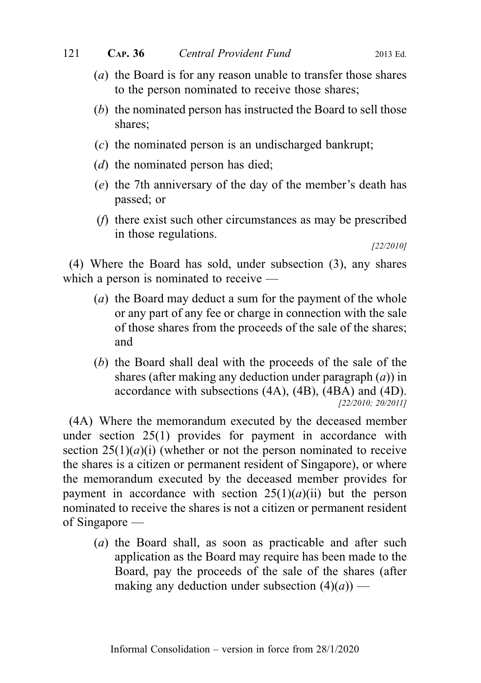- (a) the Board is for any reason unable to transfer those shares to the person nominated to receive those shares;
- (b) the nominated person has instructed the Board to sell those shares;
- (c) the nominated person is an undischarged bankrupt;
- (d) the nominated person has died;
- (e) the 7th anniversary of the day of the member's death has passed; or
- (f) there exist such other circumstances as may be prescribed in those regulations.

[22/2010]

(4) Where the Board has sold, under subsection (3), any shares which a person is nominated to receive —

- (a) the Board may deduct a sum for the payment of the whole or any part of any fee or charge in connection with the sale of those shares from the proceeds of the sale of the shares; and
- (b) the Board shall deal with the proceeds of the sale of the shares (after making any deduction under paragraph  $(a)$ ) in accordance with subsections (4A), (4B), (4BA) and (4D). [22/2010; 20/2011]

(4A) Where the memorandum executed by the deceased member under section 25(1) provides for payment in accordance with section  $25(1)(a)(i)$  (whether or not the person nominated to receive the shares is a citizen or permanent resident of Singapore), or where the memorandum executed by the deceased member provides for payment in accordance with section  $25(1)(a)(ii)$  but the person nominated to receive the shares is not a citizen or permanent resident of Singapore —

(a) the Board shall, as soon as practicable and after such application as the Board may require has been made to the Board, pay the proceeds of the sale of the shares (after making any deduction under subsection  $(4)(a)$  —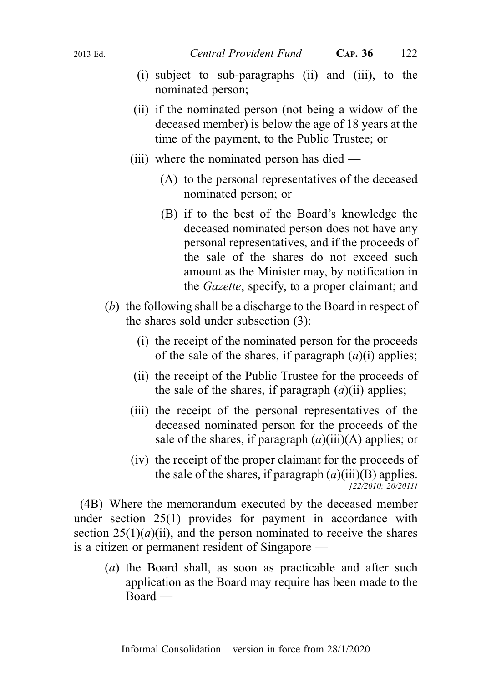- (i) subject to sub-paragraphs (ii) and (iii), to the nominated person;
- (ii) if the nominated person (not being a widow of the deceased member) is below the age of 18 years at the time of the payment, to the Public Trustee; or
- (iii) where the nominated person has died
	- (A) to the personal representatives of the deceased nominated person; or
	- (B) if to the best of the Board's knowledge the deceased nominated person does not have any personal representatives, and if the proceeds of the sale of the shares do not exceed such amount as the Minister may, by notification in the Gazette, specify, to a proper claimant; and
- (b) the following shall be a discharge to the Board in respect of the shares sold under subsection (3):
	- (i) the receipt of the nominated person for the proceeds of the sale of the shares, if paragraph  $(a)(i)$  applies;
	- (ii) the receipt of the Public Trustee for the proceeds of the sale of the shares, if paragraph  $(a)$ (ii) applies;
	- (iii) the receipt of the personal representatives of the deceased nominated person for the proceeds of the sale of the shares, if paragraph  $(a)$ (iii)(A) applies; or
	- (iv) the receipt of the proper claimant for the proceeds of the sale of the shares, if paragraph  $(a)(iii)(B)$  applies. [22/2010; 20/2011]

(4B) Where the memorandum executed by the deceased member under section 25(1) provides for payment in accordance with section  $25(1)(a)(ii)$ , and the person nominated to receive the shares is a citizen or permanent resident of Singapore —

(a) the Board shall, as soon as practicable and after such application as the Board may require has been made to the Board —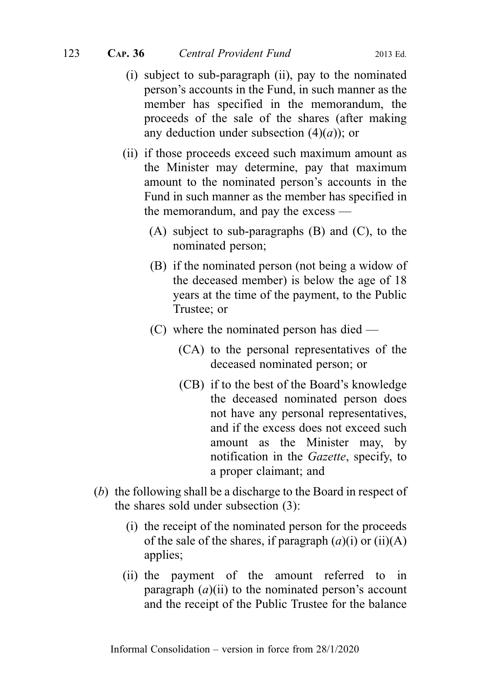- (i) subject to sub-paragraph (ii), pay to the nominated person's accounts in the Fund, in such manner as the member has specified in the memorandum, the proceeds of the sale of the shares (after making any deduction under subsection  $(4)(a)$ ; or
- (ii) if those proceeds exceed such maximum amount as the Minister may determine, pay that maximum amount to the nominated person's accounts in the Fund in such manner as the member has specified in the memorandum, and pay the excess —
	- (A) subject to sub-paragraphs (B) and (C), to the nominated person;
	- (B) if the nominated person (not being a widow of the deceased member) is below the age of 18 years at the time of the payment, to the Public Trustee; or
	- (C) where the nominated person has died
		- (CA) to the personal representatives of the deceased nominated person; or
		- (CB) if to the best of the Board's knowledge the deceased nominated person does not have any personal representatives, and if the excess does not exceed such amount as the Minister may, by notification in the Gazette, specify, to a proper claimant; and
- (b) the following shall be a discharge to the Board in respect of the shares sold under subsection (3):
	- (i) the receipt of the nominated person for the proceeds of the sale of the shares, if paragraph  $(a)(i)$  or  $(ii)(A)$ applies;
	- (ii) the payment of the amount referred to in paragraph  $(a)(ii)$  to the nominated person's account and the receipt of the Public Trustee for the balance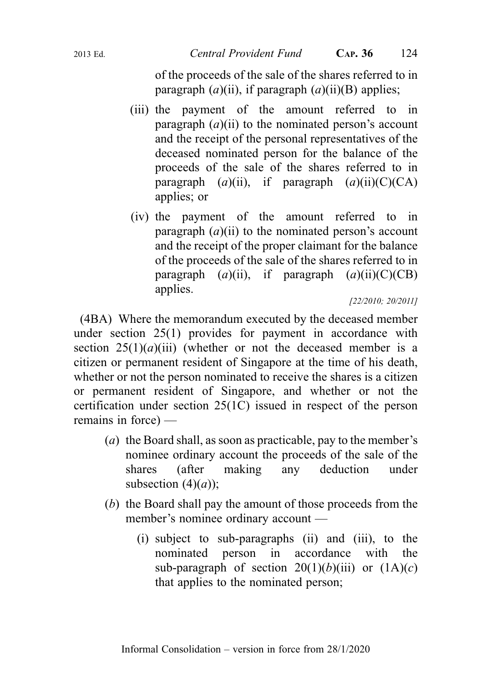of the proceeds of the sale of the shares referred to in paragraph  $(a)$ (ii), if paragraph  $(a)$ (ii)(B) applies;

- (iii) the payment of the amount referred to in paragraph  $(a)(ii)$  to the nominated person's account and the receipt of the personal representatives of the deceased nominated person for the balance of the proceeds of the sale of the shares referred to in paragraph  $(a)(ii)$ , if paragraph  $(a)(ii)(C)(CA)$ applies; or
- (iv) the payment of the amount referred to in paragraph  $(a)$ (ii) to the nominated person's account and the receipt of the proper claimant for the balance of the proceeds of the sale of the shares referred to in paragraph  $(a)(ii)$ , if paragraph  $(a)(ii)(C)(CB)$ applies.

[22/2010; 20/2011]

(4BA) Where the memorandum executed by the deceased member under section 25(1) provides for payment in accordance with section  $25(1)(a)(iii)$  (whether or not the deceased member is a citizen or permanent resident of Singapore at the time of his death, whether or not the person nominated to receive the shares is a citizen or permanent resident of Singapore, and whether or not the certification under section 25(1C) issued in respect of the person remains in force) —

- (a) the Board shall, as soon as practicable, pay to the member's nominee ordinary account the proceeds of the sale of the shares (after making any deduction under subsection  $(4)(a)$ ;
- (b) the Board shall pay the amount of those proceeds from the member's nominee ordinary account —
	- (i) subject to sub-paragraphs (ii) and (iii), to the nominated person in accordance with the sub-paragraph of section  $20(1)(b)(iii)$  or  $(1A)(c)$ that applies to the nominated person;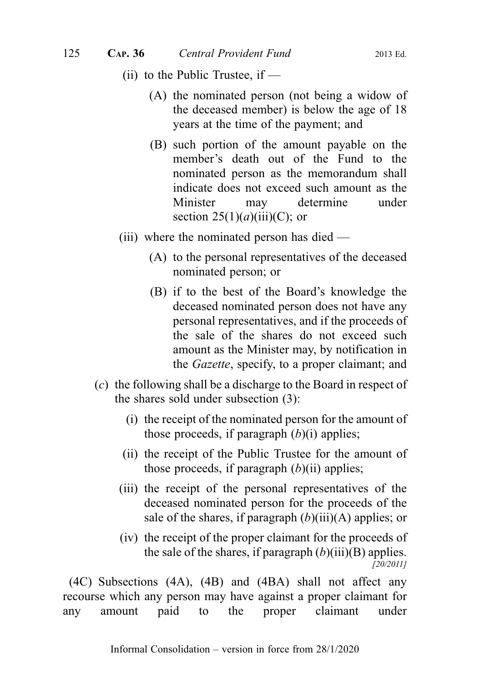- (ii) to the Public Trustee, if  $-$ 
	- (A) the nominated person (not being a widow of the deceased member) is below the age of 18 years at the time of the payment; and
	- (B) such portion of the amount payable on the member's death out of the Fund to the nominated person as the memorandum shall indicate does not exceed such amount as the Minister may determine under section  $25(1)(a)(iii)(C)$ ; or
- (iii) where the nominated person has died
	- (A) to the personal representatives of the deceased nominated person; or
	- (B) if to the best of the Board's knowledge the deceased nominated person does not have any personal representatives, and if the proceeds of the sale of the shares do not exceed such amount as the Minister may, by notification in the Gazette, specify, to a proper claimant; and
- (c) the following shall be a discharge to the Board in respect of the shares sold under subsection (3):
	- (i) the receipt of the nominated person for the amount of those proceeds, if paragraph  $(b)(i)$  applies;
	- (ii) the receipt of the Public Trustee for the amount of those proceeds, if paragraph  $(b)(ii)$  applies;
	- (iii) the receipt of the personal representatives of the deceased nominated person for the proceeds of the sale of the shares, if paragraph  $(b)(iii)(A)$  applies; or
	- (iv) the receipt of the proper claimant for the proceeds of the sale of the shares, if paragraph  $(b)(iii)(B)$  applies. [20/2011]

(4C) Subsections (4A), (4B) and (4BA) shall not affect any recourse which any person may have against a proper claimant for any amount paid to the proper claimant under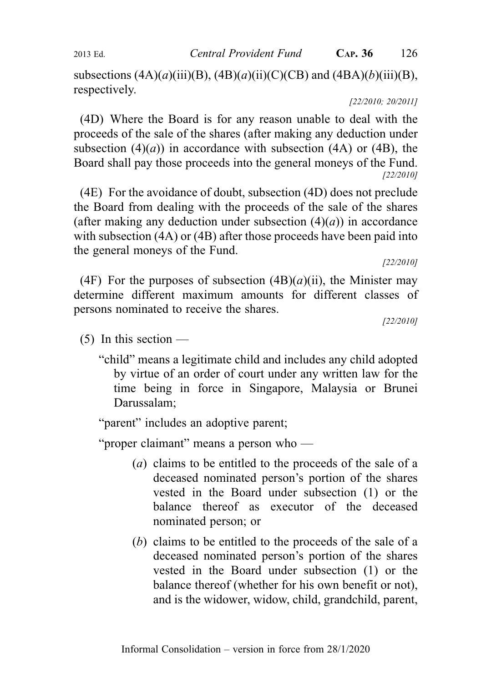subsections  $(4A)(a)(iii)(B)$ ,  $(4B)(a)(ii)(C)(CB)$  and  $(4BA)(b)(iii)(B)$ , respectively.

[22/2010; 20/2011]

(4D) Where the Board is for any reason unable to deal with the proceeds of the sale of the shares (after making any deduction under subsection  $(4)(a)$  in accordance with subsection  $(4A)$  or  $(4B)$ , the Board shall pay those proceeds into the general moneys of the Fund. [22/2010]

(4E) For the avoidance of doubt, subsection (4D) does not preclude the Board from dealing with the proceeds of the sale of the shares (after making any deduction under subsection  $(4)(a)$ ) in accordance with subsection (4A) or (4B) after those proceeds have been paid into the general moneys of the Fund.

[22/2010]

(4F) For the purposes of subsection  $(4B)(a)(ii)$ , the Minister may determine different maximum amounts for different classes of persons nominated to receive the shares.

[22/2010]

- $(5)$  In this section
	- "child" means a legitimate child and includes any child adopted by virtue of an order of court under any written law for the time being in force in Singapore, Malaysia or Brunei Darussalam;

"parent" includes an adoptive parent;

"proper claimant" means a person who —

- (a) claims to be entitled to the proceeds of the sale of a deceased nominated person's portion of the shares vested in the Board under subsection (1) or the balance thereof as executor of the deceased nominated person; or
- (b) claims to be entitled to the proceeds of the sale of a deceased nominated person's portion of the shares vested in the Board under subsection (1) or the balance thereof (whether for his own benefit or not), and is the widower, widow, child, grandchild, parent,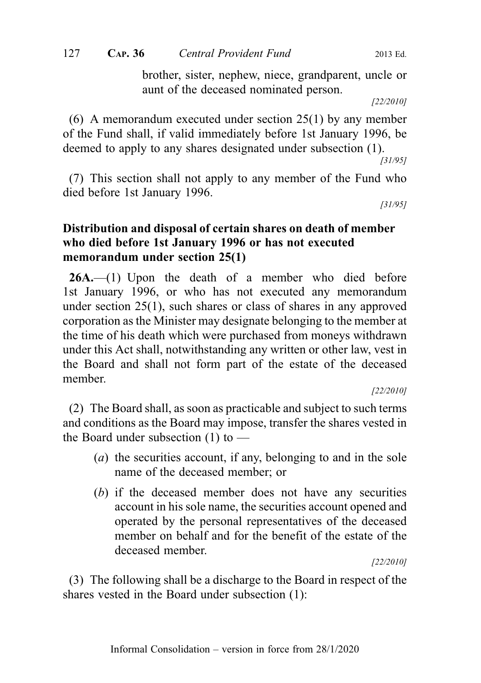brother, sister, nephew, niece, grandparent, uncle or aunt of the deceased nominated person.

[22/2010]

(6) A memorandum executed under section 25(1) by any member of the Fund shall, if valid immediately before 1st January 1996, be deemed to apply to any shares designated under subsection (1).

[31/95]

(7) This section shall not apply to any member of the Fund who died before 1st January 1996.

[31/95]

## Distribution and disposal of certain shares on death of member who died before 1st January 1996 or has not executed memorandum under section 25(1)

26A.—(1) Upon the death of a member who died before 1st January 1996, or who has not executed any memorandum under section 25(1), such shares or class of shares in any approved corporation as the Minister may designate belonging to the member at the time of his death which were purchased from moneys withdrawn under this Act shall, notwithstanding any written or other law, vest in the Board and shall not form part of the estate of the deceased member.

[22/2010]

(2) The Board shall, as soon as practicable and subject to such terms and conditions as the Board may impose, transfer the shares vested in the Board under subsection  $(1)$  to —

- (a) the securities account, if any, belonging to and in the sole name of the deceased member; or
- (b) if the deceased member does not have any securities account in his sole name, the securities account opened and operated by the personal representatives of the deceased member on behalf and for the benefit of the estate of the deceased member.

[22/2010]

(3) The following shall be a discharge to the Board in respect of the shares vested in the Board under subsection (1):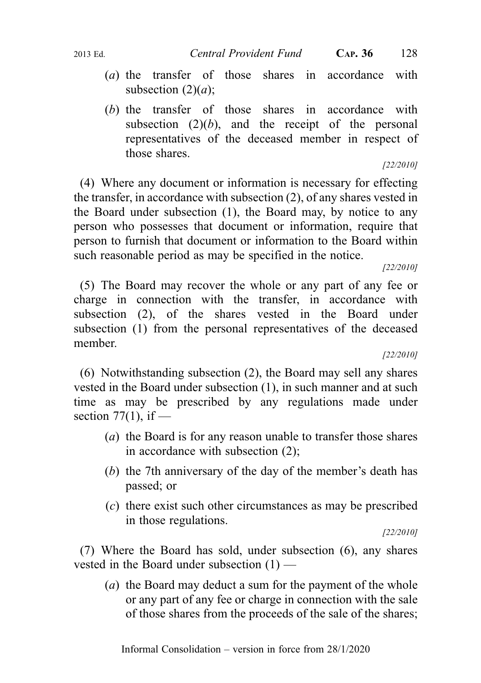- (a) the transfer of those shares in accordance with subsection  $(2)(a)$ ;
- (b) the transfer of those shares in accordance with subsection  $(2)(b)$ , and the receipt of the personal representatives of the deceased member in respect of those shares.

### [22/2010]

(4) Where any document or information is necessary for effecting the transfer, in accordance with subsection (2), of any shares vested in the Board under subsection (1), the Board may, by notice to any person who possesses that document or information, require that person to furnish that document or information to the Board within such reasonable period as may be specified in the notice.

[22/2010]

(5) The Board may recover the whole or any part of any fee or charge in connection with the transfer, in accordance with subsection (2), of the shares vested in the Board under subsection (1) from the personal representatives of the deceased member.

#### [22/2010]

(6) Notwithstanding subsection (2), the Board may sell any shares vested in the Board under subsection (1), in such manner and at such time as may be prescribed by any regulations made under section  $77(1)$ , if —

- (a) the Board is for any reason unable to transfer those shares in accordance with subsection (2);
- (b) the 7th anniversary of the day of the member's death has passed; or
- (c) there exist such other circumstances as may be prescribed in those regulations.

[22/2010]

(7) Where the Board has sold, under subsection (6), any shares vested in the Board under subsection (1) —

(a) the Board may deduct a sum for the payment of the whole or any part of any fee or charge in connection with the sale of those shares from the proceeds of the sale of the shares;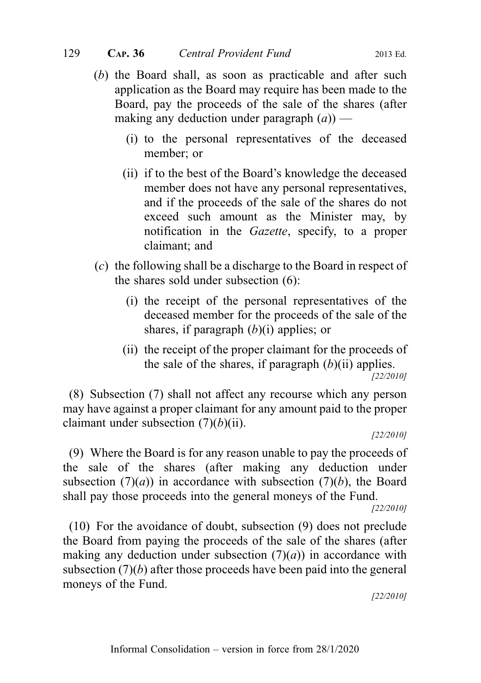- (b) the Board shall, as soon as practicable and after such application as the Board may require has been made to the Board, pay the proceeds of the sale of the shares (after making any deduction under paragraph  $(a)$ ) —
	- (i) to the personal representatives of the deceased member; or
	- (ii) if to the best of the Board's knowledge the deceased member does not have any personal representatives, and if the proceeds of the sale of the shares do not exceed such amount as the Minister may, by notification in the *Gazette*, specify, to a proper claimant; and
- (c) the following shall be a discharge to the Board in respect of the shares sold under subsection (6):
	- (i) the receipt of the personal representatives of the deceased member for the proceeds of the sale of the shares, if paragraph  $(b)(i)$  applies; or
	- (ii) the receipt of the proper claimant for the proceeds of the sale of the shares, if paragraph  $(b)$ (ii) applies. [22/2010]

(8) Subsection (7) shall not affect any recourse which any person may have against a proper claimant for any amount paid to the proper claimant under subsection  $(7)(b)(ii)$ .

[22/2010]

(9) Where the Board is for any reason unable to pay the proceeds of the sale of the shares (after making any deduction under subsection  $(7)(a)$  in accordance with subsection  $(7)(b)$ , the Board shall pay those proceeds into the general moneys of the Fund.

[22/2010]

(10) For the avoidance of doubt, subsection (9) does not preclude the Board from paying the proceeds of the sale of the shares (after making any deduction under subsection  $(7)(a)$  in accordance with subsection  $(7)(b)$  after those proceeds have been paid into the general moneys of the Fund.

[22/2010]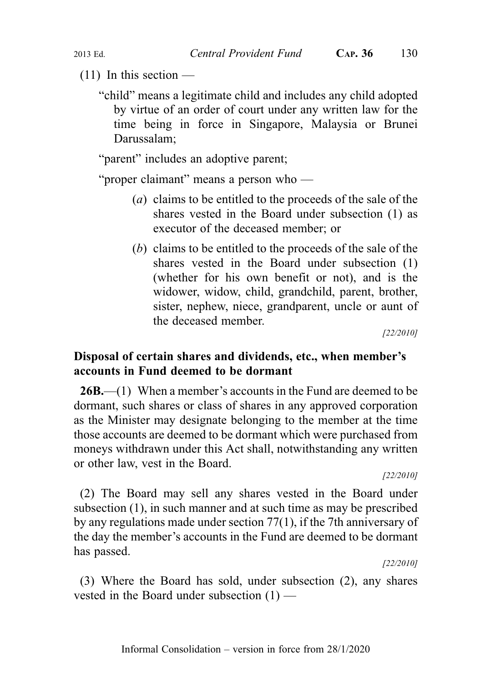$(11)$  In this section —

"child" means a legitimate child and includes any child adopted by virtue of an order of court under any written law for the time being in force in Singapore, Malaysia or Brunei Darussalam;

"parent" includes an adoptive parent;

"proper claimant" means a person who —

- (a) claims to be entitled to the proceeds of the sale of the shares vested in the Board under subsection (1) as executor of the deceased member; or
- (b) claims to be entitled to the proceeds of the sale of the shares vested in the Board under subsection (1) (whether for his own benefit or not), and is the widower, widow, child, grandchild, parent, brother, sister, nephew, niece, grandparent, uncle or aunt of the deceased member.

[22/2010]

## Disposal of certain shares and dividends, etc., when member's accounts in Fund deemed to be dormant

26B.—(1) When a member's accounts in the Fund are deemed to be dormant, such shares or class of shares in any approved corporation as the Minister may designate belonging to the member at the time those accounts are deemed to be dormant which were purchased from moneys withdrawn under this Act shall, notwithstanding any written or other law, vest in the Board.

[22/2010]

(2) The Board may sell any shares vested in the Board under subsection (1), in such manner and at such time as may be prescribed by any regulations made under section 77(1), if the 7th anniversary of the day the member's accounts in the Fund are deemed to be dormant has passed.

[22/2010]

(3) Where the Board has sold, under subsection (2), any shares vested in the Board under subsection (1) —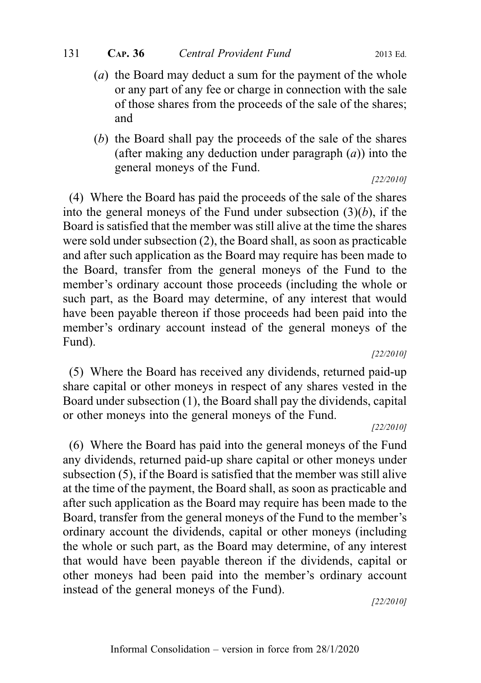- (a) the Board may deduct a sum for the payment of the whole or any part of any fee or charge in connection with the sale of those shares from the proceeds of the sale of the shares; and
- (b) the Board shall pay the proceeds of the sale of the shares (after making any deduction under paragraph  $(a)$ ) into the general moneys of the Fund. [22/2010]

(4) Where the Board has paid the proceeds of the sale of the shares into the general moneys of the Fund under subsection  $(3)(b)$ , if the Board is satisfied that the member was still alive at the time the shares were sold under subsection (2), the Board shall, as soon as practicable and after such application as the Board may require has been made to the Board, transfer from the general moneys of the Fund to the member's ordinary account those proceeds (including the whole or such part, as the Board may determine, of any interest that would have been payable thereon if those proceeds had been paid into the member's ordinary account instead of the general moneys of the Fund).

[22/2010]

(5) Where the Board has received any dividends, returned paid-up share capital or other moneys in respect of any shares vested in the Board under subsection (1), the Board shall pay the dividends, capital or other moneys into the general moneys of the Fund.

#### [22/2010]

(6) Where the Board has paid into the general moneys of the Fund any dividends, returned paid-up share capital or other moneys under subsection (5), if the Board is satisfied that the member was still alive at the time of the payment, the Board shall, as soon as practicable and after such application as the Board may require has been made to the Board, transfer from the general moneys of the Fund to the member's ordinary account the dividends, capital or other moneys (including the whole or such part, as the Board may determine, of any interest that would have been payable thereon if the dividends, capital or other moneys had been paid into the member's ordinary account instead of the general moneys of the Fund).

[22/2010]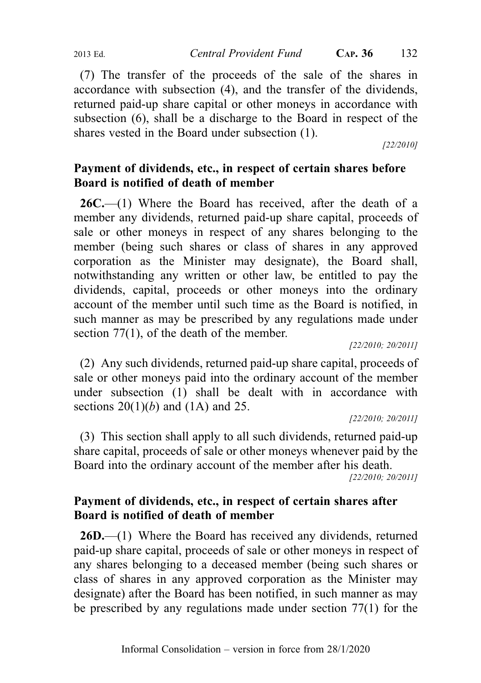(7) The transfer of the proceeds of the sale of the shares in accordance with subsection (4), and the transfer of the dividends, returned paid-up share capital or other moneys in accordance with subsection (6), shall be a discharge to the Board in respect of the shares vested in the Board under subsection (1).

[22/2010]

# Payment of dividends, etc., in respect of certain shares before Board is notified of death of member

 $26C$ .—(1) Where the Board has received, after the death of a member any dividends, returned paid-up share capital, proceeds of sale or other moneys in respect of any shares belonging to the member (being such shares or class of shares in any approved corporation as the Minister may designate), the Board shall, notwithstanding any written or other law, be entitled to pay the dividends, capital, proceeds or other moneys into the ordinary account of the member until such time as the Board is notified, in such manner as may be prescribed by any regulations made under section 77(1), of the death of the member.

[22/2010; 20/2011]

(2) Any such dividends, returned paid-up share capital, proceeds of sale or other moneys paid into the ordinary account of the member under subsection (1) shall be dealt with in accordance with sections  $20(1)(b)$  and  $(1A)$  and  $25$ .

[22/2010; 20/2011]

(3) This section shall apply to all such dividends, returned paid-up share capital, proceeds of sale or other moneys whenever paid by the Board into the ordinary account of the member after his death.

[22/2010; 20/2011]

## Payment of dividends, etc., in respect of certain shares after Board is notified of death of member

**26D.**—(1) Where the Board has received any dividends, returned paid-up share capital, proceeds of sale or other moneys in respect of any shares belonging to a deceased member (being such shares or class of shares in any approved corporation as the Minister may designate) after the Board has been notified, in such manner as may be prescribed by any regulations made under section 77(1) for the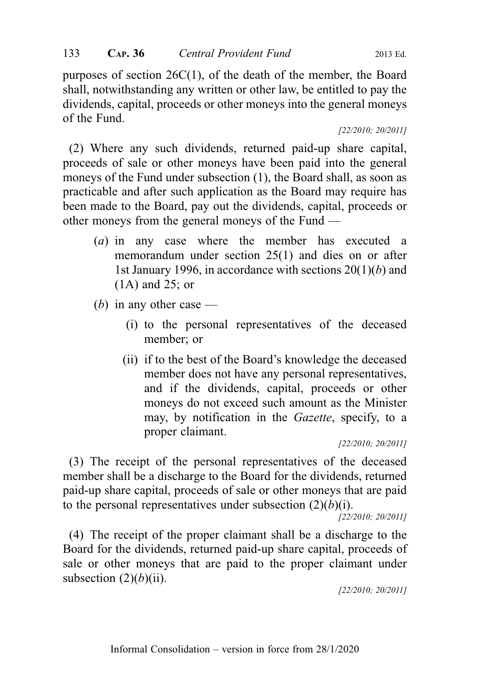purposes of section 26C(1), of the death of the member, the Board shall, notwithstanding any written or other law, be entitled to pay the dividends, capital, proceeds or other moneys into the general moneys of the Fund.

[22/2010; 20/2011]

(2) Where any such dividends, returned paid-up share capital, proceeds of sale or other moneys have been paid into the general moneys of the Fund under subsection (1), the Board shall, as soon as practicable and after such application as the Board may require has been made to the Board, pay out the dividends, capital, proceeds or other moneys from the general moneys of the Fund —

- (a) in any case where the member has executed a memorandum under section 25(1) and dies on or after 1st January 1996, in accordance with sections  $20(1)(b)$  and (1A) and 25; or
- (b) in any other case  $-$ 
	- (i) to the personal representatives of the deceased member; or
	- (ii) if to the best of the Board's knowledge the deceased member does not have any personal representatives, and if the dividends, capital, proceeds or other moneys do not exceed such amount as the Minister may, by notification in the *Gazette*, specify, to a proper claimant.

[22/2010; 20/2011]

(3) The receipt of the personal representatives of the deceased member shall be a discharge to the Board for the dividends, returned paid-up share capital, proceeds of sale or other moneys that are paid to the personal representatives under subsection  $(2)(b)(i)$ .

[22/2010; 20/2011]

(4) The receipt of the proper claimant shall be a discharge to the Board for the dividends, returned paid-up share capital, proceeds of sale or other moneys that are paid to the proper claimant under subsection  $(2)(b)(ii)$ .

[22/2010; 20/2011]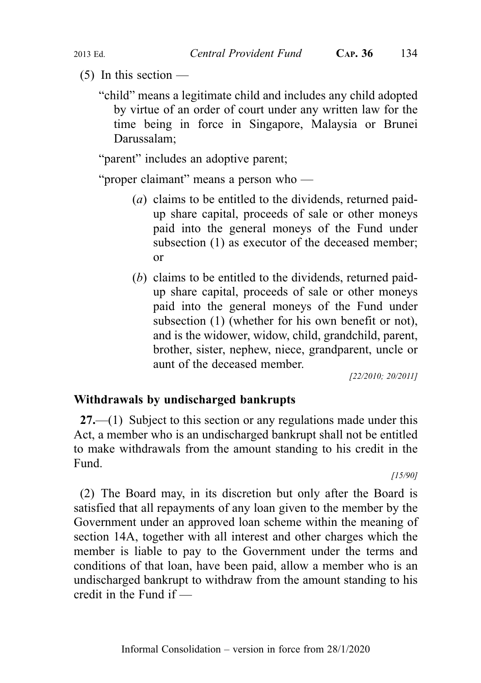- $(5)$  In this section
	- "child" means a legitimate child and includes any child adopted by virtue of an order of court under any written law for the time being in force in Singapore, Malaysia or Brunei Darussalam;

"parent" includes an adoptive parent;

"proper claimant" means a person who —

- (a) claims to be entitled to the dividends, returned paidup share capital, proceeds of sale or other moneys paid into the general moneys of the Fund under subsection (1) as executor of the deceased member; or
- (b) claims to be entitled to the dividends, returned paidup share capital, proceeds of sale or other moneys paid into the general moneys of the Fund under subsection (1) (whether for his own benefit or not), and is the widower, widow, child, grandchild, parent, brother, sister, nephew, niece, grandparent, uncle or aunt of the deceased member.

[22/2010; 20/2011]

## Withdrawals by undischarged bankrupts

27.—(1) Subject to this section or any regulations made under this Act, a member who is an undischarged bankrupt shall not be entitled to make withdrawals from the amount standing to his credit in the Fund.

[15/90]

(2) The Board may, in its discretion but only after the Board is satisfied that all repayments of any loan given to the member by the Government under an approved loan scheme within the meaning of section 14A, together with all interest and other charges which the member is liable to pay to the Government under the terms and conditions of that loan, have been paid, allow a member who is an undischarged bankrupt to withdraw from the amount standing to his credit in the Fund if —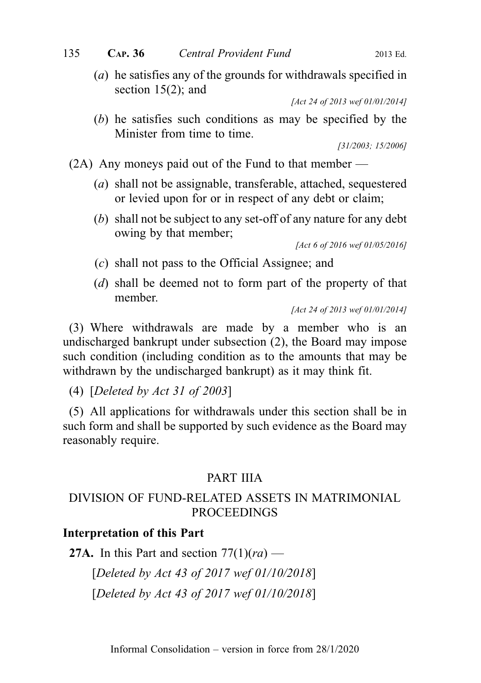(a) he satisfies any of the grounds for withdrawals specified in section 15(2); and

[Act 24 of 2013 wef 01/01/2014]

(b) he satisfies such conditions as may be specified by the Minister from time to time.

[31/2003; 15/2006]

(2A) Any moneys paid out of the Fund to that member —

- (a) shall not be assignable, transferable, attached, sequestered or levied upon for or in respect of any debt or claim;
- (b) shall not be subject to any set-off of any nature for any debt owing by that member;

[Act 6 of 2016 wef 01/05/2016]

- (c) shall not pass to the Official Assignee; and
- (d) shall be deemed not to form part of the property of that member.

(3) Where withdrawals are made by a member who is an undischarged bankrupt under subsection (2), the Board may impose such condition (including condition as to the amounts that may be withdrawn by the undischarged bankrupt) as it may think fit.

(4) [Deleted by Act 31 of 2003]

(5) All applications for withdrawals under this section shall be in such form and shall be supported by such evidence as the Board may reasonably require.

## PART IIIA

## DIVISION OF FUND-RELATED ASSETS IN MATRIMONIAL PROCEEDINGS

### Interpretation of this Part

**27A.** In this Part and section  $77(1)(ra)$  —

[Deleted by Act 43 of 2017 wef 01/10/2018]

[Deleted by Act 43 of 2017 wef 01/10/2018]

<sup>[</sup>Act 24 of 2013 wef 01/01/2014]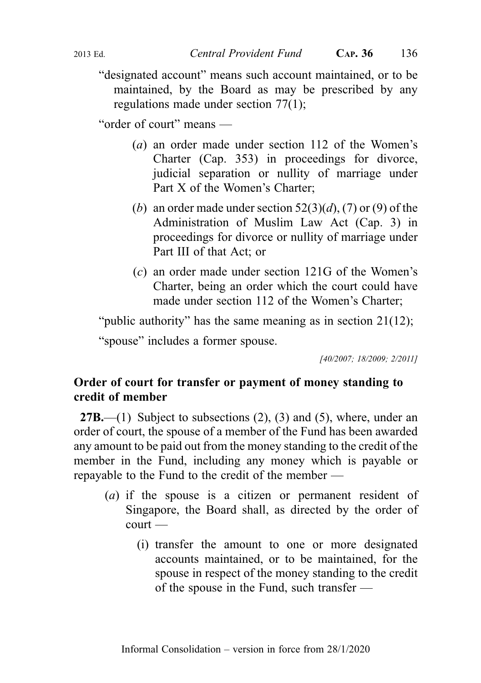"designated account" means such account maintained, or to be maintained, by the Board as may be prescribed by any regulations made under section 77(1);

"order of court" means —

- (a) an order made under section 112 of the Women's Charter (Cap. 353) in proceedings for divorce, judicial separation or nullity of marriage under Part X of the Women's Charter;
- (b) an order made under section  $52(3)(d)$ , (7) or (9) of the Administration of Muslim Law Act (Cap. 3) in proceedings for divorce or nullity of marriage under Part III of that Act; or
- (c) an order made under section 121G of the Women's Charter, being an order which the court could have made under section 112 of the Women's Charter;

"public authority" has the same meaning as in section 21(12);

"spouse" includes a former spouse.

[40/2007; 18/2009; 2/2011]

### Order of court for transfer or payment of money standing to credit of member

**27B.**—(1) Subject to subsections  $(2)$ ,  $(3)$  and  $(5)$ , where, under an order of court, the spouse of a member of the Fund has been awarded any amount to be paid out from the money standing to the credit of the member in the Fund, including any money which is payable or repayable to the Fund to the credit of the member —

- (a) if the spouse is a citizen or permanent resident of Singapore, the Board shall, as directed by the order of court —
	- (i) transfer the amount to one or more designated accounts maintained, or to be maintained, for the spouse in respect of the money standing to the credit of the spouse in the Fund, such transfer —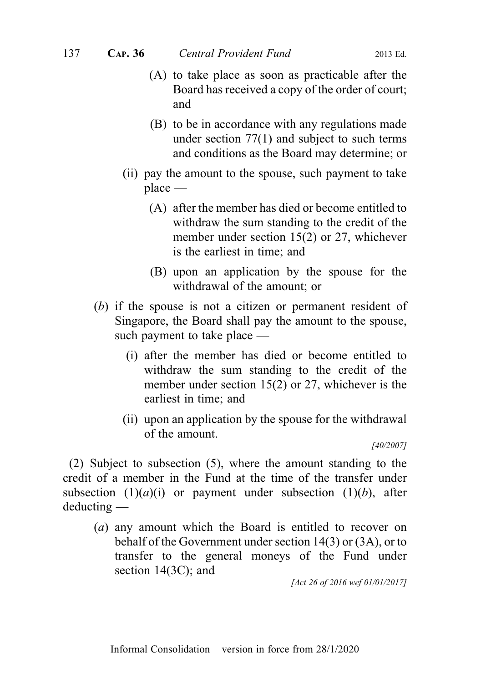- (A) to take place as soon as practicable after the Board has received a copy of the order of court; and
- (B) to be in accordance with any regulations made under section  $77(1)$  and subject to such terms and conditions as the Board may determine; or
- (ii) pay the amount to the spouse, such payment to take place —
	- (A) after the member has died or become entitled to withdraw the sum standing to the credit of the member under section 15(2) or 27, whichever is the earliest in time; and
	- (B) upon an application by the spouse for the withdrawal of the amount; or
- (b) if the spouse is not a citizen or permanent resident of Singapore, the Board shall pay the amount to the spouse, such payment to take place —
	- (i) after the member has died or become entitled to withdraw the sum standing to the credit of the member under section 15(2) or 27, whichever is the earliest in time; and
	- (ii) upon an application by the spouse for the withdrawal of the amount.

[40/2007]

(2) Subject to subsection (5), where the amount standing to the credit of a member in the Fund at the time of the transfer under subsection  $(1)(a)(i)$  or payment under subsection  $(1)(b)$ , after deducting —

(a) any amount which the Board is entitled to recover on behalf of the Government under section 14(3) or (3A), or to transfer to the general moneys of the Fund under section 14(3C); and

[Act 26 of 2016 wef 01/01/2017]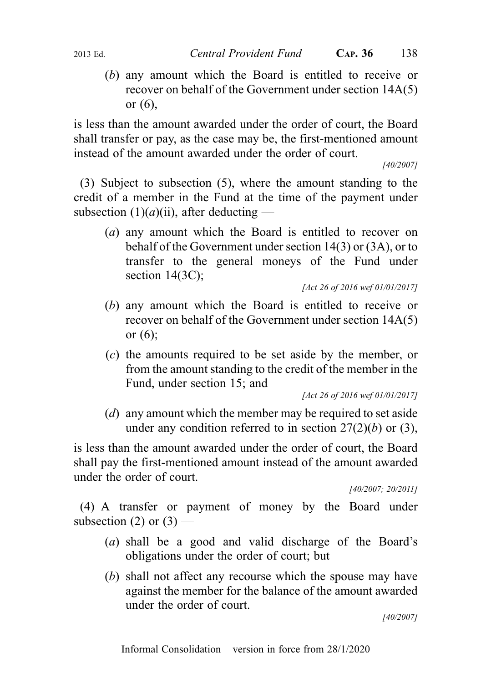(b) any amount which the Board is entitled to receive or recover on behalf of the Government under section 14A(5) or  $(6)$ ,

is less than the amount awarded under the order of court, the Board shall transfer or pay, as the case may be, the first-mentioned amount instead of the amount awarded under the order of court.

[40/2007]

(3) Subject to subsection (5), where the amount standing to the credit of a member in the Fund at the time of the payment under subsection  $(1)(a)(ii)$ , after deducting —

(a) any amount which the Board is entitled to recover on behalf of the Government under section 14(3) or (3A), or to transfer to the general moneys of the Fund under section 14(3C);

[Act 26 of 2016 wef 01/01/2017]

- (b) any amount which the Board is entitled to receive or recover on behalf of the Government under section 14A(5) or (6);
- (c) the amounts required to be set aside by the member, or from the amount standing to the credit of the member in the Fund, under section 15; and

[Act 26 of 2016 wef 01/01/2017]

(*d*) any amount which the member may be required to set aside under any condition referred to in section  $27(2)(b)$  or (3),

is less than the amount awarded under the order of court, the Board shall pay the first-mentioned amount instead of the amount awarded under the order of court.

[40/2007; 20/2011]

(4) A transfer or payment of money by the Board under subsection (2) or  $(3)$  —

- (a) shall be a good and valid discharge of the Board's obligations under the order of court; but
- (b) shall not affect any recourse which the spouse may have against the member for the balance of the amount awarded under the order of court.

[40/2007]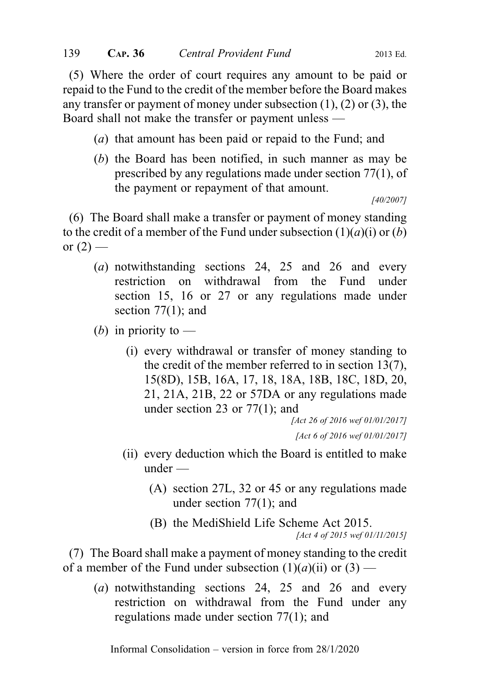(5) Where the order of court requires any amount to be paid or repaid to the Fund to the credit of the member before the Board makes any transfer or payment of money under subsection  $(1)$ ,  $(2)$  or  $(3)$ , the Board shall not make the transfer or payment unless —

- (a) that amount has been paid or repaid to the Fund; and
- (b) the Board has been notified, in such manner as may be prescribed by any regulations made under section 77(1), of the payment or repayment of that amount.

[40/2007]

(6) The Board shall make a transfer or payment of money standing to the credit of a member of the Fund under subsection  $(1)(a)(i)$  or  $(b)$ or  $(2)$  —

- (a) notwithstanding sections 24, 25 and 26 and every restriction on withdrawal from the Fund under section 15, 16 or 27 or any regulations made under section  $77(1)$ ; and
- (*b*) in priority to
	- (i) every withdrawal or transfer of money standing to the credit of the member referred to in section 13(7), 15(8D), 15B, 16A, 17, 18, 18A, 18B, 18C, 18D, 20, 21, 21A, 21B, 22 or 57DA or any regulations made under section 23 or 77(1); and

[Act 26 of 2016 wef 01/01/2017] [Act 6 of 2016 wef 01/01/2017]

- (ii) every deduction which the Board is entitled to make under —
	- (A) section 27L, 32 or 45 or any regulations made under section 77(1); and
	- (B) the MediShield Life Scheme Act 2015.

[Act 4 of 2015 wef 01/11/2015]

(7) The Board shall make a payment of money standing to the credit of a member of the Fund under subsection  $(1)(a)(ii)$  or  $(3)$  —

(a) notwithstanding sections 24, 25 and 26 and every restriction on withdrawal from the Fund under any regulations made under section 77(1); and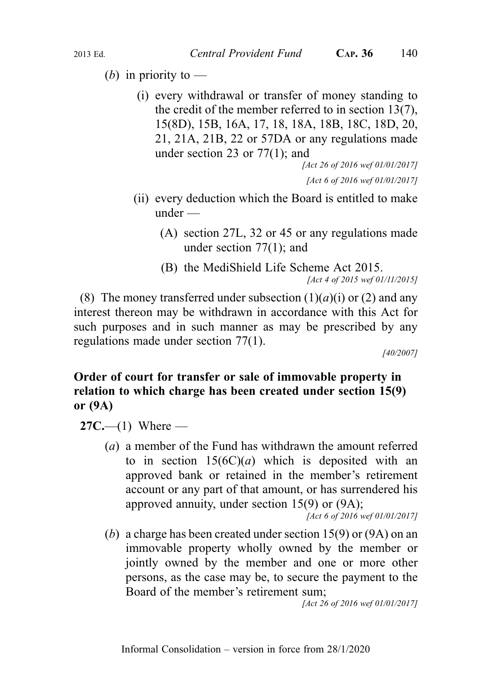- (*b*) in priority to
	- (i) every withdrawal or transfer of money standing to the credit of the member referred to in section 13(7), 15(8D), 15B, 16A, 17, 18, 18A, 18B, 18C, 18D, 20, 21, 21A, 21B, 22 or 57DA or any regulations made under section 23 or 77(1); and

[Act 26 of 2016 wef 01/01/2017] [Act 6 of 2016 wef 01/01/2017]

- (ii) every deduction which the Board is entitled to make under —
	- (A) section 27L, 32 or 45 or any regulations made under section 77(1); and
	- (B) the MediShield Life Scheme Act 2015. [Act 4 of 2015 wef 01/11/2015]

(8) The money transferred under subsection  $(1)(a)(i)$  or  $(2)$  and any interest thereon may be withdrawn in accordance with this Act for such purposes and in such manner as may be prescribed by any regulations made under section 77(1).

[40/2007]

## Order of court for transfer or sale of immovable property in relation to which charge has been created under section 15(9) or (9A)

 $27C$ —(1) Where —

(a) a member of the Fund has withdrawn the amount referred to in section  $15(6C)(a)$  which is deposited with an approved bank or retained in the member's retirement account or any part of that amount, or has surrendered his approved annuity, under section 15(9) or (9A);

[Act 6 of 2016 wef 01/01/2017]

(b) a charge has been created under section 15(9) or (9A) on an immovable property wholly owned by the member or jointly owned by the member and one or more other persons, as the case may be, to secure the payment to the Board of the member's retirement sum;

[Act 26 of 2016 wef 01/01/2017]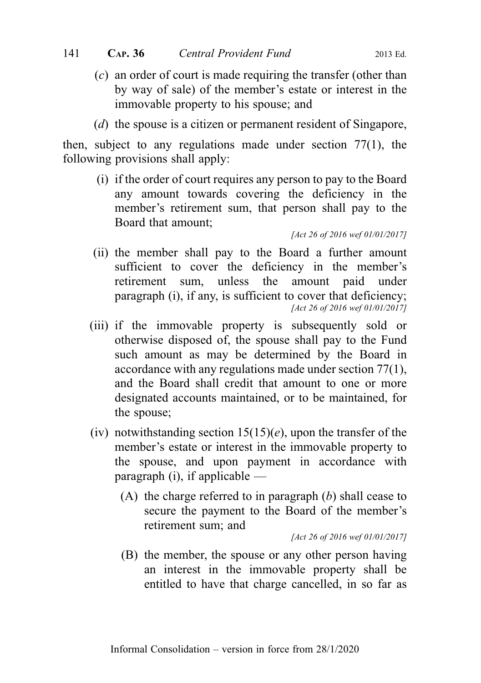- (c) an order of court is made requiring the transfer (other than by way of sale) of the member's estate or interest in the immovable property to his spouse; and
- (d) the spouse is a citizen or permanent resident of Singapore,

then, subject to any regulations made under section 77(1), the following provisions shall apply:

(i) if the order of court requires any person to pay to the Board any amount towards covering the deficiency in the member's retirement sum, that person shall pay to the Board that amount;

[Act 26 of 2016 wef 01/01/2017]

- (ii) the member shall pay to the Board a further amount sufficient to cover the deficiency in the member's retirement sum, unless the amount paid under paragraph (i), if any, is sufficient to cover that deficiency: [Act 26 of 2016 wef 01/01/2017]
- (iii) if the immovable property is subsequently sold or otherwise disposed of, the spouse shall pay to the Fund such amount as may be determined by the Board in accordance with any regulations made under section 77(1), and the Board shall credit that amount to one or more designated accounts maintained, or to be maintained, for the spouse;
- (iv) notwithstanding section  $15(15)(e)$ , upon the transfer of the member's estate or interest in the immovable property to the spouse, and upon payment in accordance with paragraph (i), if applicable —
	- (A) the charge referred to in paragraph  $(b)$  shall cease to secure the payment to the Board of the member's retirement sum; and

[Act 26 of 2016 wef 01/01/2017]

(B) the member, the spouse or any other person having an interest in the immovable property shall be entitled to have that charge cancelled, in so far as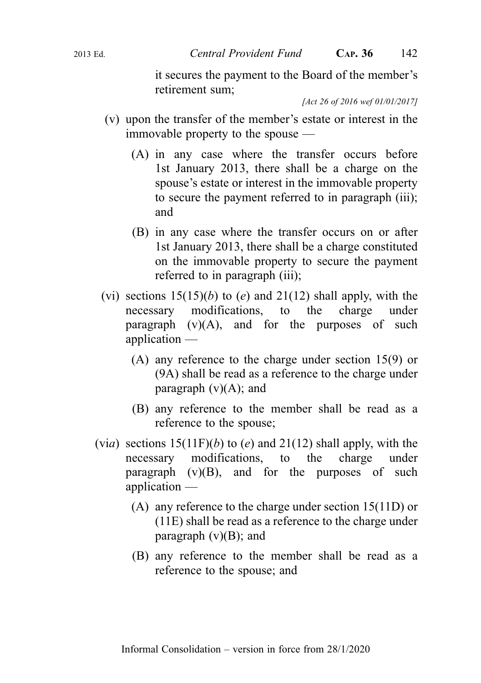it secures the payment to the Board of the member's retirement sum;

[Act 26 of 2016 wef 01/01/2017]

- (v) upon the transfer of the member's estate or interest in the immovable property to the spouse —
	- (A) in any case where the transfer occurs before 1st January 2013, there shall be a charge on the spouse's estate or interest in the immovable property to secure the payment referred to in paragraph (iii); and
	- (B) in any case where the transfer occurs on or after 1st January 2013, there shall be a charge constituted on the immovable property to secure the payment referred to in paragraph (iii);
- (vi) sections  $15(15)(b)$  to (e) and  $21(12)$  shall apply, with the necessary modifications, to the charge under paragraph  $(v)(A)$ , and for the purposes of such application —
	- (A) any reference to the charge under section 15(9) or (9A) shall be read as a reference to the charge under paragraph  $(v)(A)$ ; and
	- (B) any reference to the member shall be read as a reference to the spouse;
- (via) sections  $15(11F)(b)$  to (e) and  $21(12)$  shall apply, with the necessary modifications, to the charge under paragraph  $(v)(B)$ , and for the purposes of such application —
	- (A) any reference to the charge under section 15(11D) or (11E) shall be read as a reference to the charge under paragraph  $(v)(B)$ ; and
	- (B) any reference to the member shall be read as a reference to the spouse; and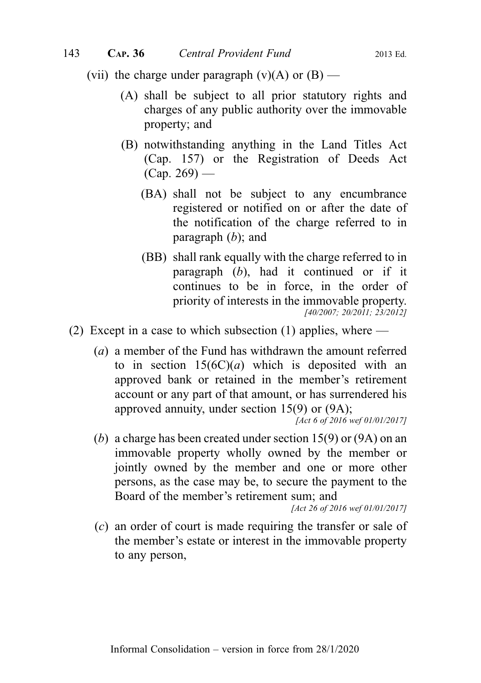(vii) the charge under paragraph (v)(A) or  $(B)$  —

- (A) shall be subject to all prior statutory rights and charges of any public authority over the immovable property; and
- (B) notwithstanding anything in the Land Titles Act (Cap. 157) or the Registration of Deeds Act  $(Cap. 269)$  —
	- (BA) shall not be subject to any encumbrance registered or notified on or after the date of the notification of the charge referred to in paragraph  $(b)$ ; and
	- (BB) shall rank equally with the charge referred to in paragraph  $(b)$ , had it continued or if it continues to be in force, in the order of priority of interests in the immovable property. [40/2007; 20/2011; 23/2012]
- (2) Except in a case to which subsection (1) applies, where
	- (a) a member of the Fund has withdrawn the amount referred to in section  $15(6C)(a)$  which is deposited with an approved bank or retained in the member's retirement account or any part of that amount, or has surrendered his approved annuity, under section 15(9) or (9A);

[Act 6 of 2016 wef 01/01/2017]

(b) a charge has been created under section 15(9) or (9A) on an immovable property wholly owned by the member or jointly owned by the member and one or more other persons, as the case may be, to secure the payment to the Board of the member's retirement sum; and

[Act 26 of 2016 wef 01/01/2017]

(c) an order of court is made requiring the transfer or sale of the member's estate or interest in the immovable property to any person,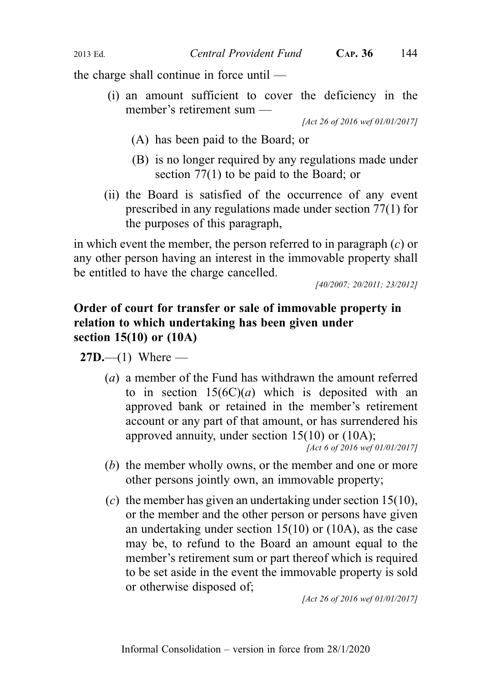the charge shall continue in force until —

(i) an amount sufficient to cover the deficiency in the member's retirement sum —

[Act 26 of 2016 wef 01/01/2017]

- (A) has been paid to the Board; or
- (B) is no longer required by any regulations made under section 77(1) to be paid to the Board; or
- (ii) the Board is satisfied of the occurrence of any event prescribed in any regulations made under section 77(1) for the purposes of this paragraph,

in which event the member, the person referred to in paragraph  $(c)$  or any other person having an interest in the immovable property shall be entitled to have the charge cancelled.

[40/2007; 20/2011; 23/2012]

# Order of court for transfer or sale of immovable property in relation to which undertaking has been given under section 15(10) or (10A)

**27D.**—(1) Where —

(a) a member of the Fund has withdrawn the amount referred to in section  $15(6C)(a)$  which is deposited with an approved bank or retained in the member's retirement account or any part of that amount, or has surrendered his approved annuity, under section 15(10) or (10A);

[Act 6 of 2016 wef 01/01/2017]

- (b) the member wholly owns, or the member and one or more other persons jointly own, an immovable property;
- (c) the member has given an undertaking under section 15(10), or the member and the other person or persons have given an undertaking under section 15(10) or (10A), as the case may be, to refund to the Board an amount equal to the member's retirement sum or part thereof which is required to be set aside in the event the immovable property is sold or otherwise disposed of;

[Act 26 of 2016 wef 01/01/2017]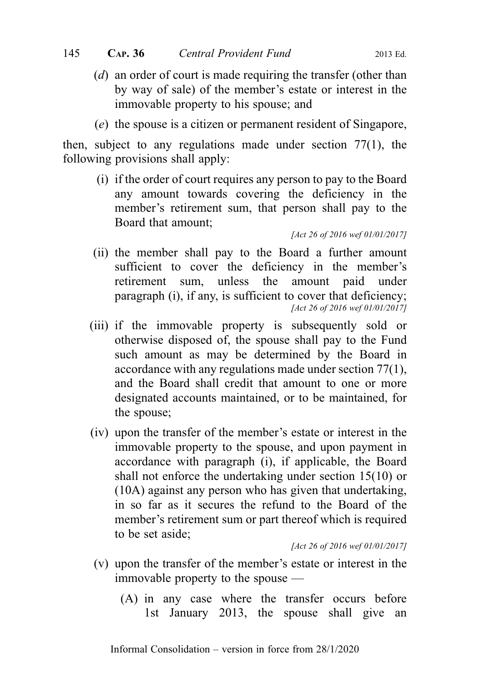- (d) an order of court is made requiring the transfer (other than by way of sale) of the member's estate or interest in the immovable property to his spouse; and
- (e) the spouse is a citizen or permanent resident of Singapore,

then, subject to any regulations made under section 77(1), the following provisions shall apply:

(i) if the order of court requires any person to pay to the Board any amount towards covering the deficiency in the member's retirement sum, that person shall pay to the Board that amount;

[Act 26 of 2016 wef 01/01/2017]

- (ii) the member shall pay to the Board a further amount sufficient to cover the deficiency in the member's retirement sum, unless the amount paid under paragraph (i), if any, is sufficient to cover that deficiency; [Act 26 of 2016 wef 01/01/2017]
- (iii) if the immovable property is subsequently sold or otherwise disposed of, the spouse shall pay to the Fund such amount as may be determined by the Board in accordance with any regulations made under section 77(1), and the Board shall credit that amount to one or more designated accounts maintained, or to be maintained, for the spouse;
- (iv) upon the transfer of the member's estate or interest in the immovable property to the spouse, and upon payment in accordance with paragraph (i), if applicable, the Board shall not enforce the undertaking under section 15(10) or (10A) against any person who has given that undertaking, in so far as it secures the refund to the Board of the member's retirement sum or part thereof which is required to be set aside;

[Act 26 of 2016 wef 01/01/2017]

- (v) upon the transfer of the member's estate or interest in the immovable property to the spouse —
	- (A) in any case where the transfer occurs before 1st January 2013, the spouse shall give an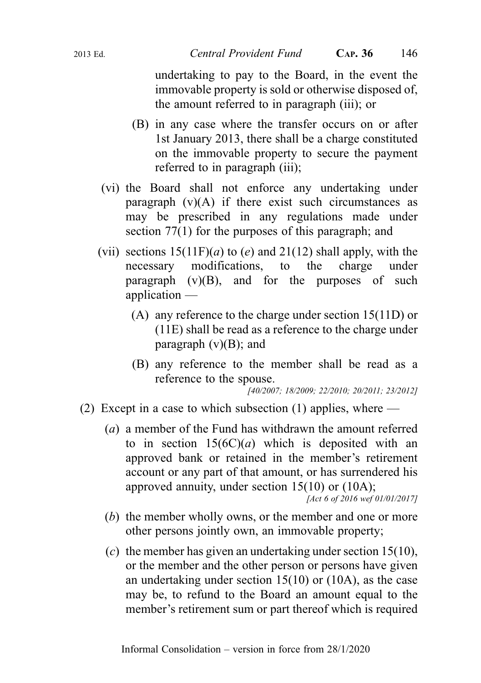undertaking to pay to the Board, in the event the immovable property is sold or otherwise disposed of, the amount referred to in paragraph (iii); or

- (B) in any case where the transfer occurs on or after 1st January 2013, there shall be a charge constituted on the immovable property to secure the payment referred to in paragraph *(iii)*;
- (vi) the Board shall not enforce any undertaking under paragraph  $(v)(A)$  if there exist such circumstances as may be prescribed in any regulations made under section 77(1) for the purposes of this paragraph; and
- (vii) sections  $15(11F)(a)$  to (e) and  $21(12)$  shall apply, with the necessary modifications, to the charge under paragraph  $(v)(B)$ , and for the purposes of such application —
	- (A) any reference to the charge under section 15(11D) or (11E) shall be read as a reference to the charge under paragraph  $(v)(B)$ ; and
	- (B) any reference to the member shall be read as a reference to the spouse.

[40/2007; 18/2009; 22/2010; 20/2011; 23/2012]

- (2) Except in a case to which subsection (1) applies, where
	- (a) a member of the Fund has withdrawn the amount referred to in section  $15(6C)(a)$  which is deposited with an approved bank or retained in the member's retirement account or any part of that amount, or has surrendered his approved annuity, under section 15(10) or (10A);

```
[Act 6 of 2016 wef 01/01/2017]
```
- (b) the member wholly owns, or the member and one or more other persons jointly own, an immovable property;
- (c) the member has given an undertaking under section  $15(10)$ , or the member and the other person or persons have given an undertaking under section 15(10) or (10A), as the case may be, to refund to the Board an amount equal to the member's retirement sum or part thereof which is required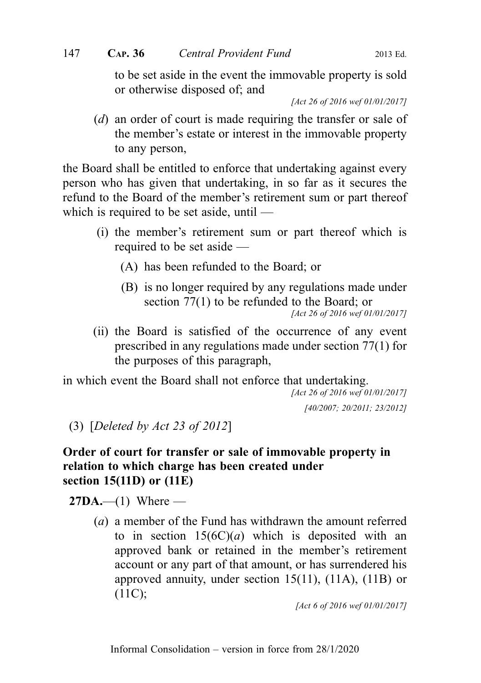to be set aside in the event the immovable property is sold or otherwise disposed of; and

[Act 26 of 2016 wef 01/01/2017]

(d) an order of court is made requiring the transfer or sale of the member's estate or interest in the immovable property to any person,

the Board shall be entitled to enforce that undertaking against every person who has given that undertaking, in so far as it secures the refund to the Board of the member's retirement sum or part thereof which is required to be set aside, until —

- (i) the member's retirement sum or part thereof which is required to be set aside —
	- (A) has been refunded to the Board; or
	- (B) is no longer required by any regulations made under section 77(1) to be refunded to the Board; or

(ii) the Board is satisfied of the occurrence of any event prescribed in any regulations made under section 77(1) for the purposes of this paragraph,

in which event the Board shall not enforce that undertaking.

[Act 26 of 2016 wef 01/01/2017] [40/2007; 20/2011; 23/2012]

(3) [Deleted by Act 23 of 2012]

# Order of court for transfer or sale of immovable property in relation to which charge has been created under section 15(11D) or (11E)

 $27DA$ .—(1) Where —

(a) a member of the Fund has withdrawn the amount referred to in section  $15(6C)(a)$  which is deposited with an approved bank or retained in the member's retirement account or any part of that amount, or has surrendered his approved annuity, under section 15(11), (11A), (11B) or (11C);

[Act 6 of 2016 wef 01/01/2017]

<sup>[</sup>Act 26 of 2016 wef 01/01/2017]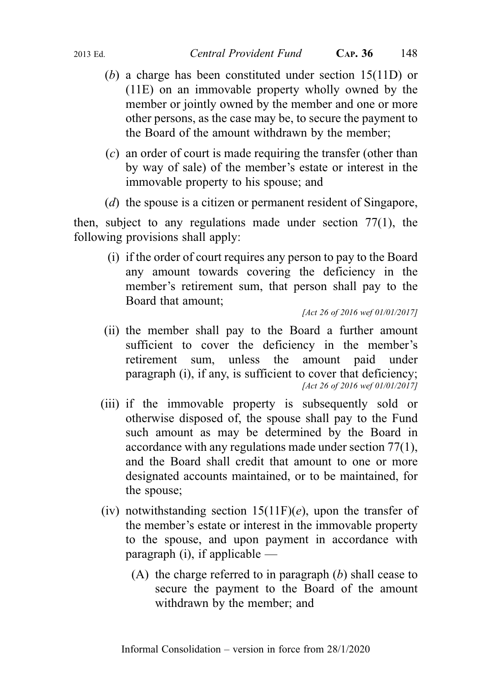- (b) a charge has been constituted under section 15(11D) or (11E) on an immovable property wholly owned by the member or jointly owned by the member and one or more other persons, as the case may be, to secure the payment to the Board of the amount withdrawn by the member;
- (c) an order of court is made requiring the transfer (other than by way of sale) of the member's estate or interest in the immovable property to his spouse; and
- (*d*) the spouse is a citizen or permanent resident of Singapore,

then, subject to any regulations made under section 77(1), the following provisions shall apply:

(i) if the order of court requires any person to pay to the Board any amount towards covering the deficiency in the member's retirement sum, that person shall pay to the Board that amount;

[Act 26 of 2016 wef 01/01/2017]

- (ii) the member shall pay to the Board a further amount sufficient to cover the deficiency in the member's retirement sum, unless the amount paid under paragraph (i), if any, is sufficient to cover that deficiency: [Act 26 of 2016 wef 01/01/2017]
- (iii) if the immovable property is subsequently sold or otherwise disposed of, the spouse shall pay to the Fund such amount as may be determined by the Board in accordance with any regulations made under section 77(1), and the Board shall credit that amount to one or more designated accounts maintained, or to be maintained, for the spouse;
- (iv) notwithstanding section  $15(11F)(e)$ , upon the transfer of the member's estate or interest in the immovable property to the spouse, and upon payment in accordance with paragraph (i), if applicable  $-$ 
	- (A) the charge referred to in paragraph  $(b)$  shall cease to secure the payment to the Board of the amount withdrawn by the member; and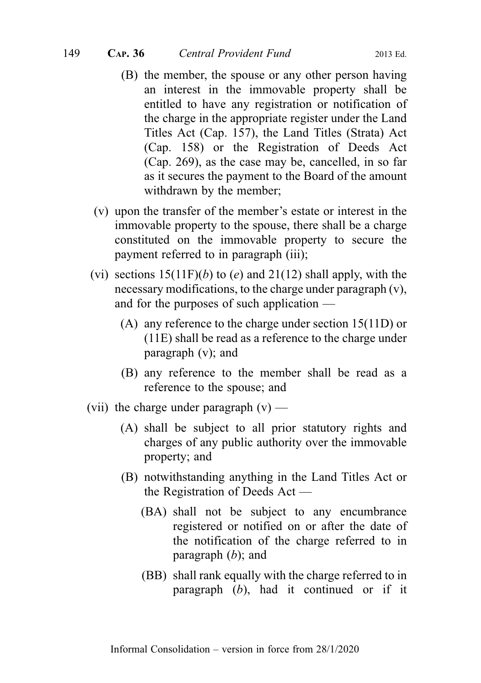- (B) the member, the spouse or any other person having an interest in the immovable property shall be entitled to have any registration or notification of the charge in the appropriate register under the Land Titles Act (Cap. 157), the Land Titles (Strata) Act (Cap. 158) or the Registration of Deeds Act (Cap. 269), as the case may be, cancelled, in so far as it secures the payment to the Board of the amount withdrawn by the member;
- (v) upon the transfer of the member's estate or interest in the immovable property to the spouse, there shall be a charge constituted on the immovable property to secure the payment referred to in paragraph (iii);
- (vi) sections  $15(11F)(b)$  to (e) and  $21(12)$  shall apply, with the necessary modifications, to the charge under paragraph (v), and for the purposes of such application —
	- (A) any reference to the charge under section 15(11D) or (11E) shall be read as a reference to the charge under paragraph (v); and
	- (B) any reference to the member shall be read as a reference to the spouse; and
- (vii) the charge under paragraph  $(v)$ 
	- (A) shall be subject to all prior statutory rights and charges of any public authority over the immovable property; and
	- (B) notwithstanding anything in the Land Titles Act or the Registration of Deeds Act —
		- (BA) shall not be subject to any encumbrance registered or notified on or after the date of the notification of the charge referred to in paragraph  $(b)$ ; and
		- (BB) shall rank equally with the charge referred to in paragraph (b), had it continued or if it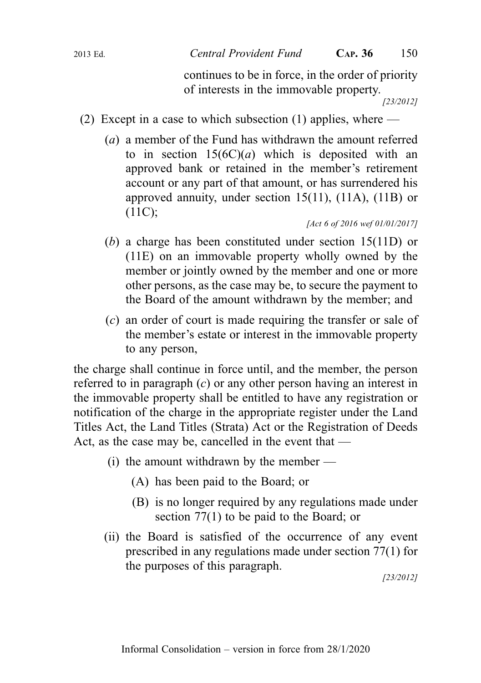continues to be in force, in the order of priority of interests in the immovable property.

[23/2012]

- (2) Except in a case to which subsection (1) applies, where
	- (a) a member of the Fund has withdrawn the amount referred to in section  $15(6C)(a)$  which is deposited with an approved bank or retained in the member's retirement account or any part of that amount, or has surrendered his approved annuity, under section 15(11), (11A), (11B) or (11C);

[Act 6 of 2016 wef 01/01/2017]

- (b) a charge has been constituted under section 15(11D) or (11E) on an immovable property wholly owned by the member or jointly owned by the member and one or more other persons, as the case may be, to secure the payment to the Board of the amount withdrawn by the member; and
- (c) an order of court is made requiring the transfer or sale of the member's estate or interest in the immovable property to any person,

the charge shall continue in force until, and the member, the person referred to in paragraph  $(c)$  or any other person having an interest in the immovable property shall be entitled to have any registration or notification of the charge in the appropriate register under the Land Titles Act, the Land Titles (Strata) Act or the Registration of Deeds Act, as the case may be, cancelled in the event that —

- $(i)$  the amount withdrawn by the member
	- (A) has been paid to the Board; or
	- (B) is no longer required by any regulations made under section 77(1) to be paid to the Board; or
- (ii) the Board is satisfied of the occurrence of any event prescribed in any regulations made under section 77(1) for the purposes of this paragraph.

[23/2012]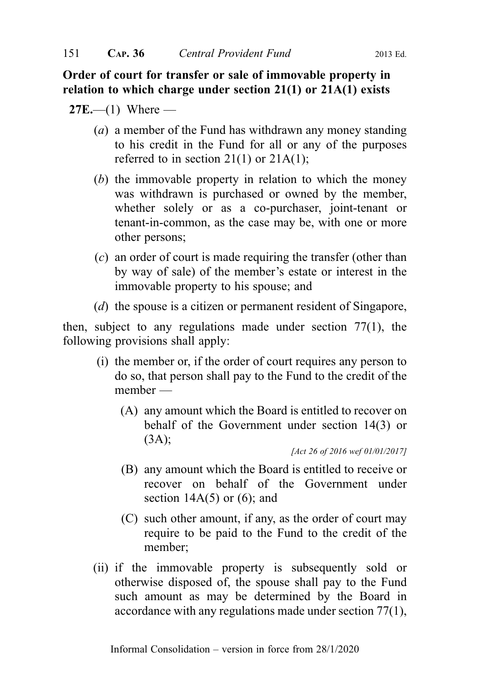Order of court for transfer or sale of immovable property in relation to which charge under section 21(1) or 21A(1) exists

 $27E$ —(1) Where —

- ( $a$ ) a member of the Fund has withdrawn any money standing to his credit in the Fund for all or any of the purposes referred to in section  $21(1)$  or  $21A(1)$ ;
- (b) the immovable property in relation to which the money was withdrawn is purchased or owned by the member, whether solely or as a co-purchaser, joint-tenant or tenant-in-common, as the case may be, with one or more other persons;
- (c) an order of court is made requiring the transfer (other than by way of sale) of the member's estate or interest in the immovable property to his spouse; and
- (d) the spouse is a citizen or permanent resident of Singapore,

then, subject to any regulations made under section 77(1), the following provisions shall apply:

- (i) the member or, if the order of court requires any person to do so, that person shall pay to the Fund to the credit of the member —
	- (A) any amount which the Board is entitled to recover on behalf of the Government under section 14(3) or  $(3A);$

[Act 26 of 2016 wef 01/01/2017]

- (B) any amount which the Board is entitled to receive or recover on behalf of the Government under section  $14A(5)$  or  $(6)$ ; and
- (C) such other amount, if any, as the order of court may require to be paid to the Fund to the credit of the member;
- (ii) if the immovable property is subsequently sold or otherwise disposed of, the spouse shall pay to the Fund such amount as may be determined by the Board in accordance with any regulations made under section 77(1),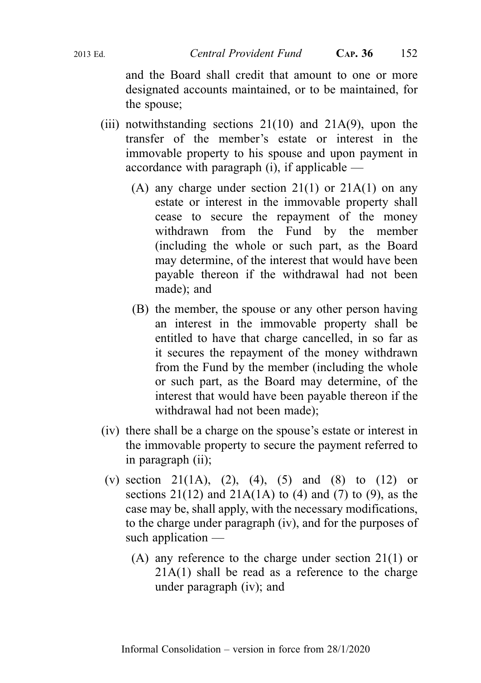and the Board shall credit that amount to one or more designated accounts maintained, or to be maintained, for the spouse;

- (iii) notwithstanding sections  $21(10)$  and  $21A(9)$ , upon the transfer of the member's estate or interest in the immovable property to his spouse and upon payment in accordance with paragraph (i), if applicable —
	- (A) any charge under section  $21(1)$  or  $21A(1)$  on any estate or interest in the immovable property shall cease to secure the repayment of the money withdrawn from the Fund by the member (including the whole or such part, as the Board may determine, of the interest that would have been payable thereon if the withdrawal had not been made); and
	- (B) the member, the spouse or any other person having an interest in the immovable property shall be entitled to have that charge cancelled, in so far as it secures the repayment of the money withdrawn from the Fund by the member (including the whole or such part, as the Board may determine, of the interest that would have been payable thereon if the withdrawal had not been made);
- (iv) there shall be a charge on the spouse's estate or interest in the immovable property to secure the payment referred to in paragraph (ii);
- (v) section 21(1A), (2), (4), (5) and (8) to (12) or sections  $21(12)$  and  $21A(1A)$  to (4) and (7) to (9), as the case may be, shall apply, with the necessary modifications, to the charge under paragraph (iv), and for the purposes of such application —
	- (A) any reference to the charge under section 21(1) or 21A(1) shall be read as a reference to the charge under paragraph (iv); and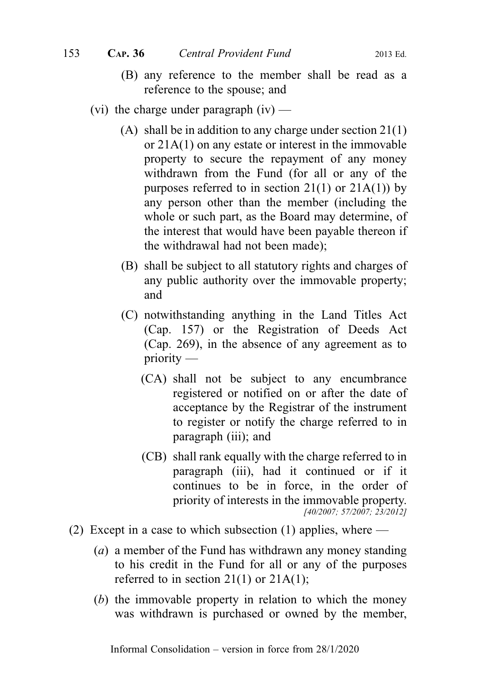- (B) any reference to the member shall be read as a reference to the spouse; and
- (vi) the charge under paragraph  $(iv)$ 
	- (A) shall be in addition to any charge under section 21(1) or 21A(1) on any estate or interest in the immovable property to secure the repayment of any money withdrawn from the Fund (for all or any of the purposes referred to in section  $21(1)$  or  $21A(1)$  by any person other than the member (including the whole or such part, as the Board may determine, of the interest that would have been payable thereon if the withdrawal had not been made);
	- (B) shall be subject to all statutory rights and charges of any public authority over the immovable property; and
	- (C) notwithstanding anything in the Land Titles Act (Cap. 157) or the Registration of Deeds Act (Cap. 269), in the absence of any agreement as to priority —
		- (CA) shall not be subject to any encumbrance registered or notified on or after the date of acceptance by the Registrar of the instrument to register or notify the charge referred to in paragraph (iii); and
		- (CB) shall rank equally with the charge referred to in paragraph (iii), had it continued or if it continues to be in force, in the order of priority of interests in the immovable property. [40/2007; 57/2007; 23/2012]
- (2) Except in a case to which subsection (1) applies, where
	- (a) a member of the Fund has withdrawn any money standing to his credit in the Fund for all or any of the purposes referred to in section  $21(1)$  or  $21A(1)$ ;
	- (b) the immovable property in relation to which the money was withdrawn is purchased or owned by the member,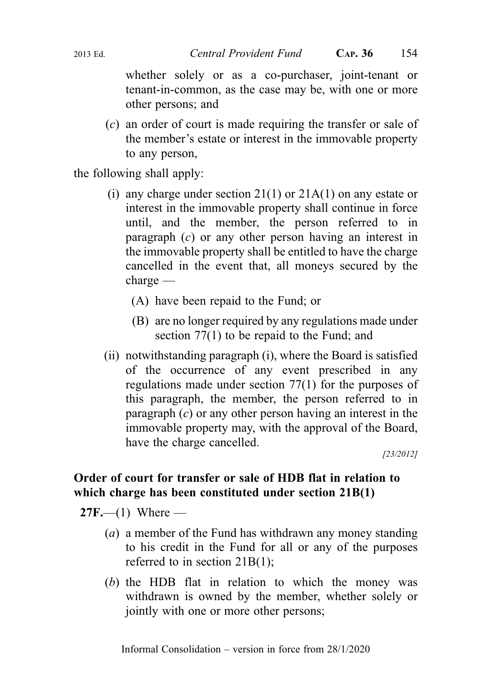whether solely or as a co-purchaser, joint-tenant or tenant-in-common, as the case may be, with one or more other persons; and

(c) an order of court is made requiring the transfer or sale of the member's estate or interest in the immovable property to any person,

the following shall apply:

- (i) any charge under section  $21(1)$  or  $21A(1)$  on any estate or interest in the immovable property shall continue in force until, and the member, the person referred to in paragraph (c) or any other person having an interest in the immovable property shall be entitled to have the charge cancelled in the event that, all moneys secured by the charge —
	- (A) have been repaid to the Fund; or
	- (B) are no longer required by any regulations made under section 77(1) to be repaid to the Fund; and
- (ii) notwithstanding paragraph (i), where the Board is satisfied of the occurrence of any event prescribed in any regulations made under section 77(1) for the purposes of this paragraph, the member, the person referred to in paragraph  $(c)$  or any other person having an interest in the immovable property may, with the approval of the Board, have the charge cancelled.

[23/2012]

# Order of court for transfer or sale of HDB flat in relation to which charge has been constituted under section 21B(1)

 $27F$ ,—(1) Where —

- (a) a member of the Fund has withdrawn any money standing to his credit in the Fund for all or any of the purposes referred to in section 21B(1);
- (b) the HDB flat in relation to which the money was withdrawn is owned by the member, whether solely or jointly with one or more other persons;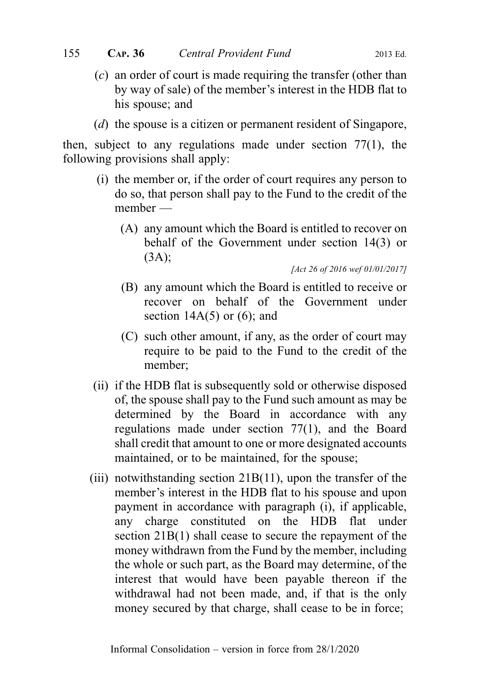- 
- (c) an order of court is made requiring the transfer (other than by way of sale) of the member's interest in the HDB flat to his spouse; and
- (d) the spouse is a citizen or permanent resident of Singapore,

then, subject to any regulations made under section 77(1), the following provisions shall apply:

- (i) the member or, if the order of court requires any person to do so, that person shall pay to the Fund to the credit of the member —
	- (A) any amount which the Board is entitled to recover on behalf of the Government under section 14(3) or (3A);

[Act 26 of 2016 wef 01/01/2017]

- (B) any amount which the Board is entitled to receive or recover on behalf of the Government under section  $14A(5)$  or  $(6)$ ; and
- (C) such other amount, if any, as the order of court may require to be paid to the Fund to the credit of the member;
- (ii) if the HDB flat is subsequently sold or otherwise disposed of, the spouse shall pay to the Fund such amount as may be determined by the Board in accordance with any regulations made under section 77(1), and the Board shall credit that amount to one or more designated accounts maintained, or to be maintained, for the spouse;
- (iii) notwithstanding section  $21B(11)$ , upon the transfer of the member's interest in the HDB flat to his spouse and upon payment in accordance with paragraph (i), if applicable, any charge constituted on the HDB flat under section 21B(1) shall cease to secure the repayment of the money withdrawn from the Fund by the member, including the whole or such part, as the Board may determine, of the interest that would have been payable thereon if the withdrawal had not been made, and, if that is the only money secured by that charge, shall cease to be in force;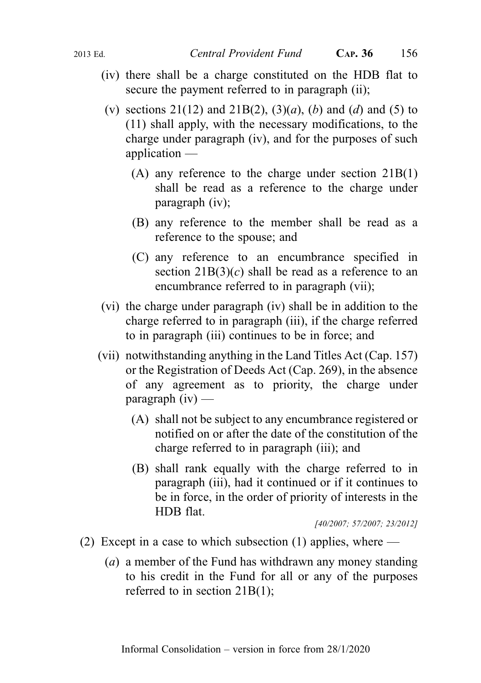- (iv) there shall be a charge constituted on the HDB flat to secure the payment referred to in paragraph (ii);
- (v) sections 21(12) and 21B(2), (3)(a), (b) and (d) and (5) to (11) shall apply, with the necessary modifications, to the charge under paragraph (iv), and for the purposes of such application —
	- (A) any reference to the charge under section 21B(1) shall be read as a reference to the charge under paragraph (iv);
	- (B) any reference to the member shall be read as a reference to the spouse; and
	- (C) any reference to an encumbrance specified in section  $21B(3)(c)$  shall be read as a reference to an encumbrance referred to in paragraph (vii);
- (vi) the charge under paragraph (iv) shall be in addition to the charge referred to in paragraph (iii), if the charge referred to in paragraph (iii) continues to be in force; and
- (vii) notwithstanding anything in the Land Titles Act (Cap. 157) or the Registration of Deeds Act (Cap. 269), in the absence of any agreement as to priority, the charge under  $\mathbf{p}$ aragraph (iv) —
	- (A) shall not be subject to any encumbrance registered or notified on or after the date of the constitution of the charge referred to in paragraph (iii); and
	- (B) shall rank equally with the charge referred to in paragraph (iii), had it continued or if it continues to be in force, in the order of priority of interests in the HDB flat.

[40/2007; 57/2007; 23/2012]

- (2) Except in a case to which subsection (1) applies, where  $-$ 
	- (a) a member of the Fund has withdrawn any money standing to his credit in the Fund for all or any of the purposes referred to in section 21B(1);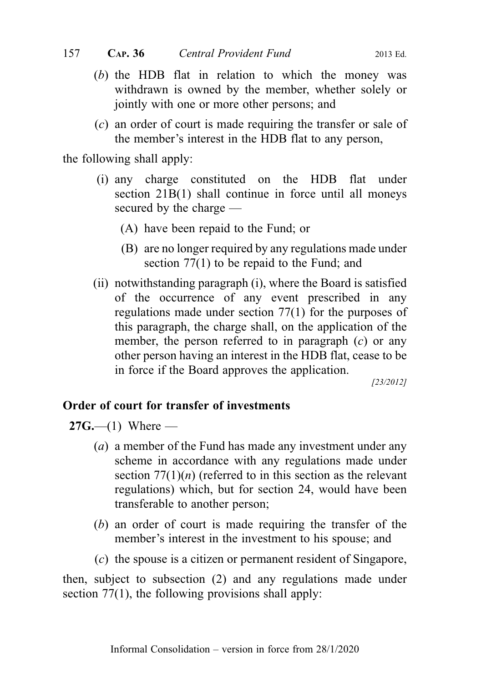- (b) the HDB flat in relation to which the money was withdrawn is owned by the member, whether solely or jointly with one or more other persons; and
- (c) an order of court is made requiring the transfer or sale of the member's interest in the HDB flat to any person,

the following shall apply:

- (i) any charge constituted on the HDB flat under section 21B(1) shall continue in force until all moneys secured by the charge —
	- (A) have been repaid to the Fund; or
	- (B) are no longer required by any regulations made under section 77(1) to be repaid to the Fund; and
- (ii) notwithstanding paragraph (i), where the Board is satisfied of the occurrence of any event prescribed in any regulations made under section 77(1) for the purposes of this paragraph, the charge shall, on the application of the member, the person referred to in paragraph  $(c)$  or any other person having an interest in the HDB flat, cease to be in force if the Board approves the application.

[23/2012]

#### Order of court for transfer of investments

 $27G$ —(1) Where —

- (a) a member of the Fund has made any investment under any scheme in accordance with any regulations made under section  $77(1)(n)$  (referred to in this section as the relevant regulations) which, but for section 24, would have been transferable to another person;
- (b) an order of court is made requiring the transfer of the member's interest in the investment to his spouse; and
- (c) the spouse is a citizen or permanent resident of Singapore,

then, subject to subsection (2) and any regulations made under section 77(1), the following provisions shall apply: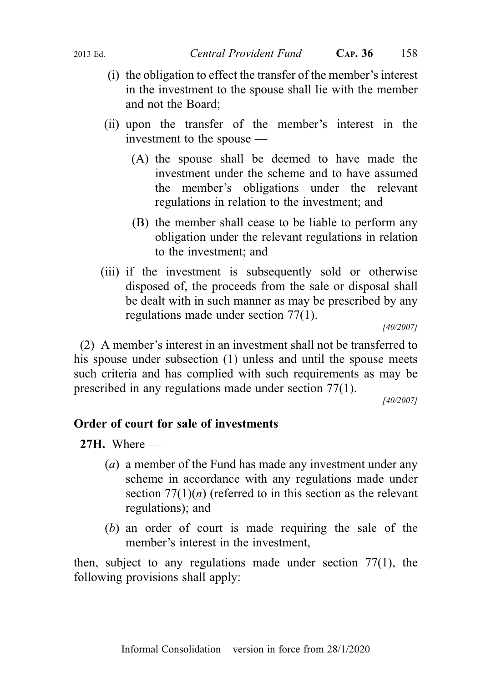- (i) the obligation to effect the transfer of the member's interest in the investment to the spouse shall lie with the member and not the Board;
- (ii) upon the transfer of the member's interest in the investment to the spouse —
	- (A) the spouse shall be deemed to have made the investment under the scheme and to have assumed the member's obligations under the relevant regulations in relation to the investment; and
	- (B) the member shall cease to be liable to perform any obligation under the relevant regulations in relation to the investment; and
- (iii) if the investment is subsequently sold or otherwise disposed of, the proceeds from the sale or disposal shall be dealt with in such manner as may be prescribed by any regulations made under section 77(1).

[40/2007]

(2) A member's interest in an investment shall not be transferred to his spouse under subsection (1) unless and until the spouse meets such criteria and has complied with such requirements as may be prescribed in any regulations made under section 77(1).

[40/2007]

### Order of court for sale of investments

27H. Where  $-$ 

- (a) a member of the Fund has made any investment under any scheme in accordance with any regulations made under section  $77(1)(n)$  (referred to in this section as the relevant regulations); and
- (b) an order of court is made requiring the sale of the member's interest in the investment,

then, subject to any regulations made under section 77(1), the following provisions shall apply: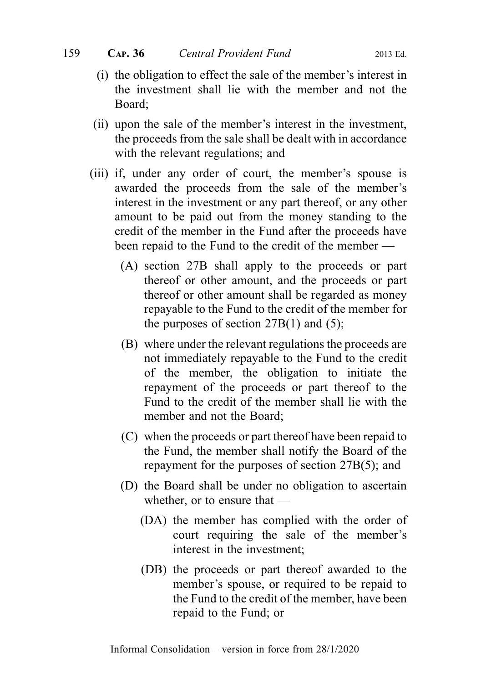- (i) the obligation to effect the sale of the member's interest in the investment shall lie with the member and not the Board;
- (ii) upon the sale of the member's interest in the investment, the proceeds from the sale shall be dealt with in accordance with the relevant regulations; and
- (iii) if, under any order of court, the member's spouse is awarded the proceeds from the sale of the member's interest in the investment or any part thereof, or any other amount to be paid out from the money standing to the credit of the member in the Fund after the proceeds have been repaid to the Fund to the credit of the member —
	- (A) section 27B shall apply to the proceeds or part thereof or other amount, and the proceeds or part thereof or other amount shall be regarded as money repayable to the Fund to the credit of the member for the purposes of section  $27B(1)$  and  $(5)$ ;
	- (B) where under the relevant regulations the proceeds are not immediately repayable to the Fund to the credit of the member, the obligation to initiate the repayment of the proceeds or part thereof to the Fund to the credit of the member shall lie with the member and not the Board;
	- (C) when the proceeds or part thereof have been repaid to the Fund, the member shall notify the Board of the repayment for the purposes of section 27B(5); and
	- (D) the Board shall be under no obligation to ascertain whether, or to ensure that —
		- (DA) the member has complied with the order of court requiring the sale of the member's interest in the investment;
		- (DB) the proceeds or part thereof awarded to the member's spouse, or required to be repaid to the Fund to the credit of the member, have been repaid to the Fund; or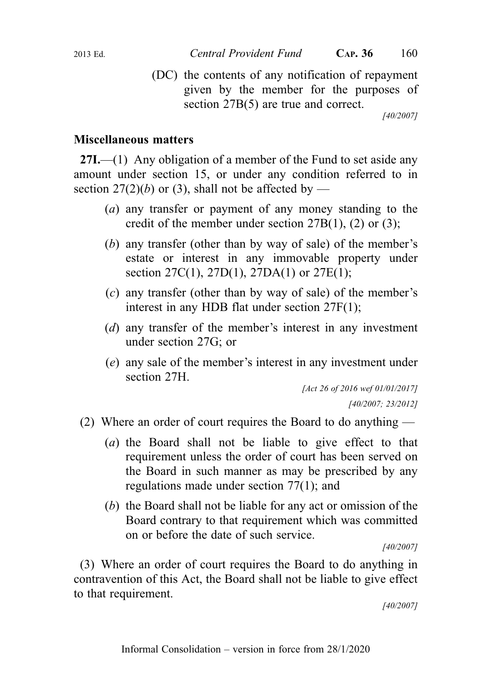(DC) the contents of any notification of repayment given by the member for the purposes of section 27B(5) are true and correct.

[40/2007]

# Miscellaneous matters

**27I.**—(1) Any obligation of a member of the Fund to set aside any amount under section 15, or under any condition referred to in section 27(2)(b) or (3), shall not be affected by —

- (a) any transfer or payment of any money standing to the credit of the member under section  $27B(1)$ , (2) or (3);
- (b) any transfer (other than by way of sale) of the member's estate or interest in any immovable property under section 27C(1), 27D(1), 27DA(1) or 27E(1);
- (c) any transfer (other than by way of sale) of the member's interest in any HDB flat under section 27F(1);
- (d) any transfer of the member's interest in any investment under section 27G; or
- (e) any sale of the member's interest in any investment under section 27H.

[Act 26 of 2016 wef 01/01/2017] [40/2007; 23/2012]

- (2) Where an order of court requires the Board to do anything
	- (a) the Board shall not be liable to give effect to that requirement unless the order of court has been served on the Board in such manner as may be prescribed by any regulations made under section 77(1); and
	- (b) the Board shall not be liable for any act or omission of the Board contrary to that requirement which was committed on or before the date of such service.

[40/2007]

(3) Where an order of court requires the Board to do anything in contravention of this Act, the Board shall not be liable to give effect to that requirement.

[40/2007]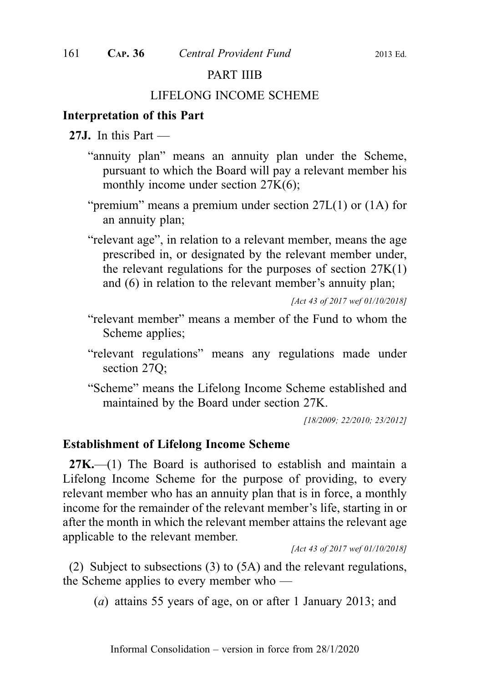#### PART IIIB

#### LIFELONG INCOME SCHEME

# Interpretation of this Part

- 27J. In this Part
	- "annuity plan" means an annuity plan under the Scheme, pursuant to which the Board will pay a relevant member his monthly income under section 27K(6);
	- "premium" means a premium under section 27L(1) or (1A) for an annuity plan;
	- "relevant age", in relation to a relevant member, means the age prescribed in, or designated by the relevant member under, the relevant regulations for the purposes of section  $27K(1)$ and (6) in relation to the relevant member's annuity plan;

[Act 43 of 2017 wef 01/10/2018]

- "relevant member" means a member of the Fund to whom the Scheme applies;
- "relevant regulations" means any regulations made under section 27Q;
- "Scheme" means the Lifelong Income Scheme established and maintained by the Board under section 27K.

[18/2009; 22/2010; 23/2012]

#### Establishment of Lifelong Income Scheme

 $27K$ , (1) The Board is authorised to establish and maintain a Lifelong Income Scheme for the purpose of providing, to every relevant member who has an annuity plan that is in force, a monthly income for the remainder of the relevant member's life, starting in or after the month in which the relevant member attains the relevant age applicable to the relevant member.

[Act 43 of 2017 wef 01/10/2018]

(2) Subject to subsections (3) to (5A) and the relevant regulations, the Scheme applies to every member who —

(a) attains 55 years of age, on or after 1 January 2013; and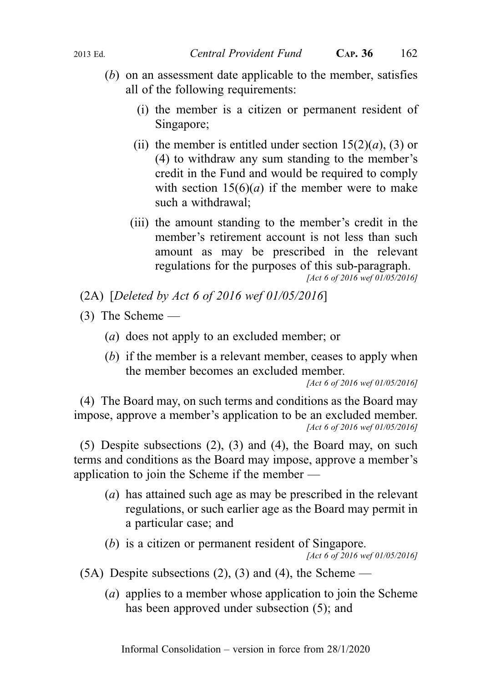- (b) on an assessment date applicable to the member, satisfies all of the following requirements:
	- (i) the member is a citizen or permanent resident of Singapore;
	- (ii) the member is entitled under section  $15(2)(a)$ , (3) or (4) to withdraw any sum standing to the member's credit in the Fund and would be required to comply with section  $15(6)(a)$  if the member were to make such a withdrawal;
	- (iii) the amount standing to the member's credit in the member's retirement account is not less than such amount as may be prescribed in the relevant regulations for the purposes of this sub-paragraph.

[Act 6 of 2016 wef 01/05/2016]

(2A) [Deleted by Act 6 of 2016 wef 01/05/2016]

- (3) The Scheme
	- (a) does not apply to an excluded member; or
	- (b) if the member is a relevant member, ceases to apply when the member becomes an excluded member.

[Act 6 of 2016 wef 01/05/2016]

(4) The Board may, on such terms and conditions as the Board may impose, approve a member's application to be an excluded member. [Act 6 of 2016 wef 01/05/2016]

(5) Despite subsections (2), (3) and (4), the Board may, on such terms and conditions as the Board may impose, approve a member's application to join the Scheme if the member —

- (a) has attained such age as may be prescribed in the relevant regulations, or such earlier age as the Board may permit in a particular case; and
- (b) is a citizen or permanent resident of Singapore.

[Act 6 of 2016 wef 01/05/2016]

- $(5A)$  Despite subsections  $(2)$ ,  $(3)$  and  $(4)$ , the Scheme
	- (a) applies to a member whose application to join the Scheme has been approved under subsection (5); and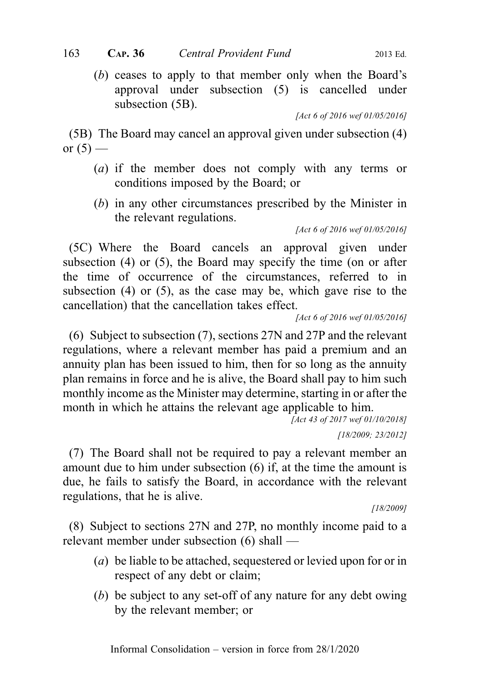(b) ceases to apply to that member only when the Board's approval under subsection (5) is cancelled under subsection (5B).

[Act 6 of 2016 wef 01/05/2016]

(5B) The Board may cancel an approval given under subsection (4) or  $(5)$  —

- (a) if the member does not comply with any terms or conditions imposed by the Board; or
- (b) in any other circumstances prescribed by the Minister in the relevant regulations.

[Act 6 of 2016 wef 01/05/2016]

(5C) Where the Board cancels an approval given under subsection (4) or (5), the Board may specify the time (on or after the time of occurrence of the circumstances, referred to in subsection (4) or (5), as the case may be, which gave rise to the cancellation) that the cancellation takes effect.

[Act 6 of 2016 wef 01/05/2016]

(6) Subject to subsection (7), sections 27N and 27P and the relevant regulations, where a relevant member has paid a premium and an annuity plan has been issued to him, then for so long as the annuity plan remains in force and he is alive, the Board shall pay to him such monthly income as the Minister may determine, starting in or after the month in which he attains the relevant age applicable to him.

```
[Act 43 of 2017 wef 01/10/2018]
```
[18/2009; 23/2012]

(7) The Board shall not be required to pay a relevant member an amount due to him under subsection (6) if, at the time the amount is due, he fails to satisfy the Board, in accordance with the relevant regulations, that he is alive.

[18/2009]

(8) Subject to sections 27N and 27P, no monthly income paid to a relevant member under subsection (6) shall —

- (*a*) be liable to be attached, sequestered or levied upon for or in respect of any debt or claim;
- (b) be subject to any set-off of any nature for any debt owing by the relevant member; or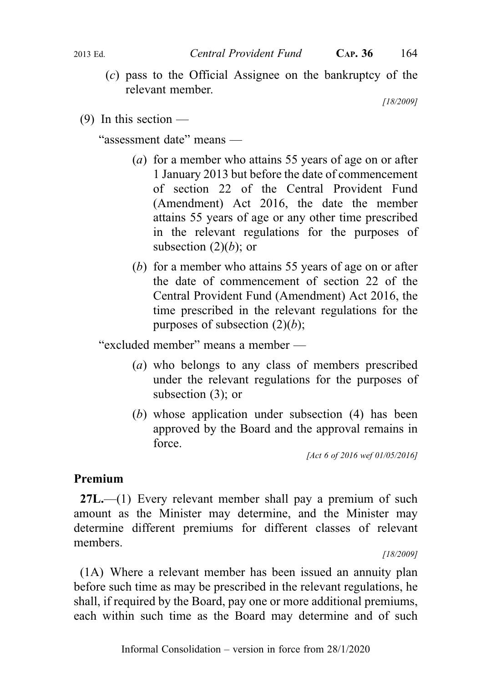(c) pass to the Official Assignee on the bankruptcy of the relevant member.

[18/2009]

(9) In this section  $-$ 

"assessment date" means —

- (a) for a member who attains 55 years of age on or after 1 January 2013 but before the date of commencement of section 22 of the Central Provident Fund (Amendment) Act 2016, the date the member attains 55 years of age or any other time prescribed in the relevant regulations for the purposes of subsection  $(2)(b)$ ; or
- (b) for a member who attains 55 years of age on or after the date of commencement of section 22 of the Central Provident Fund (Amendment) Act 2016, the time prescribed in the relevant regulations for the purposes of subsection  $(2)(b)$ ;

"excluded member" means a member —

- (a) who belongs to any class of members prescribed under the relevant regulations for the purposes of subsection (3); or
- (b) whose application under subsection (4) has been approved by the Board and the approval remains in force.

[Act 6 of 2016 wef 01/05/2016]

# Premium

27L.—(1) Every relevant member shall pay a premium of such amount as the Minister may determine, and the Minister may determine different premiums for different classes of relevant members.

[18/2009]

(1A) Where a relevant member has been issued an annuity plan before such time as may be prescribed in the relevant regulations, he shall, if required by the Board, pay one or more additional premiums, each within such time as the Board may determine and of such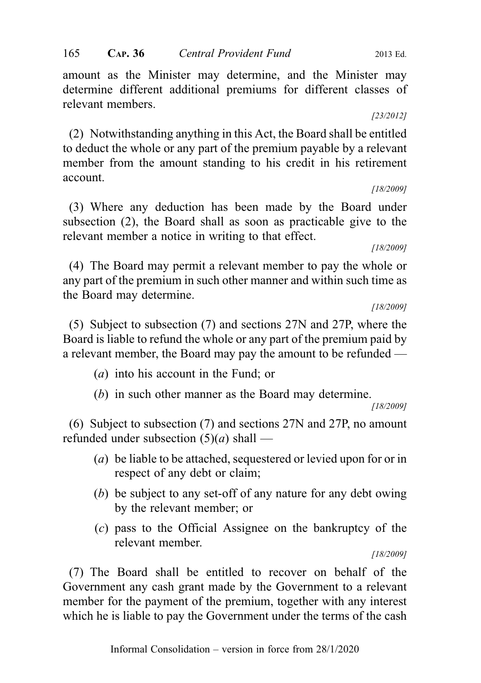amount as the Minister may determine, and the Minister may determine different additional premiums for different classes of relevant members.

#### [23/2012]

(2) Notwithstanding anything in this Act, the Board shall be entitled to deduct the whole or any part of the premium payable by a relevant member from the amount standing to his credit in his retirement account.

[18/2009]

(3) Where any deduction has been made by the Board under subsection (2), the Board shall as soon as practicable give to the relevant member a notice in writing to that effect.

[18/2009]

(4) The Board may permit a relevant member to pay the whole or any part of the premium in such other manner and within such time as the Board may determine.

[18/2009]

(5) Subject to subsection (7) and sections 27N and 27P, where the Board is liable to refund the whole or any part of the premium paid by a relevant member, the Board may pay the amount to be refunded —

- (a) into his account in the Fund; or
- (b) in such other manner as the Board may determine.

[18/2009]

(6) Subject to subsection (7) and sections 27N and 27P, no amount refunded under subsection  $(5)(a)$  shall —

- (a) be liable to be attached, sequestered or levied upon for or in respect of any debt or claim;
- (b) be subject to any set-off of any nature for any debt owing by the relevant member; or
- (c) pass to the Official Assignee on the bankruptcy of the relevant member.

[18/2009]

(7) The Board shall be entitled to recover on behalf of the Government any cash grant made by the Government to a relevant member for the payment of the premium, together with any interest which he is liable to pay the Government under the terms of the cash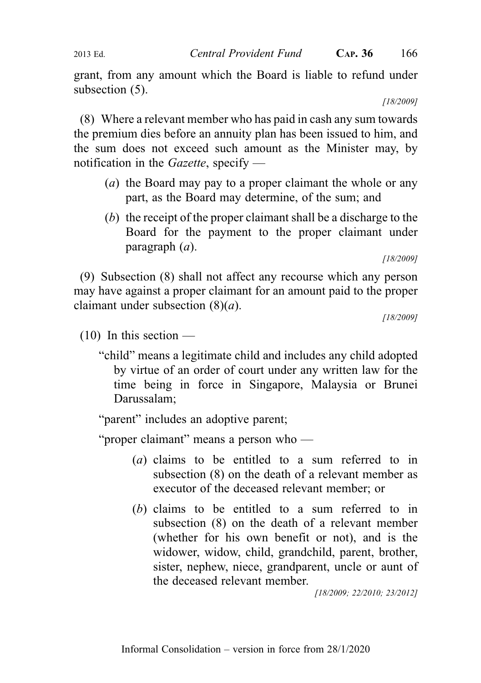grant, from any amount which the Board is liable to refund under subsection (5).

[18/2009]

(8) Where a relevant member who has paid in cash any sum towards the premium dies before an annuity plan has been issued to him, and the sum does not exceed such amount as the Minister may, by notification in the *Gazette*, specify —

- (a) the Board may pay to a proper claimant the whole or any part, as the Board may determine, of the sum; and
- (b) the receipt of the proper claimant shall be a discharge to the Board for the payment to the proper claimant under paragraph  $(a)$ .

(9) Subsection (8) shall not affect any recourse which any person may have against a proper claimant for an amount paid to the proper claimant under subsection  $(8)(a)$ .

[18/2009]

 $(10)$  In this section —

"child" means a legitimate child and includes any child adopted by virtue of an order of court under any written law for the time being in force in Singapore, Malaysia or Brunei Darussalam;

"parent" includes an adoptive parent;

"proper claimant" means a person who —

- (a) claims to be entitled to a sum referred to in subsection (8) on the death of a relevant member as executor of the deceased relevant member; or
- (b) claims to be entitled to a sum referred to in subsection (8) on the death of a relevant member (whether for his own benefit or not), and is the widower, widow, child, grandchild, parent, brother, sister, nephew, niece, grandparent, uncle or aunt of the deceased relevant member.

[18/2009; 22/2010; 23/2012]

<sup>[18/2009]</sup>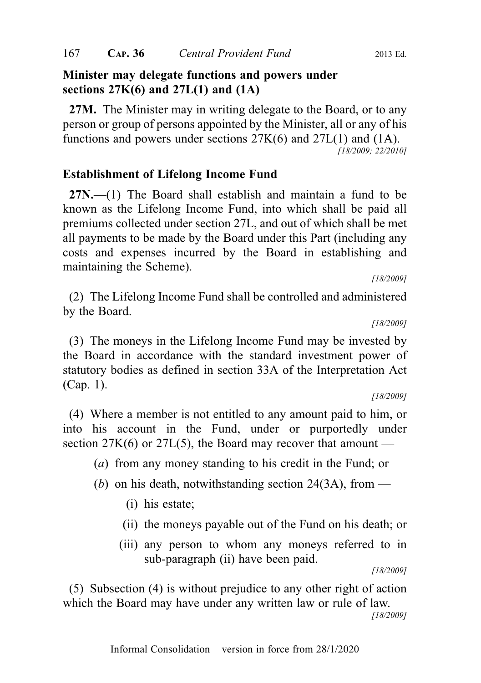#### Minister may delegate functions and powers under sections  $27K(6)$  and  $27L(1)$  and  $(1A)$

27M. The Minister may in writing delegate to the Board, or to any person or group of persons appointed by the Minister, all or any of his functions and powers under sections 27K(6) and 27L(1) and (1A). [18/2009; 22/2010]

#### Establishment of Lifelong Income Fund

27N.—(1) The Board shall establish and maintain a fund to be known as the Lifelong Income Fund, into which shall be paid all premiums collected under section 27L, and out of which shall be met all payments to be made by the Board under this Part (including any costs and expenses incurred by the Board in establishing and maintaining the Scheme).

[18/2009]

(2) The Lifelong Income Fund shall be controlled and administered by the Board.

[18/2009]

(3) The moneys in the Lifelong Income Fund may be invested by the Board in accordance with the standard investment power of statutory bodies as defined in section 33A of the Interpretation Act (Cap. 1).

[18/2009]

(4) Where a member is not entitled to any amount paid to him, or into his account in the Fund, under or purportedly under section  $27K(6)$  or  $27L(5)$ , the Board may recover that amount —

(a) from any money standing to his credit in the Fund; or

- (b) on his death, notwithstanding section 24(3A), from
	- (i) his estate;
	- (ii) the moneys payable out of the Fund on his death; or
	- (iii) any person to whom any moneys referred to in sub-paragraph (ii) have been paid.

[18/2009]

(5) Subsection (4) is without prejudice to any other right of action which the Board may have under any written law or rule of law.

[18/2009]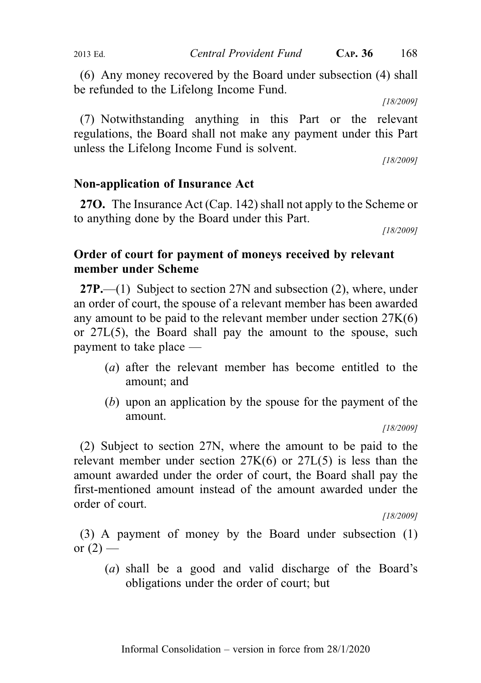(6) Any money recovered by the Board under subsection (4) shall be refunded to the Lifelong Income Fund.

[18/2009]

(7) Notwithstanding anything in this Part or the relevant regulations, the Board shall not make any payment under this Part unless the Lifelong Income Fund is solvent.

[18/2009]

### Non-application of Insurance Act

27O. The Insurance Act (Cap. 142) shall not apply to the Scheme or to anything done by the Board under this Part.

[18/2009]

# Order of court for payment of moneys received by relevant member under Scheme

27P.—(1) Subject to section 27N and subsection (2), where, under an order of court, the spouse of a relevant member has been awarded any amount to be paid to the relevant member under section 27K(6) or 27L(5), the Board shall pay the amount to the spouse, such payment to take place —

- (a) after the relevant member has become entitled to the amount; and
- (b) upon an application by the spouse for the payment of the amount.

[18/2009]

(2) Subject to section 27N, where the amount to be paid to the relevant member under section 27K(6) or 27L(5) is less than the amount awarded under the order of court, the Board shall pay the first-mentioned amount instead of the amount awarded under the order of court.

[18/2009]

(3) A payment of money by the Board under subsection (1) or  $(2)$  —

(a) shall be a good and valid discharge of the Board's obligations under the order of court; but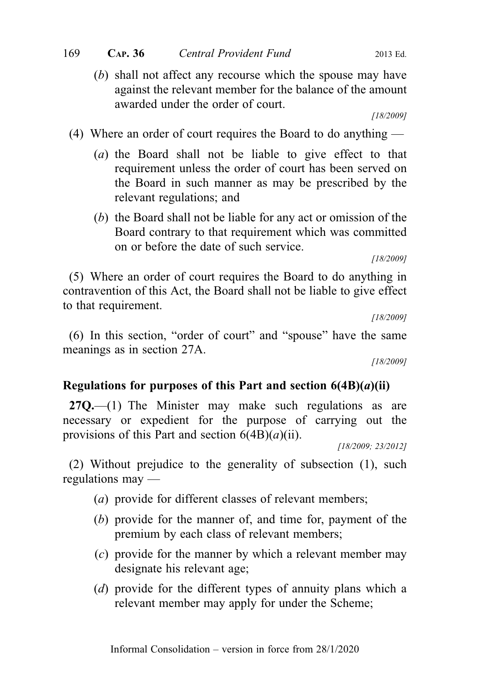(b) shall not affect any recourse which the spouse may have against the relevant member for the balance of the amount awarded under the order of court.

[18/2009]

- (4) Where an order of court requires the Board to do anything
	- (a) the Board shall not be liable to give effect to that requirement unless the order of court has been served on the Board in such manner as may be prescribed by the relevant regulations; and
	- (b) the Board shall not be liable for any act or omission of the Board contrary to that requirement which was committed on or before the date of such service.

[18/2009]

(5) Where an order of court requires the Board to do anything in contravention of this Act, the Board shall not be liable to give effect to that requirement.

[18/2009]

(6) In this section, "order of court" and "spouse" have the same meanings as in section 27A.

[18/2009]

### Regulations for purposes of this Part and section  $6(4B)(a)(ii)$

 $27Q$ ,  $-$ (1) The Minister may make such regulations as are necessary or expedient for the purpose of carrying out the provisions of this Part and section  $6(4B)(a)(ii)$ .

[18/2009; 23/2012]

(2) Without prejudice to the generality of subsection (1), such regulations may —

- (a) provide for different classes of relevant members;
- (b) provide for the manner of, and time for, payment of the premium by each class of relevant members;
- (c) provide for the manner by which a relevant member may designate his relevant age;
- (d) provide for the different types of annuity plans which a relevant member may apply for under the Scheme;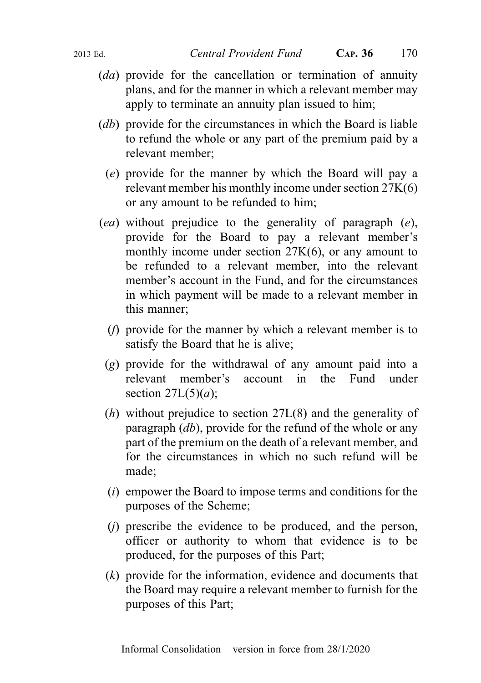- (da) provide for the cancellation or termination of annuity plans, and for the manner in which a relevant member may apply to terminate an annuity plan issued to him;
- (*db*) provide for the circumstances in which the Board is liable to refund the whole or any part of the premium paid by a relevant member;
	- (e) provide for the manner by which the Board will pay a relevant member his monthly income under section 27K(6) or any amount to be refunded to him;
- (ea) without prejudice to the generality of paragraph (e), provide for the Board to pay a relevant member's monthly income under section 27K(6), or any amount to be refunded to a relevant member, into the relevant member's account in the Fund, and for the circumstances in which payment will be made to a relevant member in this manner;
	- (f) provide for the manner by which a relevant member is to satisfy the Board that he is alive;
	- (g) provide for the withdrawal of any amount paid into a relevant member's account in the Fund under section  $27L(5)(a)$ ;
	- (h) without prejudice to section 27L(8) and the generality of paragraph  $(db)$ , provide for the refund of the whole or any part of the premium on the death of a relevant member, and for the circumstances in which no such refund will be made;
	- (i) empower the Board to impose terms and conditions for the purposes of the Scheme;
	- (j) prescribe the evidence to be produced, and the person, officer or authority to whom that evidence is to be produced, for the purposes of this Part;
	- (k) provide for the information, evidence and documents that the Board may require a relevant member to furnish for the purposes of this Part;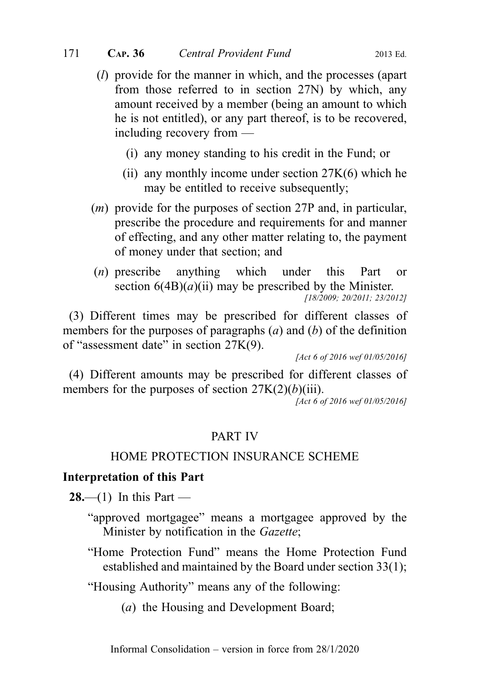- (l) provide for the manner in which, and the processes (apart from those referred to in section 27N) by which, any amount received by a member (being an amount to which he is not entitled), or any part thereof, is to be recovered, including recovery from —
	- (i) any money standing to his credit in the Fund; or
	- (ii) any monthly income under section 27K(6) which he may be entitled to receive subsequently;
- (m) provide for the purposes of section 27P and, in particular, prescribe the procedure and requirements for and manner of effecting, and any other matter relating to, the payment of money under that section; and
- (n) prescribe anything which under this Part or section  $6(4B)(a)(ii)$  may be prescribed by the Minister. [18/2009; 20/2011; 23/2012]

(3) Different times may be prescribed for different classes of members for the purposes of paragraphs  $(a)$  and  $(b)$  of the definition of "assessment date" in section 27K(9).

[Act 6 of 2016 wef 01/05/2016]

(4) Different amounts may be prescribed for different classes of members for the purposes of section  $27K(2)(b)(iii)$ .

[Act 6 of 2016 wef 01/05/2016]

# PART IV

### HOME PROTECTION INSURANCE SCHEME

### Interpretation of this Part

**28.**—(1) In this Part —

- "approved mortgagee" means a mortgagee approved by the Minister by notification in the *Gazette*:
- "Home Protection Fund" means the Home Protection Fund established and maintained by the Board under section 33(1);

"Housing Authority" means any of the following:

(a) the Housing and Development Board;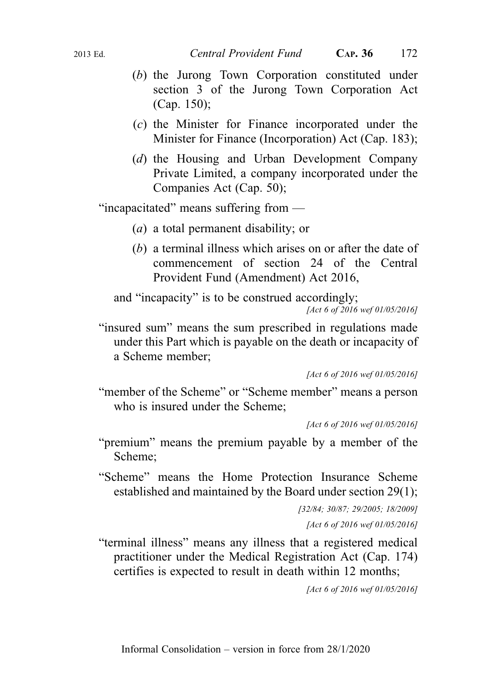- (b) the Jurong Town Corporation constituted under section 3 of the Jurong Town Corporation Act (Cap. 150);
- (c) the Minister for Finance incorporated under the Minister for Finance (Incorporation) Act (Cap. 183);
- (d) the Housing and Urban Development Company Private Limited, a company incorporated under the Companies Act (Cap. 50);

"incapacitated" means suffering from —

- (a) a total permanent disability; or
- (b) a terminal illness which arises on or after the date of commencement of section 24 of the Central Provident Fund (Amendment) Act 2016,

and "incapacity" is to be construed accordingly; [Act 6 of 2016 wef 01/05/2016]

"insured sum" means the sum prescribed in regulations made under this Part which is payable on the death or incapacity of a Scheme member;

"member of the Scheme" or "Scheme member" means a person who is insured under the Scheme;

[Act 6 of 2016 wef 01/05/2016]

"premium" means the premium payable by a member of the Scheme;

"Scheme" means the Home Protection Insurance Scheme established and maintained by the Board under section 29(1);

```
[32/84; 30/87; 29/2005; 18/2009]
```
[Act 6 of 2016 wef 01/05/2016]

"terminal illness" means any illness that a registered medical practitioner under the Medical Registration Act (Cap. 174) certifies is expected to result in death within 12 months;

[Act 6 of 2016 wef 01/05/2016]

<sup>[</sup>Act 6 of 2016 wef 01/05/2016]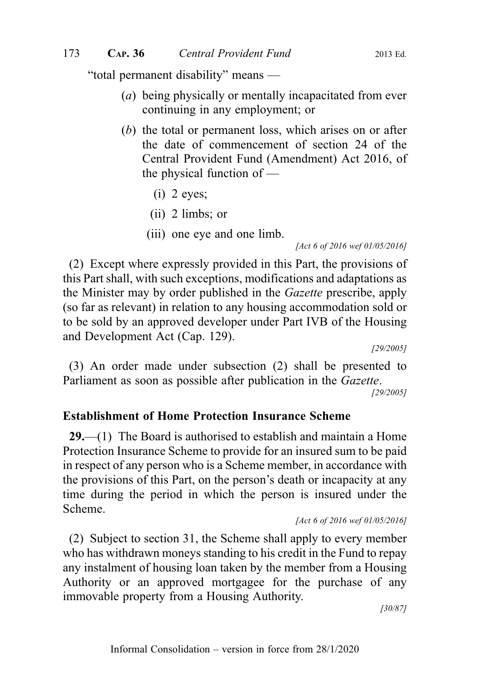"total permanent disability" means —

- (a) being physically or mentally incapacitated from ever continuing in any employment; or
- (b) the total or permanent loss, which arises on or after the date of commencement of section 24 of the Central Provident Fund (Amendment) Act 2016, of the physical function of —
	- $(i)$  2 eyes;
	- (ii) 2 limbs; or
	- (iii) one eye and one limb.

[Act 6 of 2016 wef 01/05/2016]

(2) Except where expressly provided in this Part, the provisions of this Part shall, with such exceptions, modifications and adaptations as the Minister may by order published in the Gazette prescribe, apply (so far as relevant) in relation to any housing accommodation sold or to be sold by an approved developer under Part IVB of the Housing and Development Act (Cap. 129).

[29/2005]

(3) An order made under subsection (2) shall be presented to Parliament as soon as possible after publication in the Gazette.

[29/2005]

#### Establishment of Home Protection Insurance Scheme

29.—(1) The Board is authorised to establish and maintain a Home Protection Insurance Scheme to provide for an insured sum to be paid in respect of any person who is a Scheme member, in accordance with the provisions of this Part, on the person's death or incapacity at any time during the period in which the person is insured under the Scheme.

```
[Act 6 of 2016 wef 01/05/2016]
```
(2) Subject to section 31, the Scheme shall apply to every member who has withdrawn moneys standing to his credit in the Fund to repay any instalment of housing loan taken by the member from a Housing Authority or an approved mortgagee for the purchase of any immovable property from a Housing Authority.

[30/87]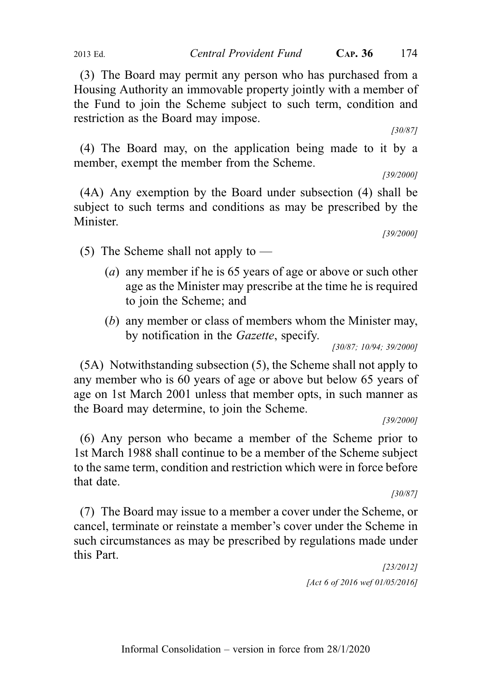(3) The Board may permit any person who has purchased from a Housing Authority an immovable property jointly with a member of the Fund to join the Scheme subject to such term, condition and restriction as the Board may impose.

[30/87]

(4) The Board may, on the application being made to it by a member, exempt the member from the Scheme.

[39/2000]

(4A) Any exemption by the Board under subsection (4) shall be subject to such terms and conditions as may be prescribed by the Minister.

[39/2000]

- (5) The Scheme shall not apply to
	- (a) any member if he is 65 years of age or above or such other age as the Minister may prescribe at the time he is required to join the Scheme; and
	- (b) any member or class of members whom the Minister may, by notification in the Gazette, specify.

[30/87; 10/94; 39/2000]

(5A) Notwithstanding subsection (5), the Scheme shall not apply to any member who is 60 years of age or above but below 65 years of age on 1st March 2001 unless that member opts, in such manner as the Board may determine, to join the Scheme.

[39/2000]

(6) Any person who became a member of the Scheme prior to 1st March 1988 shall continue to be a member of the Scheme subject to the same term, condition and restriction which were in force before that date.

[30/87]

(7) The Board may issue to a member a cover under the Scheme, or cancel, terminate or reinstate a member's cover under the Scheme in such circumstances as may be prescribed by regulations made under this Part.

> [23/2012] [Act 6 of 2016 wef 01/05/2016]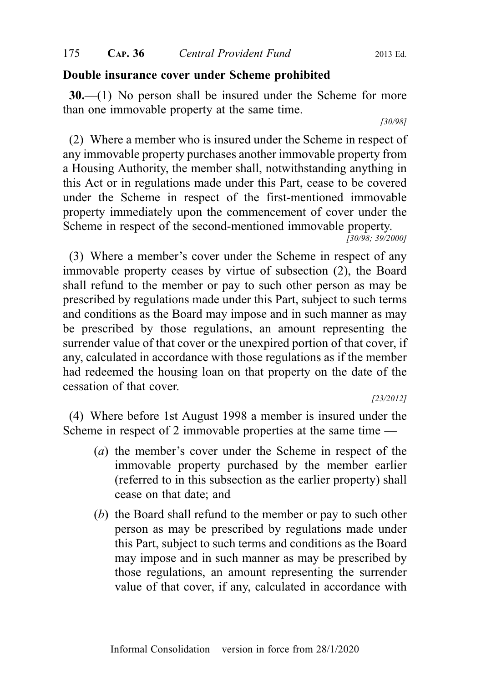#### Double insurance cover under Scheme prohibited

30.—(1) No person shall be insured under the Scheme for more than one immovable property at the same time.

[30/98]

(2) Where a member who is insured under the Scheme in respect of any immovable property purchases another immovable property from a Housing Authority, the member shall, notwithstanding anything in this Act or in regulations made under this Part, cease to be covered under the Scheme in respect of the first-mentioned immovable property immediately upon the commencement of cover under the Scheme in respect of the second-mentioned immovable property.

[30/98; 39/2000]

(3) Where a member's cover under the Scheme in respect of any immovable property ceases by virtue of subsection (2), the Board shall refund to the member or pay to such other person as may be prescribed by regulations made under this Part, subject to such terms and conditions as the Board may impose and in such manner as may be prescribed by those regulations, an amount representing the surrender value of that cover or the unexpired portion of that cover, if any, calculated in accordance with those regulations as if the member had redeemed the housing loan on that property on the date of the cessation of that cover.

[23/2012]

(4) Where before 1st August 1998 a member is insured under the Scheme in respect of 2 immovable properties at the same time —

- (a) the member's cover under the Scheme in respect of the immovable property purchased by the member earlier (referred to in this subsection as the earlier property) shall cease on that date; and
- (b) the Board shall refund to the member or pay to such other person as may be prescribed by regulations made under this Part, subject to such terms and conditions as the Board may impose and in such manner as may be prescribed by those regulations, an amount representing the surrender value of that cover, if any, calculated in accordance with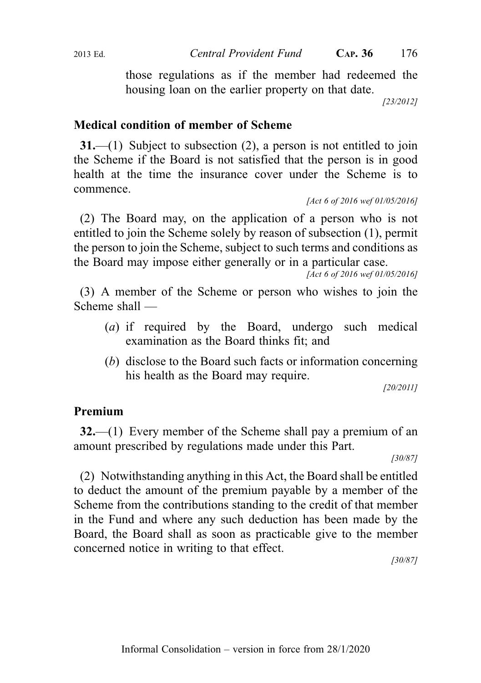those regulations as if the member had redeemed the housing loan on the earlier property on that date.

[23/2012]

# Medical condition of member of Scheme

31.—(1) Subject to subsection (2), a person is not entitled to join the Scheme if the Board is not satisfied that the person is in good health at the time the insurance cover under the Scheme is to commence.

[Act 6 of 2016 wef 01/05/2016]

(2) The Board may, on the application of a person who is not entitled to join the Scheme solely by reason of subsection (1), permit the person to join the Scheme, subject to such terms and conditions as the Board may impose either generally or in a particular case.

[Act 6 of 2016 wef 01/05/2016]

(3) A member of the Scheme or person who wishes to join the Scheme shall —

- (a) if required by the Board, undergo such medical examination as the Board thinks fit; and
- (b) disclose to the Board such facts or information concerning his health as the Board may require.

[20/2011]

### Premium

32.—(1) Every member of the Scheme shall pay a premium of an amount prescribed by regulations made under this Part.

[30/87]

(2) Notwithstanding anything in this Act, the Board shall be entitled to deduct the amount of the premium payable by a member of the Scheme from the contributions standing to the credit of that member in the Fund and where any such deduction has been made by the Board, the Board shall as soon as practicable give to the member concerned notice in writing to that effect.

[30/87]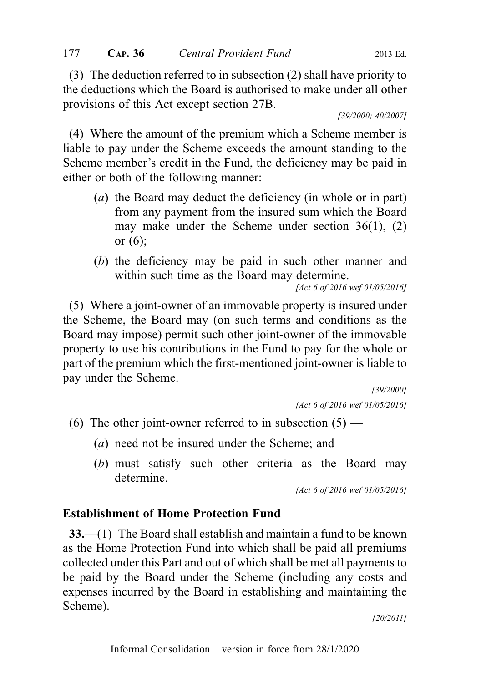(3) The deduction referred to in subsection (2) shall have priority to the deductions which the Board is authorised to make under all other provisions of this Act except section 27B.

[39/2000; 40/2007]

(4) Where the amount of the premium which a Scheme member is liable to pay under the Scheme exceeds the amount standing to the Scheme member's credit in the Fund, the deficiency may be paid in either or both of the following manner:

- (a) the Board may deduct the deficiency (in whole or in part) from any payment from the insured sum which the Board may make under the Scheme under section 36(1), (2) or (6);
- (b) the deficiency may be paid in such other manner and within such time as the Board may determine.

[Act 6 of 2016 wef 01/05/2016]

(5) Where a joint-owner of an immovable property is insured under the Scheme, the Board may (on such terms and conditions as the Board may impose) permit such other joint-owner of the immovable property to use his contributions in the Fund to pay for the whole or part of the premium which the first-mentioned joint-owner is liable to pay under the Scheme.

> [39/2000] [Act 6 of 2016 wef 01/05/2016]

- (6) The other joint-owner referred to in subsection  $(5)$ 
	- (a) need not be insured under the Scheme; and
	- (b) must satisfy such other criteria as the Board may determine.

[Act 6 of 2016 wef 01/05/2016]

# Establishment of Home Protection Fund

33.—(1) The Board shall establish and maintain a fund to be known as the Home Protection Fund into which shall be paid all premiums collected under this Part and out of which shall be met all payments to be paid by the Board under the Scheme (including any costs and expenses incurred by the Board in establishing and maintaining the Scheme).

[20/2011]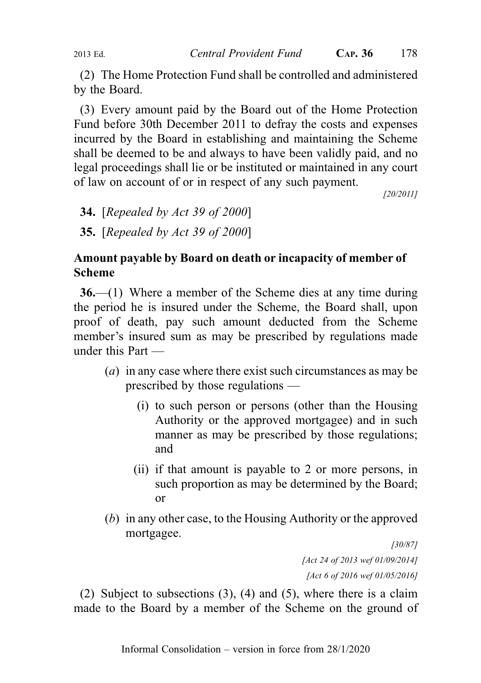(2) The Home Protection Fund shall be controlled and administered by the Board.

(3) Every amount paid by the Board out of the Home Protection Fund before 30th December 2011 to defray the costs and expenses incurred by the Board in establishing and maintaining the Scheme shall be deemed to be and always to have been validly paid, and no legal proceedings shall lie or be instituted or maintained in any court of law on account of or in respect of any such payment.

[20/2011]

- **34.** [Repealed by Act 39 of 2000]
- 35. [Repealed by Act 39 of 2000]

# Amount payable by Board on death or incapacity of member of Scheme

36.—(1) Where a member of the Scheme dies at any time during the period he is insured under the Scheme, the Board shall, upon proof of death, pay such amount deducted from the Scheme member's insured sum as may be prescribed by regulations made under this Part —

- (a) in any case where there exist such circumstances as may be prescribed by those regulations —
	- (i) to such person or persons (other than the Housing Authority or the approved mortgagee) and in such manner as may be prescribed by those regulations; and
	- (ii) if that amount is payable to 2 or more persons, in such proportion as may be determined by the Board; or
- (b) in any other case, to the Housing Authority or the approved mortgagee.

[30/87] [Act 24 of 2013 wef 01/09/2014] [Act 6 of 2016 wef 01/05/2016]

(2) Subject to subsections (3), (4) and (5), where there is a claim made to the Board by a member of the Scheme on the ground of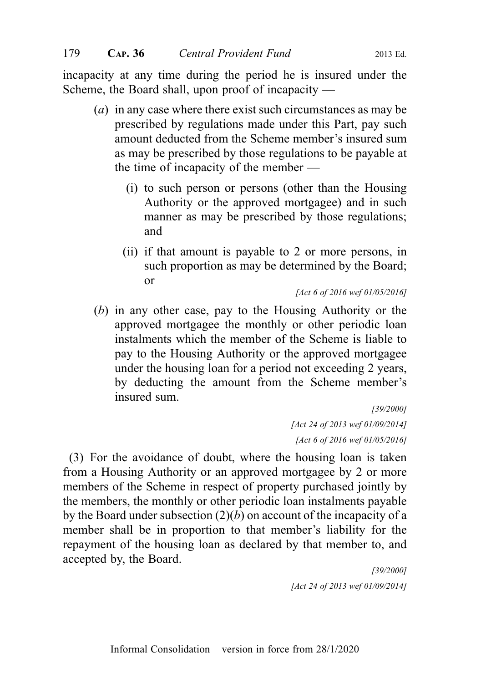incapacity at any time during the period he is insured under the Scheme, the Board shall, upon proof of incapacity —

- (a) in any case where there exist such circumstances as may be prescribed by regulations made under this Part, pay such amount deducted from the Scheme member's insured sum as may be prescribed by those regulations to be payable at the time of incapacity of the member —
	- (i) to such person or persons (other than the Housing Authority or the approved mortgagee) and in such manner as may be prescribed by those regulations; and
	- (ii) if that amount is payable to 2 or more persons, in such proportion as may be determined by the Board; or

[Act 6 of 2016 wef 01/05/2016]

(b) in any other case, pay to the Housing Authority or the approved mortgagee the monthly or other periodic loan instalments which the member of the Scheme is liable to pay to the Housing Authority or the approved mortgagee under the housing loan for a period not exceeding 2 years, by deducting the amount from the Scheme member's insured sum.

[39/2000] [Act 24 of 2013 wef 01/09/2014] [Act 6 of 2016 wef 01/05/2016]

(3) For the avoidance of doubt, where the housing loan is taken from a Housing Authority or an approved mortgagee by 2 or more members of the Scheme in respect of property purchased jointly by the members, the monthly or other periodic loan instalments payable by the Board under subsection  $(2)(b)$  on account of the incapacity of a member shall be in proportion to that member's liability for the repayment of the housing loan as declared by that member to, and accepted by, the Board.

> [39/2000] [Act 24 of 2013 wef 01/09/2014]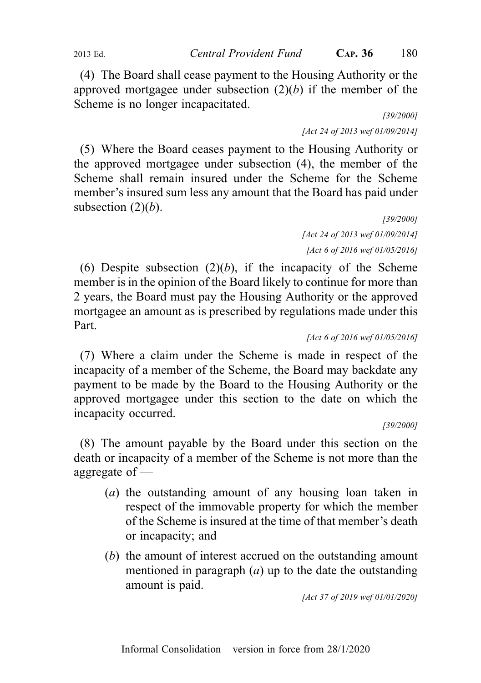(4) The Board shall cease payment to the Housing Authority or the approved mortgagee under subsection  $(2)(b)$  if the member of the Scheme is no longer incapacitated.

[39/2000] [Act 24 of 2013 wef 01/09/2014]

(5) Where the Board ceases payment to the Housing Authority or the approved mortgagee under subsection (4), the member of the Scheme shall remain insured under the Scheme for the Scheme member's insured sum less any amount that the Board has paid under subsection  $(2)(b)$ .

[39/2000] [Act 24 of 2013 wef 01/09/2014] [Act 6 of 2016 wef 01/05/2016]

(6) Despite subsection  $(2)(b)$ , if the incapacity of the Scheme member is in the opinion of the Board likely to continue for more than 2 years, the Board must pay the Housing Authority or the approved mortgagee an amount as is prescribed by regulations made under this Part.

[Act 6 of 2016 wef 01/05/2016]

(7) Where a claim under the Scheme is made in respect of the incapacity of a member of the Scheme, the Board may backdate any payment to be made by the Board to the Housing Authority or the approved mortgagee under this section to the date on which the incapacity occurred.

[39/2000]

(8) The amount payable by the Board under this section on the death or incapacity of a member of the Scheme is not more than the aggregate of —

- (a) the outstanding amount of any housing loan taken in respect of the immovable property for which the member of the Scheme is insured at the time of that member's death or incapacity; and
- (b) the amount of interest accrued on the outstanding amount mentioned in paragraph  $(a)$  up to the date the outstanding amount is paid.

[Act 37 of 2019 wef 01/01/2020]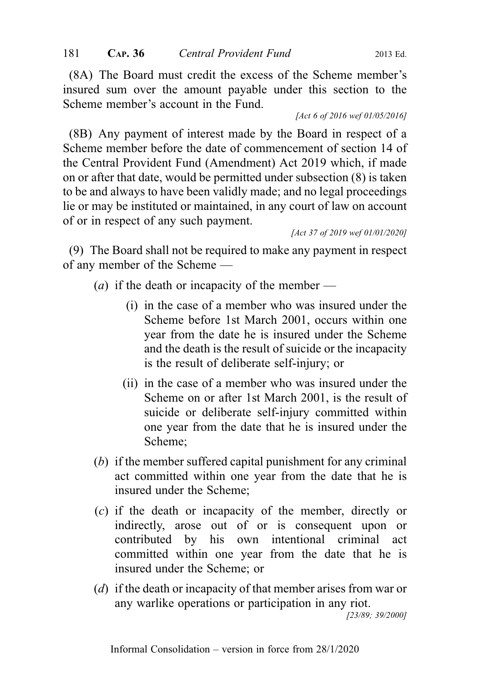(8A) The Board must credit the excess of the Scheme member's insured sum over the amount payable under this section to the Scheme member's account in the Fund.

[Act 6 of 2016 wef 01/05/2016]

(8B) Any payment of interest made by the Board in respect of a Scheme member before the date of commencement of section 14 of the Central Provident Fund (Amendment) Act 2019 which, if made on or after that date, would be permitted under subsection (8) is taken to be and always to have been validly made; and no legal proceedings lie or may be instituted or maintained, in any court of law on account of or in respect of any such payment.

[Act 37 of 2019 wef 01/01/2020]

(9) The Board shall not be required to make any payment in respect of any member of the Scheme —

(*a*) if the death or incapacity of the member —

- (i) in the case of a member who was insured under the Scheme before 1st March 2001, occurs within one year from the date he is insured under the Scheme and the death is the result of suicide or the incapacity is the result of deliberate self-injury; or
- (ii) in the case of a member who was insured under the Scheme on or after 1st March 2001, is the result of suicide or deliberate self-injury committed within one year from the date that he is insured under the Scheme;
- (b) if the member suffered capital punishment for any criminal act committed within one year from the date that he is insured under the Scheme;
- (c) if the death or incapacity of the member, directly or indirectly, arose out of or is consequent upon or contributed by his own intentional criminal act committed within one year from the date that he is insured under the Scheme; or
- (d) if the death or incapacity of that member arises from war or any warlike operations or participation in any riot.

[23/89; 39/2000]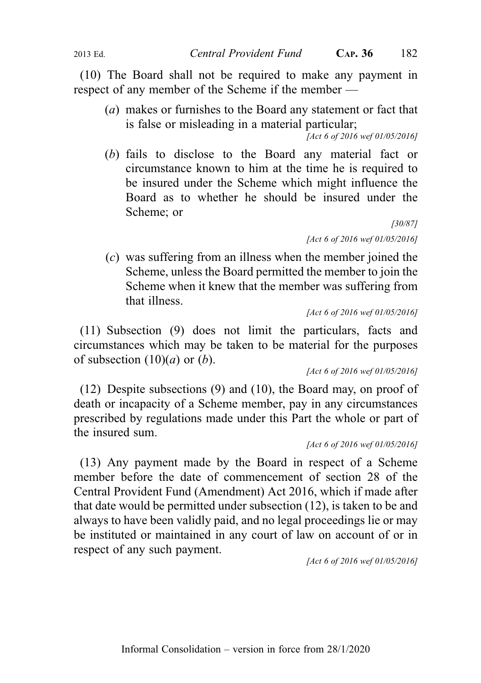(10) The Board shall not be required to make any payment in respect of any member of the Scheme if the member —

(a) makes or furnishes to the Board any statement or fact that is false or misleading in a material particular;

[Act 6 of 2016 wef 01/05/2016]

(b) fails to disclose to the Board any material fact or circumstance known to him at the time he is required to be insured under the Scheme which might influence the Board as to whether he should be insured under the Scheme; or

> [30/87] [Act 6 of 2016 wef 01/05/2016]

(c) was suffering from an illness when the member joined the Scheme, unless the Board permitted the member to join the Scheme when it knew that the member was suffering from that illness.

[Act 6 of 2016 wef 01/05/2016]

(11) Subsection (9) does not limit the particulars, facts and circumstances which may be taken to be material for the purposes of subsection  $(10)(a)$  or  $(b)$ .

[Act 6 of 2016 wef 01/05/2016]

(12) Despite subsections (9) and (10), the Board may, on proof of death or incapacity of a Scheme member, pay in any circumstances prescribed by regulations made under this Part the whole or part of the insured sum.

[Act 6 of 2016 wef 01/05/2016]

(13) Any payment made by the Board in respect of a Scheme member before the date of commencement of section 28 of the Central Provident Fund (Amendment) Act 2016, which if made after that date would be permitted under subsection (12), is taken to be and always to have been validly paid, and no legal proceedings lie or may be instituted or maintained in any court of law on account of or in respect of any such payment.

[Act 6 of 2016 wef 01/05/2016]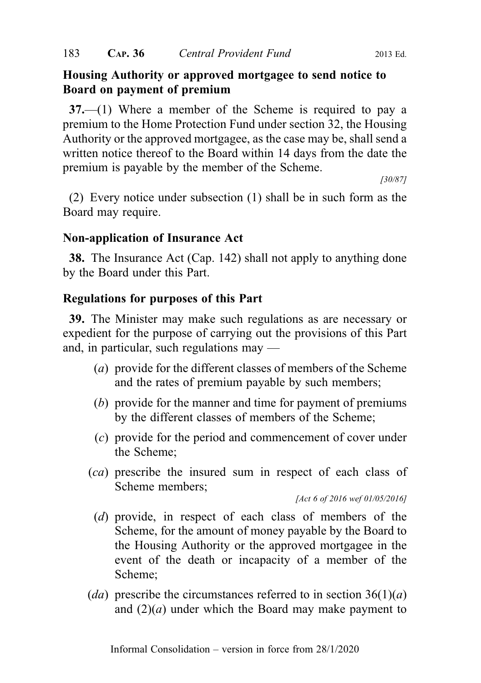# Housing Authority or approved mortgagee to send notice to Board on payment of premium

37.—(1) Where a member of the Scheme is required to pay a premium to the Home Protection Fund under section 32, the Housing Authority or the approved mortgagee, as the case may be, shall send a written notice thereof to the Board within 14 days from the date the premium is payable by the member of the Scheme.

[30/87]

(2) Every notice under subsection (1) shall be in such form as the Board may require.

# Non-application of Insurance Act

38. The Insurance Act (Cap. 142) shall not apply to anything done by the Board under this Part.

# Regulations for purposes of this Part

39. The Minister may make such regulations as are necessary or expedient for the purpose of carrying out the provisions of this Part and, in particular, such regulations may —

- (a) provide for the different classes of members of the Scheme and the rates of premium payable by such members;
- (b) provide for the manner and time for payment of premiums by the different classes of members of the Scheme;
- (c) provide for the period and commencement of cover under the Scheme;
- (ca) prescribe the insured sum in respect of each class of Scheme members;

[Act 6 of 2016 wef 01/05/2016]

- (d) provide, in respect of each class of members of the Scheme, for the amount of money payable by the Board to the Housing Authority or the approved mortgagee in the event of the death or incapacity of a member of the Scheme;
- (da) prescribe the circumstances referred to in section  $36(1)(a)$ and  $(2)(a)$  under which the Board may make payment to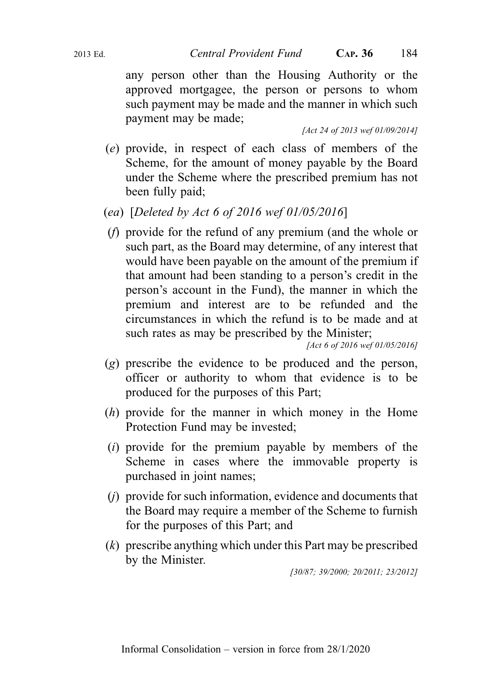any person other than the Housing Authority or the approved mortgagee, the person or persons to whom such payment may be made and the manner in which such payment may be made;

[Act 24 of 2013 wef 01/09/2014]

- (e) provide, in respect of each class of members of the Scheme, for the amount of money payable by the Board under the Scheme where the prescribed premium has not been fully paid;
- (ea) [Deleted by Act 6 of 2016 wef 01/05/2016]
- (f) provide for the refund of any premium (and the whole or such part, as the Board may determine, of any interest that would have been payable on the amount of the premium if that amount had been standing to a person's credit in the person's account in the Fund), the manner in which the premium and interest are to be refunded and the circumstances in which the refund is to be made and at such rates as may be prescribed by the Minister;

[Act 6 of 2016 wef 01/05/2016]

- (g) prescribe the evidence to be produced and the person, officer or authority to whom that evidence is to be produced for the purposes of this Part;
- (h) provide for the manner in which money in the Home Protection Fund may be invested;
- (i) provide for the premium payable by members of the Scheme in cases where the immovable property is purchased in joint names;
- (j) provide for such information, evidence and documents that the Board may require a member of the Scheme to furnish for the purposes of this Part; and
- (k) prescribe anything which under this Part may be prescribed by the Minister.

[30/87; 39/2000; 20/2011; 23/2012]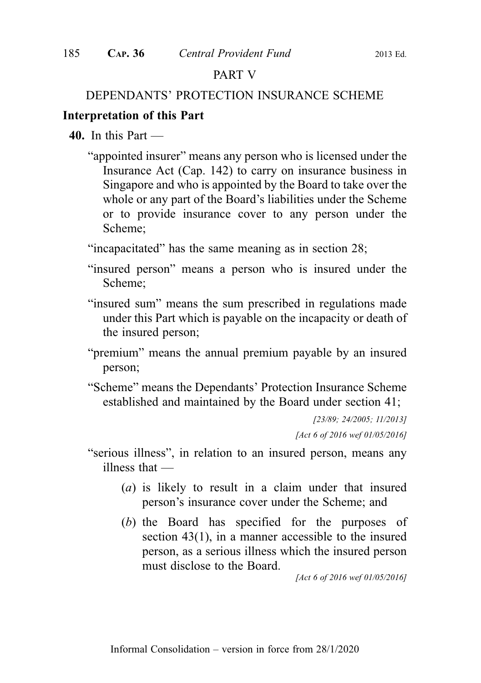# PART V

## DEPENDANTS' PROTECTION INSURANCE SCHEME

# Interpretation of this Part

- $40.$  In this Part
	- "appointed insurer" means any person who is licensed under the Insurance Act (Cap. 142) to carry on insurance business in Singapore and who is appointed by the Board to take over the whole or any part of the Board's liabilities under the Scheme or to provide insurance cover to any person under the Scheme;

"incapacitated" has the same meaning as in section 28;

- "insured person" means a person who is insured under the Scheme;
- "insured sum" means the sum prescribed in regulations made under this Part which is payable on the incapacity or death of the insured person;
- "premium" means the annual premium payable by an insured person;
- "Scheme" means the Dependants' Protection Insurance Scheme established and maintained by the Board under section 41;

[23/89; 24/2005; 11/2013] [Act 6 of 2016 wef 01/05/2016]

- "serious illness", in relation to an insured person, means any illness that —
	- (a) is likely to result in a claim under that insured person's insurance cover under the Scheme; and
	- (b) the Board has specified for the purposes of section 43(1), in a manner accessible to the insured person, as a serious illness which the insured person must disclose to the Board.

[Act 6 of 2016 wef 01/05/2016]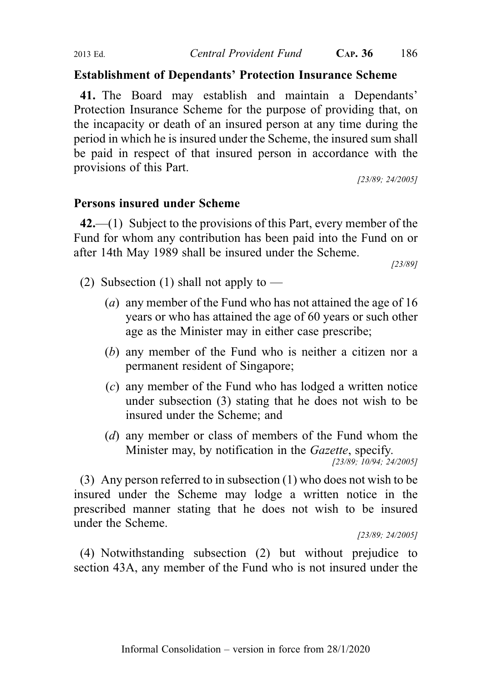## Establishment of Dependants' Protection Insurance Scheme

41. The Board may establish and maintain a Dependants' Protection Insurance Scheme for the purpose of providing that, on the incapacity or death of an insured person at any time during the period in which he is insured under the Scheme, the insured sum shall be paid in respect of that insured person in accordance with the provisions of this Part.

[23/89; 24/2005]

# Persons insured under Scheme

 $42$ —(1) Subject to the provisions of this Part, every member of the Fund for whom any contribution has been paid into the Fund on or after 14th May 1989 shall be insured under the Scheme.

[23/89]

- (2) Subsection (1) shall not apply to  $-$ 
	- (a) any member of the Fund who has not attained the age of 16 years or who has attained the age of 60 years or such other age as the Minister may in either case prescribe;
	- (b) any member of the Fund who is neither a citizen nor a permanent resident of Singapore;
	- (c) any member of the Fund who has lodged a written notice under subsection (3) stating that he does not wish to be insured under the Scheme; and
	- (d) any member or class of members of the Fund whom the Minister may, by notification in the *Gazette*, specify.

[23/89; 10/94; 24/2005]

(3) Any person referred to in subsection (1) who does not wish to be insured under the Scheme may lodge a written notice in the prescribed manner stating that he does not wish to be insured under the Scheme.

[23/89; 24/2005]

(4) Notwithstanding subsection (2) but without prejudice to section 43A, any member of the Fund who is not insured under the

Informal Consolidation – version in force from 28/1/2020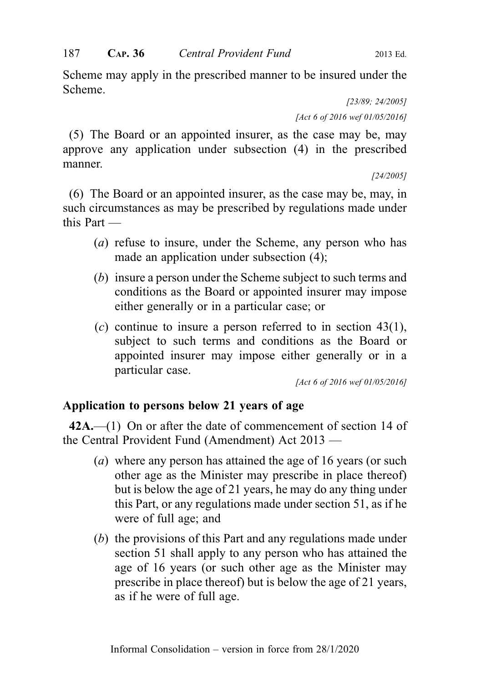Scheme may apply in the prescribed manner to be insured under the Scheme.

> [23/89; 24/2005] [Act 6 of 2016 wef 01/05/2016]

(5) The Board or an appointed insurer, as the case may be, may approve any application under subsection (4) in the prescribed manner.

[24/2005]

(6) The Board or an appointed insurer, as the case may be, may, in such circumstances as may be prescribed by regulations made under this Part —

- (a) refuse to insure, under the Scheme, any person who has made an application under subsection (4);
- (b) insure a person under the Scheme subject to such terms and conditions as the Board or appointed insurer may impose either generally or in a particular case; or
- $(c)$  continue to insure a person referred to in section 43(1), subject to such terms and conditions as the Board or appointed insurer may impose either generally or in a particular case.

[Act 6 of 2016 wef 01/05/2016]

# Application to persons below 21 years of age

 $42A$ .—(1) On or after the date of commencement of section 14 of the Central Provident Fund (Amendment) Act 2013 —

- (a) where any person has attained the age of 16 years (or such other age as the Minister may prescribe in place thereof) but is below the age of 21 years, he may do any thing under this Part, or any regulations made under section 51, as if he were of full age; and
- (b) the provisions of this Part and any regulations made under section 51 shall apply to any person who has attained the age of 16 years (or such other age as the Minister may prescribe in place thereof) but is below the age of 21 years, as if he were of full age.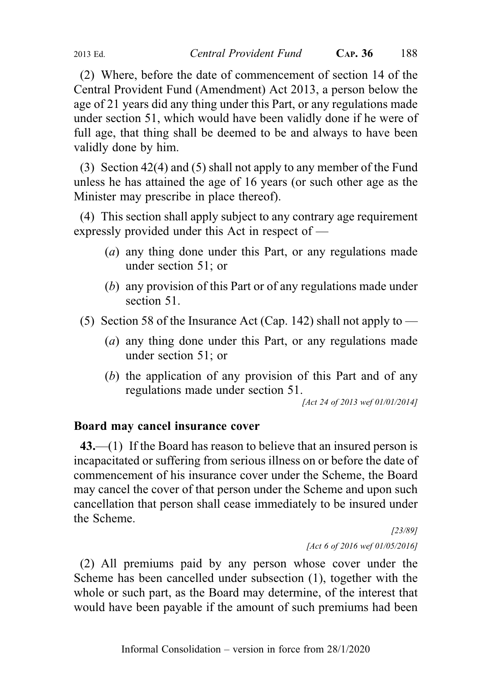(2) Where, before the date of commencement of section 14 of the Central Provident Fund (Amendment) Act 2013, a person below the age of 21 years did any thing under this Part, or any regulations made under section 51, which would have been validly done if he were of full age, that thing shall be deemed to be and always to have been validly done by him.

(3) Section 42(4) and (5) shall not apply to any member of the Fund unless he has attained the age of 16 years (or such other age as the Minister may prescribe in place thereof).

(4) This section shall apply subject to any contrary age requirement expressly provided under this Act in respect of —

- (a) any thing done under this Part, or any regulations made under section 51; or
- (b) any provision of this Part or of any regulations made under section 51.
- (5) Section 58 of the Insurance Act (Cap. 142) shall not apply to  $-$ 
	- (a) any thing done under this Part, or any regulations made under section 51; or
	- (b) the application of any provision of this Part and of any regulations made under section 51.

[Act 24 of 2013 wef 01/01/2014]

# Board may cancel insurance cover

43.—(1) If the Board has reason to believe that an insured person is incapacitated or suffering from serious illness on or before the date of commencement of his insurance cover under the Scheme, the Board may cancel the cover of that person under the Scheme and upon such cancellation that person shall cease immediately to be insured under the Scheme.

> [23/89] [Act 6 of 2016 wef 01/05/2016]

(2) All premiums paid by any person whose cover under the Scheme has been cancelled under subsection (1), together with the whole or such part, as the Board may determine, of the interest that would have been payable if the amount of such premiums had been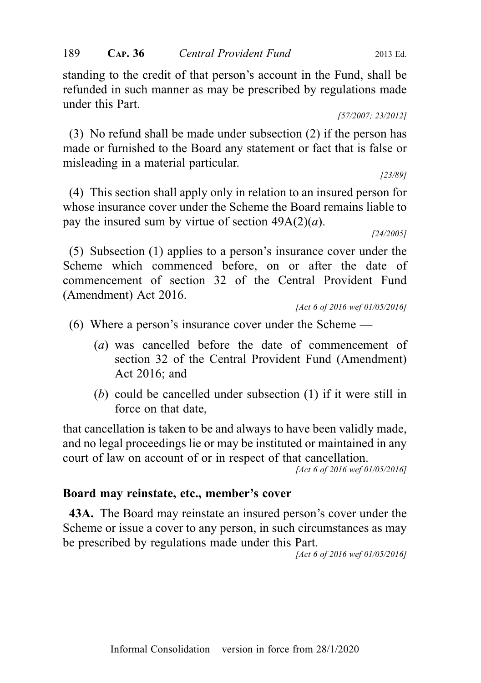standing to the credit of that person's account in the Fund, shall be refunded in such manner as may be prescribed by regulations made under this Part.

[57/2007; 23/2012]

(3) No refund shall be made under subsection (2) if the person has made or furnished to the Board any statement or fact that is false or misleading in a material particular.

[23/89]

(4) This section shall apply only in relation to an insured person for whose insurance cover under the Scheme the Board remains liable to pay the insured sum by virtue of section  $49A(2)(a)$ .

[24/2005]

(5) Subsection (1) applies to a person's insurance cover under the Scheme which commenced before, on or after the date of commencement of section 32 of the Central Provident Fund (Amendment) Act 2016.

- (6) Where a person's insurance cover under the Scheme
	- (a) was cancelled before the date of commencement of section 32 of the Central Provident Fund (Amendment) Act 2016; and
	- (b) could be cancelled under subsection (1) if it were still in force on that date,

that cancellation is taken to be and always to have been validly made, and no legal proceedings lie or may be instituted or maintained in any court of law on account of or in respect of that cancellation.

[Act 6 of 2016 wef 01/05/2016]

#### Board may reinstate, etc., member's cover

43A. The Board may reinstate an insured person's cover under the Scheme or issue a cover to any person, in such circumstances as may be prescribed by regulations made under this Part.

[Act 6 of 2016 wef 01/05/2016]

<sup>[</sup>Act 6 of 2016 wef 01/05/2016]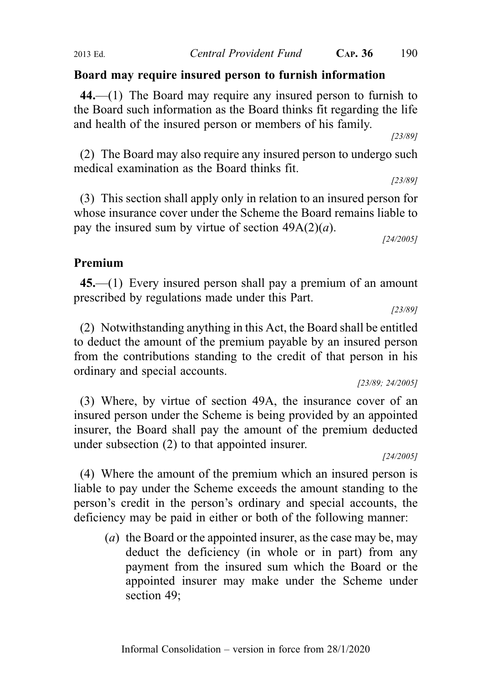## Board may require insured person to furnish information

44.—(1) The Board may require any insured person to furnish to the Board such information as the Board thinks fit regarding the life and health of the insured person or members of his family.

[23/89]

(2) The Board may also require any insured person to undergo such medical examination as the Board thinks fit.

[23/89]

(3) This section shall apply only in relation to an insured person for whose insurance cover under the Scheme the Board remains liable to pay the insured sum by virtue of section  $49A(2)(a)$ .

[24/2005]

## Premium

45.—(1) Every insured person shall pay a premium of an amount prescribed by regulations made under this Part.

[23/89]

(2) Notwithstanding anything in this Act, the Board shall be entitled to deduct the amount of the premium payable by an insured person from the contributions standing to the credit of that person in his ordinary and special accounts.

[23/89; 24/2005]

(3) Where, by virtue of section 49A, the insurance cover of an insured person under the Scheme is being provided by an appointed insurer, the Board shall pay the amount of the premium deducted under subsection (2) to that appointed insurer.

[24/2005]

(4) Where the amount of the premium which an insured person is liable to pay under the Scheme exceeds the amount standing to the person's credit in the person's ordinary and special accounts, the deficiency may be paid in either or both of the following manner:

(a) the Board or the appointed insurer, as the case may be, may deduct the deficiency (in whole or in part) from any payment from the insured sum which the Board or the appointed insurer may make under the Scheme under section 49;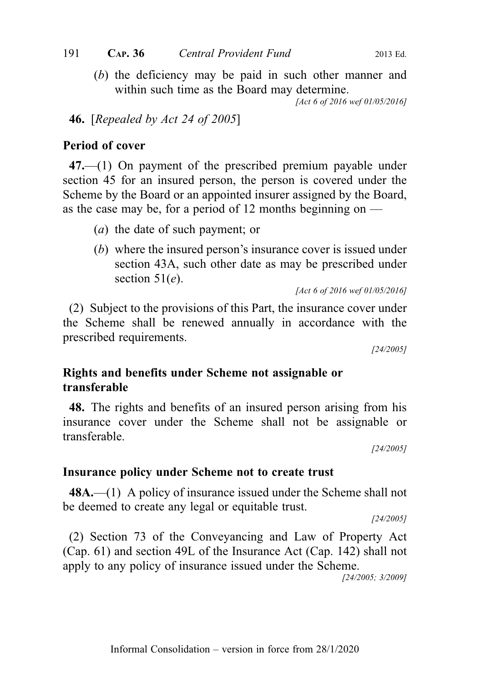(b) the deficiency may be paid in such other manner and within such time as the Board may determine.

[Act 6 of 2016 wef 01/05/2016]

# **46.** [Repealed by Act 24 of 2005]

# Period of cover

47.—(1) On payment of the prescribed premium payable under section 45 for an insured person, the person is covered under the Scheme by the Board or an appointed insurer assigned by the Board, as the case may be, for a period of 12 months beginning on  $-$ 

- (a) the date of such payment; or
- (b) where the insured person's insurance cover is issued under section 43A, such other date as may be prescribed under section  $51(e)$ .

[Act 6 of 2016 wef 01/05/2016]

(2) Subject to the provisions of this Part, the insurance cover under the Scheme shall be renewed annually in accordance with the prescribed requirements.

[24/2005]

# Rights and benefits under Scheme not assignable or transferable

48. The rights and benefits of an insured person arising from his insurance cover under the Scheme shall not be assignable or transferable.

[24/2005]

# Insurance policy under Scheme not to create trust

48A.—(1) A policy of insurance issued under the Scheme shall not be deemed to create any legal or equitable trust.

[24/2005]

(2) Section 73 of the Conveyancing and Law of Property Act (Cap. 61) and section 49L of the Insurance Act (Cap. 142) shall not apply to any policy of insurance issued under the Scheme.

[24/2005; 3/2009]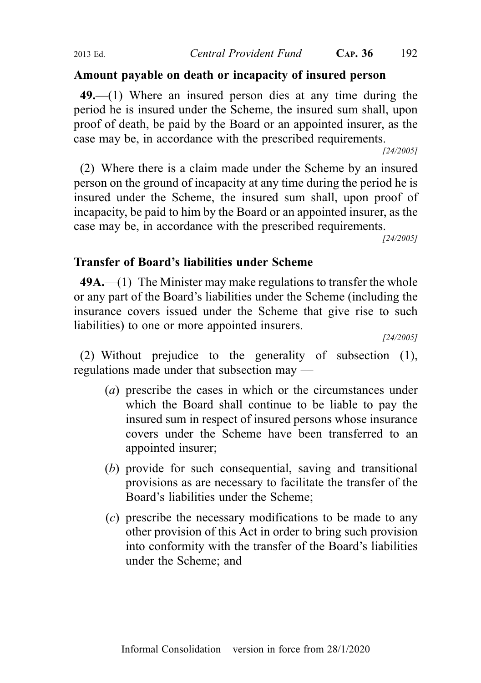# Amount payable on death or incapacity of insured person

49.—(1) Where an insured person dies at any time during the period he is insured under the Scheme, the insured sum shall, upon proof of death, be paid by the Board or an appointed insurer, as the case may be, in accordance with the prescribed requirements.

[24/2005]

(2) Where there is a claim made under the Scheme by an insured person on the ground of incapacity at any time during the period he is insured under the Scheme, the insured sum shall, upon proof of incapacity, be paid to him by the Board or an appointed insurer, as the case may be, in accordance with the prescribed requirements.

[24/2005]

## Transfer of Board's liabilities under Scheme

49A.—(1) The Minister may make regulations to transfer the whole or any part of the Board's liabilities under the Scheme (including the insurance covers issued under the Scheme that give rise to such liabilities) to one or more appointed insurers.

[24/2005]

(2) Without prejudice to the generality of subsection (1), regulations made under that subsection may —

- (a) prescribe the cases in which or the circumstances under which the Board shall continue to be liable to pay the insured sum in respect of insured persons whose insurance covers under the Scheme have been transferred to an appointed insurer;
- (b) provide for such consequential, saving and transitional provisions as are necessary to facilitate the transfer of the Board's liabilities under the Scheme;
- (c) prescribe the necessary modifications to be made to any other provision of this Act in order to bring such provision into conformity with the transfer of the Board's liabilities under the Scheme; and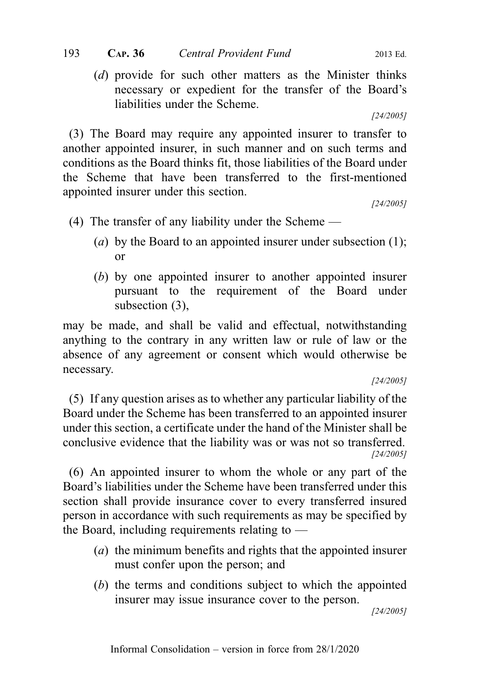(d) provide for such other matters as the Minister thinks necessary or expedient for the transfer of the Board's liabilities under the Scheme.

[24/2005]

(3) The Board may require any appointed insurer to transfer to another appointed insurer, in such manner and on such terms and conditions as the Board thinks fit, those liabilities of the Board under the Scheme that have been transferred to the first-mentioned appointed insurer under this section.

[24/2005]

- (4) The transfer of any liability under the Scheme
	- (a) by the Board to an appointed insurer under subsection  $(1)$ ; or
	- (b) by one appointed insurer to another appointed insurer pursuant to the requirement of the Board under subsection (3),

may be made, and shall be valid and effectual, notwithstanding anything to the contrary in any written law or rule of law or the absence of any agreement or consent which would otherwise be necessary.

[24/2005]

(5) If any question arises as to whether any particular liability of the Board under the Scheme has been transferred to an appointed insurer under this section, a certificate under the hand of the Minister shall be conclusive evidence that the liability was or was not so transferred. [24/2005]

(6) An appointed insurer to whom the whole or any part of the Board's liabilities under the Scheme have been transferred under this section shall provide insurance cover to every transferred insured person in accordance with such requirements as may be specified by the Board, including requirements relating to —

- (a) the minimum benefits and rights that the appointed insurer must confer upon the person; and
- (b) the terms and conditions subject to which the appointed insurer may issue insurance cover to the person.

[24/2005]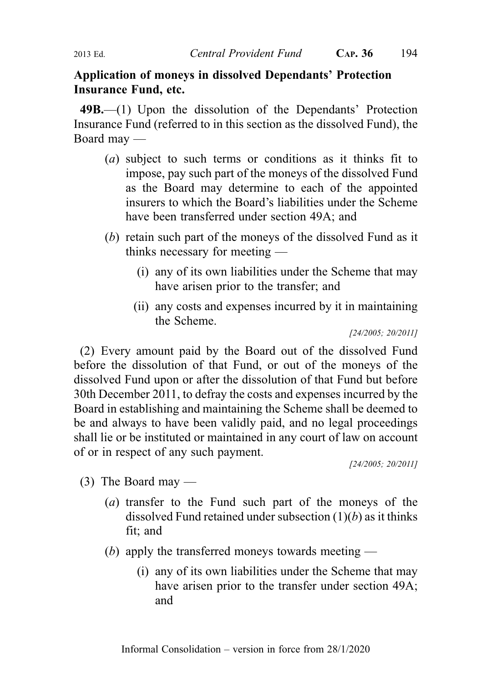# Application of moneys in dissolved Dependants' Protection Insurance Fund, etc.

49B.—(1) Upon the dissolution of the Dependants' Protection Insurance Fund (referred to in this section as the dissolved Fund), the Board may —

- (a) subject to such terms or conditions as it thinks fit to impose, pay such part of the moneys of the dissolved Fund as the Board may determine to each of the appointed insurers to which the Board's liabilities under the Scheme have been transferred under section 49A; and
- (b) retain such part of the moneys of the dissolved Fund as it thinks necessary for meeting —
	- (i) any of its own liabilities under the Scheme that may have arisen prior to the transfer; and
	- (ii) any costs and expenses incurred by it in maintaining the Scheme.

[24/2005; 20/2011]

(2) Every amount paid by the Board out of the dissolved Fund before the dissolution of that Fund, or out of the moneys of the dissolved Fund upon or after the dissolution of that Fund but before 30th December 2011, to defray the costs and expenses incurred by the Board in establishing and maintaining the Scheme shall be deemed to be and always to have been validly paid, and no legal proceedings shall lie or be instituted or maintained in any court of law on account of or in respect of any such payment.

[24/2005; 20/2011]

- (3) The Board may
	- (a) transfer to the Fund such part of the moneys of the dissolved Fund retained under subsection  $(1)(b)$  as it thinks fit; and
	- (b) apply the transferred moneys towards meeting
		- (i) any of its own liabilities under the Scheme that may have arisen prior to the transfer under section 49A; and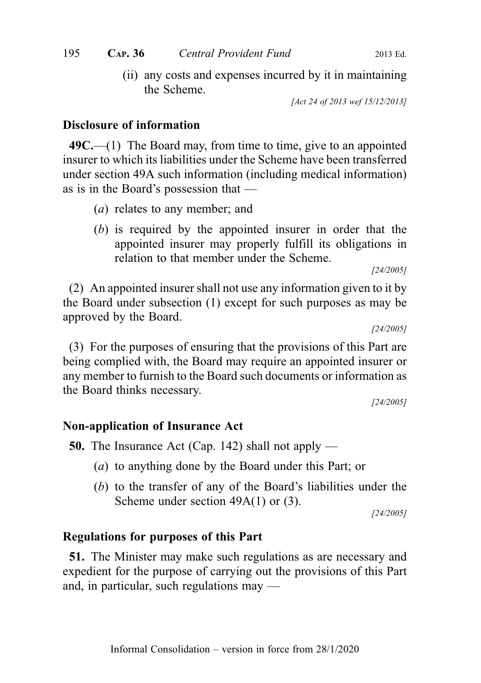(ii) any costs and expenses incurred by it in maintaining the Scheme.

[Act 24 of 2013 wef 15/12/2013]

## Disclosure of information

 $49C$ —(1) The Board may, from time to time, give to an appointed insurer to which its liabilities under the Scheme have been transferred under section 49A such information (including medical information) as is in the Board's possession that —

- (a) relates to any member; and
- (b) is required by the appointed insurer in order that the appointed insurer may properly fulfill its obligations in relation to that member under the Scheme.

[24/2005]

(2) An appointed insurer shall not use any information given to it by the Board under subsection (1) except for such purposes as may be approved by the Board.

[24/2005]

(3) For the purposes of ensuring that the provisions of this Part are being complied with, the Board may require an appointed insurer or any member to furnish to the Board such documents or information as the Board thinks necessary.

[24/2005]

# Non-application of Insurance Act

50. The Insurance Act (Cap. 142) shall not apply —

- (a) to anything done by the Board under this Part; or
- (b) to the transfer of any of the Board's liabilities under the Scheme under section 49A(1) or (3).

[24/2005]

## Regulations for purposes of this Part

51. The Minister may make such regulations as are necessary and expedient for the purpose of carrying out the provisions of this Part and, in particular, such regulations may —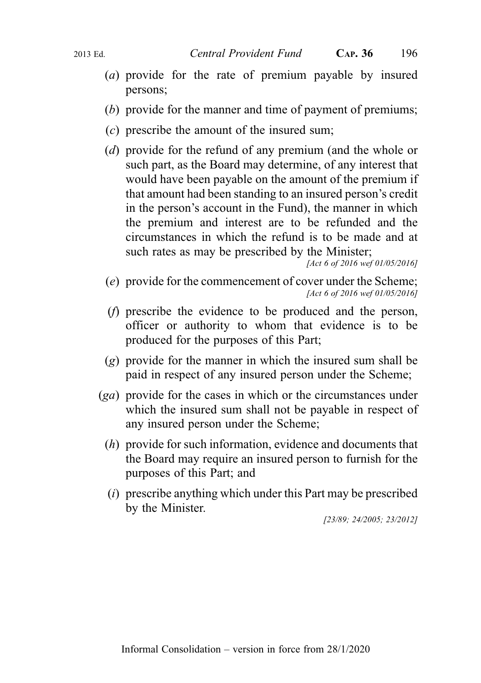- (a) provide for the rate of premium payable by insured persons;
- (b) provide for the manner and time of payment of premiums;
- $(c)$  prescribe the amount of the insured sum:
- (d) provide for the refund of any premium (and the whole or such part, as the Board may determine, of any interest that would have been payable on the amount of the premium if that amount had been standing to an insured person's credit in the person's account in the Fund), the manner in which the premium and interest are to be refunded and the circumstances in which the refund is to be made and at such rates as may be prescribed by the Minister;

```
[Act 6 of 2016 wef 01/05/2016]
```
- (e) provide for the commencement of cover under the Scheme; [Act 6 of 2016 wef 01/05/2016]
- (f) prescribe the evidence to be produced and the person, officer or authority to whom that evidence is to be produced for the purposes of this Part;
- (g) provide for the manner in which the insured sum shall be paid in respect of any insured person under the Scheme;
- (ga) provide for the cases in which or the circumstances under which the insured sum shall not be payable in respect of any insured person under the Scheme;
	- (h) provide for such information, evidence and documents that the Board may require an insured person to furnish for the purposes of this Part; and
	- $(i)$  prescribe anything which under this Part may be prescribed by the Minister.

[23/89; 24/2005; 23/2012]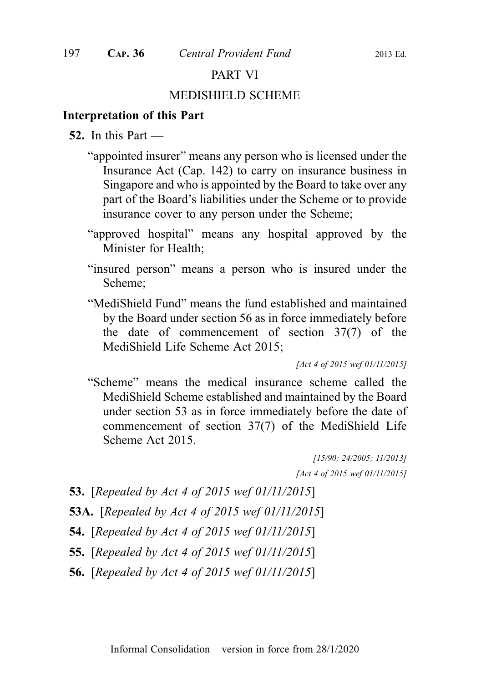## PART VI

#### MEDISHIELD SCHEME

#### Interpretation of this Part

- 52. In this Part
	- "appointed insurer" means any person who is licensed under the Insurance Act (Cap. 142) to carry on insurance business in Singapore and who is appointed by the Board to take over any part of the Board's liabilities under the Scheme or to provide insurance cover to any person under the Scheme;
	- "approved hospital" means any hospital approved by the Minister for Health;
	- "insured person" means a person who is insured under the Scheme;
	- "MediShield Fund" means the fund established and maintained by the Board under section 56 as in force immediately before the date of commencement of section 37(7) of the MediShield Life Scheme Act 2015;

[Act 4 of 2015 wef 01/11/2015]

"Scheme" means the medical insurance scheme called the MediShield Scheme established and maintained by the Board under section 53 as in force immediately before the date of commencement of section 37(7) of the MediShield Life Scheme Act 2015.

> [15/90; 24/2005; 11/2013] [Act 4 of 2015 wef 01/11/2015]

- 53. [Repealed by Act 4 of 2015 wef 01/11/2015]
- 53A. [Repealed by Act 4 of 2015 wef 01/11/2015]
- 54. [Repealed by Act 4 of 2015 wef 01/11/2015]
- 55. [Repealed by Act 4 of 2015 wef 01/11/2015]
- 56. [Repealed by Act 4 of 2015 wef 01/11/2015]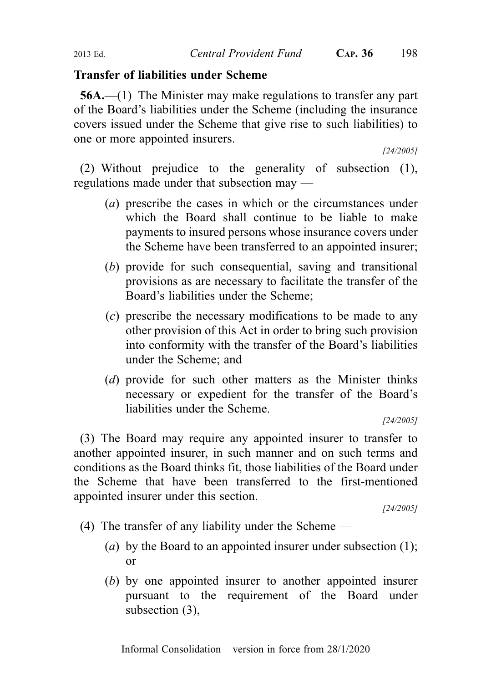## Transfer of liabilities under Scheme

56A.—(1) The Minister may make regulations to transfer any part of the Board's liabilities under the Scheme (including the insurance covers issued under the Scheme that give rise to such liabilities) to one or more appointed insurers.

[24/2005]

(2) Without prejudice to the generality of subsection (1), regulations made under that subsection may —

- (a) prescribe the cases in which or the circumstances under which the Board shall continue to be liable to make payments to insured persons whose insurance covers under the Scheme have been transferred to an appointed insurer;
- (b) provide for such consequential, saving and transitional provisions as are necessary to facilitate the transfer of the Board's liabilities under the Scheme;
- (c) prescribe the necessary modifications to be made to any other provision of this Act in order to bring such provision into conformity with the transfer of the Board's liabilities under the Scheme; and
- (d) provide for such other matters as the Minister thinks necessary or expedient for the transfer of the Board's liabilities under the Scheme.

[24/2005]

(3) The Board may require any appointed insurer to transfer to another appointed insurer, in such manner and on such terms and conditions as the Board thinks fit, those liabilities of the Board under the Scheme that have been transferred to the first-mentioned appointed insurer under this section.

[24/2005]

- (4) The transfer of any liability under the Scheme
	- (a) by the Board to an appointed insurer under subsection  $(1)$ ; or
	- (b) by one appointed insurer to another appointed insurer pursuant to the requirement of the Board under subsection (3),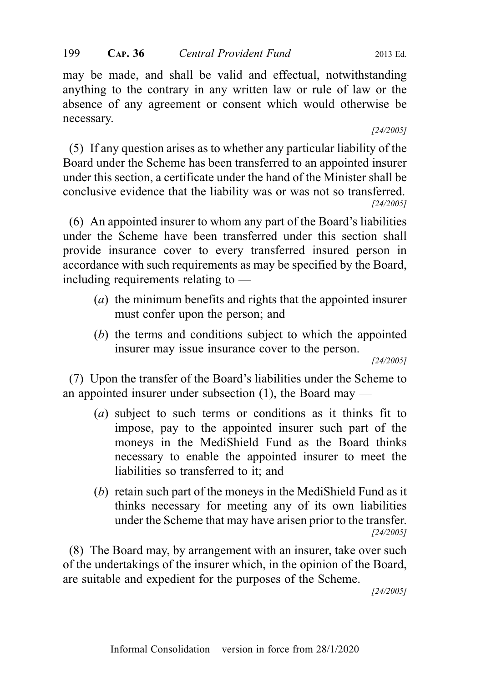may be made, and shall be valid and effectual, notwithstanding anything to the contrary in any written law or rule of law or the absence of any agreement or consent which would otherwise be necessary.

#### [24/2005]

(5) If any question arises as to whether any particular liability of the Board under the Scheme has been transferred to an appointed insurer under this section, a certificate under the hand of the Minister shall be conclusive evidence that the liability was or was not so transferred. [24/2005]

(6) An appointed insurer to whom any part of the Board's liabilities under the Scheme have been transferred under this section shall provide insurance cover to every transferred insured person in accordance with such requirements as may be specified by the Board, including requirements relating to —

- (a) the minimum benefits and rights that the appointed insurer must confer upon the person; and
- (b) the terms and conditions subject to which the appointed insurer may issue insurance cover to the person.

[24/2005]

(7) Upon the transfer of the Board's liabilities under the Scheme to an appointed insurer under subsection (1), the Board may —

- (a) subject to such terms or conditions as it thinks fit to impose, pay to the appointed insurer such part of the moneys in the MediShield Fund as the Board thinks necessary to enable the appointed insurer to meet the liabilities so transferred to it; and
- (b) retain such part of the moneys in the MediShield Fund as it thinks necessary for meeting any of its own liabilities under the Scheme that may have arisen prior to the transfer. [24/2005]

(8) The Board may, by arrangement with an insurer, take over such of the undertakings of the insurer which, in the opinion of the Board, are suitable and expedient for the purposes of the Scheme.

[24/2005]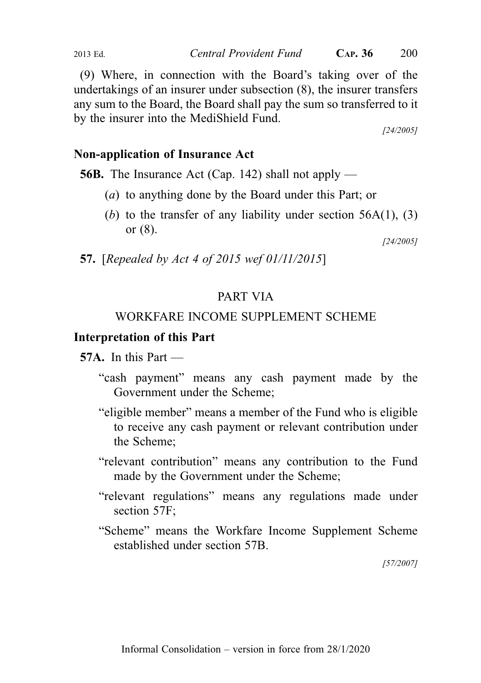(9) Where, in connection with the Board's taking over of the undertakings of an insurer under subsection (8), the insurer transfers any sum to the Board, the Board shall pay the sum so transferred to it by the insurer into the MediShield Fund.

[24/2005]

# Non-application of Insurance Act

56B. The Insurance Act (Cap. 142) shall not apply —

- (a) to anything done by the Board under this Part; or
- (b) to the transfer of any liability under section  $56A(1)$ , (3) or (8).

[24/2005]

57. [Repealed by Act 4 of 2015 wef 01/11/2015]

# PART VIA

# WORKFARE INCOME SUPPLEMENT SCHEME

# Interpretation of this Part

57A. In this Part —

- "cash payment" means any cash payment made by the Government under the Scheme;
- "eligible member" means a member of the Fund who is eligible to receive any cash payment or relevant contribution under the Scheme;
- "relevant contribution" means any contribution to the Fund made by the Government under the Scheme;
- "relevant regulations" means any regulations made under section 57F;
- "Scheme" means the Workfare Income Supplement Scheme established under section 57B.

[57/2007]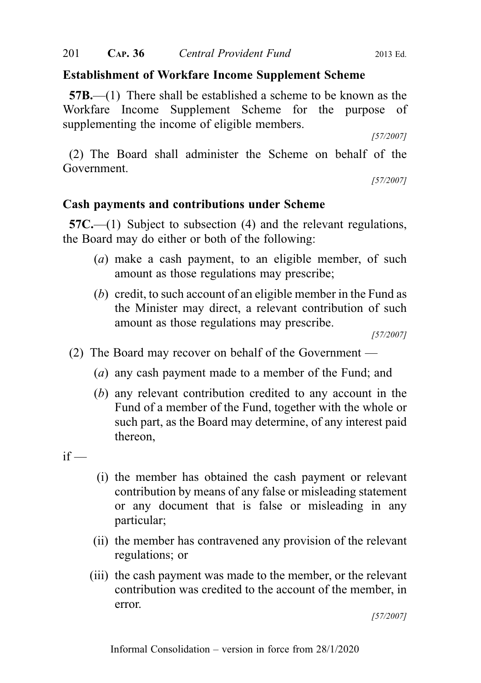# Establishment of Workfare Income Supplement Scheme

57B.—(1) There shall be established a scheme to be known as the Workfare Income Supplement Scheme for the purpose of supplementing the income of eligible members.

[57/2007]

(2) The Board shall administer the Scheme on behalf of the Government.

[57/2007]

# Cash payments and contributions under Scheme

57C.—(1) Subject to subsection (4) and the relevant regulations, the Board may do either or both of the following:

- (a) make a cash payment, to an eligible member, of such amount as those regulations may prescribe;
- (b) credit, to such account of an eligible member in the Fund as the Minister may direct, a relevant contribution of such amount as those regulations may prescribe.

[57/2007]

- (2) The Board may recover on behalf of the Government
	- (a) any cash payment made to a member of the Fund; and
	- (b) any relevant contribution credited to any account in the Fund of a member of the Fund, together with the whole or such part, as the Board may determine, of any interest paid thereon,

 $if -$ 

- (i) the member has obtained the cash payment or relevant contribution by means of any false or misleading statement or any document that is false or misleading in any particular;
- (ii) the member has contravened any provision of the relevant regulations; or
- (iii) the cash payment was made to the member, or the relevant contribution was credited to the account of the member, in error.

[57/2007]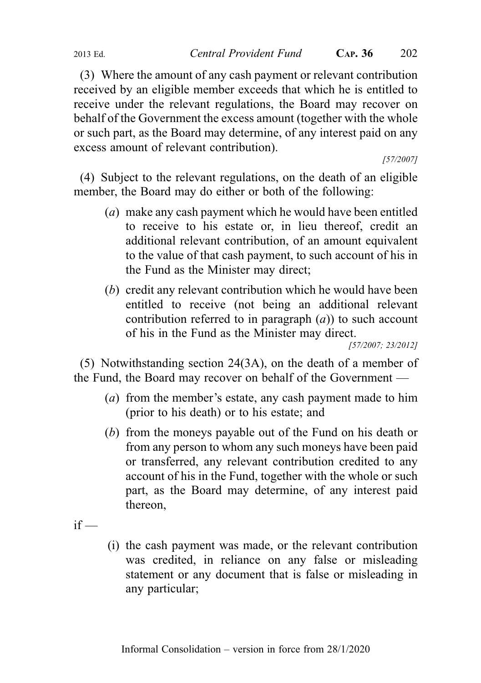(3) Where the amount of any cash payment or relevant contribution received by an eligible member exceeds that which he is entitled to receive under the relevant regulations, the Board may recover on behalf of the Government the excess amount (together with the whole or such part, as the Board may determine, of any interest paid on any excess amount of relevant contribution).

[57/2007]

(4) Subject to the relevant regulations, on the death of an eligible member, the Board may do either or both of the following:

- (a) make any cash payment which he would have been entitled to receive to his estate or, in lieu thereof, credit an additional relevant contribution, of an amount equivalent to the value of that cash payment, to such account of his in the Fund as the Minister may direct;
- (b) credit any relevant contribution which he would have been entitled to receive (not being an additional relevant contribution referred to in paragraph  $(a)$ ) to such account of his in the Fund as the Minister may direct.

[57/2007; 23/2012]

(5) Notwithstanding section 24(3A), on the death of a member of the Fund, the Board may recover on behalf of the Government —

- (a) from the member's estate, any cash payment made to him (prior to his death) or to his estate; and
- (b) from the moneys payable out of the Fund on his death or from any person to whom any such moneys have been paid or transferred, any relevant contribution credited to any account of his in the Fund, together with the whole or such part, as the Board may determine, of any interest paid thereon,

 $if -$ 

(i) the cash payment was made, or the relevant contribution was credited, in reliance on any false or misleading statement or any document that is false or misleading in any particular;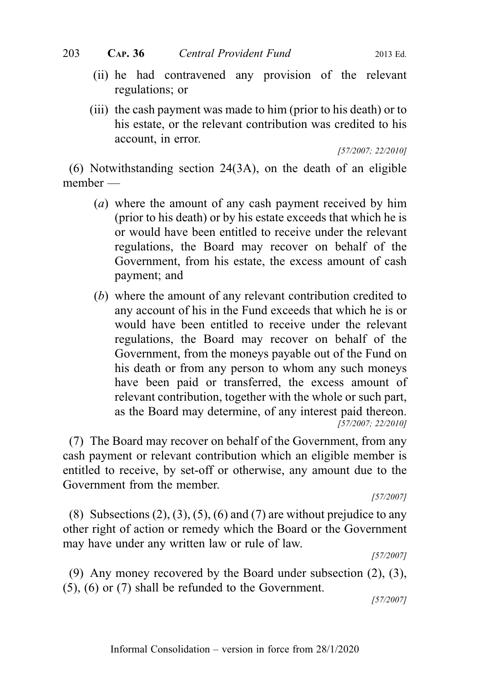- (ii) he had contravened any provision of the relevant regulations; or
- (iii) the cash payment was made to him (prior to his death) or to his estate, or the relevant contribution was credited to his account, in error.

[57/2007; 22/2010]

(6) Notwithstanding section 24(3A), on the death of an eligible member —

- (a) where the amount of any cash payment received by him (prior to his death) or by his estate exceeds that which he is or would have been entitled to receive under the relevant regulations, the Board may recover on behalf of the Government, from his estate, the excess amount of cash payment; and
- (b) where the amount of any relevant contribution credited to any account of his in the Fund exceeds that which he is or would have been entitled to receive under the relevant regulations, the Board may recover on behalf of the Government, from the moneys payable out of the Fund on his death or from any person to whom any such moneys have been paid or transferred, the excess amount of relevant contribution, together with the whole or such part, as the Board may determine, of any interest paid thereon. [57/2007; 22/2010]

(7) The Board may recover on behalf of the Government, from any cash payment or relevant contribution which an eligible member is entitled to receive, by set-off or otherwise, any amount due to the Government from the member.

[57/2007]

(8) Subsections  $(2)$ ,  $(3)$ ,  $(5)$ ,  $(6)$  and  $(7)$  are without prejudice to any other right of action or remedy which the Board or the Government may have under any written law or rule of law.

[57/2007]

(9) Any money recovered by the Board under subsection (2), (3), (5), (6) or (7) shall be refunded to the Government.

[57/2007]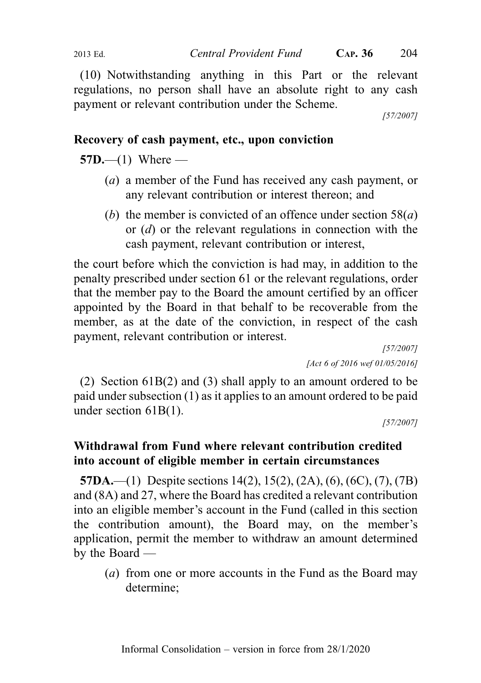(10) Notwithstanding anything in this Part or the relevant regulations, no person shall have an absolute right to any cash payment or relevant contribution under the Scheme.

[57/2007]

# Recovery of cash payment, etc., upon conviction

 $57D$ —(1) Where —

- (a) a member of the Fund has received any cash payment, or any relevant contribution or interest thereon; and
- (b) the member is convicted of an offence under section  $58(a)$ or (d) or the relevant regulations in connection with the cash payment, relevant contribution or interest,

the court before which the conviction is had may, in addition to the penalty prescribed under section 61 or the relevant regulations, order that the member pay to the Board the amount certified by an officer appointed by the Board in that behalf to be recoverable from the member, as at the date of the conviction, in respect of the cash payment, relevant contribution or interest.

[57/2007] [Act 6 of 2016 wef 01/05/2016]

(2) Section 61B(2) and (3) shall apply to an amount ordered to be paid under subsection (1) as it applies to an amount ordered to be paid under section 61B(1).

[57/2007]

# Withdrawal from Fund where relevant contribution credited into account of eligible member in certain circumstances

57DA.—(1) Despite sections 14(2), 15(2), (2A), (6), (6C), (7), (7B) and (8A) and 27, where the Board has credited a relevant contribution into an eligible member's account in the Fund (called in this section the contribution amount), the Board may, on the member's application, permit the member to withdraw an amount determined by the Board —

(a) from one or more accounts in the Fund as the Board may determine;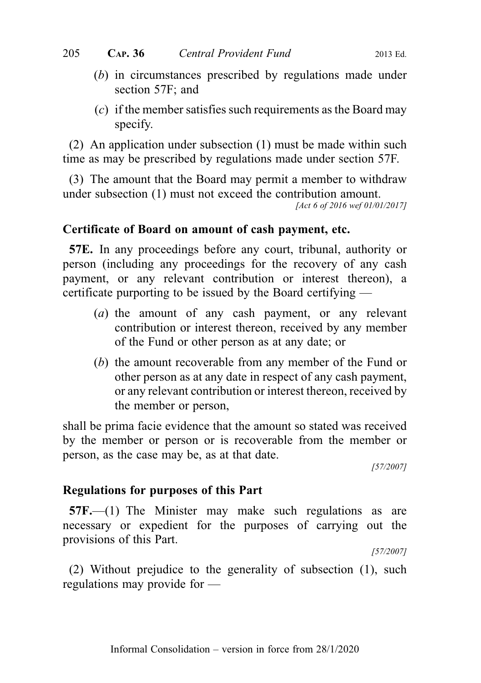- (b) in circumstances prescribed by regulations made under section 57F; and
- $(c)$  if the member satisfies such requirements as the Board may specify.

(2) An application under subsection (1) must be made within such time as may be prescribed by regulations made under section 57F.

(3) The amount that the Board may permit a member to withdraw under subsection (1) must not exceed the contribution amount.

[Act 6 of 2016 wef 01/01/2017]

#### Certificate of Board on amount of cash payment, etc.

57E. In any proceedings before any court, tribunal, authority or person (including any proceedings for the recovery of any cash payment, or any relevant contribution or interest thereon), a certificate purporting to be issued by the Board certifying —

- (a) the amount of any cash payment, or any relevant contribution or interest thereon, received by any member of the Fund or other person as at any date; or
- (b) the amount recoverable from any member of the Fund or other person as at any date in respect of any cash payment, or any relevant contribution or interest thereon, received by the member or person,

shall be prima facie evidence that the amount so stated was received by the member or person or is recoverable from the member or person, as the case may be, as at that date.

[57/2007]

## Regulations for purposes of this Part

57F.—(1) The Minister may make such regulations as are necessary or expedient for the purposes of carrying out the provisions of this Part.

[57/2007]

(2) Without prejudice to the generality of subsection (1), such regulations may provide for —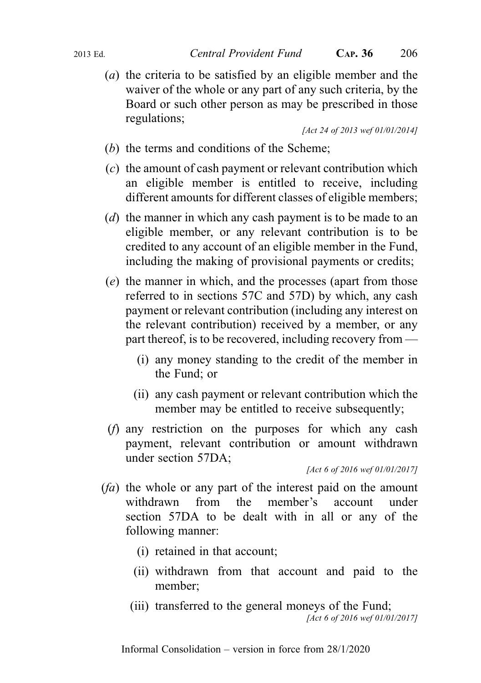(a) the criteria to be satisfied by an eligible member and the waiver of the whole or any part of any such criteria, by the Board or such other person as may be prescribed in those regulations;

[Act 24 of 2013 wef 01/01/2014]

- (b) the terms and conditions of the Scheme;
- (c) the amount of cash payment or relevant contribution which an eligible member is entitled to receive, including different amounts for different classes of eligible members;
- (d) the manner in which any cash payment is to be made to an eligible member, or any relevant contribution is to be credited to any account of an eligible member in the Fund, including the making of provisional payments or credits;
- (e) the manner in which, and the processes (apart from those referred to in sections 57C and 57D) by which, any cash payment or relevant contribution (including any interest on the relevant contribution) received by a member, or any part thereof, is to be recovered, including recovery from —
	- (i) any money standing to the credit of the member in the Fund; or
	- (ii) any cash payment or relevant contribution which the member may be entitled to receive subsequently;
- (f) any restriction on the purposes for which any cash payment, relevant contribution or amount withdrawn under section 57DA;

[Act 6 of 2016 wef 01/01/2017]

- $(fa)$  the whole or any part of the interest paid on the amount withdrawn from the member's account under section 57DA to be dealt with in all or any of the following manner:
	- (i) retained in that account;
	- (ii) withdrawn from that account and paid to the member;
	- (iii) transferred to the general moneys of the Fund; [Act 6 of 2016 wef 01/01/2017]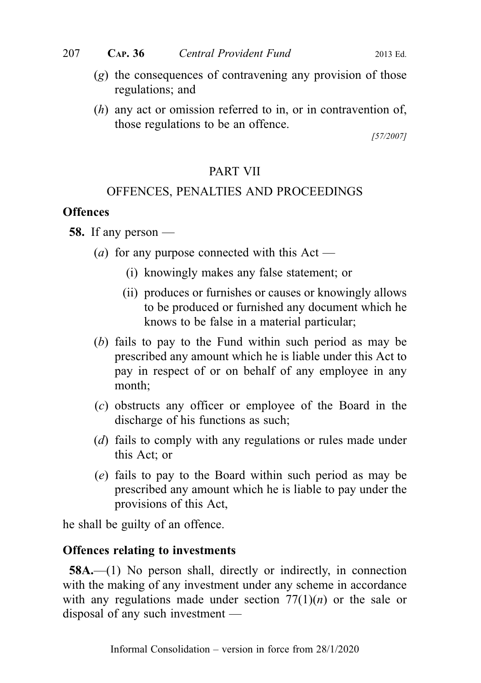- (g) the consequences of contravening any provision of those regulations; and
- (h) any act or omission referred to in, or in contravention of, those regulations to be an offence.

[57/2007]

# PART VII

# OFFENCES, PENALTIES AND PROCEEDINGS

# **Offences**

58. If any person —

- (*a*) for any purpose connected with this Act
	- (i) knowingly makes any false statement; or
	- (ii) produces or furnishes or causes or knowingly allows to be produced or furnished any document which he knows to be false in a material particular;
- (b) fails to pay to the Fund within such period as may be prescribed any amount which he is liable under this Act to pay in respect of or on behalf of any employee in any month;
- (c) obstructs any officer or employee of the Board in the discharge of his functions as such;
- (d) fails to comply with any regulations or rules made under this Act; or
- (e) fails to pay to the Board within such period as may be prescribed any amount which he is liable to pay under the provisions of this Act,

he shall be guilty of an offence.

# Offences relating to investments

58A.—(1) No person shall, directly or indirectly, in connection with the making of any investment under any scheme in accordance with any regulations made under section  $77(1)(n)$  or the sale or disposal of any such investment —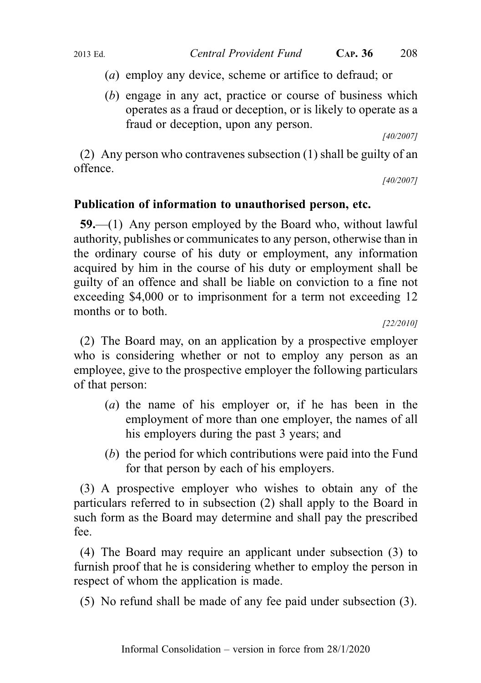- (a) employ any device, scheme or artifice to defraud; or
- (b) engage in any act, practice or course of business which operates as a fraud or deception, or is likely to operate as a fraud or deception, upon any person.

[40/2007]

(2) Any person who contravenes subsection (1) shall be guilty of an offence.

[40/2007]

# Publication of information to unauthorised person, etc.

59.—(1) Any person employed by the Board who, without lawful authority, publishes or communicates to any person, otherwise than in the ordinary course of his duty or employment, any information acquired by him in the course of his duty or employment shall be guilty of an offence and shall be liable on conviction to a fine not exceeding \$4,000 or to imprisonment for a term not exceeding 12 months or to both.

[22/2010]

(2) The Board may, on an application by a prospective employer who is considering whether or not to employ any person as an employee, give to the prospective employer the following particulars of that person:

- (a) the name of his employer or, if he has been in the employment of more than one employer, the names of all his employers during the past 3 years; and
- (b) the period for which contributions were paid into the Fund for that person by each of his employers.

(3) A prospective employer who wishes to obtain any of the particulars referred to in subsection (2) shall apply to the Board in such form as the Board may determine and shall pay the prescribed fee.

(4) The Board may require an applicant under subsection (3) to furnish proof that he is considering whether to employ the person in respect of whom the application is made.

(5) No refund shall be made of any fee paid under subsection (3).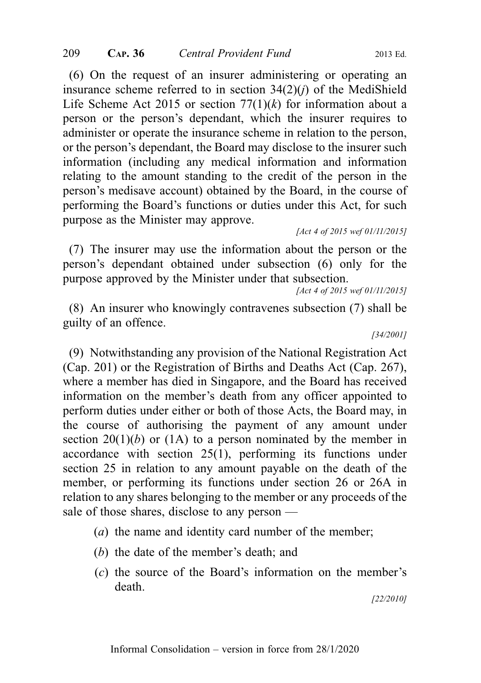(6) On the request of an insurer administering or operating an insurance scheme referred to in section  $34(2)(i)$  of the MediShield Life Scheme Act 2015 or section  $77(1)(k)$  for information about a person or the person's dependant, which the insurer requires to administer or operate the insurance scheme in relation to the person, or the person's dependant, the Board may disclose to the insurer such information (including any medical information and information relating to the amount standing to the credit of the person in the person's medisave account) obtained by the Board, in the course of performing the Board's functions or duties under this Act, for such purpose as the Minister may approve.

[Act 4 of 2015 wef 01/11/2015]

(7) The insurer may use the information about the person or the person's dependant obtained under subsection (6) only for the purpose approved by the Minister under that subsection.

[Act 4 of 2015 wef 01/11/2015]

(8) An insurer who knowingly contravenes subsection (7) shall be guilty of an offence.

[34/2001]

(9) Notwithstanding any provision of the National Registration Act (Cap. 201) or the Registration of Births and Deaths Act (Cap. 267), where a member has died in Singapore, and the Board has received information on the member's death from any officer appointed to perform duties under either or both of those Acts, the Board may, in the course of authorising the payment of any amount under section  $20(1)(b)$  or  $(1A)$  to a person nominated by the member in accordance with section 25(1), performing its functions under section 25 in relation to any amount payable on the death of the member, or performing its functions under section 26 or 26A in relation to any shares belonging to the member or any proceeds of the sale of those shares, disclose to any person —

- (a) the name and identity card number of the member;
- (b) the date of the member's death; and
- (c) the source of the Board's information on the member's death.

[22/2010]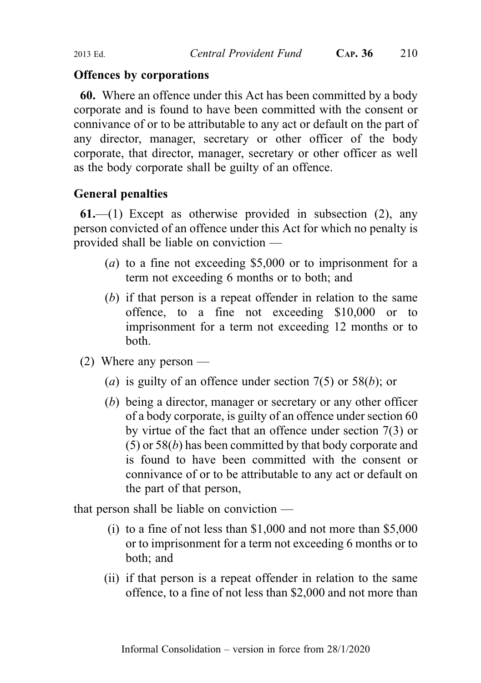## Offences by corporations

60. Where an offence under this Act has been committed by a body corporate and is found to have been committed with the consent or connivance of or to be attributable to any act or default on the part of any director, manager, secretary or other officer of the body corporate, that director, manager, secretary or other officer as well as the body corporate shall be guilty of an offence.

# General penalties

 $61$ —(1) Except as otherwise provided in subsection (2), any person convicted of an offence under this Act for which no penalty is provided shall be liable on conviction —

- (a) to a fine not exceeding \$5,000 or to imprisonment for a term not exceeding 6 months or to both; and
- (b) if that person is a repeat offender in relation to the same offence, to a fine not exceeding \$10,000 or to imprisonment for a term not exceeding 12 months or to both.
- (2) Where any person
	- (a) is guilty of an offence under section  $7(5)$  or  $58(b)$ ; or
	- (b) being a director, manager or secretary or any other officer of a body corporate, is guilty of an offence under section 60 by virtue of the fact that an offence under section 7(3) or (5) or 58(b) has been committed by that body corporate and is found to have been committed with the consent or connivance of or to be attributable to any act or default on the part of that person,

that person shall be liable on conviction —

- (i) to a fine of not less than \$1,000 and not more than \$5,000 or to imprisonment for a term not exceeding 6 months or to both; and
- (ii) if that person is a repeat offender in relation to the same offence, to a fine of not less than \$2,000 and not more than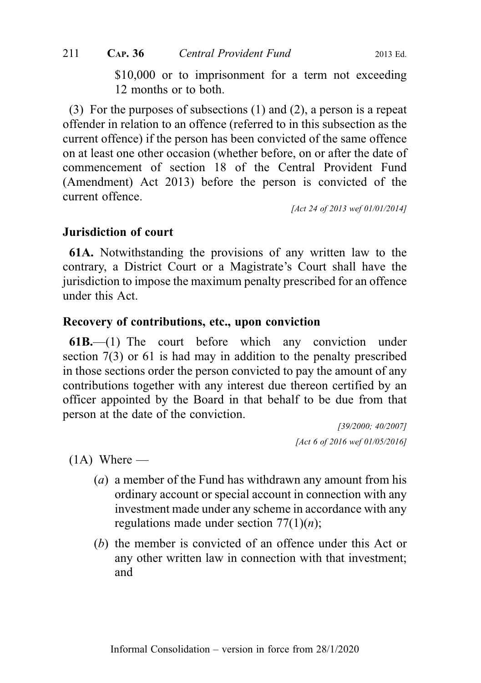\$10,000 or to imprisonment for a term not exceeding 12 months or to both.

(3) For the purposes of subsections (1) and (2), a person is a repeat offender in relation to an offence (referred to in this subsection as the current offence) if the person has been convicted of the same offence on at least one other occasion (whether before, on or after the date of commencement of section 18 of the Central Provident Fund (Amendment) Act 2013) before the person is convicted of the current offence.

[Act 24 of 2013 wef 01/01/2014]

# Jurisdiction of court

61A. Notwithstanding the provisions of any written law to the contrary, a District Court or a Magistrate's Court shall have the jurisdiction to impose the maximum penalty prescribed for an offence under this Act.

## Recovery of contributions, etc., upon conviction

61B.—(1) The court before which any conviction under section 7(3) or 61 is had may in addition to the penalty prescribed in those sections order the person convicted to pay the amount of any contributions together with any interest due thereon certified by an officer appointed by the Board in that behalf to be due from that person at the date of the conviction.

> [39/2000; 40/2007] [Act 6 of 2016 wef 01/05/2016]

 $(1A)$  Where —

- (a) a member of the Fund has withdrawn any amount from his ordinary account or special account in connection with any investment made under any scheme in accordance with any regulations made under section  $77(1)(n)$ ;
- (b) the member is convicted of an offence under this Act or any other written law in connection with that investment; and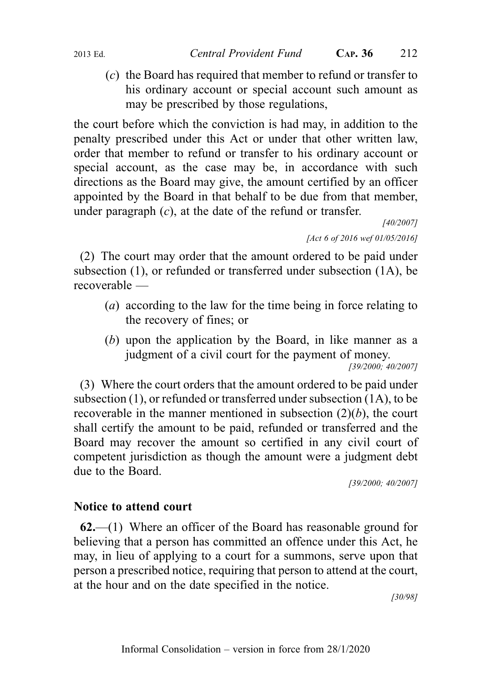(c) the Board has required that member to refund or transfer to his ordinary account or special account such amount as may be prescribed by those regulations,

the court before which the conviction is had may, in addition to the penalty prescribed under this Act or under that other written law, order that member to refund or transfer to his ordinary account or special account, as the case may be, in accordance with such directions as the Board may give, the amount certified by an officer appointed by the Board in that behalf to be due from that member, under paragraph  $(c)$ , at the date of the refund or transfer.

> [40/2007] [Act 6 of 2016 wef 01/05/2016]

(2) The court may order that the amount ordered to be paid under subsection (1), or refunded or transferred under subsection (1A), be recoverable —

- (a) according to the law for the time being in force relating to the recovery of fines; or
- (b) upon the application by the Board, in like manner as a judgment of a civil court for the payment of money.

[39/2000; 40/2007]

(3) Where the court orders that the amount ordered to be paid under subsection (1), or refunded or transferred under subsection (1A), to be recoverable in the manner mentioned in subsection  $(2)(b)$ , the court shall certify the amount to be paid, refunded or transferred and the Board may recover the amount so certified in any civil court of competent jurisdiction as though the amount were a judgment debt due to the Board.

[39/2000; 40/2007]

# Notice to attend court

62.—(1) Where an officer of the Board has reasonable ground for believing that a person has committed an offence under this Act, he may, in lieu of applying to a court for a summons, serve upon that person a prescribed notice, requiring that person to attend at the court, at the hour and on the date specified in the notice.

[30/98]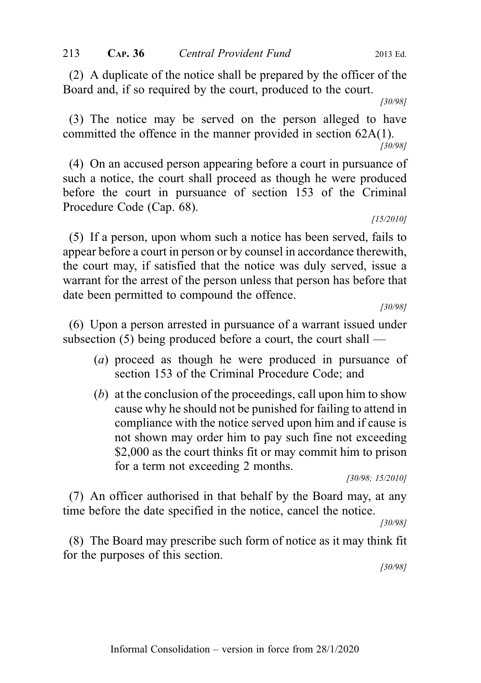(2) A duplicate of the notice shall be prepared by the officer of the Board and, if so required by the court, produced to the court.

[30/98]

(3) The notice may be served on the person alleged to have committed the offence in the manner provided in section 62A(1). [30/98]

(4) On an accused person appearing before a court in pursuance of such a notice, the court shall proceed as though he were produced before the court in pursuance of section 153 of the Criminal Procedure Code (Cap. 68).

[15/2010]

(5) If a person, upon whom such a notice has been served, fails to appear before a court in person or by counsel in accordance therewith, the court may, if satisfied that the notice was duly served, issue a warrant for the arrest of the person unless that person has before that date been permitted to compound the offence.

[30/98]

(6) Upon a person arrested in pursuance of a warrant issued under subsection (5) being produced before a court, the court shall —

- (a) proceed as though he were produced in pursuance of section 153 of the Criminal Procedure Code; and
- (b) at the conclusion of the proceedings, call upon him to show cause why he should not be punished for failing to attend in compliance with the notice served upon him and if cause is not shown may order him to pay such fine not exceeding \$2,000 as the court thinks fit or may commit him to prison for a term not exceeding 2 months.

[30/98; 15/2010]

(7) An officer authorised in that behalf by the Board may, at any time before the date specified in the notice, cancel the notice.

[30/98]

(8) The Board may prescribe such form of notice as it may think fit for the purposes of this section.

[30/98]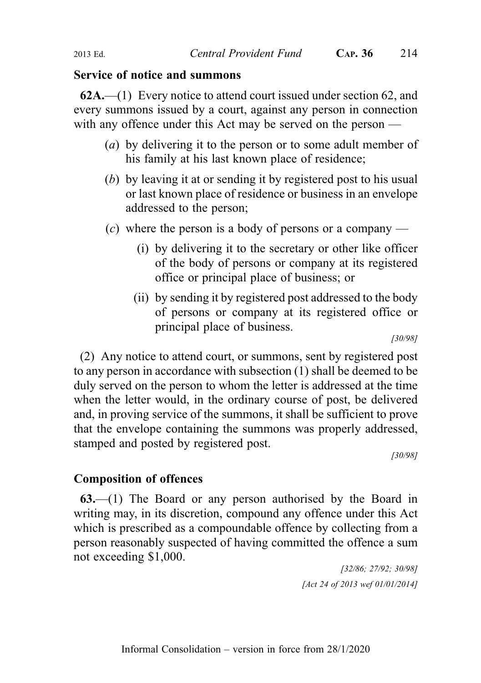## Service of notice and summons

 $62A$ .—(1) Every notice to attend court issued under section 62, and every summons issued by a court, against any person in connection with any offence under this Act may be served on the person —

- (a) by delivering it to the person or to some adult member of his family at his last known place of residence;
- (b) by leaving it at or sending it by registered post to his usual or last known place of residence or business in an envelope addressed to the person;
- (c) where the person is a body of persons or a company
	- (i) by delivering it to the secretary or other like officer of the body of persons or company at its registered office or principal place of business; or
	- (ii) by sending it by registered post addressed to the body of persons or company at its registered office or principal place of business.

[30/98]

(2) Any notice to attend court, or summons, sent by registered post to any person in accordance with subsection (1) shall be deemed to be duly served on the person to whom the letter is addressed at the time when the letter would, in the ordinary course of post, be delivered and, in proving service of the summons, it shall be sufficient to prove that the envelope containing the summons was properly addressed, stamped and posted by registered post.

[30/98]

# Composition of offences

63.—(1) The Board or any person authorised by the Board in writing may, in its discretion, compound any offence under this Act which is prescribed as a compoundable offence by collecting from a person reasonably suspected of having committed the offence a sum not exceeding \$1,000.

> [32/86; 27/92; 30/98] [Act 24 of 2013 wef 01/01/2014]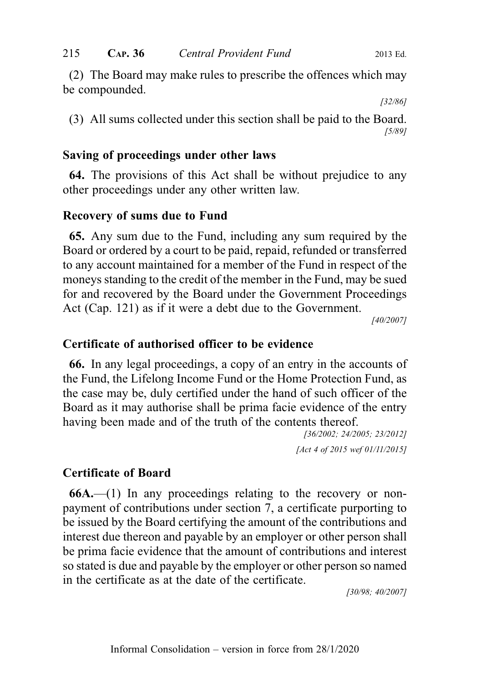(2) The Board may make rules to prescribe the offences which may be compounded.

[32/86]

(3) All sums collected under this section shall be paid to the Board. [5/89]

## Saving of proceedings under other laws

64. The provisions of this Act shall be without prejudice to any other proceedings under any other written law.

# Recovery of sums due to Fund

65. Any sum due to the Fund, including any sum required by the Board or ordered by a court to be paid, repaid, refunded or transferred to any account maintained for a member of the Fund in respect of the moneys standing to the credit of the member in the Fund, may be sued for and recovered by the Board under the Government Proceedings Act (Cap. 121) as if it were a debt due to the Government.

[40/2007]

# Certificate of authorised officer to be evidence

66. In any legal proceedings, a copy of an entry in the accounts of the Fund, the Lifelong Income Fund or the Home Protection Fund, as the case may be, duly certified under the hand of such officer of the Board as it may authorise shall be prima facie evidence of the entry having been made and of the truth of the contents thereof.

> [36/2002; 24/2005; 23/2012] [Act 4 of 2015 wef 01/11/2015]

# Certificate of Board

 $66A$ .—(1) In any proceedings relating to the recovery or nonpayment of contributions under section 7, a certificate purporting to be issued by the Board certifying the amount of the contributions and interest due thereon and payable by an employer or other person shall be prima facie evidence that the amount of contributions and interest so stated is due and payable by the employer or other person so named in the certificate as at the date of the certificate.

[30/98; 40/2007]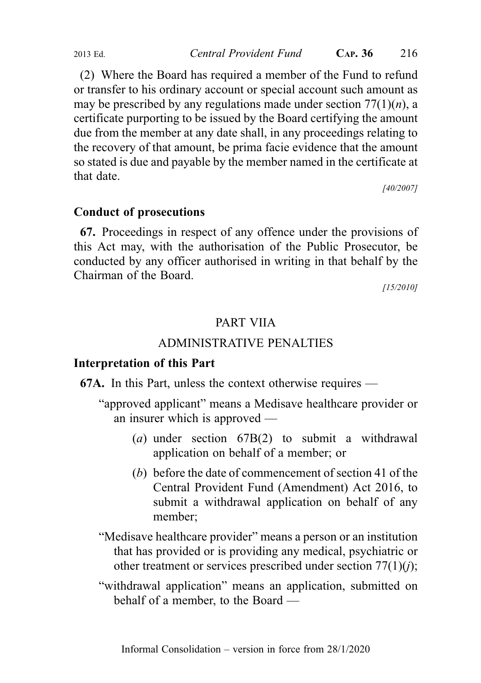(2) Where the Board has required a member of the Fund to refund or transfer to his ordinary account or special account such amount as may be prescribed by any regulations made under section  $77(1)(n)$ , a certificate purporting to be issued by the Board certifying the amount due from the member at any date shall, in any proceedings relating to the recovery of that amount, be prima facie evidence that the amount so stated is due and payable by the member named in the certificate at that date.

[40/2007]

#### Conduct of prosecutions

67. Proceedings in respect of any offence under the provisions of this Act may, with the authorisation of the Public Prosecutor, be conducted by any officer authorised in writing in that behalf by the Chairman of the Board.

[15/2010]

## PART VIIA

#### ADMINISTRATIVE PENALTIES

#### Interpretation of this Part

67A. In this Part, unless the context otherwise requires —

- "approved applicant" means a Medisave healthcare provider or an insurer which is approved —
	- (a) under section 67B(2) to submit a withdrawal application on behalf of a member; or
	- (b) before the date of commencement of section 41 of the Central Provident Fund (Amendment) Act 2016, to submit a withdrawal application on behalf of any member;
- "Medisave healthcare provider" means a person or an institution that has provided or is providing any medical, psychiatric or other treatment or services prescribed under section  $77(1)(i)$ ;
- "withdrawal application" means an application, submitted on behalf of a member, to the Board —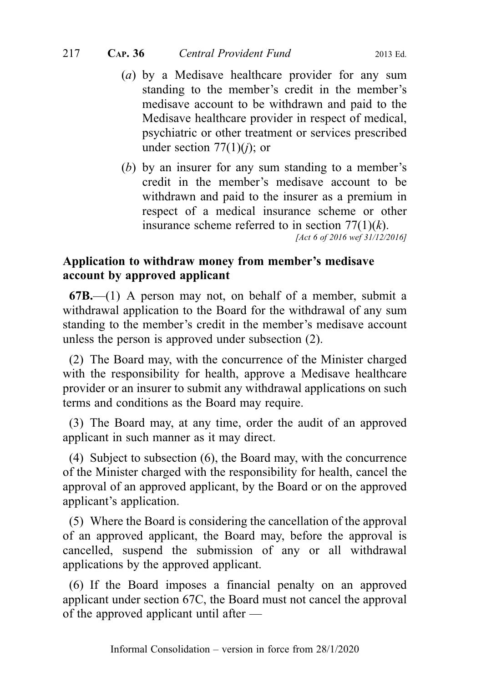- (a) by a Medisave healthcare provider for any sum standing to the member's credit in the member's medisave account to be withdrawn and paid to the Medisave healthcare provider in respect of medical, psychiatric or other treatment or services prescribed under section  $77(1)(i)$ ; or
- (b) by an insurer for any sum standing to a member's credit in the member's medisave account to be withdrawn and paid to the insurer as a premium in respect of a medical insurance scheme or other insurance scheme referred to in section  $77(1)(k)$ . [Act 6 of 2016 wef 31/12/2016]

## Application to withdraw money from member's medisave account by approved applicant

 $67B$ .—(1) A person may not, on behalf of a member, submit a withdrawal application to the Board for the withdrawal of any sum standing to the member's credit in the member's medisave account unless the person is approved under subsection (2).

(2) The Board may, with the concurrence of the Minister charged with the responsibility for health, approve a Medisave healthcare provider or an insurer to submit any withdrawal applications on such terms and conditions as the Board may require.

(3) The Board may, at any time, order the audit of an approved applicant in such manner as it may direct.

(4) Subject to subsection (6), the Board may, with the concurrence of the Minister charged with the responsibility for health, cancel the approval of an approved applicant, by the Board or on the approved applicant's application.

(5) Where the Board is considering the cancellation of the approval of an approved applicant, the Board may, before the approval is cancelled, suspend the submission of any or all withdrawal applications by the approved applicant.

(6) If the Board imposes a financial penalty on an approved applicant under section 67C, the Board must not cancel the approval of the approved applicant until after —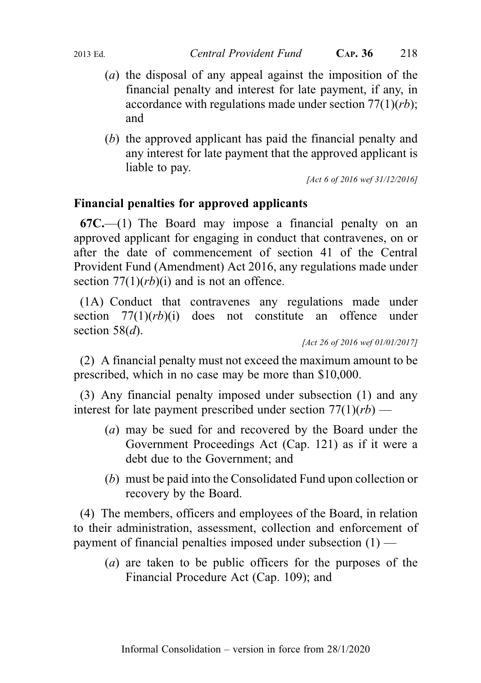- (a) the disposal of any appeal against the imposition of the financial penalty and interest for late payment, if any, in accordance with regulations made under section  $77(1)(rb)$ ; and
- (b) the approved applicant has paid the financial penalty and any interest for late payment that the approved applicant is liable to pay.

[Act 6 of 2016 wef 31/12/2016]

# Financial penalties for approved applicants

 $67C$ —(1) The Board may impose a financial penalty on an approved applicant for engaging in conduct that contravenes, on or after the date of commencement of section 41 of the Central Provident Fund (Amendment) Act 2016, any regulations made under section  $77(1)(rb)(i)$  and is not an offence.

(1A) Conduct that contravenes any regulations made under section  $77(1)(rb)(i)$  does not constitute an offence under section  $58(d)$ .

(2) A financial penalty must not exceed the maximum amount to be prescribed, which in no case may be more than \$10,000.

(3) Any financial penalty imposed under subsection (1) and any interest for late payment prescribed under section  $77(1)(rb)$  —

- (a) may be sued for and recovered by the Board under the Government Proceedings Act (Cap. 121) as if it were a debt due to the Government; and
- (b) must be paid into the Consolidated Fund upon collection or recovery by the Board.

(4) The members, officers and employees of the Board, in relation to their administration, assessment, collection and enforcement of payment of financial penalties imposed under subsection (1) —

(a) are taken to be public officers for the purposes of the Financial Procedure Act (Cap. 109); and

<sup>[</sup>Act 26 of 2016 wef 01/01/2017]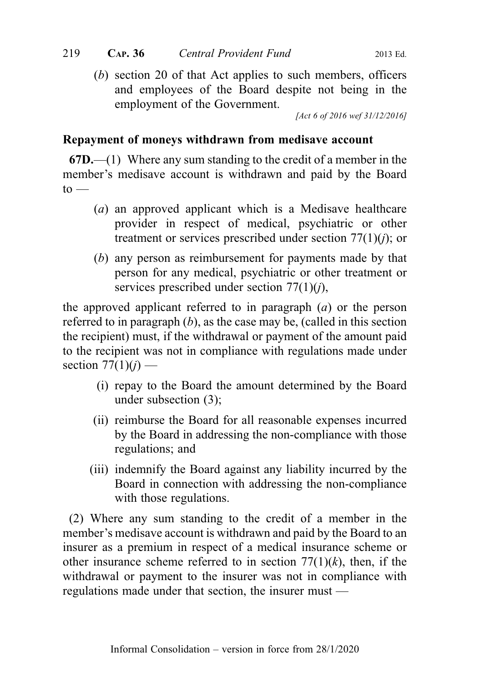(b) section 20 of that Act applies to such members, officers and employees of the Board despite not being in the employment of the Government.

[Act 6 of 2016 wef 31/12/2016]

## Repayment of moneys withdrawn from medisave account

 $67D$ .—(1) Where any sum standing to the credit of a member in the member's medisave account is withdrawn and paid by the Board  $to -$ 

- (a) an approved applicant which is a Medisave healthcare provider in respect of medical, psychiatric or other treatment or services prescribed under section  $77(1)(i)$ ; or
- (b) any person as reimbursement for payments made by that person for any medical, psychiatric or other treatment or services prescribed under section  $77(1)(i)$ ,

the approved applicant referred to in paragraph  $(a)$  or the person referred to in paragraph  $(b)$ , as the case may be, (called in this section the recipient) must, if the withdrawal or payment of the amount paid to the recipient was not in compliance with regulations made under section  $77(1)(i)$  —

- (i) repay to the Board the amount determined by the Board under subsection (3);
- (ii) reimburse the Board for all reasonable expenses incurred by the Board in addressing the non-compliance with those regulations; and
- (iii) indemnify the Board against any liability incurred by the Board in connection with addressing the non-compliance with those regulations.

(2) Where any sum standing to the credit of a member in the member's medisave account is withdrawn and paid by the Board to an insurer as a premium in respect of a medical insurance scheme or other insurance scheme referred to in section  $77(1)(k)$ , then, if the withdrawal or payment to the insurer was not in compliance with regulations made under that section, the insurer must —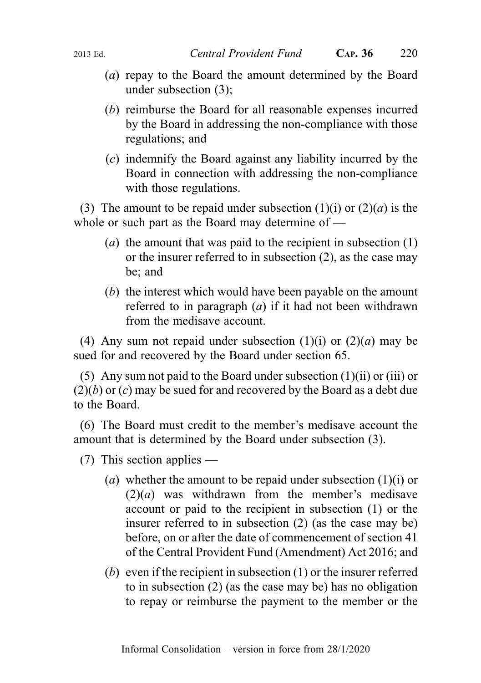- (a) repay to the Board the amount determined by the Board under subsection (3);
- (b) reimburse the Board for all reasonable expenses incurred by the Board in addressing the non-compliance with those regulations; and
- (c) indemnify the Board against any liability incurred by the Board in connection with addressing the non-compliance with those regulations.

(3) The amount to be repaid under subsection (1)(i) or  $(2)(a)$  is the whole or such part as the Board may determine of —

- (a) the amount that was paid to the recipient in subsection  $(1)$ or the insurer referred to in subsection (2), as the case may be; and
- (b) the interest which would have been payable on the amount referred to in paragraph  $(a)$  if it had not been withdrawn from the medisave account.

(4) Any sum not repaid under subsection (1)(i) or  $(2)(a)$  may be sued for and recovered by the Board under section 65.

(5) Any sum not paid to the Board under subsection  $(1)(ii)$  or  $(iii)$  or  $(2)(b)$  or  $(c)$  may be sued for and recovered by the Board as a debt due to the Board.

(6) The Board must credit to the member's medisave account the amount that is determined by the Board under subsection (3).

(7) This section applies —

- (a) whether the amount to be repaid under subsection  $(1)(i)$  or  $(2)(a)$  was withdrawn from the member's medisave account or paid to the recipient in subsection (1) or the insurer referred to in subsection (2) (as the case may be) before, on or after the date of commencement of section 41 of the Central Provident Fund (Amendment) Act 2016; and
- (b) even if the recipient in subsection (1) or the insurer referred to in subsection (2) (as the case may be) has no obligation to repay or reimburse the payment to the member or the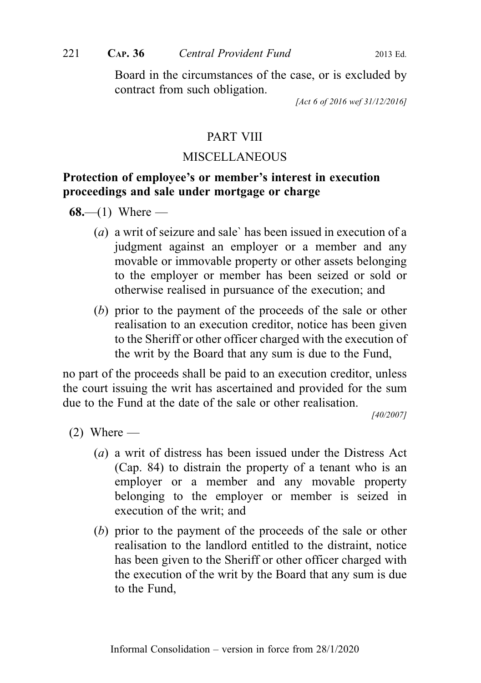Board in the circumstances of the case, or is excluded by contract from such obligation.

[Act 6 of 2016 wef 31/12/2016]

#### PART VIII

#### **MISCELLANEOUS**

## Protection of employee's or member's interest in execution proceedings and sale under mortgage or charge

68.—(1) Where —

- (a) a writ of seizure and sale` has been issued in execution of a judgment against an employer or a member and any movable or immovable property or other assets belonging to the employer or member has been seized or sold or otherwise realised in pursuance of the execution; and
- (b) prior to the payment of the proceeds of the sale or other realisation to an execution creditor, notice has been given to the Sheriff or other officer charged with the execution of the writ by the Board that any sum is due to the Fund,

no part of the proceeds shall be paid to an execution creditor, unless the court issuing the writ has ascertained and provided for the sum due to the Fund at the date of the sale or other realisation.

[40/2007]

 $(2)$  Where —

- (a) a writ of distress has been issued under the Distress Act (Cap. 84) to distrain the property of a tenant who is an employer or a member and any movable property belonging to the employer or member is seized in execution of the writ; and
- (b) prior to the payment of the proceeds of the sale or other realisation to the landlord entitled to the distraint, notice has been given to the Sheriff or other officer charged with the execution of the writ by the Board that any sum is due to the Fund,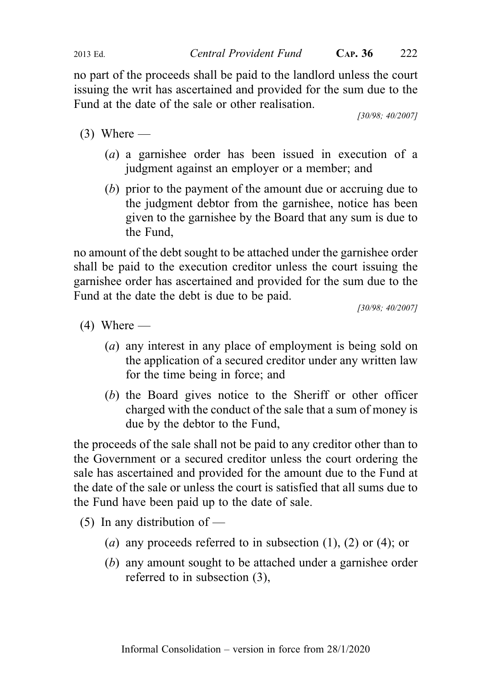2013 Ed. Central Provident Fund CAP. 36 222

no part of the proceeds shall be paid to the landlord unless the court issuing the writ has ascertained and provided for the sum due to the Fund at the date of the sale or other realisation.

[30/98; 40/2007]

- $(3)$  Where
	- (a) a garnishee order has been issued in execution of a judgment against an employer or a member; and
	- (b) prior to the payment of the amount due or accruing due to the judgment debtor from the garnishee, notice has been given to the garnishee by the Board that any sum is due to the Fund,

no amount of the debt sought to be attached under the garnishee order shall be paid to the execution creditor unless the court issuing the garnishee order has ascertained and provided for the sum due to the Fund at the date the debt is due to be paid.

[30/98; 40/2007]

- $(4)$  Where
	- (a) any interest in any place of employment is being sold on the application of a secured creditor under any written law for the time being in force; and
	- (b) the Board gives notice to the Sheriff or other officer charged with the conduct of the sale that a sum of money is due by the debtor to the Fund,

the proceeds of the sale shall not be paid to any creditor other than to the Government or a secured creditor unless the court ordering the sale has ascertained and provided for the amount due to the Fund at the date of the sale or unless the court is satisfied that all sums due to the Fund have been paid up to the date of sale.

- (5) In any distribution of
	- (a) any proceeds referred to in subsection  $(1)$ ,  $(2)$  or  $(4)$ ; or
	- (b) any amount sought to be attached under a garnishee order referred to in subsection (3),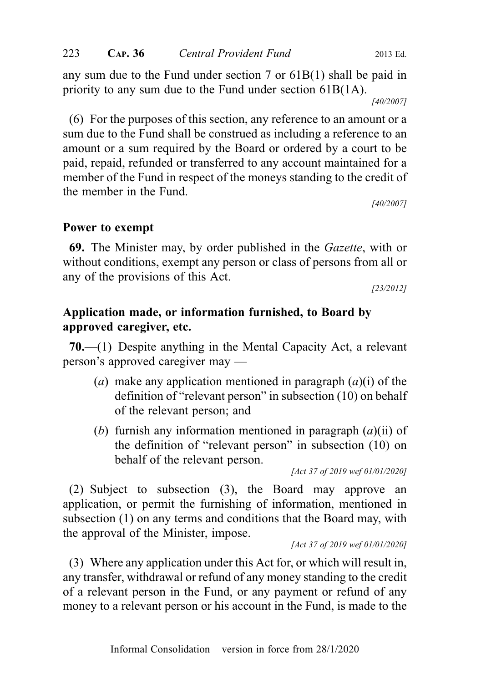any sum due to the Fund under section 7 or 61B(1) shall be paid in priority to any sum due to the Fund under section 61B(1A).

[40/2007]

(6) For the purposes of this section, any reference to an amount or a sum due to the Fund shall be construed as including a reference to an amount or a sum required by the Board or ordered by a court to be paid, repaid, refunded or transferred to any account maintained for a member of the Fund in respect of the moneys standing to the credit of the member in the Fund.

[40/2007]

#### Power to exempt

69. The Minister may, by order published in the Gazette, with or without conditions, exempt any person or class of persons from all or any of the provisions of this Act.

[23/2012]

## Application made, or information furnished, to Board by approved caregiver, etc.

70.—(1) Despite anything in the Mental Capacity Act, a relevant person's approved caregiver may —

- (a) make any application mentioned in paragraph  $(a)(i)$  of the definition of "relevant person" in subsection (10) on behalf of the relevant person; and
- (b) furnish any information mentioned in paragraph  $(a)(ii)$  of the definition of "relevant person" in subsection (10) on behalf of the relevant person.

[Act 37 of 2019 wef 01/01/2020]

(2) Subject to subsection (3), the Board may approve an application, or permit the furnishing of information, mentioned in subsection (1) on any terms and conditions that the Board may, with the approval of the Minister, impose.

[Act 37 of 2019 wef 01/01/2020]

(3) Where any application under this Act for, or which will result in, any transfer, withdrawal or refund of any money standing to the credit of a relevant person in the Fund, or any payment or refund of any money to a relevant person or his account in the Fund, is made to the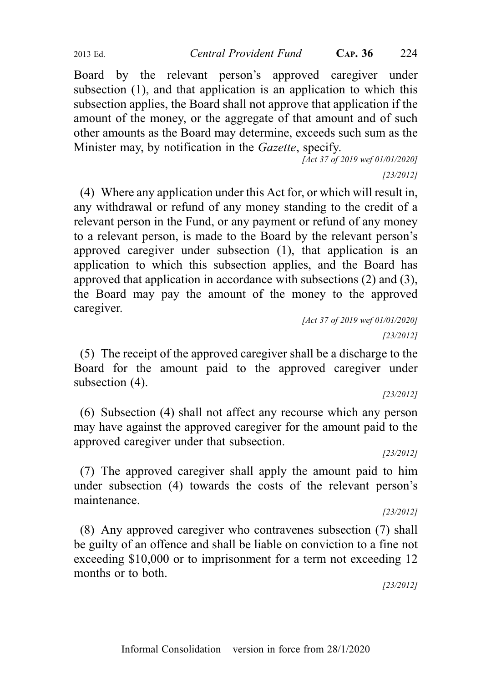Board by the relevant person's approved caregiver under subsection (1), and that application is an application to which this subsection applies, the Board shall not approve that application if the amount of the money, or the aggregate of that amount and of such other amounts as the Board may determine, exceeds such sum as the Minister may, by notification in the *Gazette*, specify.

[Act 37 of 2019 wef 01/01/2020]

[23/2012]

(4) Where any application under this Act for, or which will result in, any withdrawal or refund of any money standing to the credit of a relevant person in the Fund, or any payment or refund of any money to a relevant person, is made to the Board by the relevant person's approved caregiver under subsection (1), that application is an application to which this subsection applies, and the Board has approved that application in accordance with subsections (2) and (3), the Board may pay the amount of the money to the approved caregiver.

> [Act 37 of 2019 wef 01/01/2020] [23/2012]

(5) The receipt of the approved caregiver shall be a discharge to the Board for the amount paid to the approved caregiver under subsection (4).

[23/2012]

(6) Subsection (4) shall not affect any recourse which any person may have against the approved caregiver for the amount paid to the approved caregiver under that subsection.

[23/2012]

(7) The approved caregiver shall apply the amount paid to him under subsection (4) towards the costs of the relevant person's maintenance.

[23/2012]

(8) Any approved caregiver who contravenes subsection (7) shall be guilty of an offence and shall be liable on conviction to a fine not exceeding \$10,000 or to imprisonment for a term not exceeding 12 months or to both.

[23/2012]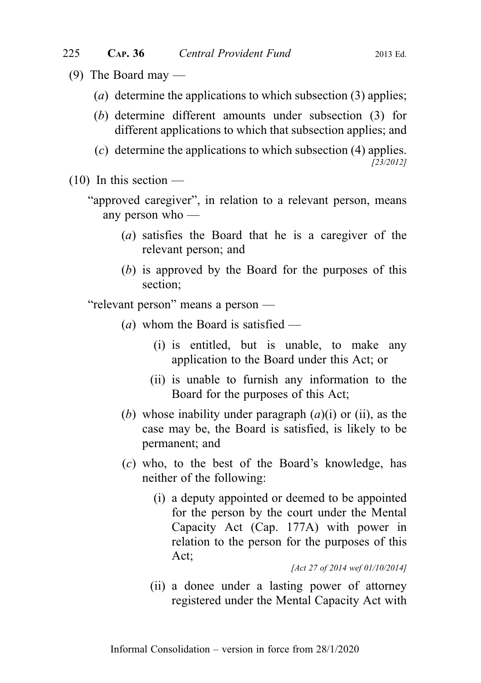- (9) The Board may  $-$ 
	- (a) determine the applications to which subsection  $(3)$  applies;
	- (b) determine different amounts under subsection (3) for different applications to which that subsection applies; and
	- (c) determine the applications to which subsection (4) applies. [23/2012]
- $(10)$  In this section —

"approved caregiver", in relation to a relevant person, means any person who —

- (a) satisfies the Board that he is a caregiver of the relevant person; and
- (b) is approved by the Board for the purposes of this section;

"relevant person" means a person —

- (*a*) whom the Board is satisfied
	- (i) is entitled, but is unable, to make any application to the Board under this Act; or
	- (ii) is unable to furnish any information to the Board for the purposes of this Act;
- (b) whose inability under paragraph  $(a)(i)$  or (ii), as the case may be, the Board is satisfied, is likely to be permanent; and
- (c) who, to the best of the Board's knowledge, has neither of the following:
	- (i) a deputy appointed or deemed to be appointed for the person by the court under the Mental Capacity Act (Cap. 177A) with power in relation to the person for the purposes of this Act;

[Act 27 of 2014 wef 01/10/2014]

(ii) a donee under a lasting power of attorney registered under the Mental Capacity Act with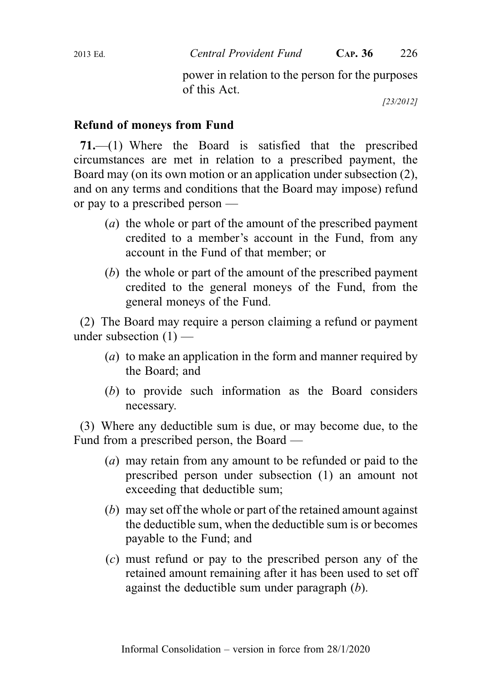power in relation to the person for the purposes of this Act.

[23/2012]

## Refund of moneys from Fund

71.—(1) Where the Board is satisfied that the prescribed circumstances are met in relation to a prescribed payment, the Board may (on its own motion or an application under subsection (2), and on any terms and conditions that the Board may impose) refund or pay to a prescribed person —

- (a) the whole or part of the amount of the prescribed payment credited to a member's account in the Fund, from any account in the Fund of that member; or
- (b) the whole or part of the amount of the prescribed payment credited to the general moneys of the Fund, from the general moneys of the Fund.

(2) The Board may require a person claiming a refund or payment under subsection  $(1)$  —

- (a) to make an application in the form and manner required by the Board; and
- (b) to provide such information as the Board considers necessary.

(3) Where any deductible sum is due, or may become due, to the Fund from a prescribed person, the Board —

- (a) may retain from any amount to be refunded or paid to the prescribed person under subsection (1) an amount not exceeding that deductible sum;
- (b) may set off the whole or part of the retained amount against the deductible sum, when the deductible sum is or becomes payable to the Fund; and
- (c) must refund or pay to the prescribed person any of the retained amount remaining after it has been used to set off against the deductible sum under paragraph (b).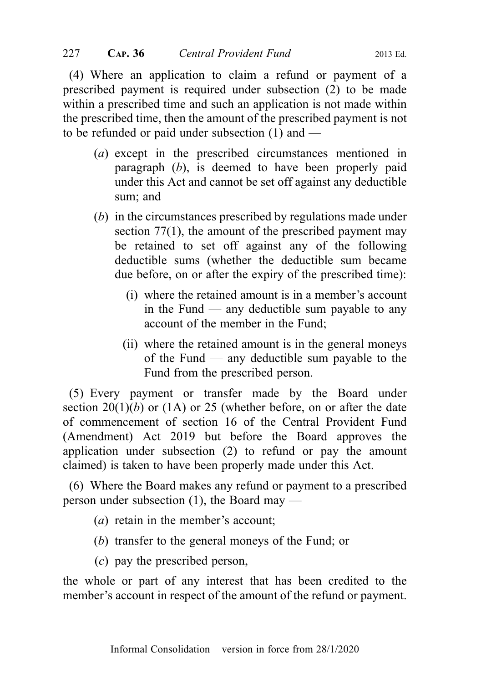(4) Where an application to claim a refund or payment of a prescribed payment is required under subsection (2) to be made within a prescribed time and such an application is not made within the prescribed time, then the amount of the prescribed payment is not to be refunded or paid under subsection (1) and —

- (a) except in the prescribed circumstances mentioned in paragraph (b), is deemed to have been properly paid under this Act and cannot be set off against any deductible sum; and
- (b) in the circumstances prescribed by regulations made under section 77(1), the amount of the prescribed payment may be retained to set off against any of the following deductible sums (whether the deductible sum became due before, on or after the expiry of the prescribed time):
	- (i) where the retained amount is in a member's account in the Fund — any deductible sum payable to any account of the member in the Fund;
	- (ii) where the retained amount is in the general moneys of the Fund — any deductible sum payable to the Fund from the prescribed person.

(5) Every payment or transfer made by the Board under section  $20(1)(b)$  or  $(1A)$  or 25 (whether before, on or after the date of commencement of section 16 of the Central Provident Fund (Amendment) Act 2019 but before the Board approves the application under subsection (2) to refund or pay the amount claimed) is taken to have been properly made under this Act.

(6) Where the Board makes any refund or payment to a prescribed person under subsection (1), the Board may —

- (a) retain in the member's account;
- (b) transfer to the general moneys of the Fund; or
- (c) pay the prescribed person,

the whole or part of any interest that has been credited to the member's account in respect of the amount of the refund or payment.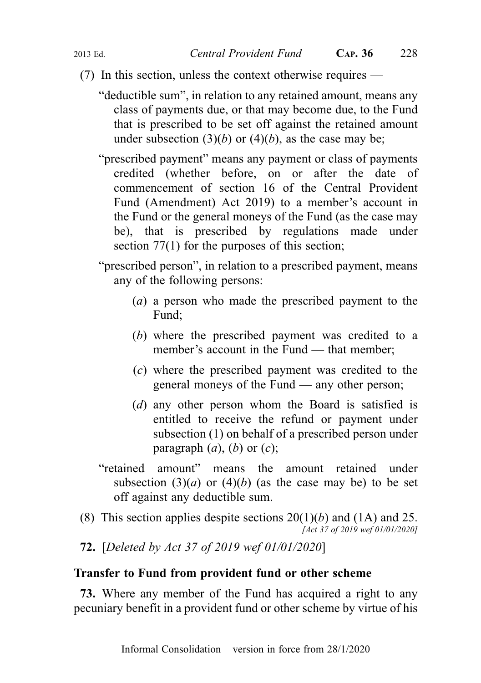- (7) In this section, unless the context otherwise requires
	- "deductible sum", in relation to any retained amount, means any class of payments due, or that may become due, to the Fund that is prescribed to be set off against the retained amount under subsection  $(3)(b)$  or  $(4)(b)$ , as the case may be;
	- "prescribed payment" means any payment or class of payments credited (whether before, on or after the date of commencement of section 16 of the Central Provident Fund (Amendment) Act 2019) to a member's account in the Fund or the general moneys of the Fund (as the case may be), that is prescribed by regulations made under section 77(1) for the purposes of this section;
	- "prescribed person", in relation to a prescribed payment, means any of the following persons:
		- (a) a person who made the prescribed payment to the Fund;
		- (b) where the prescribed payment was credited to a member's account in the Fund — that member:
		- (c) where the prescribed payment was credited to the general moneys of the Fund — any other person;
		- (d) any other person whom the Board is satisfied is entitled to receive the refund or payment under subsection (1) on behalf of a prescribed person under paragraph  $(a)$ ,  $(b)$  or  $(c)$ ;
	- "retained amount" means the amount retained under subsection (3)(*a*) or (4)(*b*) (as the case may be) to be set off against any deductible sum.
- (8) This section applies despite sections  $20(1)(b)$  and  $(1A)$  and  $25$ . [Act 37 of 2019 wef 01/01/2020]
- 72. [Deleted by Act 37 of 2019 wef 01/01/2020]

#### Transfer to Fund from provident fund or other scheme

73. Where any member of the Fund has acquired a right to any pecuniary benefit in a provident fund or other scheme by virtue of his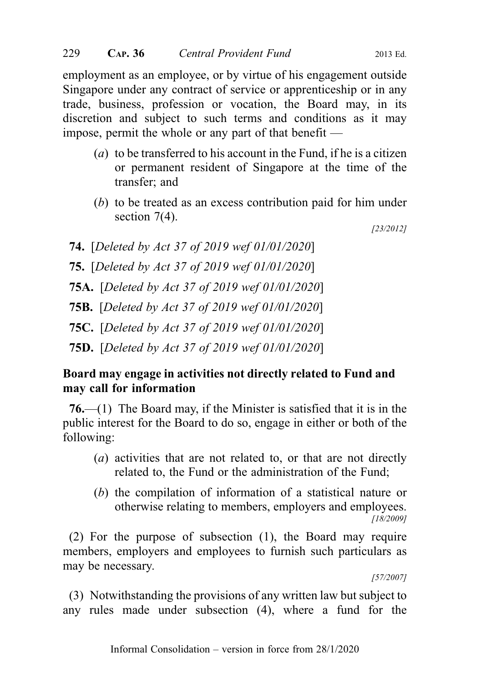employment as an employee, or by virtue of his engagement outside Singapore under any contract of service or apprenticeship or in any trade, business, profession or vocation, the Board may, in its discretion and subject to such terms and conditions as it may impose, permit the whole or any part of that benefit —

- (a) to be transferred to his account in the Fund, if he is a citizen or permanent resident of Singapore at the time of the transfer; and
- (b) to be treated as an excess contribution paid for him under section 7(4).

[23/2012]

- 74. [Deleted by Act 37 of 2019 wef 01/01/2020]
- 75. [Deleted by Act 37 of 2019 wef 01/01/2020]
- 75A. [Deleted by Act 37 of 2019 wef 01/01/2020]
- 75B. [Deleted by Act 37 of 2019 wef 01/01/2020]
- 75C. [Deleted by Act 37 of 2019 wef 01/01/2020]
- 75D. [Deleted by Act 37 of 2019 wef 01/01/2020]

## Board may engage in activities not directly related to Fund and may call for information

76.—(1) The Board may, if the Minister is satisfied that it is in the public interest for the Board to do so, engage in either or both of the following:

- (a) activities that are not related to, or that are not directly related to, the Fund or the administration of the Fund;
- (b) the compilation of information of a statistical nature or otherwise relating to members, employers and employees. [18/2009]

(2) For the purpose of subsection (1), the Board may require members, employers and employees to furnish such particulars as may be necessary.

[57/2007]

(3) Notwithstanding the provisions of any written law but subject to any rules made under subsection (4), where a fund for the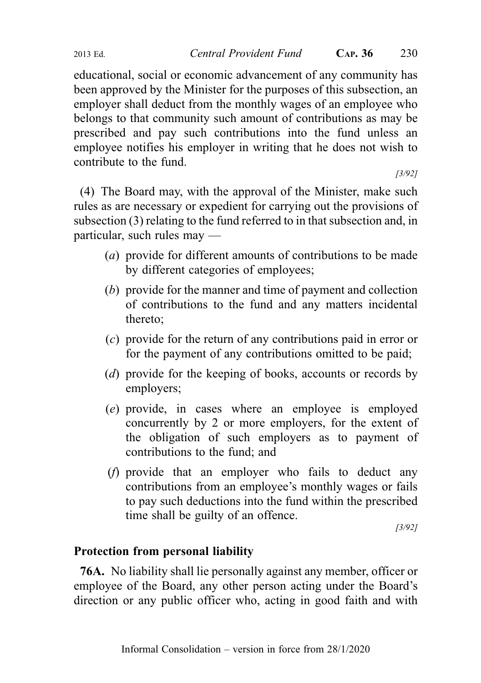educational, social or economic advancement of any community has been approved by the Minister for the purposes of this subsection, an employer shall deduct from the monthly wages of an employee who belongs to that community such amount of contributions as may be prescribed and pay such contributions into the fund unless an employee notifies his employer in writing that he does not wish to contribute to the fund.

[3/92]

(4) The Board may, with the approval of the Minister, make such rules as are necessary or expedient for carrying out the provisions of subsection (3) relating to the fund referred to in that subsection and, in particular, such rules may —

- (a) provide for different amounts of contributions to be made by different categories of employees;
- (b) provide for the manner and time of payment and collection of contributions to the fund and any matters incidental thereto;
- (c) provide for the return of any contributions paid in error or for the payment of any contributions omitted to be paid;
- (*d*) provide for the keeping of books, accounts or records by employers;
- (e) provide, in cases where an employee is employed concurrently by 2 or more employers, for the extent of the obligation of such employers as to payment of contributions to the fund; and
- (f) provide that an employer who fails to deduct any contributions from an employee's monthly wages or fails to pay such deductions into the fund within the prescribed time shall be guilty of an offence.

[3/92]

#### Protection from personal liability

76A. No liability shall lie personally against any member, officer or employee of the Board, any other person acting under the Board's direction or any public officer who, acting in good faith and with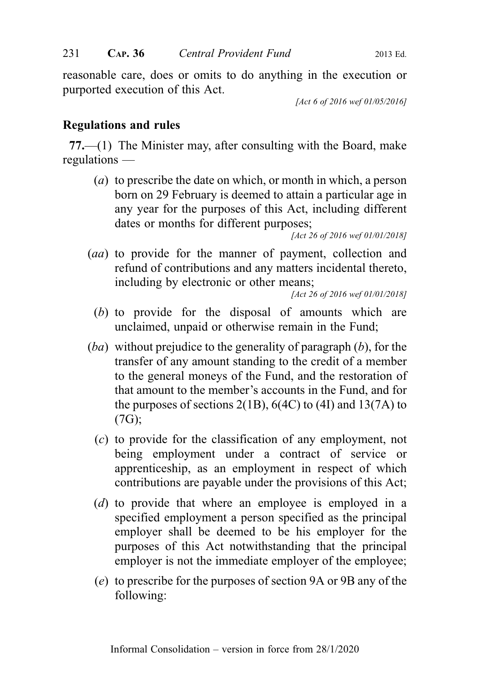reasonable care, does or omits to do anything in the execution or purported execution of this Act.

[Act 6 of 2016 wef 01/05/2016]

## Regulations and rules

77.—(1) The Minister may, after consulting with the Board, make regulations —

(a) to prescribe the date on which, or month in which, a person born on 29 February is deemed to attain a particular age in any year for the purposes of this Act, including different dates or months for different purposes;

[Act 26 of 2016 wef 01/01/2018]

(aa) to provide for the manner of payment, collection and refund of contributions and any matters incidental thereto, including by electronic or other means;

[Act 26 of 2016 wef 01/01/2018]

- (b) to provide for the disposal of amounts which are unclaimed, unpaid or otherwise remain in the Fund;
- $(ba)$  without prejudice to the generality of paragraph  $(b)$ , for the transfer of any amount standing to the credit of a member to the general moneys of the Fund, and the restoration of that amount to the member's accounts in the Fund, and for the purposes of sections  $2(1B)$ ,  $6(4C)$  to  $(4I)$  and  $13(7A)$  to (7G);
	- (c) to provide for the classification of any employment, not being employment under a contract of service or apprenticeship, as an employment in respect of which contributions are payable under the provisions of this Act;
	- (d) to provide that where an employee is employed in a specified employment a person specified as the principal employer shall be deemed to be his employer for the purposes of this Act notwithstanding that the principal employer is not the immediate employer of the employee;
	- (e) to prescribe for the purposes of section 9A or 9B any of the following: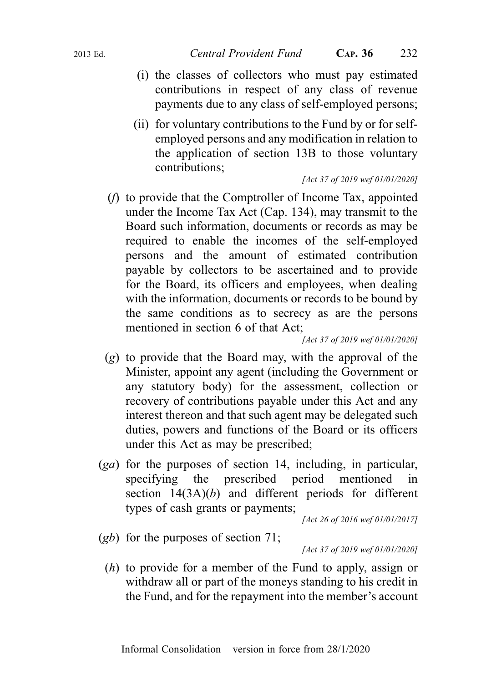- (i) the classes of collectors who must pay estimated contributions in respect of any class of revenue payments due to any class of self-employed persons;
- (ii) for voluntary contributions to the Fund by or for selfemployed persons and any modification in relation to the application of section 13B to those voluntary contributions;

#### [Act 37 of 2019 wef 01/01/2020]

(f) to provide that the Comptroller of Income Tax, appointed under the Income Tax Act (Cap. 134), may transmit to the Board such information, documents or records as may be required to enable the incomes of the self-employed persons and the amount of estimated contribution payable by collectors to be ascertained and to provide for the Board, its officers and employees, when dealing with the information, documents or records to be bound by the same conditions as to secrecy as are the persons mentioned in section 6 of that Act;

[Act 37 of 2019 wef 01/01/2020]

- (g) to provide that the Board may, with the approval of the Minister, appoint any agent (including the Government or any statutory body) for the assessment, collection or recovery of contributions payable under this Act and any interest thereon and that such agent may be delegated such duties, powers and functions of the Board or its officers under this Act as may be prescribed;
- (ga) for the purposes of section 14, including, in particular, specifying the prescribed period mentioned in section  $14(3A)(b)$  and different periods for different types of cash grants or payments;

[Act 26 of 2016 wef 01/01/2017]

 $(gb)$  for the purposes of section 71;

[Act 37 of 2019 wef 01/01/2020]

(h) to provide for a member of the Fund to apply, assign or withdraw all or part of the moneys standing to his credit in the Fund, and for the repayment into the member's account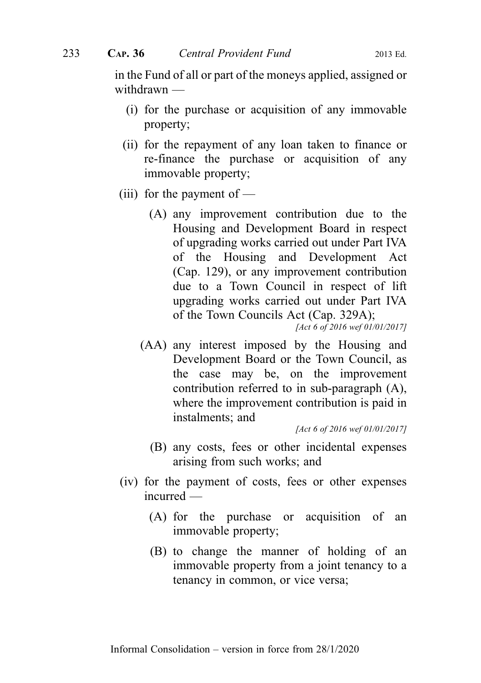in the Fund of all or part of the moneys applied, assigned or withdrawn —

- (i) for the purchase or acquisition of any immovable property;
- (ii) for the repayment of any loan taken to finance or re-finance the purchase or acquisition of any immovable property;
- (iii) for the payment of  $-$ 
	- (A) any improvement contribution due to the Housing and Development Board in respect of upgrading works carried out under Part IVA of the Housing and Development Act (Cap. 129), or any improvement contribution due to a Town Council in respect of lift upgrading works carried out under Part IVA of the Town Councils Act (Cap. 329A);

[Act 6 of 2016 wef 01/01/2017]

(AA) any interest imposed by the Housing and Development Board or the Town Council, as the case may be, on the improvement contribution referred to in sub-paragraph (A), where the improvement contribution is paid in instalments; and

[Act 6 of 2016 wef 01/01/2017]

- (B) any costs, fees or other incidental expenses arising from such works; and
- (iv) for the payment of costs, fees or other expenses incurred —
	- (A) for the purchase or acquisition of an immovable property;
	- (B) to change the manner of holding of an immovable property from a joint tenancy to a tenancy in common, or vice versa;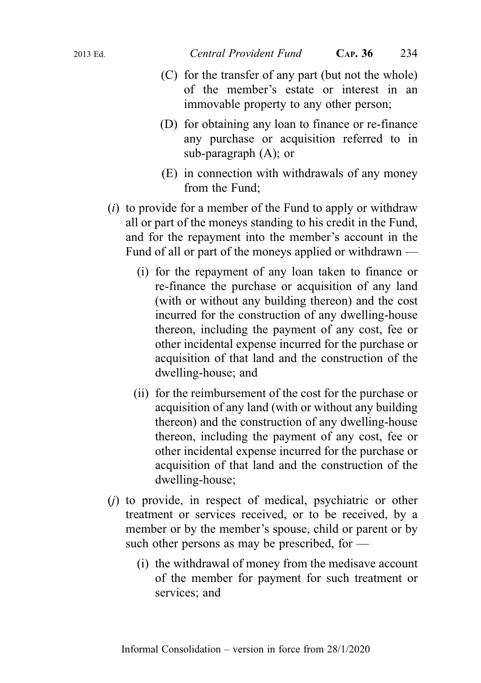- (C) for the transfer of any part (but not the whole) of the member's estate or interest in an immovable property to any other person;
- (D) for obtaining any loan to finance or re-finance any purchase or acquisition referred to in sub-paragraph (A); or
- (E) in connection with withdrawals of any money from the Fund;
- $(i)$  to provide for a member of the Fund to apply or withdraw all or part of the moneys standing to his credit in the Fund, and for the repayment into the member's account in the Fund of all or part of the moneys applied or withdrawn —
	- (i) for the repayment of any loan taken to finance or re-finance the purchase or acquisition of any land (with or without any building thereon) and the cost incurred for the construction of any dwelling-house thereon, including the payment of any cost, fee or other incidental expense incurred for the purchase or acquisition of that land and the construction of the dwelling-house; and
	- (ii) for the reimbursement of the cost for the purchase or acquisition of any land (with or without any building thereon) and the construction of any dwelling-house thereon, including the payment of any cost, fee or other incidental expense incurred for the purchase or acquisition of that land and the construction of the dwelling-house;
- $(i)$  to provide, in respect of medical, psychiatric or other treatment or services received, or to be received, by a member or by the member's spouse, child or parent or by such other persons as may be prescribed, for —
	- (i) the withdrawal of money from the medisave account of the member for payment for such treatment or services; and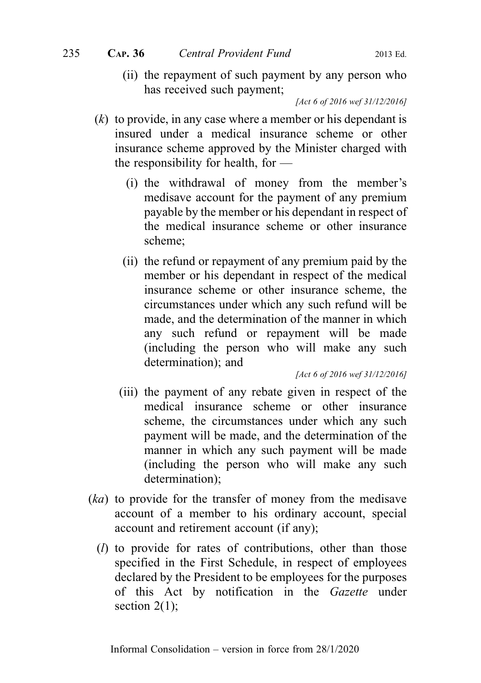(ii) the repayment of such payment by any person who has received such payment;

[Act 6 of 2016 wef 31/12/2016]

- $(k)$  to provide, in any case where a member or his dependant is insured under a medical insurance scheme or other insurance scheme approved by the Minister charged with the responsibility for health, for —
	- (i) the withdrawal of money from the member's medisave account for the payment of any premium payable by the member or his dependant in respect of the medical insurance scheme or other insurance scheme;
	- (ii) the refund or repayment of any premium paid by the member or his dependant in respect of the medical insurance scheme or other insurance scheme, the circumstances under which any such refund will be made, and the determination of the manner in which any such refund or repayment will be made (including the person who will make any such determination); and

[Act 6 of 2016 wef 31/12/2016]

- (iii) the payment of any rebate given in respect of the medical insurance scheme or other insurance scheme, the circumstances under which any such payment will be made, and the determination of the manner in which any such payment will be made (including the person who will make any such determination);
- (ka) to provide for the transfer of money from the medisave account of a member to his ordinary account, special account and retirement account (if any);
	- (l) to provide for rates of contributions, other than those specified in the First Schedule, in respect of employees declared by the President to be employees for the purposes of this Act by notification in the Gazette under section  $2(1)$ ;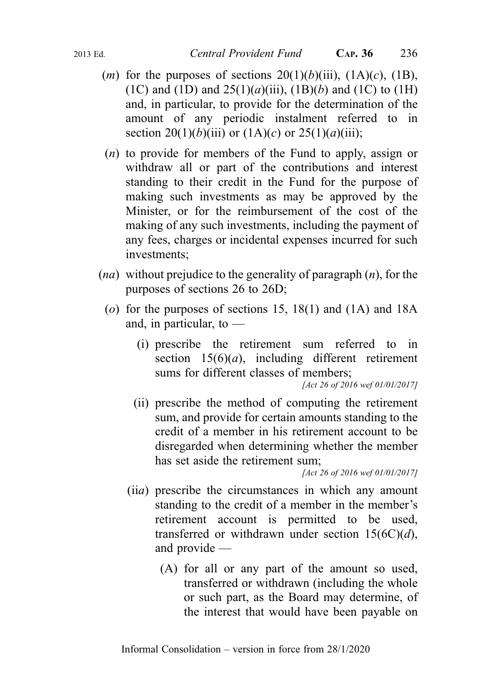- (*m*) for the purposes of sections  $20(1)(b)(iii)$ ,  $(1A)(c)$ ,  $(1B)$ , (1C) and (1D) and  $25(1)(a)(iii)$ , (1B)(b) and (1C) to (1H) and, in particular, to provide for the determination of the amount of any periodic instalment referred to in section 20(1)(b)(iii) or (1A)(c) or 25(1)(a)(iii);
- (n) to provide for members of the Fund to apply, assign or withdraw all or part of the contributions and interest standing to their credit in the Fund for the purpose of making such investments as may be approved by the Minister, or for the reimbursement of the cost of the making of any such investments, including the payment of any fees, charges or incidental expenses incurred for such investments;
- $(na)$  without prejudice to the generality of paragraph  $(n)$ , for the purposes of sections 26 to 26D;
	- (o) for the purposes of sections 15, 18(1) and (1A) and 18A and, in particular, to —
		- (i) prescribe the retirement sum referred to in section  $15(6)(a)$ , including different retirement sums for different classes of members;

[Act 26 of 2016 wef 01/01/2017]

(ii) prescribe the method of computing the retirement sum, and provide for certain amounts standing to the credit of a member in his retirement account to be disregarded when determining whether the member has set aside the retirement sum;

[Act 26 of 2016 wef 01/01/2017]

- (iia) prescribe the circumstances in which any amount standing to the credit of a member in the member's retirement account is permitted to be used, transferred or withdrawn under section  $15(6C)(d)$ , and provide —
	- (A) for all or any part of the amount so used, transferred or withdrawn (including the whole or such part, as the Board may determine, of the interest that would have been payable on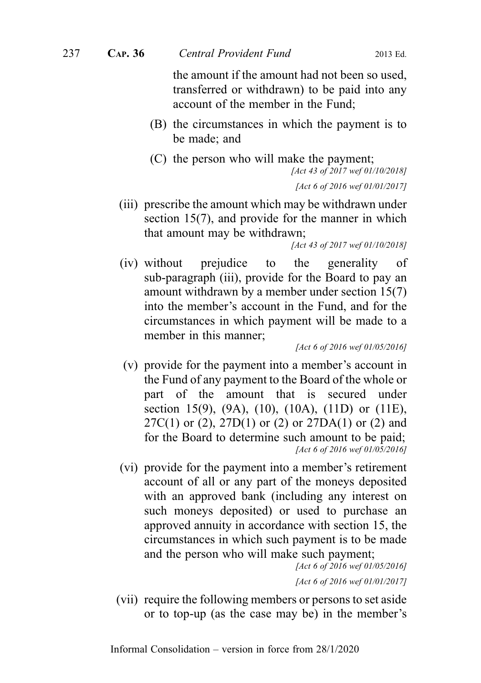the amount if the amount had not been so used, transferred or withdrawn) to be paid into any account of the member in the Fund;

- (B) the circumstances in which the payment is to be made; and
- (C) the person who will make the payment; [Act 43 of 2017 wef 01/10/2018]

[Act 6 of 2016 wef 01/01/2017]

(iii) prescribe the amount which may be withdrawn under section 15(7), and provide for the manner in which that amount may be withdrawn;

[Act 43 of 2017 wef 01/10/2018]

(iv) without prejudice to the generality of sub-paragraph (iii), provide for the Board to pay an amount withdrawn by a member under section 15(7) into the member's account in the Fund, and for the circumstances in which payment will be made to a member in this manner;

[Act 6 of 2016 wef 01/05/2016]

- (v) provide for the payment into a member's account in the Fund of any payment to the Board of the whole or part of the amount that is secured under section 15(9), (9A), (10), (10A), (11D) or (11E),  $27C(1)$  or  $(2)$ ,  $27D(1)$  or  $(2)$  or  $27DA(1)$  or  $(2)$  and for the Board to determine such amount to be paid; [Act 6 of 2016 wef 01/05/2016]
- (vi) provide for the payment into a member's retirement account of all or any part of the moneys deposited with an approved bank (including any interest on such moneys deposited) or used to purchase an approved annuity in accordance with section 15, the circumstances in which such payment is to be made and the person who will make such payment;

```
[Act 6 of 2016 wef 01/05/2016]
[Act 6 of 2016 wef 01/01/2017]
```
(vii) require the following members or persons to set aside or to top-up (as the case may be) in the member's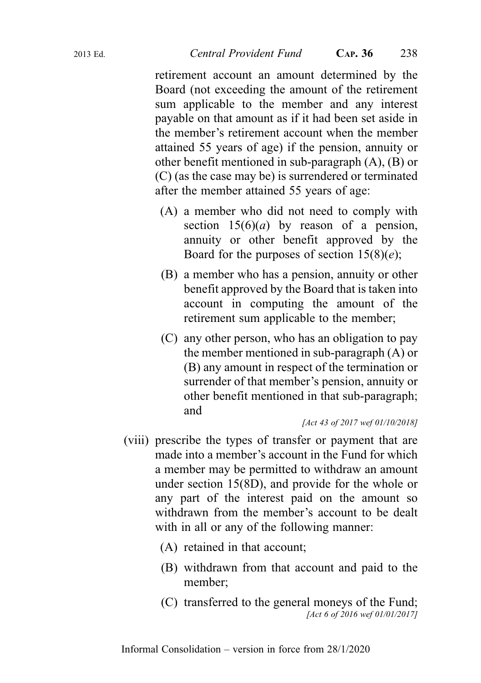retirement account an amount determined by the Board (not exceeding the amount of the retirement sum applicable to the member and any interest payable on that amount as if it had been set aside in the member's retirement account when the member attained 55 years of age) if the pension, annuity or other benefit mentioned in sub-paragraph (A), (B) or (C) (as the case may be) is surrendered or terminated after the member attained 55 years of age:

- (A) a member who did not need to comply with section  $15(6)(a)$  by reason of a pension, annuity or other benefit approved by the Board for the purposes of section  $15(8)(e)$ ;
- (B) a member who has a pension, annuity or other benefit approved by the Board that is taken into account in computing the amount of the retirement sum applicable to the member;
- (C) any other person, who has an obligation to pay the member mentioned in sub-paragraph (A) or (B) any amount in respect of the termination or surrender of that member's pension, annuity or other benefit mentioned in that sub-paragraph; and

#### [Act 43 of 2017 wef 01/10/2018]

- (viii) prescribe the types of transfer or payment that are made into a member's account in the Fund for which a member may be permitted to withdraw an amount under section 15(8D), and provide for the whole or any part of the interest paid on the amount so withdrawn from the member's account to be dealt with in all or any of the following manner:
	- (A) retained in that account;
	- (B) withdrawn from that account and paid to the member;
	- (C) transferred to the general moneys of the Fund; [Act 6 of 2016 wef 01/01/2017]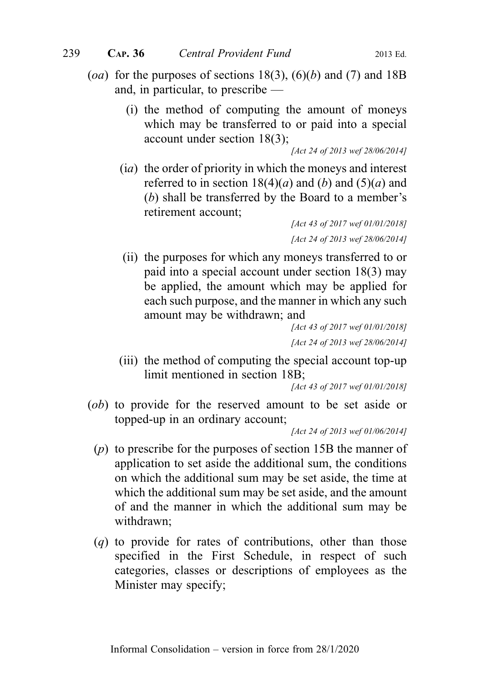- (oa) for the purposes of sections 18(3), (6)(b) and (7) and 18B and, in particular, to prescribe —
	- (i) the method of computing the amount of moneys which may be transferred to or paid into a special account under section 18(3);

[Act 24 of 2013 wef 28/06/2014]

(ia) the order of priority in which the moneys and interest referred to in section  $18(4)(a)$  and  $(b)$  and  $(5)(a)$  and (b) shall be transferred by the Board to a member's retirement account;

[Act 43 of 2017 wef 01/01/2018] [Act 24 of 2013 wef 28/06/2014]

(ii) the purposes for which any moneys transferred to or paid into a special account under section 18(3) may be applied, the amount which may be applied for each such purpose, and the manner in which any such amount may be withdrawn; and

> [Act 43 of 2017 wef 01/01/2018] [Act 24 of 2013 wef 28/06/2014]

(iii) the method of computing the special account top-up limit mentioned in section 18B;

[Act 43 of 2017 wef 01/01/2018]

(ob) to provide for the reserved amount to be set aside or topped-up in an ordinary account;

[Act 24 of 2013 wef 01/06/2014]

- (p) to prescribe for the purposes of section 15B the manner of application to set aside the additional sum, the conditions on which the additional sum may be set aside, the time at which the additional sum may be set aside, and the amount of and the manner in which the additional sum may be withdrawn;
- (q) to provide for rates of contributions, other than those specified in the First Schedule, in respect of such categories, classes or descriptions of employees as the Minister may specify;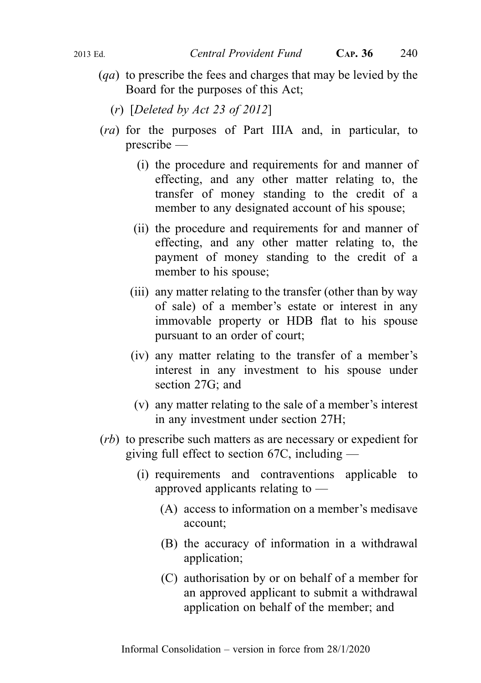- (qa) to prescribe the fees and charges that may be levied by the Board for the purposes of this Act;
	- (r) [Deleted by Act 23 of 2012]
- (ra) for the purposes of Part IIIA and, in particular, to prescribe —
	- (i) the procedure and requirements for and manner of effecting, and any other matter relating to, the transfer of money standing to the credit of a member to any designated account of his spouse;
	- (ii) the procedure and requirements for and manner of effecting, and any other matter relating to, the payment of money standing to the credit of a member to his spouse;
	- (iii) any matter relating to the transfer (other than by way of sale) of a member's estate or interest in any immovable property or HDB flat to his spouse pursuant to an order of court;
	- (iv) any matter relating to the transfer of a member's interest in any investment to his spouse under section 27G; and
	- (v) any matter relating to the sale of a member's interest in any investment under section 27H;
- (rb) to prescribe such matters as are necessary or expedient for giving full effect to section 67C, including —
	- (i) requirements and contraventions applicable to approved applicants relating to —
		- (A) access to information on a member's medisave account;
		- (B) the accuracy of information in a withdrawal application;
		- (C) authorisation by or on behalf of a member for an approved applicant to submit a withdrawal application on behalf of the member; and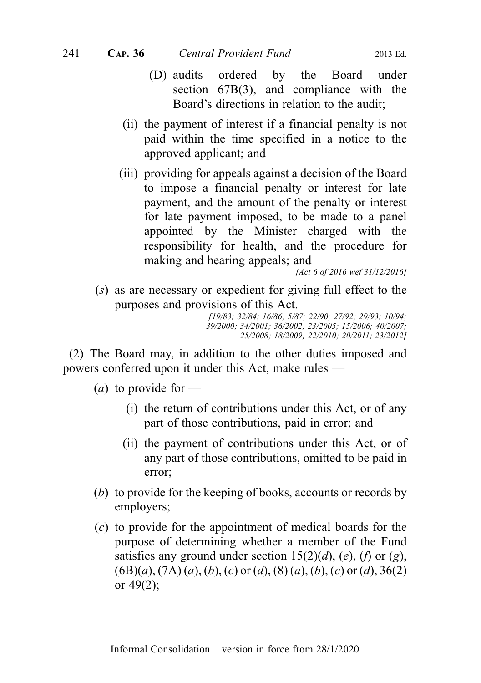- (D) audits ordered by the Board under section 67B(3), and compliance with the Board's directions in relation to the audit;
- (ii) the payment of interest if a financial penalty is not paid within the time specified in a notice to the approved applicant; and
- (iii) providing for appeals against a decision of the Board to impose a financial penalty or interest for late payment, and the amount of the penalty or interest for late payment imposed, to be made to a panel appointed by the Minister charged with the responsibility for health, and the procedure for making and hearing appeals; and

[Act 6 of 2016 wef 31/12/2016]

(s) as are necessary or expedient for giving full effect to the purposes and provisions of this Act.

[19/83; 32/84; 16/86; 5/87; 22/90; 27/92; 29/93; 10/94; 39/2000; 34/2001; 36/2002; 23/2005; 15/2006; 40/2007; 25/2008; 18/2009; 22/2010; 20/2011; 23/2012]

(2) The Board may, in addition to the other duties imposed and powers conferred upon it under this Act, make rules —

(*a*) to provide for  $-$ 

- (i) the return of contributions under this Act, or of any part of those contributions, paid in error; and
- (ii) the payment of contributions under this Act, or of any part of those contributions, omitted to be paid in error;
- (b) to provide for the keeping of books, accounts or records by employers;
- (c) to provide for the appointment of medical boards for the purpose of determining whether a member of the Fund satisfies any ground under section  $15(2)(d)$ ,  $(e)$ ,  $(f)$  or  $(g)$ ,  $(6B)(a)$ ,  $(7A)(a)$ ,  $(b)$ ,  $(c)$  or  $(d)$ ,  $(8)(a)$ ,  $(b)$ ,  $(c)$  or  $(d)$ ,  $36(2)$ or  $49(2)$ ;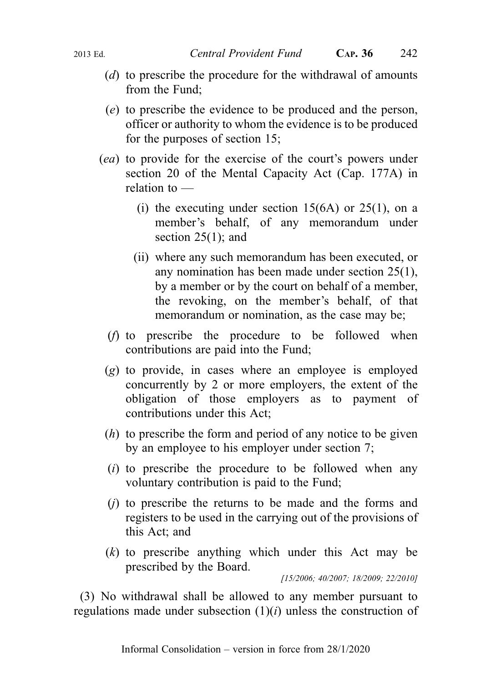- (d) to prescribe the procedure for the withdrawal of amounts from the Fund;
- (e) to prescribe the evidence to be produced and the person, officer or authority to whom the evidence is to be produced for the purposes of section 15;
- (ea) to provide for the exercise of the court's powers under section 20 of the Mental Capacity Act (Cap. 177A) in relation to —
	- (i) the executing under section  $15(6A)$  or  $25(1)$ , on a member's behalf, of any memorandum under section 25(1); and
	- (ii) where any such memorandum has been executed, or any nomination has been made under section 25(1), by a member or by the court on behalf of a member, the revoking, on the member's behalf, of that memorandum or nomination, as the case may be;
	- (f) to prescribe the procedure to be followed when contributions are paid into the Fund;
- (g) to provide, in cases where an employee is employed concurrently by 2 or more employers, the extent of the obligation of those employers as to payment of contributions under this Act;
- (h) to prescribe the form and period of any notice to be given by an employee to his employer under section 7;
- $(i)$  to prescribe the procedure to be followed when any voluntary contribution is paid to the Fund;
- (j) to prescribe the returns to be made and the forms and registers to be used in the carrying out of the provisions of this Act; and
- $(k)$  to prescribe anything which under this Act may be prescribed by the Board.

[15/2006; 40/2007; 18/2009; 22/2010]

(3) No withdrawal shall be allowed to any member pursuant to regulations made under subsection  $(1)(i)$  unless the construction of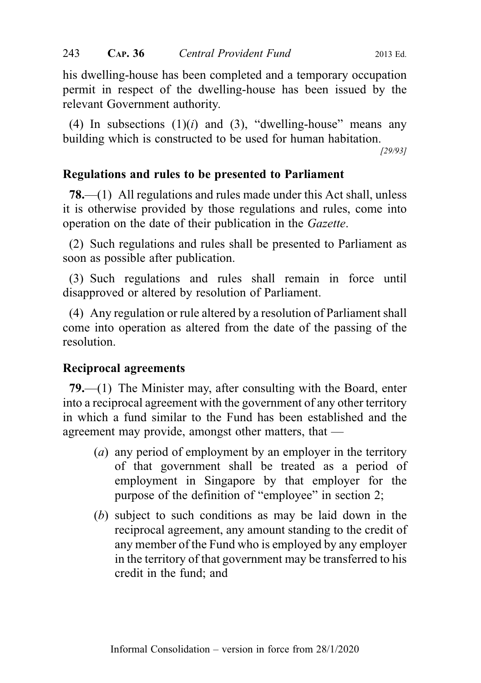his dwelling-house has been completed and a temporary occupation permit in respect of the dwelling-house has been issued by the relevant Government authority.

(4) In subsections  $(1)(i)$  and  $(3)$ , "dwelling-house" means any building which is constructed to be used for human habitation.

[29/93]

## Regulations and rules to be presented to Parliament

78.—(1) All regulations and rules made under this Act shall, unless it is otherwise provided by those regulations and rules, come into operation on the date of their publication in the Gazette.

(2) Such regulations and rules shall be presented to Parliament as soon as possible after publication.

(3) Such regulations and rules shall remain in force until disapproved or altered by resolution of Parliament.

(4) Any regulation or rule altered by a resolution of Parliament shall come into operation as altered from the date of the passing of the resolution.

#### Reciprocal agreements

79.—(1) The Minister may, after consulting with the Board, enter into a reciprocal agreement with the government of any other territory in which a fund similar to the Fund has been established and the agreement may provide, amongst other matters, that —

- (a) any period of employment by an employer in the territory of that government shall be treated as a period of employment in Singapore by that employer for the purpose of the definition of "employee" in section 2;
- (b) subject to such conditions as may be laid down in the reciprocal agreement, any amount standing to the credit of any member of the Fund who is employed by any employer in the territory of that government may be transferred to his credit in the fund; and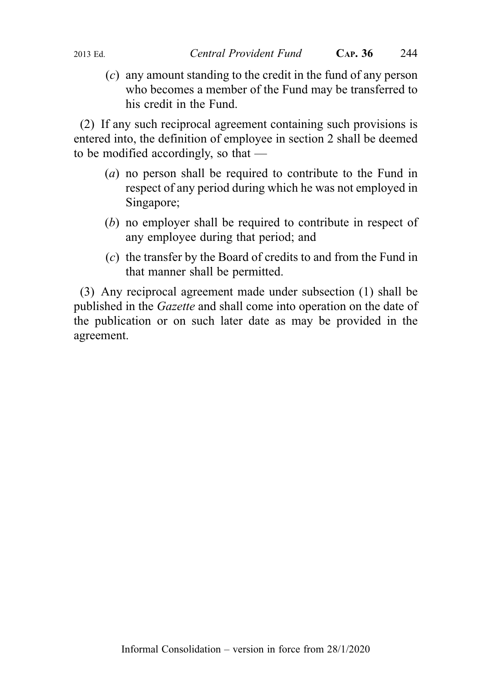(c) any amount standing to the credit in the fund of any person who becomes a member of the Fund may be transferred to his credit in the Fund.

(2) If any such reciprocal agreement containing such provisions is entered into, the definition of employee in section 2 shall be deemed to be modified accordingly, so that —

- (a) no person shall be required to contribute to the Fund in respect of any period during which he was not employed in Singapore;
- (b) no employer shall be required to contribute in respect of any employee during that period; and
- (c) the transfer by the Board of credits to and from the Fund in that manner shall be permitted.

(3) Any reciprocal agreement made under subsection (1) shall be published in the Gazette and shall come into operation on the date of the publication or on such later date as may be provided in the agreement.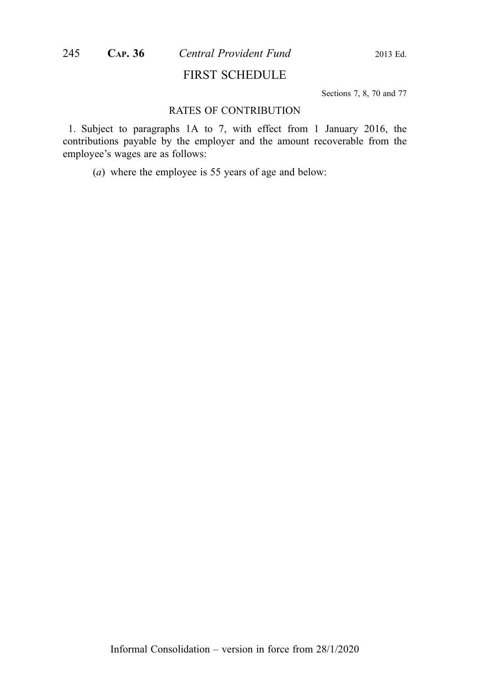#### FIRST SCHEDULE

Sections 7, 8, 70 and 77

#### RATES OF CONTRIBUTION

1. Subject to paragraphs 1A to 7, with effect from 1 January 2016, the contributions payable by the employer and the amount recoverable from the employee's wages are as follows:

(a) where the employee is 55 years of age and below: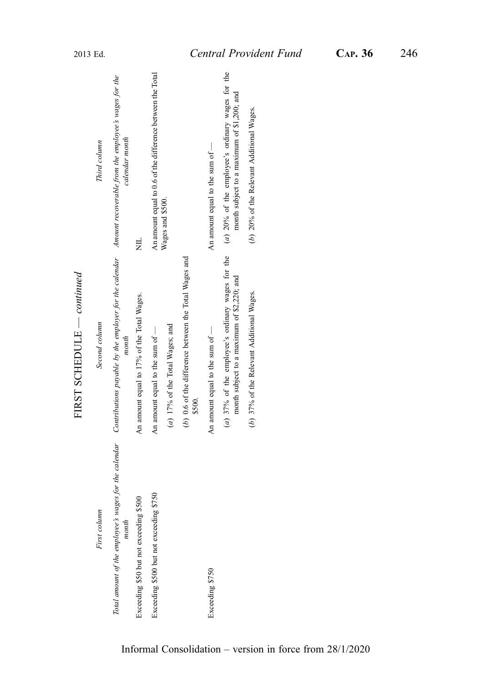FIRST SCHEDULE - continued — continued FIRST SCHEDULE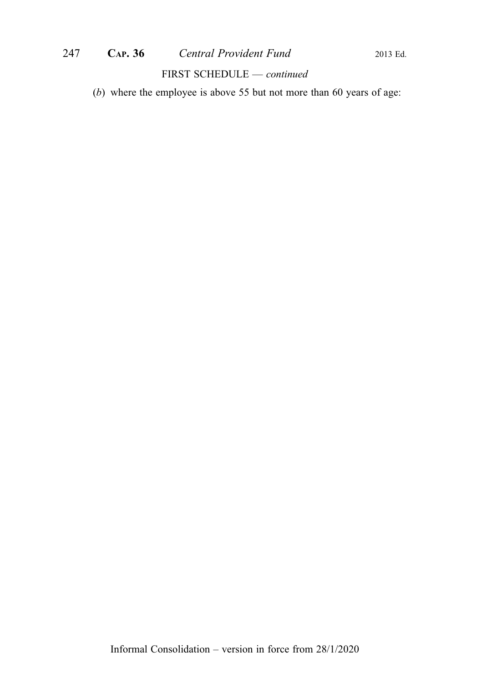#### FIRST SCHEDULE — continued

(b) where the employee is above 55 but not more than 60 years of age: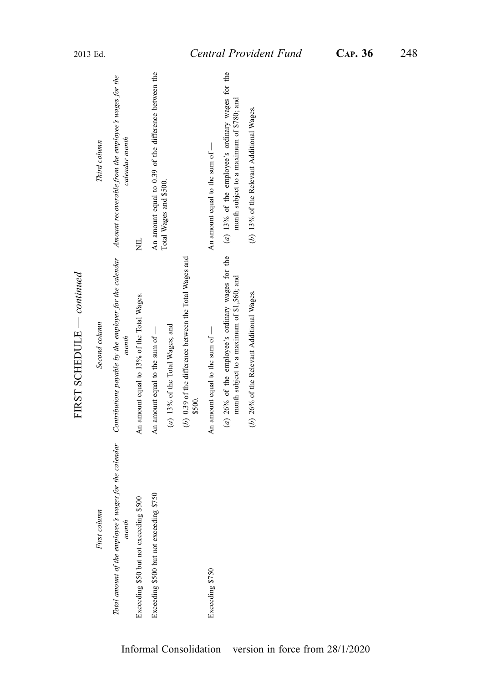FIRST SCHEDULE - continued — continued FIRST SCHEDULE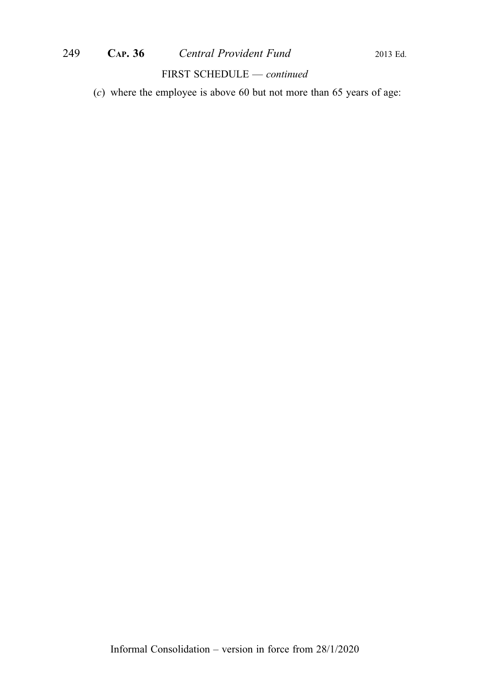# 249 **CAP. 36** *Central Provident Fund* 2013 Ed.

#### FIRST SCHEDULE — continued

(c) where the employee is above 60 but not more than 65 years of age: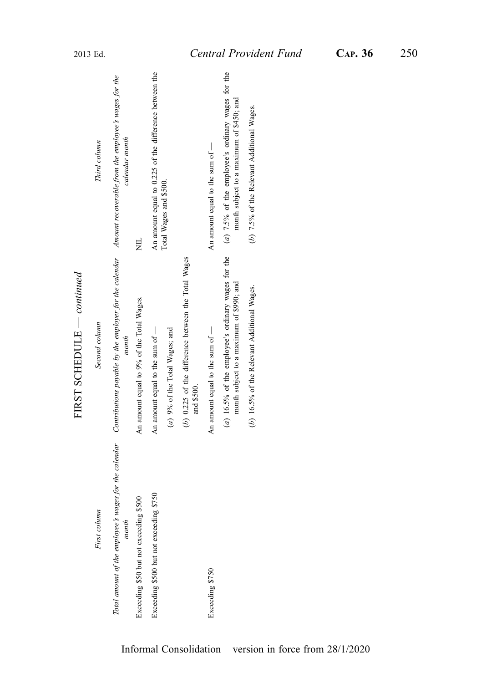|                                         | $1.1831$ SUILLEVELL COMMENT                                                                                                                                                |                                                                                                 |
|-----------------------------------------|----------------------------------------------------------------------------------------------------------------------------------------------------------------------------|-------------------------------------------------------------------------------------------------|
| First column                            | Second column                                                                                                                                                              | Third column                                                                                    |
| month                                   | Total amount of the employee's wages for the calendar Contributions payable by the employer for the calendar Amount recoverable from the employee's wages for the<br>month | calendar month                                                                                  |
| Exceeding \$50 but not exceeding \$500  | An amount equal to 9% of the Total Wages.                                                                                                                                  | 岂                                                                                               |
| Exceeding \$500 but not exceeding \$750 | An amount equal to the sum of $-$                                                                                                                                          | An amount equal to 0.225 of the difference between the                                          |
|                                         | (a) 9% of the Total Wages; and                                                                                                                                             | Total Wages and \$500.                                                                          |
|                                         | (b) 0.225 of the difference between the Total Wages<br>and \$500.                                                                                                          |                                                                                                 |
| Exceeding \$750                         | An amount equal to the sum of -                                                                                                                                            | An amount equal to the sum of -                                                                 |
|                                         | $(a)$ 16.5% of the employee's ordinary wages for the<br>month subject to a maximum of \$990; and                                                                           | $(a)$ 7.5% of the employee's ordinary wages for the<br>month subject to a maximum of \$450; and |
|                                         | (b) 16.5% of the Relevant Additional Wages.                                                                                                                                | (b) 7.5% of the Relevant Additional Wages.                                                      |
|                                         |                                                                                                                                                                            |                                                                                                 |

FIRST SCHEDULE  $\_\_$ — continued FIRST SCHEDULE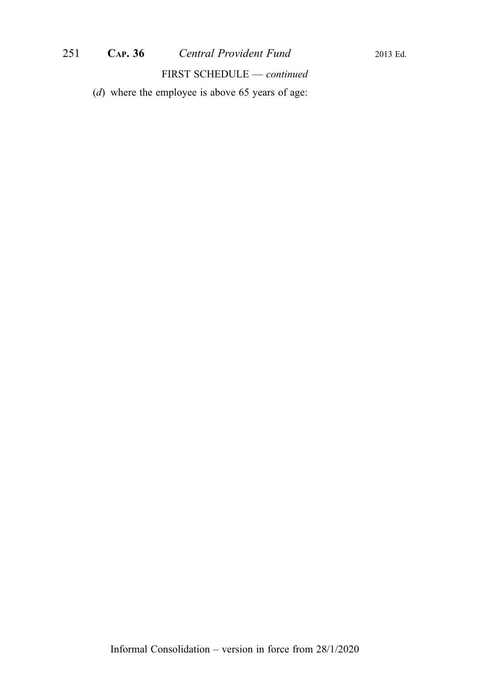FIRST SCHEDULE — continued

(d) where the employee is above 65 years of age: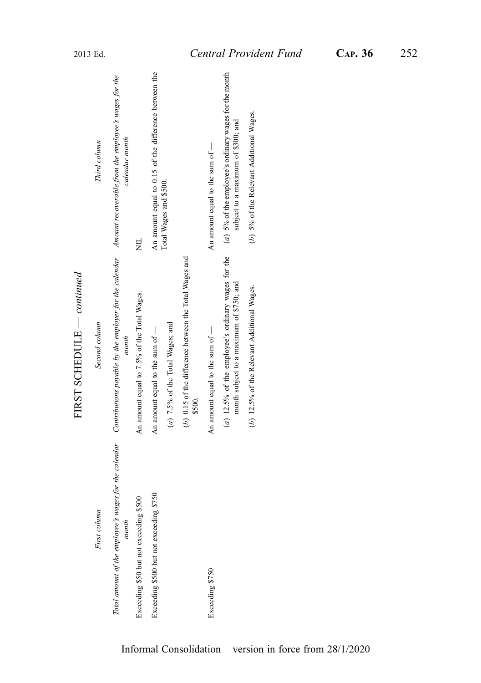|                                         | בטוונוונוננט<br>THROUGH POSTE                                                                                                                                              |                                                                                             |
|-----------------------------------------|----------------------------------------------------------------------------------------------------------------------------------------------------------------------------|---------------------------------------------------------------------------------------------|
| First column                            | Second column                                                                                                                                                              | Third column                                                                                |
| month                                   | Total amount of the employee's wages for the calendar Contributions payable by the employer for the calendar Amount recoverable from the employee's wages for the<br>month | calendar month                                                                              |
| Exceeding \$50 but not exceeding \$500  | An amount equal to 7.5% of the Total Wages.                                                                                                                                | 岂                                                                                           |
| Exceeding \$500 but not exceeding \$750 | An amount equal to the sum of -                                                                                                                                            | An amount equal to 0.15 of the difference between the                                       |
|                                         | $(a)$ 7.5% of the Total Wages; and                                                                                                                                         | Total Wages and \$500.                                                                      |
|                                         | (b) $0.15$ of the difference between the Total Wages and<br>\$500.                                                                                                         |                                                                                             |
| Exceeding \$750                         | An amount equal to the sum of $-$                                                                                                                                          | An amount equal to the sum of -                                                             |
|                                         | (a) 12.5% of the employee's ordinary wages for the<br>month subject to a maximum of \$750; and                                                                             | (a) 5% of the employee's ordinary wages for the month<br>subject to a maximum of \$300; and |
|                                         | $(b)$ 12.5% of the Relevant Additional Wages.                                                                                                                              | (b) 5% of the Relevant Additional Wages.                                                    |
|                                         |                                                                                                                                                                            |                                                                                             |

FIRST SCHEDULE  $\_\_$ — continued FIRST SCHEDULE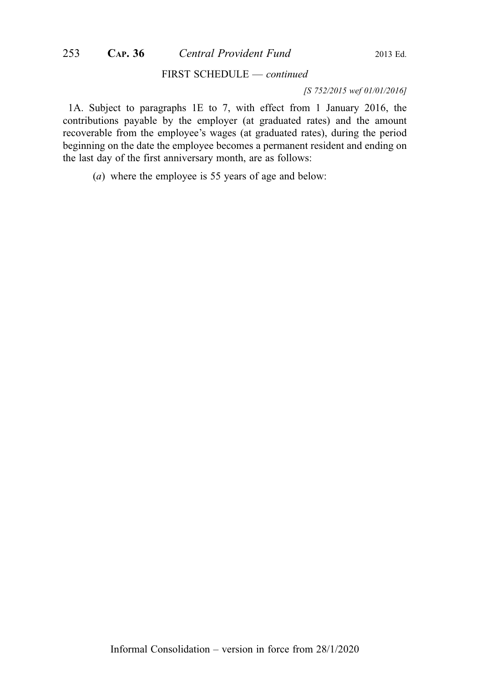#### [S 752/2015 wef 01/01/2016]

1A. Subject to paragraphs 1E to 7, with effect from 1 January 2016, the contributions payable by the employer (at graduated rates) and the amount recoverable from the employee's wages (at graduated rates), during the period beginning on the date the employee becomes a permanent resident and ending on the last day of the first anniversary month, are as follows:

(a) where the employee is 55 years of age and below: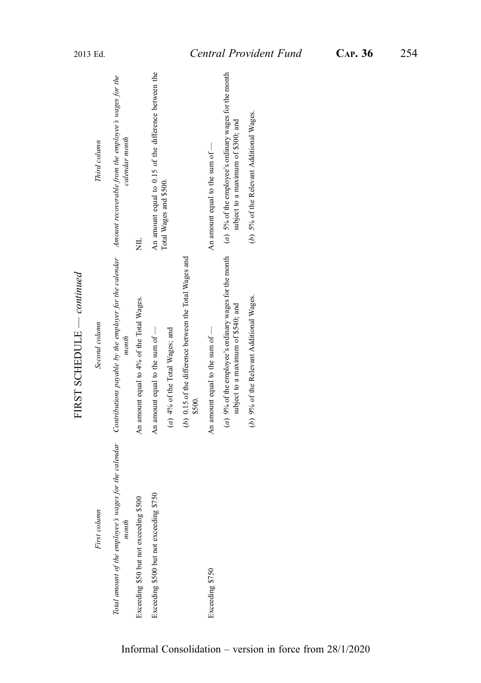|                                         | בטוונוונוננט<br>THRAIN SAILTERNE                                                                                                                                           |                                                                                             |
|-----------------------------------------|----------------------------------------------------------------------------------------------------------------------------------------------------------------------------|---------------------------------------------------------------------------------------------|
| First column                            | Second column                                                                                                                                                              | Third column                                                                                |
| month                                   | Total amount of the employee's wages for the calendar Contributions payable by the employer for the calendar Amount recoverable from the employee's wages for the<br>month | calendar month                                                                              |
| Exceeding \$50 but not exceeding \$500  | An amount equal to 4% of the Total Wages.                                                                                                                                  | Ę                                                                                           |
| Exceeding \$500 but not exceeding \$750 | An amount equal to the sum of $-$                                                                                                                                          | An amount equal to 0.15 of the difference between the                                       |
|                                         | (a) 4% of the Total Wages; and                                                                                                                                             | Total Wages and \$500.                                                                      |
|                                         | (b) 0.15 of the difference between the Total Wages and<br>\$500.                                                                                                           |                                                                                             |
| Exceeding \$750                         | An amount equal to the sum of -                                                                                                                                            | An amount equal to the sum of $-$                                                           |
|                                         | $(a)$ 9% of the employee's ordinary wages for the month<br>subject to a maximum of \$540; and                                                                              | (a) 5% of the employee's ordinary wages for the month<br>subject to a maximum of \$300; and |
|                                         | (b) 9% of the Relevant Additional Wages.                                                                                                                                   | (b) 5% of the Relevant Additional Wages.                                                    |
|                                         |                                                                                                                                                                            |                                                                                             |

FIRST SCHEDULE  $-conting$ — continued FIRST SCHEDULE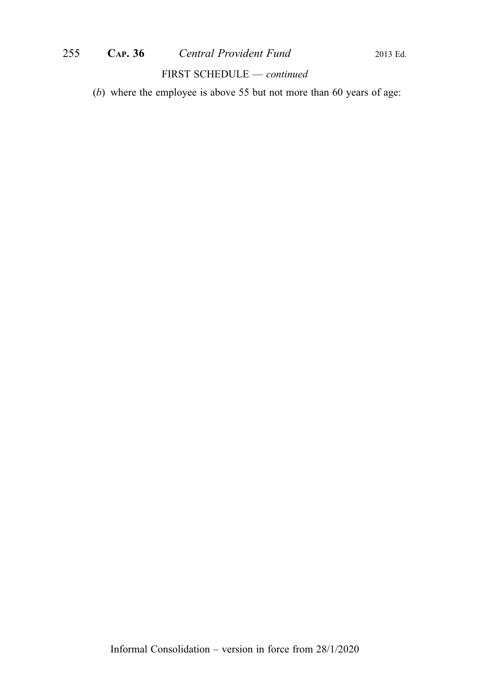(b) where the employee is above 55 but not more than 60 years of age: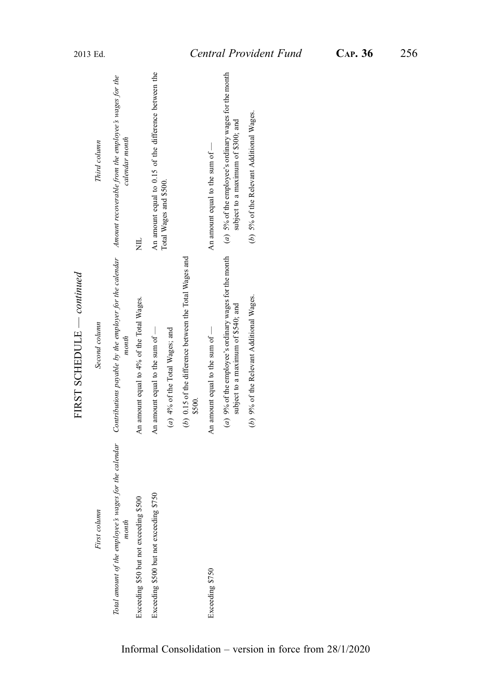|                                         | בטוונוונונט<br>THRAIN SAILTERNE                                                                                                                                            |                                                                                             |
|-----------------------------------------|----------------------------------------------------------------------------------------------------------------------------------------------------------------------------|---------------------------------------------------------------------------------------------|
| First column                            | Second column                                                                                                                                                              | Third column                                                                                |
| month                                   | Total amount of the employee's wages for the calendar Contributions payable by the employer for the calendar Amount recoverable from the employee's wages for the<br>month | calendar month                                                                              |
| Exceeding \$50 but not exceeding \$500  | An amount equal to 4% of the Total Wages.                                                                                                                                  | Ę                                                                                           |
| Exceeding \$500 but not exceeding \$750 | An amount equal to the sum of $-$                                                                                                                                          | An amount equal to 0.15 of the difference between the                                       |
|                                         | (a) 4% of the Total Wages; and                                                                                                                                             | Total Wages and \$500.                                                                      |
|                                         | (b) 0.15 of the difference between the Total Wages and<br>\$500.                                                                                                           |                                                                                             |
| Exceeding \$750                         | An amount equal to the sum of -                                                                                                                                            | An amount equal to the sum of $-$                                                           |
|                                         | $(a)$ 9% of the employee's ordinary wages for the month<br>subject to a maximum of \$540; and                                                                              | (a) 5% of the employee's ordinary wages for the month<br>subject to a maximum of \$300; and |
|                                         | (b) 9% of the Relevant Additional Wages.                                                                                                                                   | (b) 5% of the Relevant Additional Wages.                                                    |
|                                         |                                                                                                                                                                            |                                                                                             |

FIRST SCHEDULE  $\_\_$ — continued FIRST SCHEDULE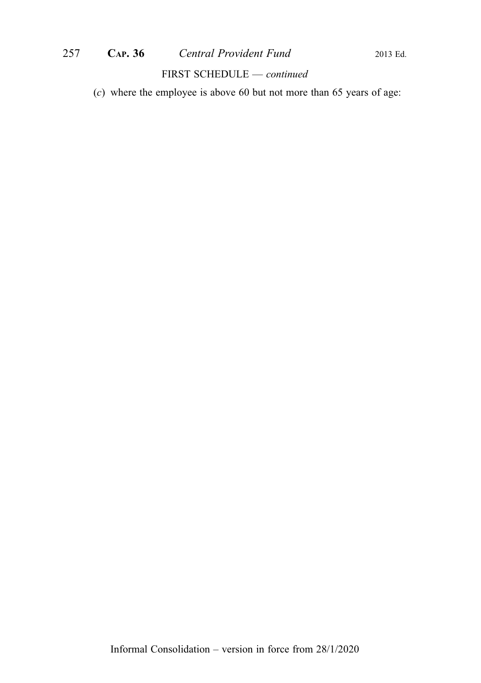# 257 CAP. 36 Central Provident Fund 2013 Ed.

#### FIRST SCHEDULE — continued

(c) where the employee is above 60 but not more than 65 years of age: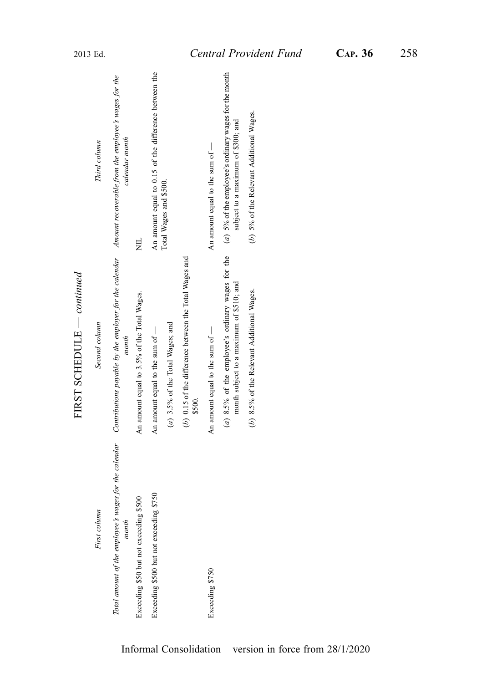|                                                                | $FIRST$ SCHEDULE $— continued$                                                                                       |                                                                                             |
|----------------------------------------------------------------|----------------------------------------------------------------------------------------------------------------------|---------------------------------------------------------------------------------------------|
| First column                                                   | Second column                                                                                                        | Third column                                                                                |
| Total amount of the employee's wages for the calendar<br>month | Contributions payable by the employer for the calendar Amount recoverable from the employee's wages for the<br>month | calendar month                                                                              |
| Exceeding \$50 but not exceeding \$500                         | An amount equal to 3.5% of the Total Wages.                                                                          | Ę                                                                                           |
| Exceeding \$500 but not exceeding \$750                        | An amount equal to the sum of -                                                                                      | An amount equal to 0.15 of the difference between the                                       |
|                                                                | $(a)$ 3.5% of the Total Wages; and                                                                                   | Total Wages and \$500.                                                                      |
|                                                                | (b) 0.15 of the difference between the Total Wages and<br>\$500.                                                     |                                                                                             |
| Exceeding \$750                                                | An amount equal to the sum of -                                                                                      | An amount equal to the sum of $-$                                                           |
|                                                                | (a) 8.5% of the employee's ordinary wages for the<br>month subject to a maximum of \$510; and                        | (a) 5% of the employee's ordinary wages for the month<br>subject to a maximum of \$300; and |
|                                                                | (b) 8.5% of the Relevant Additional Wages.                                                                           | (b) 5% of the Relevant Additional Wages.                                                    |
|                                                                |                                                                                                                      |                                                                                             |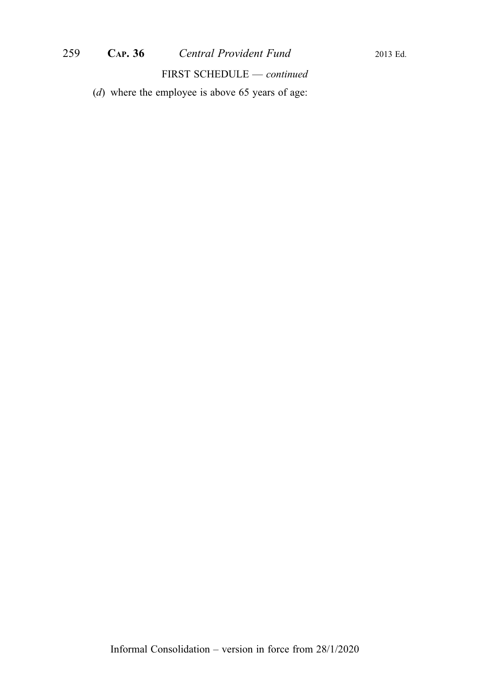(d) where the employee is above 65 years of age: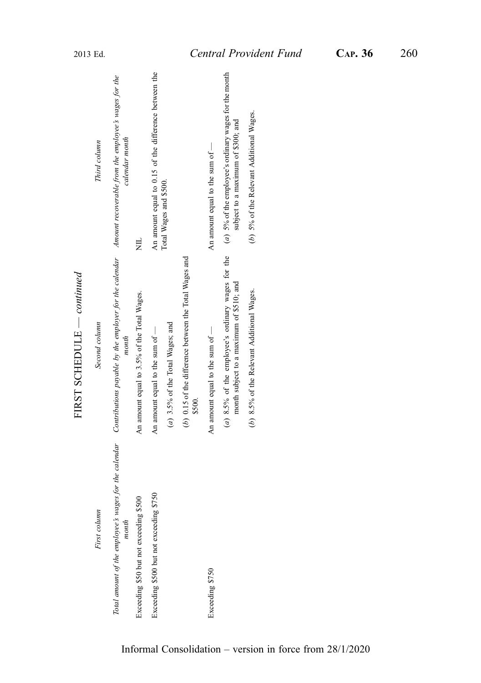|                                         | FIRST SCHEDULE $\,-\,$ continued                                                                                                                                           |                                                                                             |
|-----------------------------------------|----------------------------------------------------------------------------------------------------------------------------------------------------------------------------|---------------------------------------------------------------------------------------------|
| First column                            | Second column                                                                                                                                                              | Third column                                                                                |
| month                                   | Total amount of the employee's wages for the calendar Contributions payable by the employer for the calendar Amount recoverable from the employee's wages for the<br>month | calendar month                                                                              |
| Exceeding \$50 but not exceeding \$500  | An amount equal to 3.5% of the Total Wages.                                                                                                                                | Ę                                                                                           |
| Exceeding \$500 but not exceeding \$750 | An amount equal to the sum of -                                                                                                                                            | An amount equal to 0.15 of the difference between the                                       |
|                                         | $(a)$ 3.5% of the Total Wages; and                                                                                                                                         | Total Wages and \$500.                                                                      |
|                                         | (b) 0.15 of the difference between the Total Wages and<br>\$500.                                                                                                           |                                                                                             |
| Exceeding \$750                         | An amount equal to the sum of $-$                                                                                                                                          | An amount equal to the sum of $-$                                                           |
|                                         | (a) 8.5% of the employee's ordinary wages for the<br>month subject to a maximum of \$510; and                                                                              | (a) 5% of the employee's ordinary wages for the month<br>subject to a maximum of \$300; and |
|                                         | (b) 8.5% of the Relevant Additional Wages.                                                                                                                                 | (b) 5% of the Relevant Additional Wages.                                                    |
|                                         |                                                                                                                                                                            |                                                                                             |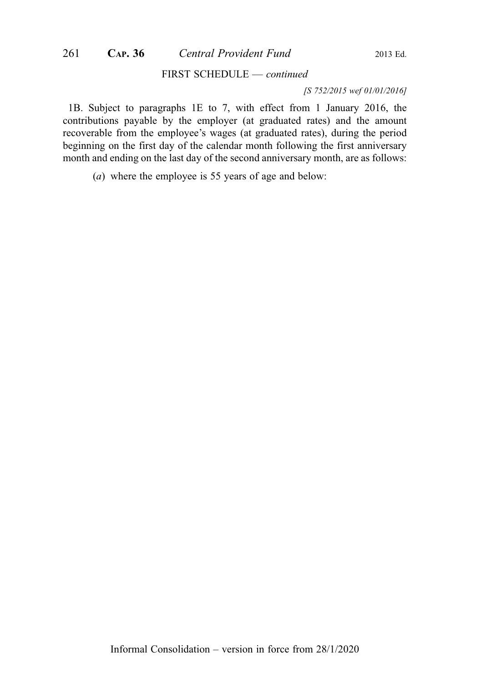#### [S 752/2015 wef 01/01/2016]

1B. Subject to paragraphs 1E to 7, with effect from 1 January 2016, the contributions payable by the employer (at graduated rates) and the amount recoverable from the employee's wages (at graduated rates), during the period beginning on the first day of the calendar month following the first anniversary month and ending on the last day of the second anniversary month, are as follows:

(a) where the employee is 55 years of age and below: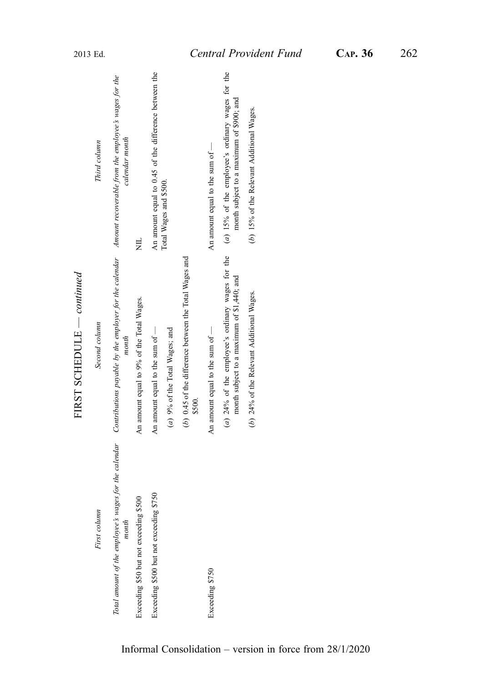|                                         | FIRST SCHEDULE — continued                                                                                                                                                 |                                                                                                |
|-----------------------------------------|----------------------------------------------------------------------------------------------------------------------------------------------------------------------------|------------------------------------------------------------------------------------------------|
| First column                            | Second column                                                                                                                                                              | Third column                                                                                   |
| month                                   | Total amount of the employee's wages for the calendar Contributions payable by the employer for the calendar Amount recoverable from the employee's wages for the<br>month | calendar month                                                                                 |
| Exceeding \$50 but not exceeding \$500  | An amount equal to 9% of the Total Wages.                                                                                                                                  | Ę                                                                                              |
| Exceeding \$500 but not exceeding \$750 | An amount equal to the sum of -                                                                                                                                            | An amount equal to 0.45 of the difference between the                                          |
|                                         | (a) 9% of the Total Wages; and                                                                                                                                             | Total Wages and \$500.                                                                         |
|                                         | (b) 0.45 of the difference between the Total Wages and<br>\$500.                                                                                                           |                                                                                                |
| Exceeding \$750                         | An amount equal to the sum of $-$                                                                                                                                          | An amount equal to the sum of $-$                                                              |
|                                         | $(a)$ 24% of the employee's ordinary wages for the<br>month subject to a maximum of \$1,440; and                                                                           | $(a)$ 15% of the employee's ordinary wages for the<br>month subject to a maximum of \$900; and |
|                                         | (b) 24% of the Relevant Additional Wages.                                                                                                                                  | (b) 15% of the Relevant Additional Wages.                                                      |
|                                         |                                                                                                                                                                            |                                                                                                |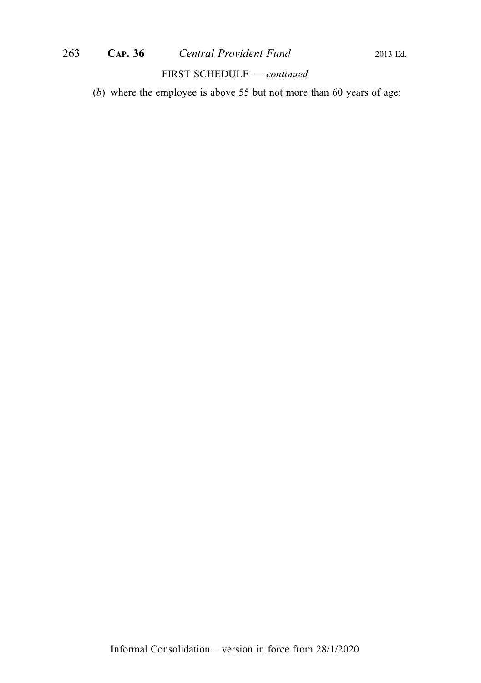## 263 **CAP. 36** *Central Provident Fund* 2013 Ed.

## FIRST SCHEDULE — continued

(b) where the employee is above 55 but not more than 60 years of age: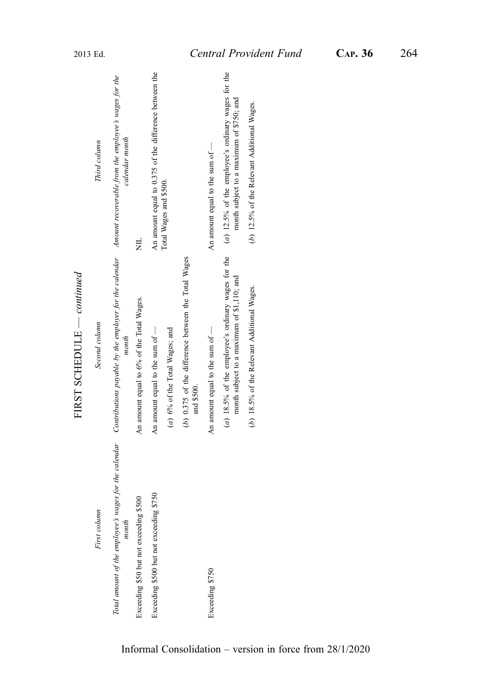|                                                                | FIRST SCHEDULE $\,-$ continued                                                                   |                                                                                                  |
|----------------------------------------------------------------|--------------------------------------------------------------------------------------------------|--------------------------------------------------------------------------------------------------|
| First column                                                   | Second column                                                                                    | Third column                                                                                     |
| Total amount of the employee's wages for the calendar<br>month | Contributions payable by the employer for the calendar<br>month                                  | Amount recoverable from the employee's wages for the<br>calendar month                           |
| Exceeding \$50 but not exceeding \$500                         | An amount equal to 6% of the Total Wages.                                                        | 岂                                                                                                |
| Exceeding \$500 but not exceeding \$750                        | An amount equal to the sum of $-$                                                                | An amount equal to 0.375 of the difference between the                                           |
|                                                                | (a) 6% of the Total Wages; and                                                                   | Total Wages and \$500.                                                                           |
|                                                                | (b) 0.375 of the difference between the Total Wages<br>and \$500.                                |                                                                                                  |
| Exceeding \$750                                                | An amount equal to the sum of $-$                                                                | An amount equal to the sum of $-$                                                                |
|                                                                | (a) 18.5% of the employee's ordinary wages for the<br>month subject to a maximum of \$1,110; and | $(a)$ 12.5% of the employee's ordinary wages for the<br>month subject to a maximum of \$750; and |
|                                                                | (b) 18.5% of the Relevant Additional Wages.                                                      | (b) 12.5% of the Relevant Additional Wages.                                                      |
|                                                                |                                                                                                  |                                                                                                  |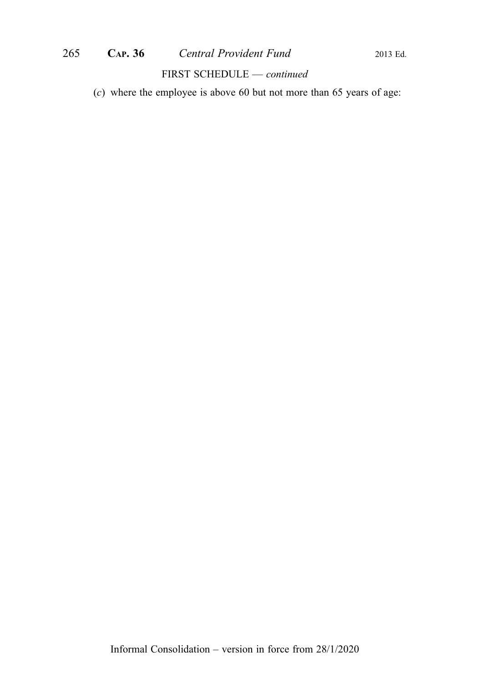# 265 **CAP. 36** *Central Provident Fund* 2013 Ed.

#### FIRST SCHEDULE — continued

(c) where the employee is above 60 but not more than 65 years of age: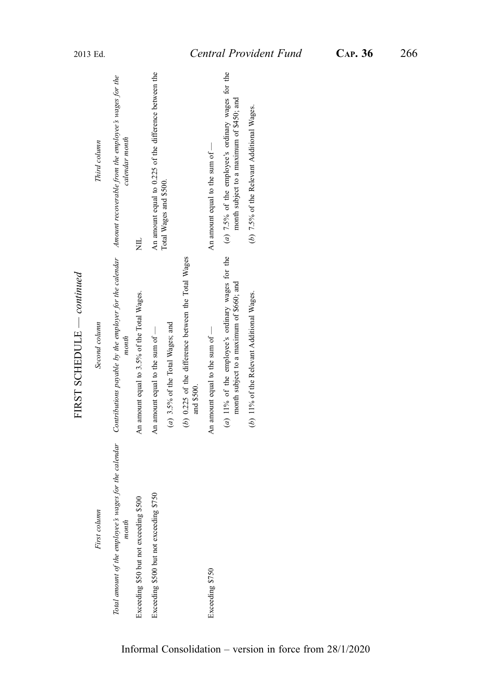| Total amount of the employee's wages for the calendar<br>Exceeding \$500 but not exceeding \$750<br>Exceeding \$50 but not exceeding \$500<br>First column<br>month | Contributions payable by the employer for the calendar $\blacksquare$ Amount recoverable from the employee's wages for the<br>(b) 0.225 of the difference between the Total Wages<br>FIRST SCHEDULE $\,-$ continued<br>An amount equal to 3.5% of the Total Wages.<br>Second column<br>$(a)$ 3.5% of the Total Wages; and<br>An amount equal to the sum of $-$<br>month<br>and \$500. | An amount equal to 0.225 of the difference between the<br>calendar month<br>Third column<br>Total Wages and \$500.<br>岂                                                            |
|---------------------------------------------------------------------------------------------------------------------------------------------------------------------|---------------------------------------------------------------------------------------------------------------------------------------------------------------------------------------------------------------------------------------------------------------------------------------------------------------------------------------------------------------------------------------|------------------------------------------------------------------------------------------------------------------------------------------------------------------------------------|
| Exceeding \$750                                                                                                                                                     | (a) $11\%$ of the employee's ordinary wages for the<br>month subject to a maximum of \$660; and<br>(b) 11% of the Relevant Additional Wages.<br>An amount equal to the sum of -                                                                                                                                                                                                       | $(a)$ 7.5% of the employee's ordinary wages for the<br>month subject to a maximum of \$450; and<br>(b) 7.5% of the Relevant Additional Wages.<br>An amount equal to the sum of $-$ |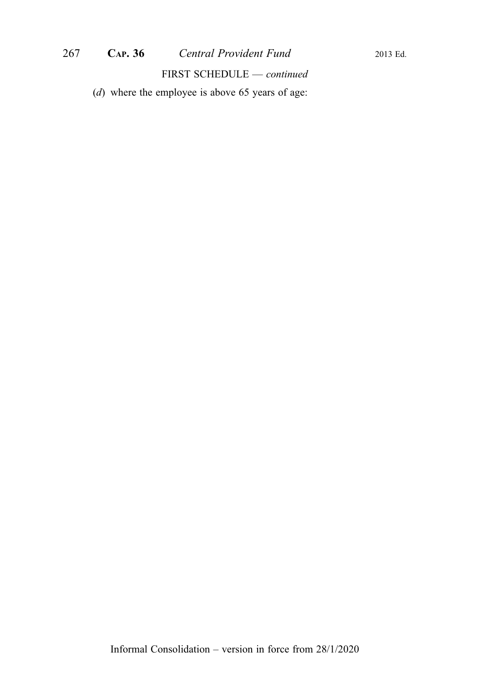(d) where the employee is above 65 years of age: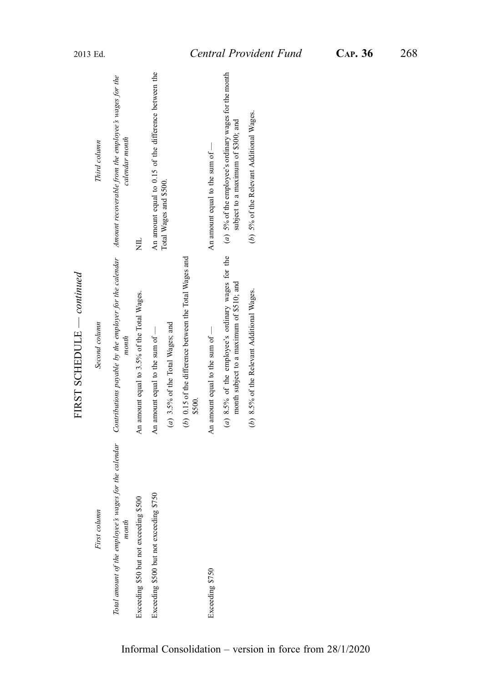|                                                                | FIRST SCHEDULE $\,-\,$ continued                                                                                     |                                                                                               |
|----------------------------------------------------------------|----------------------------------------------------------------------------------------------------------------------|-----------------------------------------------------------------------------------------------|
| First column                                                   | Second column                                                                                                        | Third column                                                                                  |
| Total amount of the employee's wages for the calendar<br>month | Contributions payable by the employer for the calendar Amount recoverable from the employee's wages for the<br>month | calendar month                                                                                |
| Exceeding \$50 but not exceeding \$500                         | An amount equal to 3.5% of the Total Wages.                                                                          | 岂                                                                                             |
| Exceeding \$500 but not exceeding \$750                        | An amount equal to the sum of -                                                                                      | An amount equal to 0.15 of the difference between the                                         |
|                                                                | $(a)$ 3.5% of the Total Wages; and                                                                                   | Total Wages and \$500.                                                                        |
|                                                                | (b) 0.15 of the difference between the Total Wages and<br>\$500.                                                     |                                                                                               |
| Exceeding \$750                                                | An amount equal to the sum of -                                                                                      | An amount equal to the sum of $-$                                                             |
|                                                                | (a) $8.5\%$ of the employee's ordinary wages for the<br>month subject to a maximum of \$510; and                     | $(a)$ 5% of the employee's ordinary wages for the month<br>subject to a maximum of \$300; and |
|                                                                | (b) 8.5% of the Relevant Additional Wages.                                                                           | (b) 5% of the Relevant Additional Wages.                                                      |
|                                                                |                                                                                                                      |                                                                                               |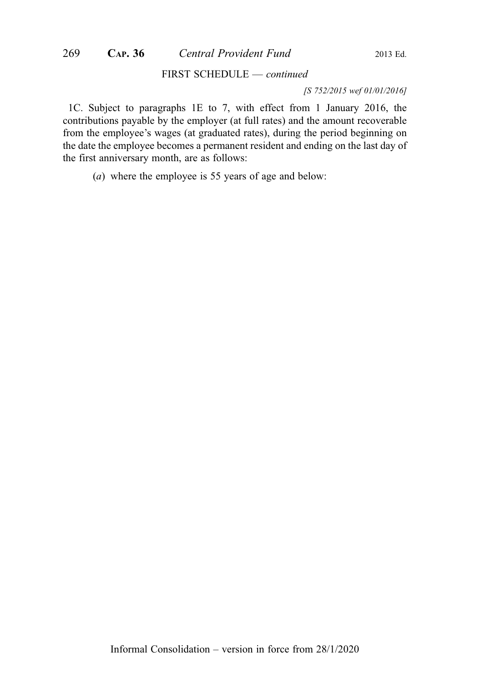[S 752/2015 wef 01/01/2016]

1C. Subject to paragraphs 1E to 7, with effect from 1 January 2016, the contributions payable by the employer (at full rates) and the amount recoverable from the employee's wages (at graduated rates), during the period beginning on the date the employee becomes a permanent resident and ending on the last day of the first anniversary month, are as follows:

(a) where the employee is 55 years of age and below: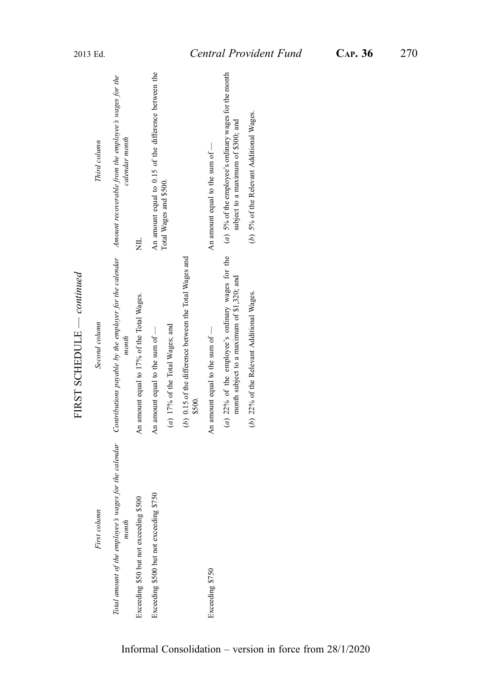|                                         | THOT POINT                                                                                                                                                                 |                                                                                             |
|-----------------------------------------|----------------------------------------------------------------------------------------------------------------------------------------------------------------------------|---------------------------------------------------------------------------------------------|
| First column                            | Second column                                                                                                                                                              | Third column                                                                                |
| month                                   | Total amount of the employee's wages for the calendar Contributions payable by the employer for the calendar Amount recoverable from the employee's wages for the<br>month | calendar month                                                                              |
| Exceeding \$50 but not exceeding \$500  | An amount equal to 17% of the Total Wages.                                                                                                                                 | Ę                                                                                           |
| Exceeding \$500 but not exceeding \$750 | An amount equal to the sum of $-$                                                                                                                                          | An amount equal to 0.15 of the difference between the                                       |
|                                         | (a) 17% of the Total Wages; and                                                                                                                                            | Total Wages and \$500.                                                                      |
|                                         | (b) 0.15 of the difference between the Total Wages and<br>\$500.                                                                                                           |                                                                                             |
| Exceeding \$750                         | An amount equal to the sum of $-$                                                                                                                                          | An amount equal to the sum of -                                                             |
|                                         | (a) $22\%$ of the employee's ordinary wages for the<br>month subject to a maximum of \$1,320; and                                                                          | (a) 5% of the employee's ordinary wages for the month<br>subject to a maximum of \$300; and |
|                                         | (b) 22% of the Relevant Additional Wages.                                                                                                                                  | (b) 5% of the Relevant Additional Wages.                                                    |
|                                         |                                                                                                                                                                            |                                                                                             |

FIRST SCHEDULE - continued — continued FIRST SCHEDULE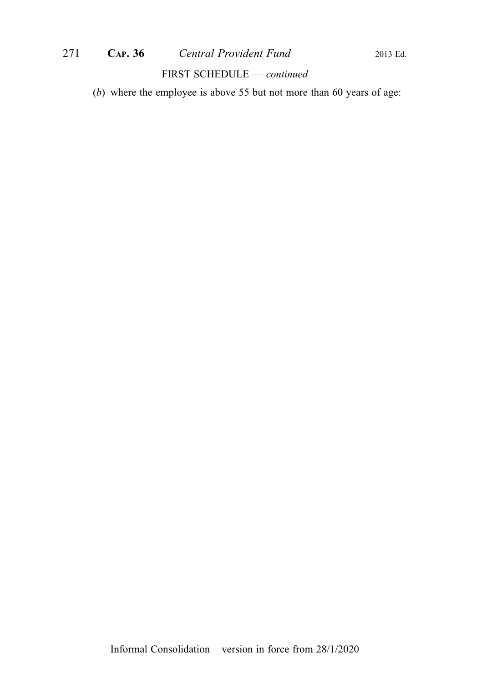(b) where the employee is above 55 but not more than 60 years of age: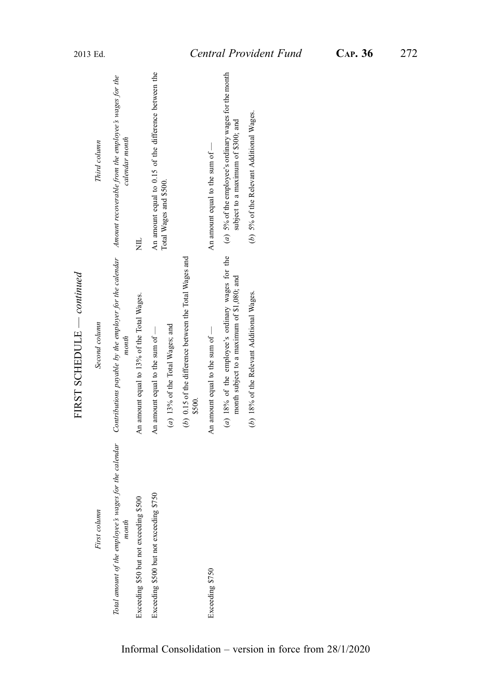|                                         | THOT POINT                                                                                                                                                                 |                                                                                             |
|-----------------------------------------|----------------------------------------------------------------------------------------------------------------------------------------------------------------------------|---------------------------------------------------------------------------------------------|
| First column                            | Second column                                                                                                                                                              | Third column                                                                                |
| month                                   | Total amount of the employee's wages for the calendar Contributions payable by the employer for the calendar Amount recoverable from the employee's wages for the<br>month | calendar month                                                                              |
| Exceeding \$50 but not exceeding \$500  | An amount equal to 13% of the Total Wages.                                                                                                                                 | Ę                                                                                           |
| Exceeding \$500 but not exceeding \$750 | An amount equal to the sum of $-$                                                                                                                                          | An amount equal to 0.15 of the difference between the                                       |
|                                         | (a) 13% of the Total Wages; and                                                                                                                                            | Total Wages and \$500.                                                                      |
|                                         | (b) 0.15 of the difference between the Total Wages and<br>\$500.                                                                                                           |                                                                                             |
| Exceeding \$750                         | An amount equal to the sum of $-$                                                                                                                                          | An amount equal to the sum of -                                                             |
|                                         | $(a)$ 18% of the employee's ordinary wages for the<br>month subject to a maximum of \$1,080; and                                                                           | (a) 5% of the employee's ordinary wages for the month<br>subject to a maximum of \$300; and |
|                                         | (b) 18% of the Relevant Additional Wages.                                                                                                                                  | (b) 5% of the Relevant Additional Wages.                                                    |
|                                         |                                                                                                                                                                            |                                                                                             |

FIRST SCHEDULE  $\_\_$ — continued FIRST SCHEDULE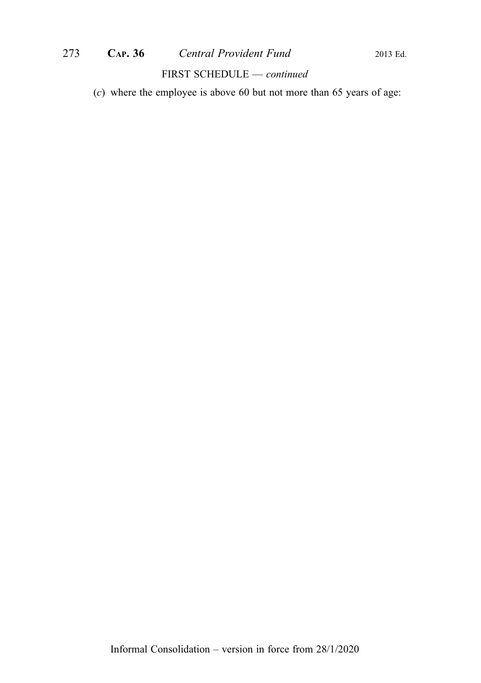# 273 CAP. 36 Central Provident Fund 2013 Ed.

## FIRST SCHEDULE — continued

(c) where the employee is above 60 but not more than 65 years of age: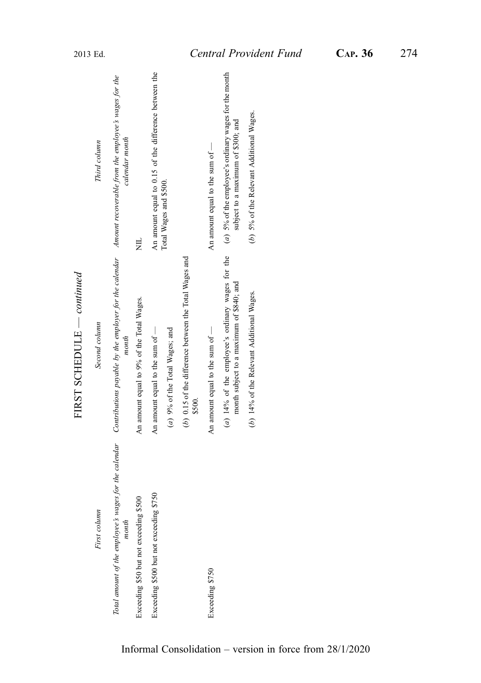|                                         | בטווייווייני<br>THE ATTENT TO                                                                                                                                              |                                                                                               |
|-----------------------------------------|----------------------------------------------------------------------------------------------------------------------------------------------------------------------------|-----------------------------------------------------------------------------------------------|
| First column                            | Second column                                                                                                                                                              | Third column                                                                                  |
| month                                   | Total amount of the employee's wages for the calendar Contributions payable by the employer for the calendar Amount recoverable from the employee's wages for the<br>month | calendar month                                                                                |
| Exceeding \$50 but not exceeding \$500  | An amount equal to 9% of the Total Wages.                                                                                                                                  | Ę                                                                                             |
| Exceeding \$500 but not exceeding \$750 | An amount equal to the sum of $-$                                                                                                                                          | An amount equal to 0.15 of the difference between the                                         |
|                                         | (a) 9% of the Total Wages; and                                                                                                                                             | Total Wages and \$500.                                                                        |
|                                         | (b) 0.15 of the difference between the Total Wages and<br>\$500.                                                                                                           |                                                                                               |
| Exceeding \$750                         | An amount equal to the sum of $-$                                                                                                                                          | An amount equal to the sum of $-$                                                             |
|                                         | $(a)$ 14% of the employee's ordinary wages for the<br>month subject to a maximum of \$840; and                                                                             | $(a)$ 5% of the employee's ordinary wages for the month<br>subject to a maximum of \$300; and |
|                                         | (b) 14% of the Relevant Additional Wages.                                                                                                                                  | (b) 5% of the Relevant Additional Wages.                                                      |
|                                         |                                                                                                                                                                            |                                                                                               |

FIRST SCHEDULE  $\_\_$ — continued FIRST SCHEDULE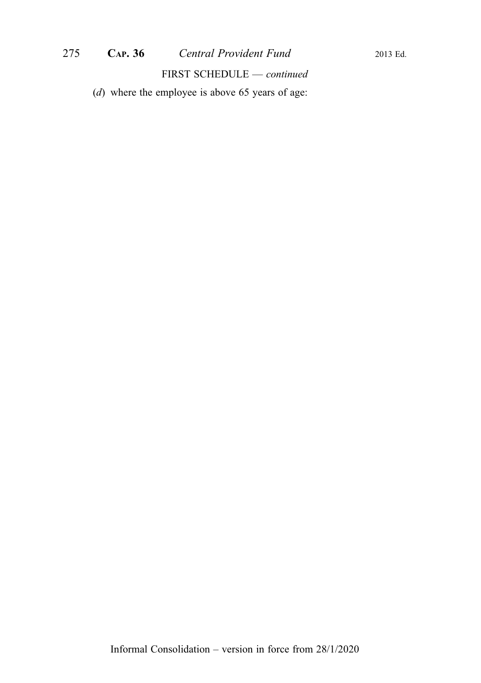(d) where the employee is above 65 years of age: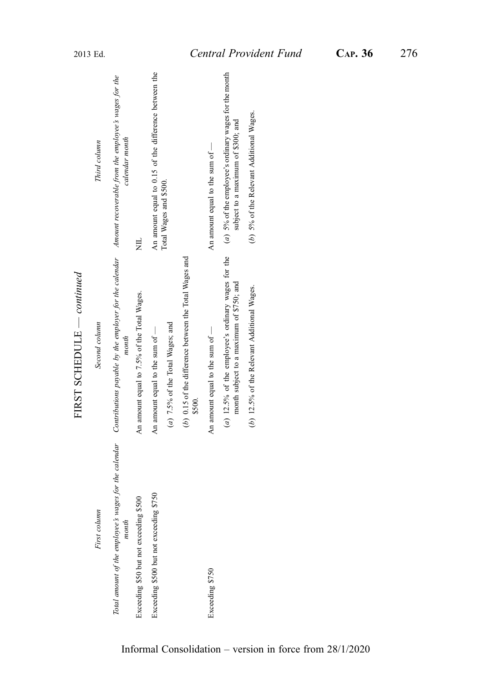|                                                                | FIRST SCHEDULE $\,-\,$ continued                                                                                     |                                                                                               |
|----------------------------------------------------------------|----------------------------------------------------------------------------------------------------------------------|-----------------------------------------------------------------------------------------------|
| First column                                                   | Second column                                                                                                        | Third column                                                                                  |
| Total amount of the employee's wages for the calendar<br>month | Contributions payable by the employer for the calendar Amount recoverable from the employee's wages for the<br>month | calendar month                                                                                |
| Exceeding \$50 but not exceeding \$500                         | An amount equal to 7.5% of the Total Wages.                                                                          | 岂                                                                                             |
| Exceeding \$500 but not exceeding \$750                        | An amount equal to the sum of -                                                                                      | An amount equal to 0.15 of the difference between the                                         |
|                                                                | $(a)$ 7.5% of the Total Wages; and                                                                                   | Total Wages and \$500.                                                                        |
|                                                                | (b) 0.15 of the difference between the Total Wages and<br>\$500.                                                     |                                                                                               |
| Exceeding \$750                                                | An amount equal to the sum of -                                                                                      | An amount equal to the sum of $-$                                                             |
|                                                                | (a) 12.5% of the employee's ordinary wages for the<br>month subject to a maximum of \$750; and                       | $(a)$ 5% of the employee's ordinary wages for the month<br>subject to a maximum of \$300; and |
|                                                                | (b) 12.5% of the Relevant Additional Wages.                                                                          | (b) 5% of the Relevant Additional Wages.                                                      |
|                                                                |                                                                                                                      |                                                                                               |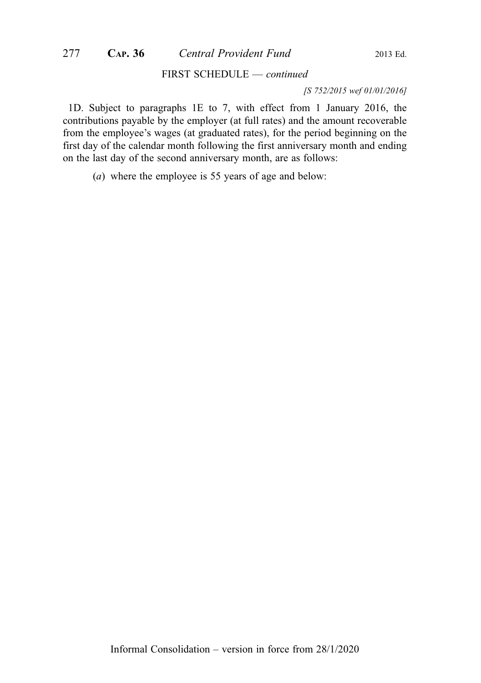#### [S 752/2015 wef 01/01/2016]

1D. Subject to paragraphs 1E to 7, with effect from 1 January 2016, the contributions payable by the employer (at full rates) and the amount recoverable from the employee's wages (at graduated rates), for the period beginning on the first day of the calendar month following the first anniversary month and ending on the last day of the second anniversary month, are as follows:

(a) where the employee is 55 years of age and below: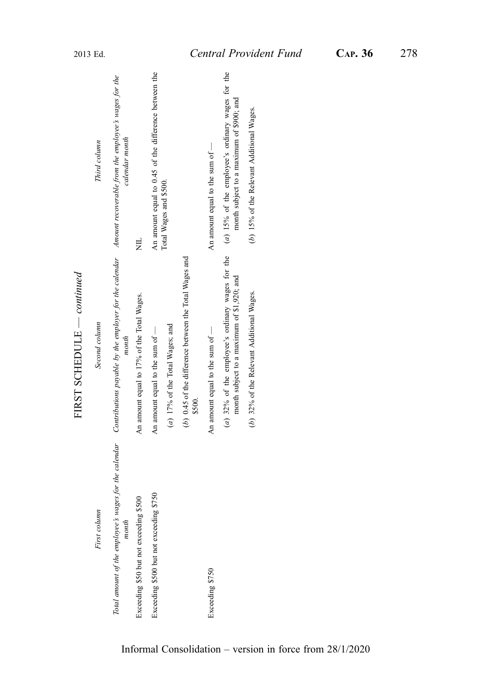|                                         | FIRST SCHEDULE — continued                                                                                                                                                 |                                                                                                |
|-----------------------------------------|----------------------------------------------------------------------------------------------------------------------------------------------------------------------------|------------------------------------------------------------------------------------------------|
| First column                            | Second column                                                                                                                                                              | Third column                                                                                   |
| month                                   | Total amount of the employee's wages for the calendar Contributions payable by the employer for the calendar Amount recoverable from the employee's wages for the<br>month | calendar month                                                                                 |
| Exceeding \$50 but not exceeding \$500  | An amount equal to 17% of the Total Wages.                                                                                                                                 | Ę                                                                                              |
| Exceeding \$500 but not exceeding \$750 | An amount equal to the sum of -                                                                                                                                            | An amount equal to 0.45 of the difference between the                                          |
|                                         | $(a)$ 17% of the Total Wages; and                                                                                                                                          | Total Wages and \$500.                                                                         |
|                                         | (b) 0.45 of the difference between the Total Wages and<br>\$500.                                                                                                           |                                                                                                |
| Exceeding \$750                         | An amount equal to the sum of $-$                                                                                                                                          | An amount equal to the sum of $-$                                                              |
|                                         | (a) $32\%$ of the employee's ordinary wages for the<br>month subject to a maximum of \$1,920; and                                                                          | $(a)$ 15% of the employee's ordinary wages for the<br>month subject to a maximum of \$900; and |
|                                         | (b) 32% of the Relevant Additional Wages.                                                                                                                                  | (b) 15% of the Relevant Additional Wages.                                                      |
|                                         |                                                                                                                                                                            |                                                                                                |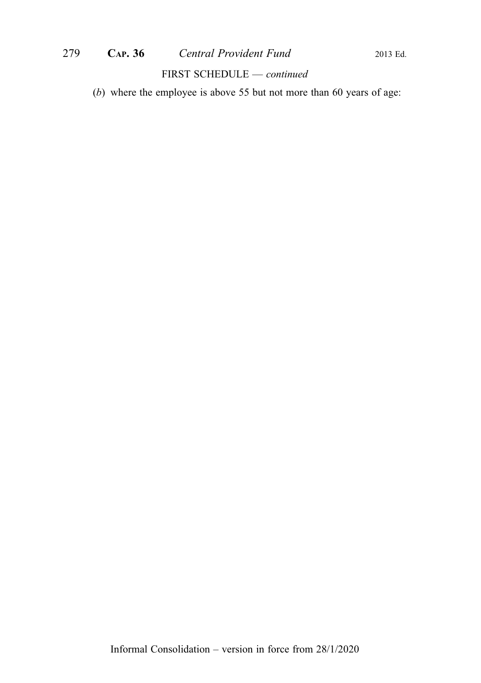(b) where the employee is above 55 but not more than 60 years of age: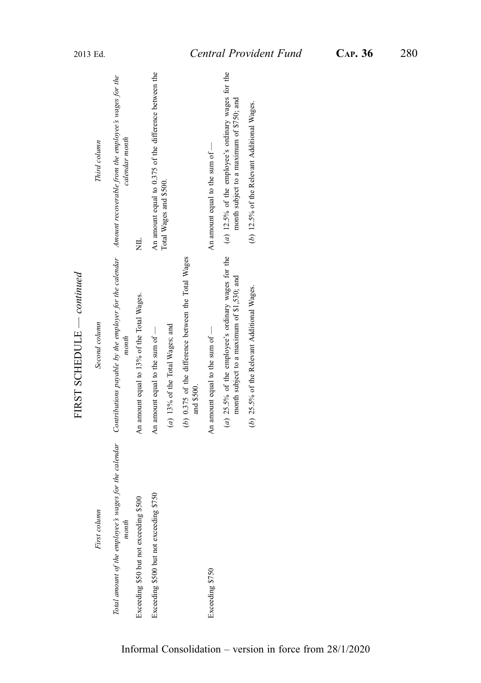|                                                                | FIRST SCHEDULE $\,-$ continued                                                                                       |                                                                                                  |
|----------------------------------------------------------------|----------------------------------------------------------------------------------------------------------------------|--------------------------------------------------------------------------------------------------|
| First column                                                   | Second column                                                                                                        | Third column                                                                                     |
| Total amount of the employee's wages for the calendar<br>month | Contributions payable by the employer for the calendar Amount recoverable from the employee's wages for the<br>month | calendar month                                                                                   |
| Exceeding \$50 but not exceeding \$500                         | An amount equal to 13% of the Total Wages.                                                                           | Ę                                                                                                |
| Exceeding \$500 but not exceeding \$750                        | An amount equal to the sum of -                                                                                      | An amount equal to 0.375 of the difference between the                                           |
|                                                                | $(a)$ 13% of the Total Wages; and                                                                                    | Total Wages and \$500.                                                                           |
|                                                                | (b) 0.375 of the difference between the Total Wages<br>and \$500.                                                    |                                                                                                  |
| Exceeding \$750                                                | An amount equal to the sum of $-$                                                                                    | An amount equal to the sum of $-$                                                                |
|                                                                | (a) $25.5\%$ of the employee's ordinary wages for the<br>month subject to a maximum of \$1,530; and                  | $(a)$ 12.5% of the employee's ordinary wages for the<br>month subject to a maximum of \$750; and |
|                                                                | (b) $25.5\%$ of the Relevant Additional Wages.                                                                       | (b) 12.5% of the Relevant Additional Wages.                                                      |
|                                                                |                                                                                                                      |                                                                                                  |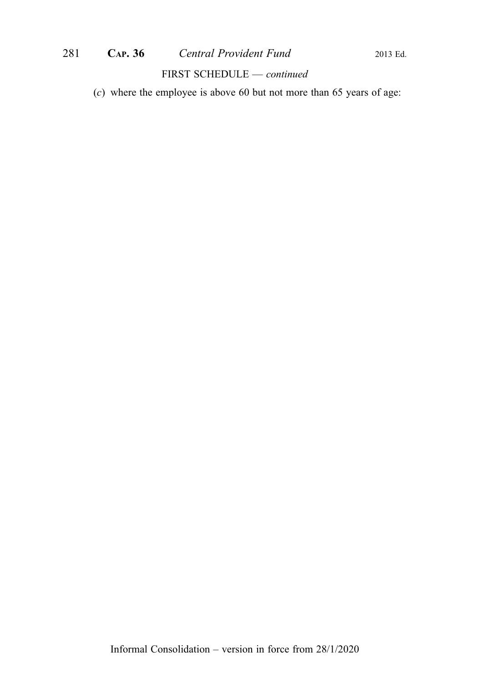# 281 **CAP. 36** *Central Provident Fund* 2013 Ed.

#### FIRST SCHEDULE — continued

(c) where the employee is above 60 but not more than 65 years of age: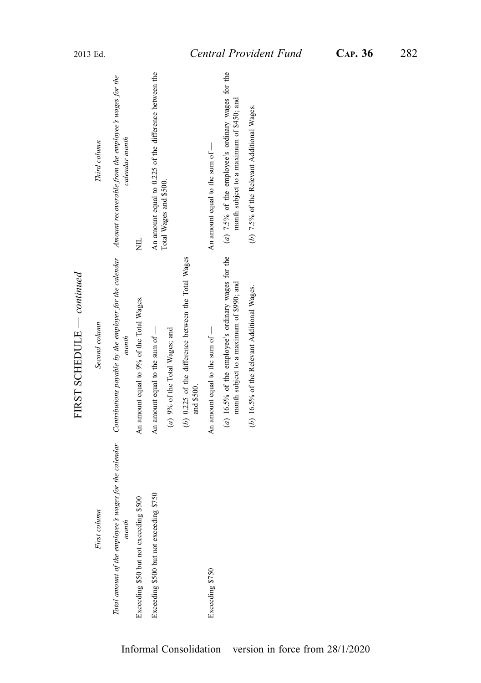|                                         | $1.1831$ SUILLEVILLE COMMUNICATION                                                                                                                                         |                                                                                                 |
|-----------------------------------------|----------------------------------------------------------------------------------------------------------------------------------------------------------------------------|-------------------------------------------------------------------------------------------------|
| First column                            | Second column                                                                                                                                                              | Third column                                                                                    |
| month                                   | Total amount of the employee's wages for the calendar Contributions payable by the employer for the calendar Amount recoverable from the employee's wages for the<br>month | calendar month                                                                                  |
| Exceeding \$50 but not exceeding \$500  | An amount equal to 9% of the Total Wages.                                                                                                                                  | 岂                                                                                               |
| Exceeding \$500 but not exceeding \$750 | An amount equal to the sum of $-$                                                                                                                                          | An amount equal to 0.225 of the difference between the                                          |
|                                         | (a) 9% of the Total Wages; and                                                                                                                                             | Total Wages and \$500.                                                                          |
|                                         | (b) 0.225 of the difference between the Total Wages<br>and \$500.                                                                                                          |                                                                                                 |
| Exceeding \$750                         | An amount equal to the sum of -                                                                                                                                            | An amount equal to the sum of -                                                                 |
|                                         | $(a)$ 16.5% of the employee's ordinary wages for the<br>month subject to a maximum of \$990; and                                                                           | $(a)$ 7.5% of the employee's ordinary wages for the<br>month subject to a maximum of \$450; and |
|                                         | (b) 16.5% of the Relevant Additional Wages.                                                                                                                                | (b) 7.5% of the Relevant Additional Wages.                                                      |
|                                         |                                                                                                                                                                            |                                                                                                 |

FIRST SCHEDULE  $-conting$ — continued FIRST SCHEDULE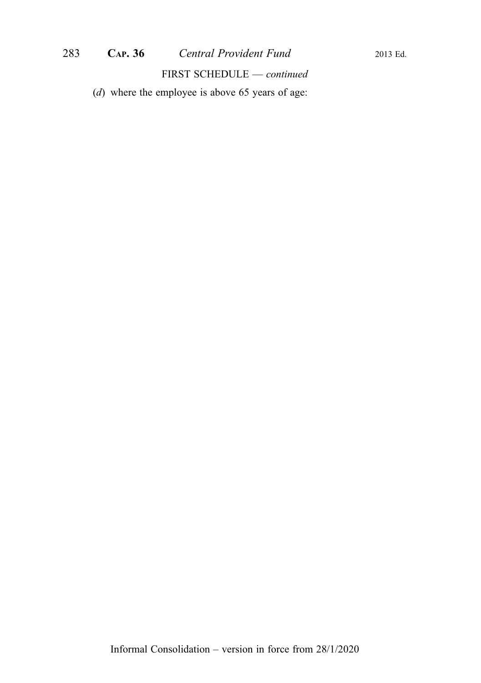(d) where the employee is above 65 years of age: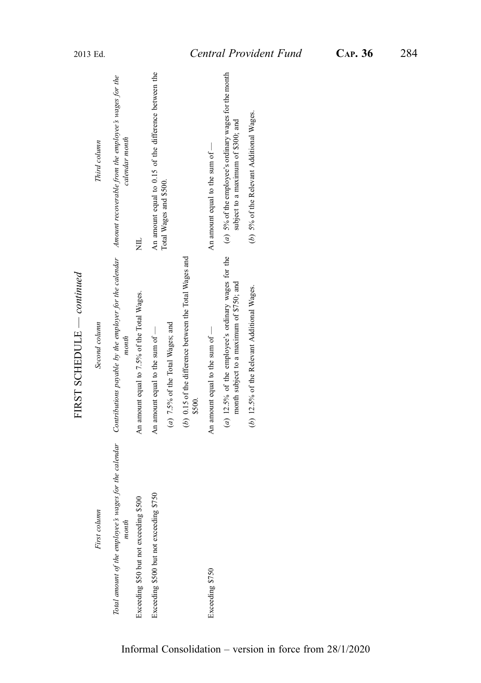|                                                                | FIRST SCHEDULE $\,-\,$ continued                                                                                     |                                                                                               |
|----------------------------------------------------------------|----------------------------------------------------------------------------------------------------------------------|-----------------------------------------------------------------------------------------------|
| First column                                                   | Second column                                                                                                        | Third column                                                                                  |
| Total amount of the employee's wages for the calendar<br>month | Contributions payable by the employer for the calendar Amount recoverable from the employee's wages for the<br>month | calendar month                                                                                |
| Exceeding \$50 but not exceeding \$500                         | An amount equal to 7.5% of the Total Wages.                                                                          | 岂                                                                                             |
| Exceeding \$500 but not exceeding \$750                        | An amount equal to the sum of -                                                                                      | An amount equal to 0.15 of the difference between the                                         |
|                                                                | $(a)$ 7.5% of the Total Wages; and                                                                                   | Total Wages and \$500.                                                                        |
|                                                                | (b) 0.15 of the difference between the Total Wages and<br>\$500.                                                     |                                                                                               |
| Exceeding \$750                                                | An amount equal to the sum of -                                                                                      | An amount equal to the sum of $-$                                                             |
|                                                                | (a) 12.5% of the employee's ordinary wages for the<br>month subject to a maximum of \$750; and                       | $(a)$ 5% of the employee's ordinary wages for the month<br>subject to a maximum of \$300; and |
|                                                                | (b) 12.5% of the Relevant Additional Wages.                                                                          | (b) 5% of the Relevant Additional Wages.                                                      |
|                                                                |                                                                                                                      |                                                                                               |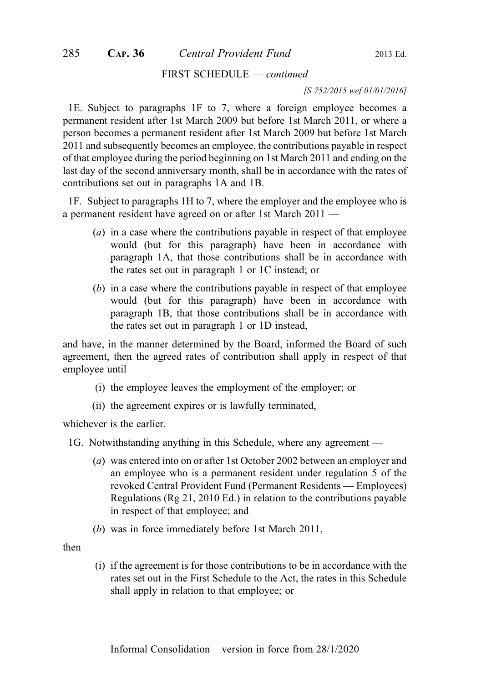#### [S 752/2015 wef 01/01/2016]

1E. Subject to paragraphs 1F to 7, where a foreign employee becomes a permanent resident after 1st March 2009 but before 1st March 2011, or where a person becomes a permanent resident after 1st March 2009 but before 1st March 2011 and subsequently becomes an employee, the contributions payable in respect of that employee during the period beginning on 1st March 2011 and ending on the last day of the second anniversary month, shall be in accordance with the rates of contributions set out in paragraphs 1A and 1B.

1F. Subject to paragraphs 1H to 7, where the employer and the employee who is a permanent resident have agreed on or after 1st March 2011 —

- (a) in a case where the contributions payable in respect of that employee would (but for this paragraph) have been in accordance with paragraph 1A, that those contributions shall be in accordance with the rates set out in paragraph 1 or 1C instead; or
- (b) in a case where the contributions payable in respect of that employee would (but for this paragraph) have been in accordance with paragraph 1B, that those contributions shall be in accordance with the rates set out in paragraph 1 or 1D instead,

and have, in the manner determined by the Board, informed the Board of such agreement, then the agreed rates of contribution shall apply in respect of that employee until —

- (i) the employee leaves the employment of the employer; or
- (ii) the agreement expires or is lawfully terminated,

whichever is the earlier.

- 1G. Notwithstanding anything in this Schedule, where any agreement
	- (a) was entered into on or after 1st October 2002 between an employer and an employee who is a permanent resident under regulation 5 of the revoked Central Provident Fund (Permanent Residents — Employees) Regulations (Rg 21, 2010 Ed.) in relation to the contributions payable in respect of that employee; and
	- (b) was in force immediately before 1st March 2011,
- then
	- (i) if the agreement is for those contributions to be in accordance with the rates set out in the First Schedule to the Act, the rates in this Schedule shall apply in relation to that employee; or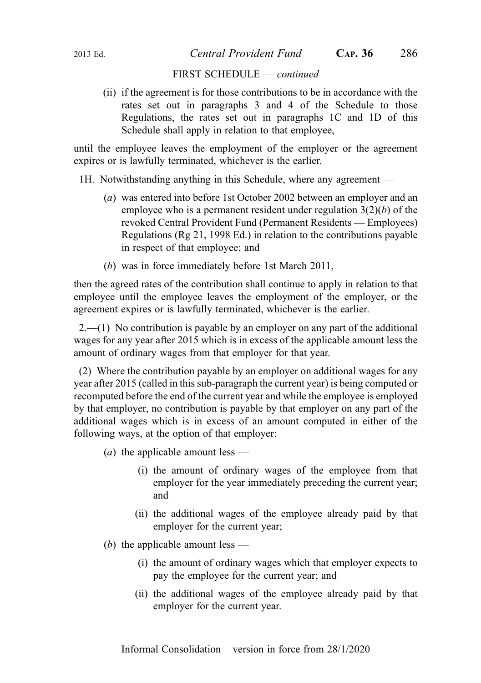(ii) if the agreement is for those contributions to be in accordance with the rates set out in paragraphs 3 and 4 of the Schedule to those Regulations, the rates set out in paragraphs 1C and 1D of this Schedule shall apply in relation to that employee,

until the employee leaves the employment of the employer or the agreement expires or is lawfully terminated, whichever is the earlier.

1H. Notwithstanding anything in this Schedule, where any agreement —

- (a) was entered into before 1st October 2002 between an employer and an employee who is a permanent resident under regulation  $3(2)(b)$  of the revoked Central Provident Fund (Permanent Residents — Employees) Regulations (Rg 21, 1998 Ed.) in relation to the contributions payable in respect of that employee; and
- (b) was in force immediately before 1st March 2011,

then the agreed rates of the contribution shall continue to apply in relation to that employee until the employee leaves the employment of the employer, or the agreement expires or is lawfully terminated, whichever is the earlier.

2.—(1) No contribution is payable by an employer on any part of the additional wages for any year after 2015 which is in excess of the applicable amount less the amount of ordinary wages from that employer for that year.

(2) Where the contribution payable by an employer on additional wages for any year after 2015 (called in this sub-paragraph the current year) is being computed or recomputed before the end of the current year and while the employee is employed by that employer, no contribution is payable by that employer on any part of the additional wages which is in excess of an amount computed in either of the following ways, at the option of that employer:

- (*a*) the applicable amount less
	- (i) the amount of ordinary wages of the employee from that employer for the year immediately preceding the current year; and
	- (ii) the additional wages of the employee already paid by that employer for the current year;

(b) the applicable amount less —

- (i) the amount of ordinary wages which that employer expects to pay the employee for the current year; and
- (ii) the additional wages of the employee already paid by that employer for the current year.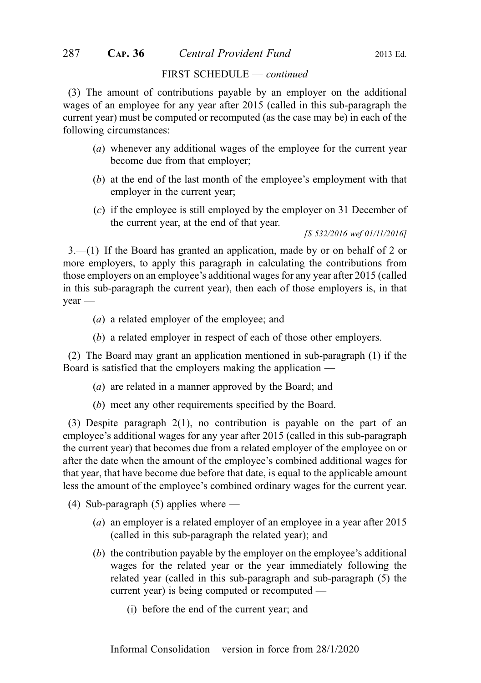(3) The amount of contributions payable by an employer on the additional wages of an employee for any year after 2015 (called in this sub-paragraph the current year) must be computed or recomputed (as the case may be) in each of the following circumstances:

- (a) whenever any additional wages of the employee for the current year become due from that employer;
- (b) at the end of the last month of the employee's employment with that employer in the current year;
- (c) if the employee is still employed by the employer on 31 December of the current year, at the end of that year.

[S 532/2016 wef 01/11/2016]

3.—(1) If the Board has granted an application, made by or on behalf of 2 or more employers, to apply this paragraph in calculating the contributions from those employers on an employee's additional wages for any year after 2015 (called in this sub-paragraph the current year), then each of those employers is, in that year —

- (a) a related employer of the employee; and
- (b) a related employer in respect of each of those other employers.

(2) The Board may grant an application mentioned in sub-paragraph (1) if the Board is satisfied that the employers making the application —

- (a) are related in a manner approved by the Board; and
- (b) meet any other requirements specified by the Board.

(3) Despite paragraph 2(1), no contribution is payable on the part of an employee's additional wages for any year after 2015 (called in this sub-paragraph the current year) that becomes due from a related employer of the employee on or after the date when the amount of the employee's combined additional wages for that year, that have become due before that date, is equal to the applicable amount less the amount of the employee's combined ordinary wages for the current year.

(4) Sub-paragraph (5) applies where —

- (a) an employer is a related employer of an employee in a year after 2015 (called in this sub-paragraph the related year); and
- (b) the contribution payable by the employer on the employee's additional wages for the related year or the year immediately following the related year (called in this sub-paragraph and sub-paragraph (5) the current year) is being computed or recomputed —
	- (i) before the end of the current year; and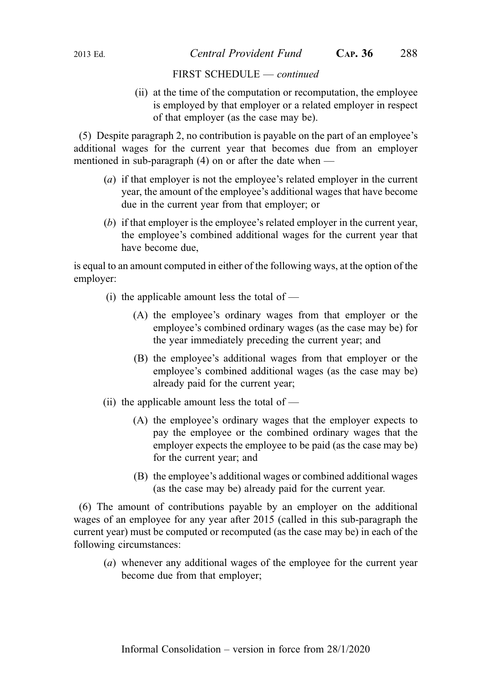(ii) at the time of the computation or recomputation, the employee is employed by that employer or a related employer in respect of that employer (as the case may be).

(5) Despite paragraph 2, no contribution is payable on the part of an employee's additional wages for the current year that becomes due from an employer mentioned in sub-paragraph (4) on or after the date when —

- (a) if that employer is not the employee's related employer in the current year, the amount of the employee's additional wages that have become due in the current year from that employer; or
- (b) if that employer is the employee's related employer in the current year, the employee's combined additional wages for the current year that have become due,

is equal to an amount computed in either of the following ways, at the option of the employer:

- (i) the applicable amount less the total of  $-$ 
	- (A) the employee's ordinary wages from that employer or the employee's combined ordinary wages (as the case may be) for the year immediately preceding the current year; and
	- (B) the employee's additional wages from that employer or the employee's combined additional wages (as the case may be) already paid for the current year;
- (ii) the applicable amount less the total of  $-$ 
	- (A) the employee's ordinary wages that the employer expects to pay the employee or the combined ordinary wages that the employer expects the employee to be paid (as the case may be) for the current year; and
	- (B) the employee's additional wages or combined additional wages (as the case may be) already paid for the current year.

(6) The amount of contributions payable by an employer on the additional wages of an employee for any year after 2015 (called in this sub-paragraph the current year) must be computed or recomputed (as the case may be) in each of the following circumstances:

(a) whenever any additional wages of the employee for the current year become due from that employer;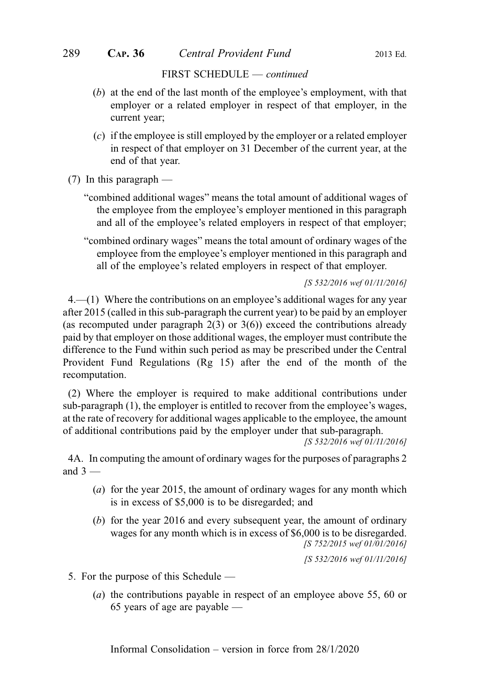- (b) at the end of the last month of the employee's employment, with that employer or a related employer in respect of that employer, in the current year;
- (c) if the employee is still employed by the employer or a related employer in respect of that employer on 31 December of the current year, at the end of that year.
- (7) In this paragraph
	- "combined additional wages" means the total amount of additional wages of the employee from the employee's employer mentioned in this paragraph and all of the employee's related employers in respect of that employer;
	- "combined ordinary wages" means the total amount of ordinary wages of the employee from the employee's employer mentioned in this paragraph and all of the employee's related employers in respect of that employer.

[S 532/2016 wef 01/11/2016]

4.—(1) Where the contributions on an employee's additional wages for any year after 2015 (called in this sub-paragraph the current year) to be paid by an employer (as recomputed under paragraph  $2(3)$  or  $3(6)$ ) exceed the contributions already paid by that employer on those additional wages, the employer must contribute the difference to the Fund within such period as may be prescribed under the Central Provident Fund Regulations (Rg 15) after the end of the month of the recomputation.

(2) Where the employer is required to make additional contributions under sub-paragraph (1), the employer is entitled to recover from the employee's wages, at the rate of recovery for additional wages applicable to the employee, the amount of additional contributions paid by the employer under that sub-paragraph.

[S 532/2016 wef 01/11/2016]

4A. In computing the amount of ordinary wages for the purposes of paragraphs 2 and  $3 -$ 

- (a) for the year 2015, the amount of ordinary wages for any month which is in excess of \$5,000 is to be disregarded; and
- (b) for the year 2016 and every subsequent year, the amount of ordinary wages for any month which is in excess of \$6,000 is to be disregarded. [S 752/2015 wef 01/01/2016]

[S 532/2016 wef 01/11/2016]

- 5. For the purpose of this Schedule
	- (a) the contributions payable in respect of an employee above 55, 60 or 65 years of age are payable —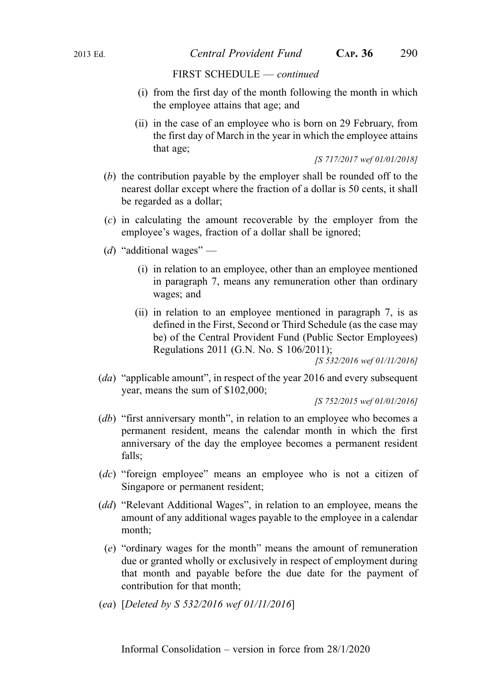- (i) from the first day of the month following the month in which the employee attains that age; and
- (ii) in the case of an employee who is born on 29 February, from the first day of March in the year in which the employee attains that age;

[S 717/2017 wef 01/01/2018]

- (b) the contribution payable by the employer shall be rounded off to the nearest dollar except where the fraction of a dollar is 50 cents, it shall be regarded as a dollar;
- (c) in calculating the amount recoverable by the employer from the employee's wages, fraction of a dollar shall be ignored;
- (d) "additional wages"
	- (i) in relation to an employee, other than an employee mentioned in paragraph 7, means any remuneration other than ordinary wages; and
	- (ii) in relation to an employee mentioned in paragraph 7, is as defined in the First, Second or Third Schedule (as the case may be) of the Central Provident Fund (Public Sector Employees) Regulations 2011 (G.N. No. S 106/2011);

[S 532/2016 wef 01/11/2016]

(da) "applicable amount", in respect of the year 2016 and every subsequent year, means the sum of \$102,000;

[S 752/2015 wef 01/01/2016]

- (db) "first anniversary month", in relation to an employee who becomes a permanent resident, means the calendar month in which the first anniversary of the day the employee becomes a permanent resident falls;
- (dc) "foreign employee" means an employee who is not a citizen of Singapore or permanent resident;
- (dd) "Relevant Additional Wages", in relation to an employee, means the amount of any additional wages payable to the employee in a calendar month;
	- (e) "ordinary wages for the month" means the amount of remuneration due or granted wholly or exclusively in respect of employment during that month and payable before the due date for the payment of contribution for that month;
- (ea) [Deleted by S 532/2016 wef 01/11/2016]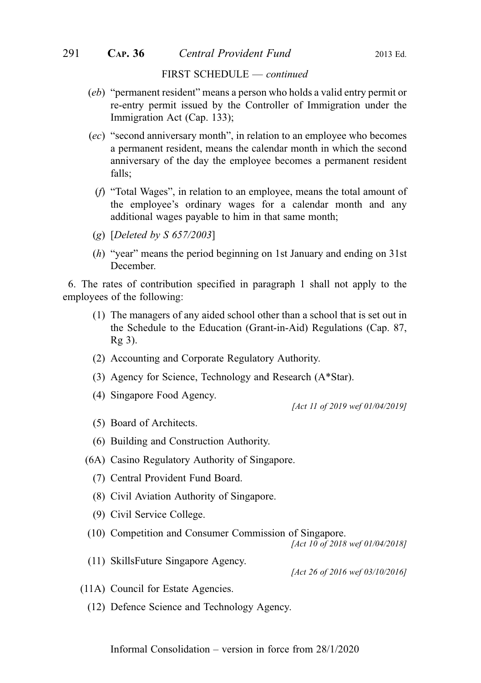- (eb) "permanent resident" means a person who holds a valid entry permit or re-entry permit issued by the Controller of Immigration under the Immigration Act (Cap. 133);
- (ec) "second anniversary month", in relation to an employee who becomes a permanent resident, means the calendar month in which the second anniversary of the day the employee becomes a permanent resident falls;
	- (f) "Total Wages", in relation to an employee, means the total amount of the employee's ordinary wages for a calendar month and any additional wages payable to him in that same month;
- (g) [Deleted by S 657/2003]
- (h) "year" means the period beginning on 1st January and ending on 31st December.

6. The rates of contribution specified in paragraph 1 shall not apply to the employees of the following:

- (1) The managers of any aided school other than a school that is set out in the Schedule to the Education (Grant-in-Aid) Regulations (Cap. 87, Rg 3).
- (2) Accounting and Corporate Regulatory Authority.
- (3) Agency for Science, Technology and Research (A\*Star).
- (4) Singapore Food Agency.

[Act 11 of 2019 wef 01/04/2019]

- (5) Board of Architects.
- (6) Building and Construction Authority.
- (6A) Casino Regulatory Authority of Singapore.
	- (7) Central Provident Fund Board.
	- (8) Civil Aviation Authority of Singapore.
	- (9) Civil Service College.
- (10) Competition and Consumer Commission of Singapore.

[Act 10 of 2018 wef 01/04/2018]

(11) SkillsFuture Singapore Agency.

[Act 26 of 2016 wef 03/10/2016]

- (11A) Council for Estate Agencies.
	- (12) Defence Science and Technology Agency.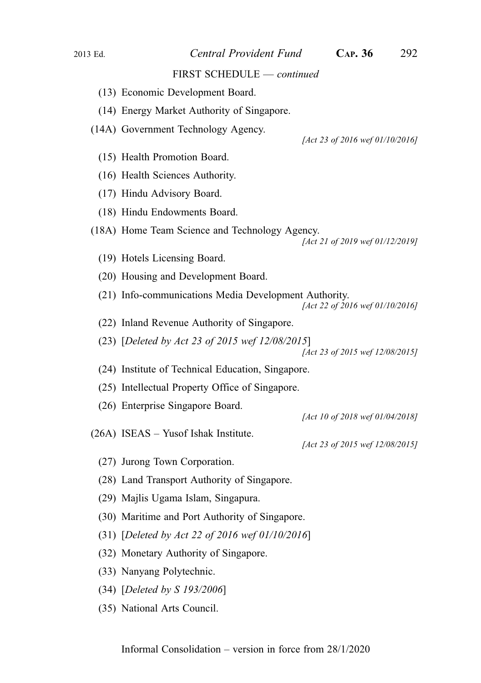#### 2013 Ed. Central Provident Fund CAP. 36 292

#### FIRST SCHEDULE — continued

- (13) Economic Development Board.
- (14) Energy Market Authority of Singapore.
- (14A) Government Technology Agency.

[Act 23 of 2016 wef 01/10/2016]

- (15) Health Promotion Board.
- (16) Health Sciences Authority.
- (17) Hindu Advisory Board.
- (18) Hindu Endowments Board.
- (18A) Home Team Science and Technology Agency.

- (19) Hotels Licensing Board.
- (20) Housing and Development Board.
- (21) Info-communications Media Development Authority.

[Act 22 of 2016 wef 01/10/2016]

- (22) Inland Revenue Authority of Singapore.
- (23) [Deleted by Act 23 of 2015 wef 12/08/2015]

[Act 23 of 2015 wef 12/08/2015]

- (24) Institute of Technical Education, Singapore.
- (25) Intellectual Property Office of Singapore.
- (26) Enterprise Singapore Board.

[Act 10 of 2018 wef 01/04/2018]

(26A) ISEAS – Yusof Ishak Institute.

[Act 23 of 2015 wef 12/08/2015]

- (27) Jurong Town Corporation.
- (28) Land Transport Authority of Singapore.
- (29) Majlis Ugama Islam, Singapura.
- (30) Maritime and Port Authority of Singapore.
- (31) [Deleted by Act 22 of 2016 wef 01/10/2016]
- (32) Monetary Authority of Singapore.
- (33) Nanyang Polytechnic.
- (34) [Deleted by S 193/2006]
- (35) National Arts Council.

<sup>[</sup>Act 21 of 2019 wef 01/12/2019]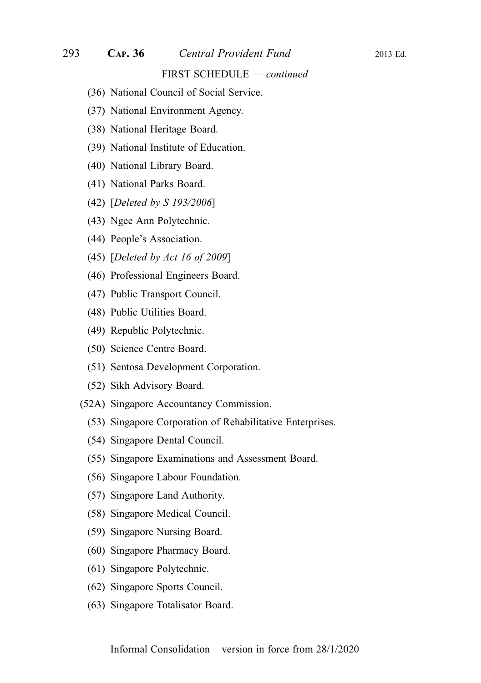- (36) National Council of Social Service.
- (37) National Environment Agency.
- (38) National Heritage Board.
- (39) National Institute of Education.
- (40) National Library Board.
- (41) National Parks Board.
- (42) [Deleted by S 193/2006]
- (43) Ngee Ann Polytechnic.
- (44) People's Association.
- (45) [Deleted by Act 16 of 2009]
- (46) Professional Engineers Board.
- (47) Public Transport Council.
- (48) Public Utilities Board.
- (49) Republic Polytechnic.
- (50) Science Centre Board.
- (51) Sentosa Development Corporation.
- (52) Sikh Advisory Board.
- (52A) Singapore Accountancy Commission.
	- (53) Singapore Corporation of Rehabilitative Enterprises.
	- (54) Singapore Dental Council.
	- (55) Singapore Examinations and Assessment Board.
	- (56) Singapore Labour Foundation.
	- (57) Singapore Land Authority.
	- (58) Singapore Medical Council.
	- (59) Singapore Nursing Board.
	- (60) Singapore Pharmacy Board.
	- (61) Singapore Polytechnic.
	- (62) Singapore Sports Council.
	- (63) Singapore Totalisator Board.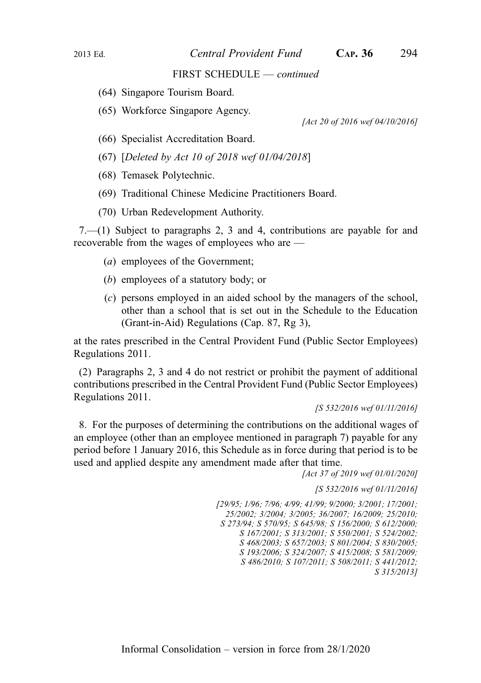- (64) Singapore Tourism Board.
- (65) Workforce Singapore Agency.

[Act 20 of 2016 wef 04/10/2016]

- (66) Specialist Accreditation Board.
- (67) [Deleted by Act 10 of 2018 wef 01/04/2018]
- (68) Temasek Polytechnic.
- (69) Traditional Chinese Medicine Practitioners Board.
- (70) Urban Redevelopment Authority.

7.—(1) Subject to paragraphs 2, 3 and 4, contributions are payable for and recoverable from the wages of employees who are —

- (a) employees of the Government;
- (b) employees of a statutory body; or
- (c) persons employed in an aided school by the managers of the school, other than a school that is set out in the Schedule to the Education (Grant-in-Aid) Regulations (Cap. 87, Rg 3),

at the rates prescribed in the Central Provident Fund (Public Sector Employees) Regulations 2011.

(2) Paragraphs 2, 3 and 4 do not restrict or prohibit the payment of additional contributions prescribed in the Central Provident Fund (Public Sector Employees) Regulations 2011.

[S 532/2016 wef 01/11/2016]

8. For the purposes of determining the contributions on the additional wages of an employee (other than an employee mentioned in paragraph 7) payable for any period before 1 January 2016, this Schedule as in force during that period is to be used and applied despite any amendment made after that time.

[Act 37 of 2019 wef 01/01/2020]

[S 532/2016 wef 01/11/2016]

[29/95; 1/96; 7/96; 4/99; 41/99; 9/2000; 3/2001; 17/2001; 25/2002; 3/2004; 3/2005; 36/2007; 16/2009; 25/2010; S 273/94; S 570/95; S 645/98; S 156/2000; S 612/2000; S 167/2001; S 313/2001; S 550/2001; S 524/2002; S 468/2003; S 657/2003; S 801/2004; S 830/2005; S 193/2006; S 324/2007; S 415/2008; S 581/2009; S 486/2010; S 107/2011; S 508/2011; S 441/2012; S 315/2013]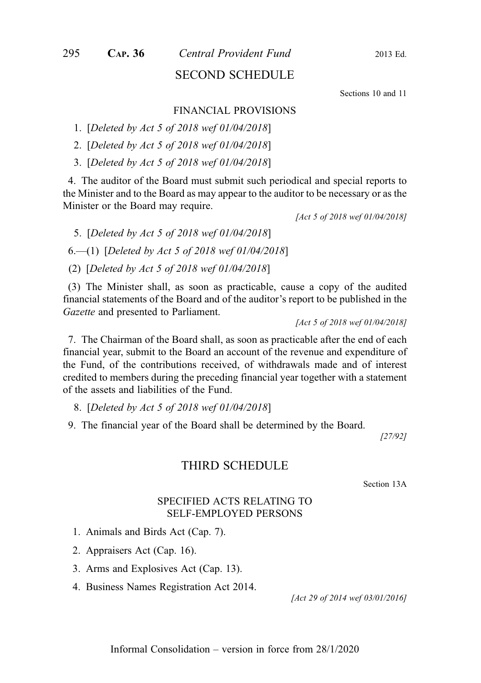# SECOND SCHEDULE

Sections 10 and 11

#### FINANCIAL PROVISIONS

1. [Deleted by Act 5 of 2018 wef 01/04/2018]

2. [Deleted by Act 5 of 2018 wef 01/04/2018]

3. [Deleted by Act 5 of 2018 wef 01/04/2018]

4. The auditor of the Board must submit such periodical and special reports to the Minister and to the Board as may appear to the auditor to be necessary or as the Minister or the Board may require.

[Act 5 of 2018 wef 01/04/2018]

5. [Deleted by Act 5 of 2018 wef 01/04/2018]

6.—(1) [Deleted by Act 5 of 2018 wef 01/04/2018]

(2) [Deleted by Act 5 of 2018 wef 01/04/2018]

(3) The Minister shall, as soon as practicable, cause a copy of the audited financial statements of the Board and of the auditor's report to be published in the Gazette and presented to Parliament.

[Act 5 of 2018 wef 01/04/2018]

7. The Chairman of the Board shall, as soon as practicable after the end of each financial year, submit to the Board an account of the revenue and expenditure of the Fund, of the contributions received, of withdrawals made and of interest credited to members during the preceding financial year together with a statement of the assets and liabilities of the Fund.

8. [Deleted by Act 5 of 2018 wef 01/04/2018]

9. The financial year of the Board shall be determined by the Board.

[27/92]

## THIRD SCHEDULE

Section 13A

## SPECIFIED ACTS RELATING TO SELF-EMPLOYED PERSONS

- 1. Animals and Birds Act (Cap. 7).
- 2. Appraisers Act (Cap. 16).
- 3. Arms and Explosives Act (Cap. 13).
- 4. Business Names Registration Act 2014.

[Act 29 of 2014 wef 03/01/2016]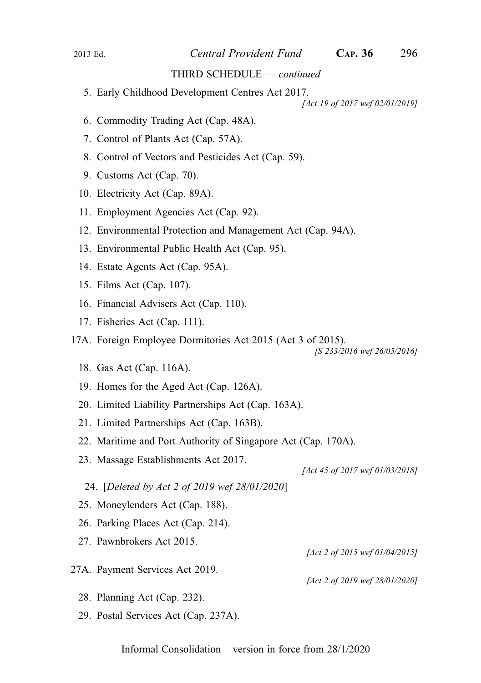#### THIRD SCHEDULE — continued

5. Early Childhood Development Centres Act 2017.

[Act 19 of 2017 wef 02/01/2019]

- 6. Commodity Trading Act (Cap. 48A).
- 7. Control of Plants Act (Cap. 57A).
- 8. Control of Vectors and Pesticides Act (Cap. 59).
- 9. Customs Act (Cap. 70).
- 10. Electricity Act (Cap. 89A).
- 11. Employment Agencies Act (Cap. 92).
- 12. Environmental Protection and Management Act (Cap. 94A).
- 13. Environmental Public Health Act (Cap. 95).
- 14. Estate Agents Act (Cap. 95A).
- 15. Films Act (Cap. 107).
- 16. Financial Advisers Act (Cap. 110).
- 17. Fisheries Act (Cap. 111).
- 17A. Foreign Employee Dormitories Act 2015 (Act 3 of 2015).

[S 233/2016 wef 26/05/2016]

- 18. Gas Act (Cap. 116A).
- 19. Homes for the Aged Act (Cap. 126A).
- 20. Limited Liability Partnerships Act (Cap. 163A).
- 21. Limited Partnerships Act (Cap. 163B).
- 22. Maritime and Port Authority of Singapore Act (Cap. 170A).
- 23. Massage Establishments Act 2017.

[Act 45 of 2017 wef 01/03/2018]

[Act 2 of 2015 wef 01/04/2015]

[Act 2 of 2019 wef 28/01/2020]

- 24. [Deleted by Act 2 of 2019 wef 28/01/2020]
- 25. Moneylenders Act (Cap. 188).
- 26. Parking Places Act (Cap. 214).
- 27. Pawnbrokers Act 2015.
- 27A. Payment Services Act 2019.
	- 28. Planning Act (Cap. 232).
	- 29. Postal Services Act (Cap. 237A).

Informal Consolidation – version in force from 28/1/2020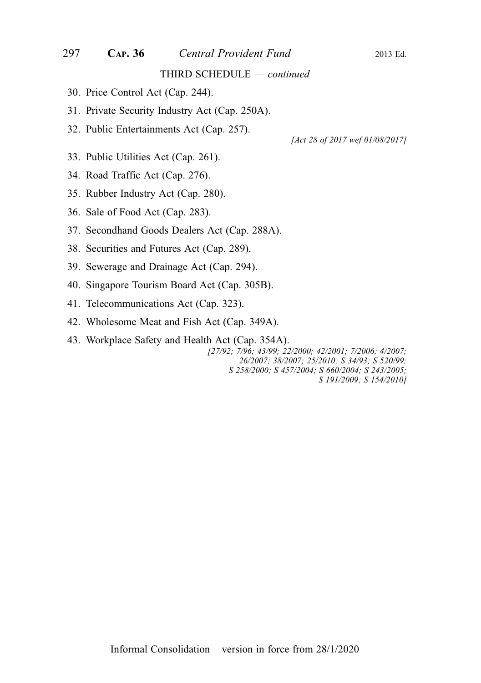## 297 CAP. 36 Central Provident Fund 2013 Ed.

#### THIRD SCHEDULE — continued

- 30. Price Control Act (Cap. 244).
- 31. Private Security Industry Act (Cap. 250A).
- 32. Public Entertainments Act (Cap. 257).

[Act 28 of 2017 wef 01/08/2017]

- 33. Public Utilities Act (Cap. 261).
- 34. Road Traffic Act (Cap. 276).
- 35. Rubber Industry Act (Cap. 280).
- 36. Sale of Food Act (Cap. 283).
- 37. Secondhand Goods Dealers Act (Cap. 288A).
- 38. Securities and Futures Act (Cap. 289).
- 39. Sewerage and Drainage Act (Cap. 294).
- 40. Singapore Tourism Board Act (Cap. 305B).
- 41. Telecommunications Act (Cap. 323).
- 42. Wholesome Meat and Fish Act (Cap. 349A).
- 43. Workplace Safety and Health Act (Cap. 354A).

[27/92; 7/96; 43/99; 22/2000; 42/2001; 7/2006; 4/2007; 26/2007; 38/2007; 25/2010; S 34/93; S 520/99; S 258/2000; S 457/2004; S 660/2004; S 243/2005; S 191/2009; S 154/2010]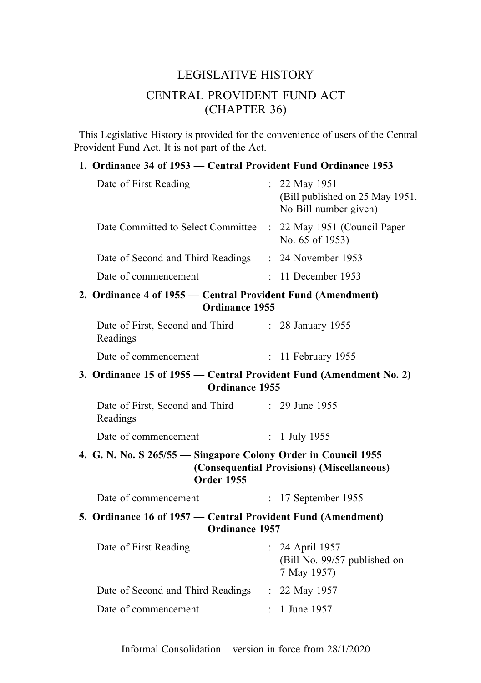# LEGISLATIVE HISTORY CENTRAL PROVIDENT FUND ACT (CHAPTER 36)

This Legislative History is provided for the convenience of users of the Central Provident Fund Act. It is not part of the Act.

# 1. Ordinance 34 of 1953 — Central Provident Fund Ordinance 1953

|                                                                                      | Date of First Reading                                                                 |  | : 22 May 1951<br>(Bill published on 25 May 1951.<br>No Bill number given) |
|--------------------------------------------------------------------------------------|---------------------------------------------------------------------------------------|--|---------------------------------------------------------------------------|
|                                                                                      | Date Committed to Select Committee                                                    |  | : 22 May 1951 (Council Paper<br>No. 65 of 1953)                           |
|                                                                                      | Date of Second and Third Readings : 24 November 1953                                  |  |                                                                           |
|                                                                                      | Date of commencement                                                                  |  | : 11 December 1953                                                        |
|                                                                                      | 2. Ordinance 4 of 1955 — Central Provident Fund (Amendment)<br><b>Ordinance 1955</b>  |  |                                                                           |
|                                                                                      | Date of First, Second and Third : 28 January 1955<br>Readings                         |  |                                                                           |
|                                                                                      | Date of commencement                                                                  |  | $: 11$ February 1955                                                      |
| 3. Ordinance 15 of 1955 – Central Provident Fund (Amendment No. 2)<br>Ordinance 1955 |                                                                                       |  |                                                                           |
|                                                                                      | Date of First, Second and Third : 29 June 1955<br>Readings                            |  |                                                                           |
|                                                                                      | Date of commencement                                                                  |  | : $1$ July 1955                                                           |
|                                                                                      | 4. G. N. No. S 265/55 - Singapore Colony Order in Council 1955<br><b>Order 1955</b>   |  | (Consequential Provisions) (Miscellaneous)                                |
|                                                                                      | Date of commencement                                                                  |  | : 17 September 1955                                                       |
|                                                                                      | 5. Ordinance 16 of 1957 — Central Provident Fund (Amendment)<br><b>Ordinance 1957</b> |  |                                                                           |
|                                                                                      | Date of First Reading                                                                 |  | : 24 April 1957<br>(Bill No. 99/57 published on<br>7 May 1957)            |
|                                                                                      | Date of Second and Third Readings : 22 May 1957                                       |  |                                                                           |
|                                                                                      | Date of commencement                                                                  |  | : 1 June 1957                                                             |
|                                                                                      |                                                                                       |  |                                                                           |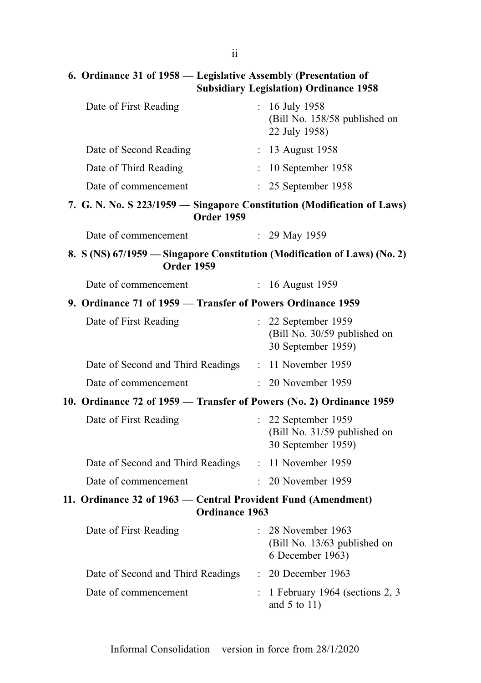ii

# 6. Ordinance 31 of 1958 — Legislative Assembly (Presentation of Subsidiary Legislation) Ordinance 1958

| Date of First Reading                                                                          |                           | : $16$ July 1958<br>(Bill No. 158/58 published on<br>22 July 1958)          |
|------------------------------------------------------------------------------------------------|---------------------------|-----------------------------------------------------------------------------|
| Date of Second Reading                                                                         |                           | : 13 August 1958                                                            |
| Date of Third Reading                                                                          |                           | $: 10$ September 1958                                                       |
| Date of commencement                                                                           |                           | $: 25$ September 1958                                                       |
| 7. G. N. No. S 223/1959 – Singapore Constitution (Modification of Laws)<br><b>Order 1959</b>   |                           |                                                                             |
| Date of commencement                                                                           |                           | $: 29$ May 1959                                                             |
| 8. S (NS) 67/1959 – Singapore Constitution (Modification of Laws) (No. 2)<br><b>Order 1959</b> |                           |                                                                             |
| Date of commencement                                                                           | $\mathbb{R}^{\mathbb{Z}}$ | 16 August 1959                                                              |
| 9. Ordinance 71 of 1959 – Transfer of Powers Ordinance 1959                                    |                           |                                                                             |
| Date of First Reading                                                                          |                           | $: 22$ September 1959<br>(Bill No. 30/59 published on<br>30 September 1959) |
| Date of Second and Third Readings : 11 November 1959                                           |                           |                                                                             |
| Date of commencement                                                                           |                           | : 20 November 1959                                                          |
| 10. Ordinance 72 of 1959 — Transfer of Powers (No. 2) Ordinance 1959                           |                           |                                                                             |
| Date of First Reading                                                                          | $\mathbb{R}^{\mathbb{Z}}$ | 22 September 1959<br>(Bill No. 31/59 published on<br>30 September 1959)     |
| Date of Second and Third Readings : 11 November 1959                                           |                           |                                                                             |
| Date of commencement                                                                           |                           | $: 20$ November 1959                                                        |
| 11. Ordinance 32 of 1963 - Central Provident Fund (Amendment)<br>Ordinance 1963                |                           |                                                                             |
| Date of First Reading : 28 November 1963                                                       |                           | (Bill No. 13/63 published on<br>6 December 1963)                            |
| Date of Second and Third Readings                                                              | $\ddot{\cdot}$            | 20 December 1963                                                            |
| Date of commencement                                                                           |                           | 1 February 1964 (sections 2, 3<br>and $5$ to $11$ )                         |
|                                                                                                |                           |                                                                             |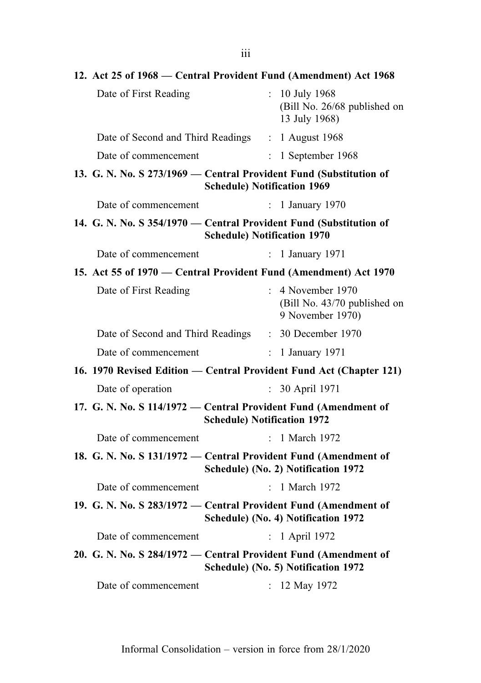| 12. Act 25 of 1968 – Central Provident Fund (Amendment) Act 1968   |                                    |                                                                     |
|--------------------------------------------------------------------|------------------------------------|---------------------------------------------------------------------|
| Date of First Reading                                              | $\mathbb{R}^{\mathbb{Z}}$          | 10 July 1968<br>(Bill No. 26/68 published on<br>13 July 1968)       |
| Date of Second and Third Readings : 1 August 1968                  |                                    |                                                                     |
| Date of commencement                                               | $\mathbb{R}^{\mathbb{Z}}$          | 1 September 1968                                                    |
| 13. G. N. No. S 273/1969 – Central Provident Fund (Substitution of | <b>Schedule) Notification 1969</b> |                                                                     |
| Date of commencement                                               | $\mathbb{R}^{\mathbb{Z}}$          | 1 January 1970                                                      |
| 14. G. N. No. S 354/1970 - Central Provident Fund (Substitution of | <b>Schedule) Notification 1970</b> |                                                                     |
| Date of commencement                                               | $\mathbf{L}$                       | 1 January 1971                                                      |
| 15. Act 55 of 1970 – Central Provident Fund (Amendment) Act 1970   |                                    |                                                                     |
| Date of First Reading                                              | $\mathbb{R}^{\mathbb{Z}}$          | 4 November 1970<br>(Bill No. 43/70 published on<br>9 November 1970) |
| Date of Second and Third Readings : 30 December 1970               |                                    |                                                                     |
| Date of commencement                                               | $\mathbb{R}^{\mathbb{Z}}$          | 1 January 1971                                                      |
|                                                                    |                                    | 16. 1970 Revised Edition — Central Provident Fund Act (Chapter 121) |
| Date of operation                                                  |                                    | : 30 April 1971                                                     |
| 17. G. N. No. S 114/1972 — Central Provident Fund (Amendment of    | <b>Schedule) Notification 1972</b> |                                                                     |
| Date of commencement                                               |                                    | $: 1$ March 1972                                                    |
| 18. G. N. No. S 131/1972 — Central Provident Fund (Amendment of    |                                    | Schedule) (No. 2) Notification 1972                                 |
| Date of commencement                                               | $\mathbb{R}^{\mathbb{Z}}$          | 1 March 1972                                                        |
| 19. G. N. No. S 283/1972 - Central Provident Fund (Amendment of    |                                    | Schedule) (No. 4) Notification 1972                                 |
| Date of commencement                                               |                                    | : 1 April 1972                                                      |
| 20. G. N. No. S 284/1972 — Central Provident Fund (Amendment of    |                                    | Schedule) (No. 5) Notification 1972                                 |
| Date of commencement                                               |                                    | 12 May 1972                                                         |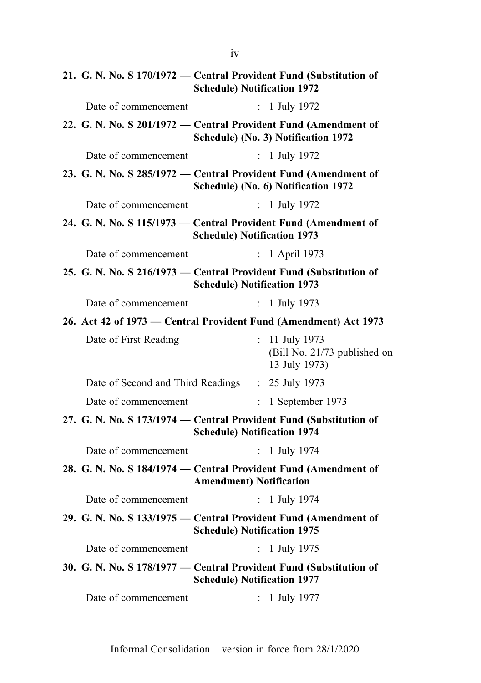|                       | 21. G. N. No. S 170/1972 — Central Provident Fund (Substitution of<br><b>Schedule) Notification 1972</b> |
|-----------------------|----------------------------------------------------------------------------------------------------------|
| Date of commencement  | : 1 July 1972                                                                                            |
|                       | 22. G. N. No. S 201/1972 - Central Provident Fund (Amendment of<br>Schedule) (No. 3) Notification 1972   |
| Date of commencement  | : $1$ July 1972                                                                                          |
|                       | 23. G. N. No. S 285/1972 — Central Provident Fund (Amendment of<br>Schedule) (No. 6) Notification 1972   |
| Date of commencement  | : 1 July 1972                                                                                            |
|                       | 24. G. N. No. S 115/1973 – Central Provident Fund (Amendment of<br><b>Schedule) Notification 1973</b>    |
| Date of commencement  | 1 April 1973<br>$\mathbb{R}^{\mathbb{Z}}$                                                                |
|                       | 25. G. N. No. S 216/1973 - Central Provident Fund (Substitution of<br><b>Schedule) Notification 1973</b> |
| Date of commencement  | : 1 July 1973                                                                                            |
|                       | 26. Act 42 of 1973 – Central Provident Fund (Amendment) Act 1973                                         |
| Date of First Reading | t.<br>11 July 1973<br>(Bill No. 21/73 published on<br>13 July 1973)                                      |
|                       | Date of Second and Third Readings : 25 July 1973                                                         |
| Date of commencement  | 1 September 1973<br>$\mathbb{R}^{\mathbb{Z}}$                                                            |
|                       | 27. G. N. No. S 173/1974 – Central Provident Fund (Substitution of<br><b>Schedule) Notification 1974</b> |
| Date of commencement  | : 1 July 1974                                                                                            |
|                       | 28. G. N. No. S 184/1974 - Central Provident Fund (Amendment of<br><b>Amendment) Notification</b>        |
|                       | Date of commencement : 1 July 1974                                                                       |
|                       | 29. G. N. No. S 133/1975 - Central Provident Fund (Amendment of<br><b>Schedule) Notification 1975</b>    |
| Date of commencement  | $\mathbf{r}$<br>1 July 1975                                                                              |
|                       | 30. G. N. No. S 178/1977 — Central Provident Fund (Substitution of<br><b>Schedule) Notification 1977</b> |
| Date of commencement  | 1 July 1977                                                                                              |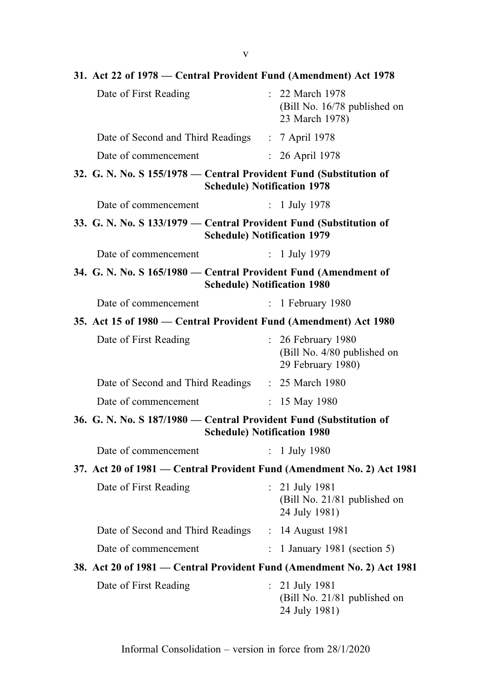| 31. Act 22 of 1978 – Central Provident Fund (Amendment) Act 1978                                         |               |                                                                      |
|----------------------------------------------------------------------------------------------------------|---------------|----------------------------------------------------------------------|
| Date of First Reading                                                                                    |               | : 22 March 1978<br>(Bill No. 16/78 published on<br>23 March 1978)    |
| Date of Second and Third Readings                                                                        |               | : 7 April 1978                                                       |
| Date of commencement                                                                                     |               | 26 April 1978                                                        |
| 32. G. N. No. S 155/1978 – Central Provident Fund (Substitution of<br><b>Schedule) Notification 1978</b> |               |                                                                      |
| Date of commencement                                                                                     |               | : 1 July 1978                                                        |
| 33. G. N. No. S 133/1979 - Central Provident Fund (Substitution of<br><b>Schedule) Notification 1979</b> |               |                                                                      |
| Date of commencement                                                                                     |               | : $1$ July 1979                                                      |
| 34. G. N. No. S 165/1980 — Central Provident Fund (Amendment of<br><b>Schedule) Notification 1980</b>    |               |                                                                      |
| Date of commencement                                                                                     | $\mathcal{L}$ | 1 February 1980                                                      |
| 35. Act 15 of 1980 – Central Provident Fund (Amendment) Act 1980                                         |               |                                                                      |
| Date of First Reading                                                                                    |               | 26 February 1980<br>(Bill No. 4/80 published on<br>29 February 1980) |
| Date of Second and Third Readings : 25 March 1980                                                        |               |                                                                      |
| Date of commencement                                                                                     |               | : $15$ May 1980                                                      |
| 36. G. N. No. S 187/1980 — Central Provident Fund (Substitution of<br><b>Schedule) Notification 1980</b> |               |                                                                      |
| Date of commencement                                                                                     |               | : $1 \text{ July } 1980$                                             |
| 37. Act 20 of 1981 - Central Provident Fund (Amendment No. 2) Act 1981                                   |               |                                                                      |
| Date of First Reading                                                                                    |               | : 21 July 1981<br>(Bill No. 21/81 published on<br>24 July 1981)      |
| Date of Second and Third Readings                                                                        | $\mathbf{L}$  | 14 August 1981                                                       |
| Date of commencement                                                                                     |               | 1 January 1981 (section 5)                                           |
| 38. Act 20 of 1981 — Central Provident Fund (Amendment No. 2) Act 1981                                   |               |                                                                      |
| Date of First Reading                                                                                    |               | $: 21$ July 1981<br>(Bill No. 21/81 published on<br>24 July 1981)    |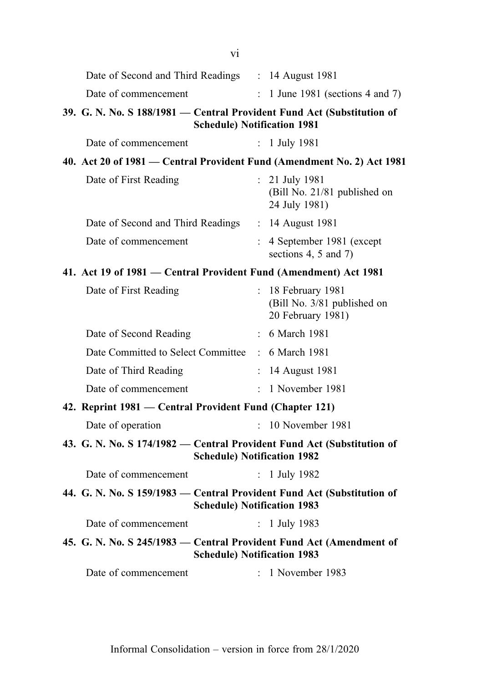| V1                                                                                                           |                           |                                                                        |  |
|--------------------------------------------------------------------------------------------------------------|---------------------------|------------------------------------------------------------------------|--|
| Date of Second and Third Readings : 14 August 1981                                                           |                           |                                                                        |  |
| Date of commencement                                                                                         | $\mathbb{R}^{\mathbb{Z}}$ | 1 June 1981 (sections 4 and 7)                                         |  |
| 39. G. N. No. S 188/1981 — Central Provident Fund Act (Substitution of<br><b>Schedule) Notification 1981</b> |                           |                                                                        |  |
| Date of commencement                                                                                         |                           | : 1 July 1981                                                          |  |
| 40. Act 20 of 1981 — Central Provident Fund (Amendment No. 2) Act 1981                                       |                           |                                                                        |  |
| Date of First Reading                                                                                        |                           | $: 21$ July 1981<br>(Bill No. 21/81 published on<br>24 July 1981)      |  |
| Date of Second and Third Readings : 14 August 1981                                                           |                           |                                                                        |  |
| Date of commencement                                                                                         | $\mathbb{R}^{\mathbb{Z}}$ | 4 September 1981 (except<br>sections 4, 5 and 7)                       |  |
| 41. Act 19 of 1981 — Central Provident Fund (Amendment) Act 1981                                             |                           |                                                                        |  |
| Date of First Reading                                                                                        |                           | : 18 February 1981<br>(Bill No. 3/81 published on<br>20 February 1981) |  |
| Date of Second Reading                                                                                       |                           | : 6 March 1981                                                         |  |
| Date Committed to Select Committee : 6 March 1981                                                            |                           |                                                                        |  |
| Date of Third Reading                                                                                        | $\ddot{\cdot}$            | 14 August 1981                                                         |  |
| Date of commencement                                                                                         | $\mathcal{L}$             | 1 November 1981                                                        |  |
| 42. Reprint 1981 — Central Provident Fund (Chapter 121)                                                      |                           |                                                                        |  |
| Date of operation                                                                                            | ÷.                        | 10 November 1981                                                       |  |
| 43. G. N. No. S 174/1982 - Central Provident Fund Act (Substitution of<br><b>Schedule) Notification 1982</b> |                           |                                                                        |  |
| Date of commencement                                                                                         |                           | : 1 July 1982                                                          |  |
| 44. G. N. No. S 159/1983 – Central Provident Fund Act (Substitution of<br><b>Schedule) Notification 1983</b> |                           |                                                                        |  |
| Date of commencement                                                                                         | $\mathbf{r}$              | 1 July 1983                                                            |  |
| 45. G. N. No. S 245/1983 - Central Provident Fund Act (Amendment of<br><b>Schedule) Notification 1983</b>    |                           |                                                                        |  |
| Date of commencement                                                                                         | $\mathcal{L}$             | 1 November 1983                                                        |  |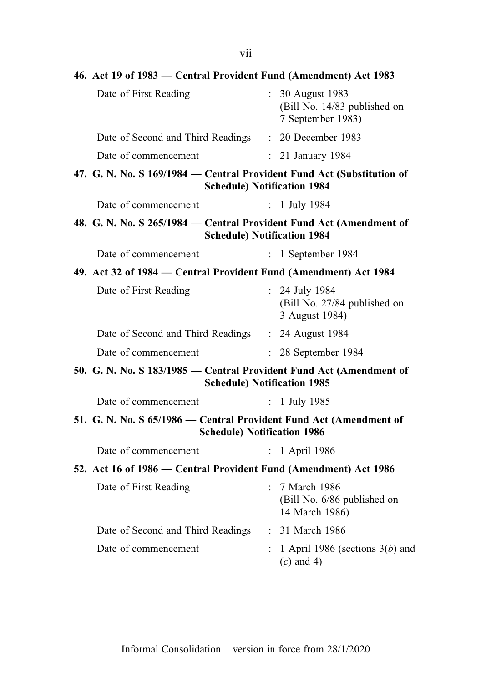| 46. Act 19 of 1983 – Central Provident Fund (Amendment) Act 1983                                         |                                                                       |
|----------------------------------------------------------------------------------------------------------|-----------------------------------------------------------------------|
| Date of First Reading                                                                                    | : 30 August 1983<br>(Bill No. 14/83 published on<br>7 September 1983) |
| Date of Second and Third Readings : 20 December 1983                                                     |                                                                       |
| Date of commencement                                                                                     | : 21 January 1984                                                     |
| 47. G. N. No. S 169/1984 – Central Provident Fund Act (Substitution of                                   | <b>Schedule) Notification 1984</b>                                    |
| Date of commencement                                                                                     | : 1 July 1984                                                         |
| 48. G. N. No. S 265/1984 – Central Provident Fund Act (Amendment of                                      | <b>Schedule) Notification 1984</b>                                    |
| Date of commencement                                                                                     | $: 1$ September 1984                                                  |
| 49. Act 32 of 1984 - Central Provident Fund (Amendment) Act 1984                                         |                                                                       |
| Date of First Reading                                                                                    | : 24 July 1984<br>(Bill No. 27/84 published on<br>3 August 1984)      |
| Date of Second and Third Readings : 24 August 1984                                                       |                                                                       |
| Date of commencement                                                                                     | $: 28$ September 1984                                                 |
| 50. G. N. No. S 183/1985 — Central Provident Fund Act (Amendment of                                      | <b>Schedule) Notification 1985</b>                                    |
| Date of commencement                                                                                     | : $1 \text{ July } 1985$                                              |
| 51. G. N. No. S 65/1986 - Central Provident Fund Act (Amendment of<br><b>Schedule) Notification 1986</b> |                                                                       |
| Date of commencement                                                                                     | : 1 April 1986                                                        |
| 52. Act 16 of 1986 – Central Provident Fund (Amendment) Act 1986                                         |                                                                       |
| Date of First Reading                                                                                    | : 7 March 1986<br>(Bill No. 6/86 published on<br>14 March 1986)       |
| Date of Second and Third Readings                                                                        | : 31 March 1986                                                       |
| Date of commencement                                                                                     | 1 April 1986 (sections $3(b)$ and<br>$(c)$ and 4)                     |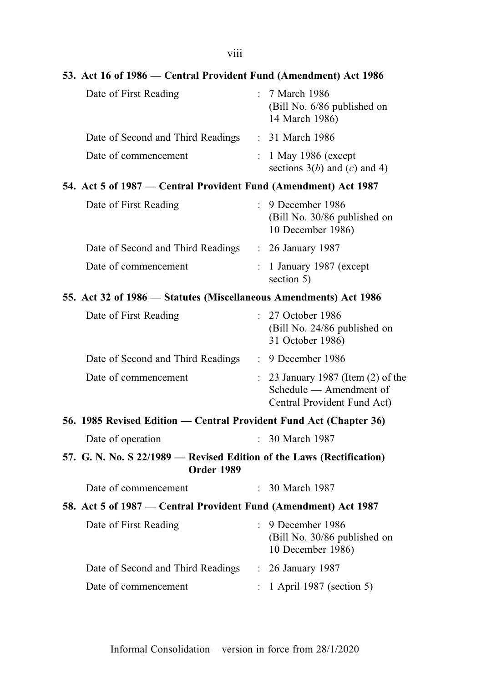| 53. Act 16 of 1986 – Central Provident Fund (Amendment) Act 1986                           |                      |                                                                                            |
|--------------------------------------------------------------------------------------------|----------------------|--------------------------------------------------------------------------------------------|
| Date of First Reading                                                                      |                      | : 7 March 1986<br>(Bill No. 6/86 published on<br>14 March 1986)                            |
| Date of Second and Third Readings                                                          |                      | : 31 March 1986                                                                            |
| Date of commencement                                                                       |                      | 1 May 1986 (except<br>sections $3(b)$ and (c) and 4)                                       |
| 54. Act 5 of 1987 – Central Provident Fund (Amendment) Act 1987                            |                      |                                                                                            |
| Date of First Reading                                                                      | $\mathcal{L}$        | 9 December 1986<br>(Bill No. 30/86 published on<br>10 December 1986)                       |
| Date of Second and Third Readings                                                          |                      | : 26 January 1987                                                                          |
| Date of commencement                                                                       |                      | 1 January 1987 (except<br>section 5)                                                       |
| 55. Act 32 of 1986 - Statutes (Miscellaneous Amendments) Act 1986                          |                      |                                                                                            |
| Date of First Reading                                                                      | $\mathcal{L}$        | 27 October 1986<br>(Bill No. 24/86 published on<br>31 October 1986)                        |
| Date of Second and Third Readings                                                          |                      | : 9 December 1986                                                                          |
| Date of commencement                                                                       | $\mathcal{L}^{\pm}$  | 23 January 1987 (Item (2) of the<br>Schedule — Amendment of<br>Central Provident Fund Act) |
| 56. 1985 Revised Edition — Central Provident Fund Act (Chapter 36)                         |                      |                                                                                            |
| Date of operation                                                                          |                      | 30 March 1987                                                                              |
| 57. G. N. No. S 22/1989 — Revised Edition of the Laws (Rectification)<br><b>Order 1989</b> |                      |                                                                                            |
| Date of commencement                                                                       |                      | : 30 March 1987                                                                            |
| 58. Act 5 of 1987 - Central Provident Fund (Amendment) Act 1987                            |                      |                                                                                            |
| Date of First Reading                                                                      | $\bullet$ .          | 9 December 1986<br>(Bill No. 30/86 published on<br>10 December 1986)                       |
| Date of Second and Third Readings                                                          | $\ddot{\phantom{0}}$ | 26 January 1987                                                                            |
| Date of commencement                                                                       |                      | 1 April 1987 (section 5)                                                                   |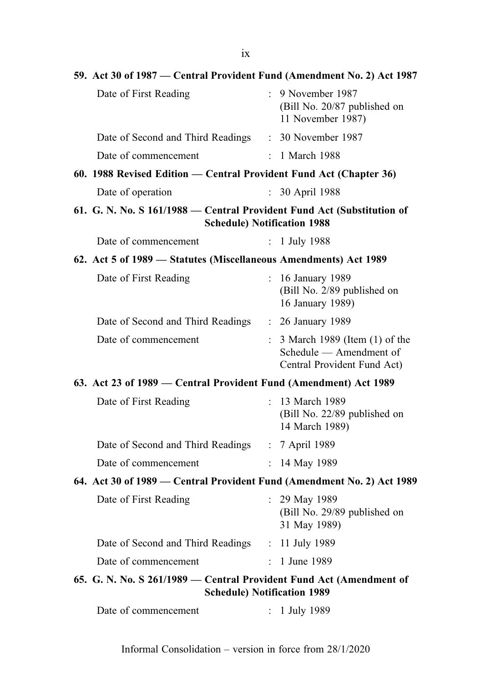| 59. Act 30 of 1987 – Central Provident Fund (Amendment No. 2) Act 1987 |                                                                                         |
|------------------------------------------------------------------------|-----------------------------------------------------------------------------------------|
| Date of First Reading                                                  | : 9 November 1987<br>(Bill No. 20/87 published on<br>11 November 1987)                  |
| Date of Second and Third Readings                                      | : 30 November 1987                                                                      |
| Date of commencement                                                   | : 1 March 1988                                                                          |
| 60. 1988 Revised Edition - Central Provident Fund Act (Chapter 36)     |                                                                                         |
| Date of operation                                                      | 30 April 1988                                                                           |
| 61. G. N. No. S 161/1988 - Central Provident Fund Act (Substitution of | <b>Schedule) Notification 1988</b>                                                      |
| Date of commencement                                                   | $: 1$ July 1988                                                                         |
| 62. Act 5 of 1989 – Statutes (Miscellaneous Amendments) Act 1989       |                                                                                         |
| Date of First Reading                                                  | : 16 January 1989<br>(Bill No. 2/89 published on<br>16 January 1989)                    |
| Date of Second and Third Readings                                      | : 26 January 1989                                                                       |
| Date of commencement                                                   | 3 March 1989 (Item (1) of the<br>Schedule - Amendment of<br>Central Provident Fund Act) |
| 63. Act 23 of 1989 – Central Provident Fund (Amendment) Act 1989       |                                                                                         |
| Date of First Reading                                                  | : 13 March 1989<br>(Bill No. 22/89 published on<br>14 March 1989)                       |
| Date of Second and Third Readings                                      | : 7 April 1989                                                                          |
| Date of commencement                                                   | : 14 May 1989                                                                           |
| 64. Act 30 of 1989 - Central Provident Fund (Amendment No. 2) Act 1989 |                                                                                         |
| Date of First Reading                                                  | $: 29$ May 1989<br>(Bill No. 29/89 published on<br>31 May 1989)                         |
| Date of Second and Third Readings : 11 July 1989                       |                                                                                         |
| Date of commencement                                                   | 1 June 1989                                                                             |
| 65. G. N. No. S 261/1989 - Central Provident Fund Act (Amendment of    | <b>Schedule) Notification 1989</b>                                                      |
| Date of commencement                                                   | 1 July 1989                                                                             |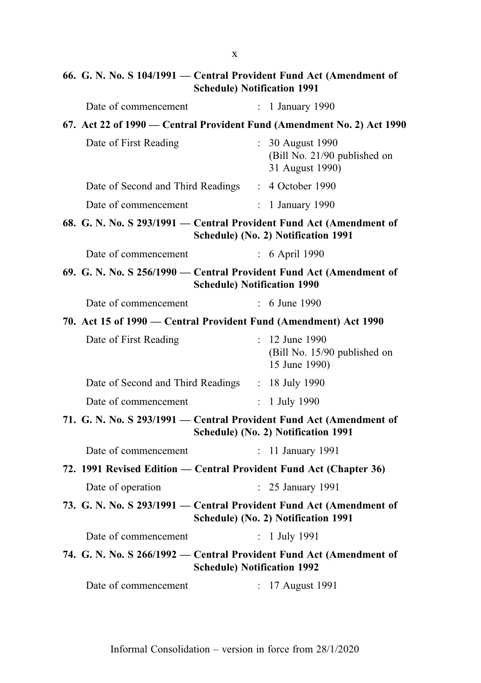# 66. G. N. No. S 104/1991 — Central Provident Fund Act (Amendment of Schedule) Notification 1991

| Date of commencement                                                   |    | : 1 January 1990                                                    |
|------------------------------------------------------------------------|----|---------------------------------------------------------------------|
| 67. Act 22 of 1990 — Central Provident Fund (Amendment No. 2) Act 1990 |    |                                                                     |
| Date of First Reading                                                  |    | : 30 August 1990<br>(Bill No. 21/90 published on<br>31 August 1990) |
| Date of Second and Third Readings : 4 October 1990                     |    |                                                                     |
| Date of commencement                                                   |    | $: 1$ January 1990                                                  |
| 68. G. N. No. S 293/1991 - Central Provident Fund Act (Amendment of    |    | Schedule) (No. 2) Notification 1991                                 |
| Date of commencement                                                   |    | : 6 April 1990                                                      |
| 69. G. N. No. S 256/1990 - Central Provident Fund Act (Amendment of    |    | <b>Schedule) Notification 1990</b>                                  |
| Date of commencement                                                   |    | : 6 June 1990                                                       |
| 70. Act 15 of 1990 - Central Provident Fund (Amendment) Act 1990       |    |                                                                     |
| Date of First Reading                                                  |    | : 12 June 1990<br>(Bill No. 15/90 published on<br>15 June 1990)     |
| Date of Second and Third Readings : 18 July 1990                       |    |                                                                     |
| Date of commencement                                                   |    | : $1 \text{ July } 1990$                                            |
| 71. G. N. No. S 293/1991 - Central Provident Fund Act (Amendment of    |    | Schedule) (No. 2) Notification 1991                                 |
| Date of commencement                                                   | ÷  | 11 January 1991                                                     |
| 72. 1991 Revised Edition - Central Provident Fund Act (Chapter 36)     |    |                                                                     |
| Date of operation                                                      | ÷. | 25 January 1991                                                     |
| 73. G. N. No. S 293/1991 - Central Provident Fund Act (Amendment of    |    | Schedule) (No. 2) Notification 1991                                 |
| Date of commencement                                                   |    | : $1$ July 1991                                                     |
| 74. G. N. No. S 266/1992 - Central Provident Fund Act (Amendment of    |    | <b>Schedule) Notification 1992</b>                                  |
| Date of commencement                                                   |    | : 17 August 1991                                                    |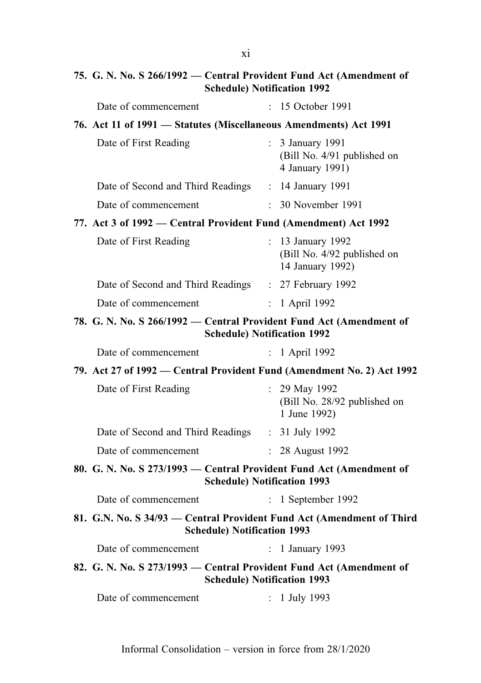# 75. G. N. No. S 266/1992 — Central Provident Fund Act (Amendment of Schedule) Notification 1992

| Date of commencement                                                                                        |              | : 15 October 1991                                                                                                                                                                                                                                                                                                                                                                                                                          |
|-------------------------------------------------------------------------------------------------------------|--------------|--------------------------------------------------------------------------------------------------------------------------------------------------------------------------------------------------------------------------------------------------------------------------------------------------------------------------------------------------------------------------------------------------------------------------------------------|
|                                                                                                             |              |                                                                                                                                                                                                                                                                                                                                                                                                                                            |
| Date of First Reading                                                                                       |              | : 3 January 1991<br>(Bill No. 4/91 published on<br>4 January 1991)                                                                                                                                                                                                                                                                                                                                                                         |
|                                                                                                             |              |                                                                                                                                                                                                                                                                                                                                                                                                                                            |
| Date of commencement                                                                                        |              | : 30 November 1991                                                                                                                                                                                                                                                                                                                                                                                                                         |
|                                                                                                             |              |                                                                                                                                                                                                                                                                                                                                                                                                                                            |
| Date of First Reading                                                                                       |              | : 13 January 1992<br>(Bill No. 4/92 published on<br>14 January 1992)                                                                                                                                                                                                                                                                                                                                                                       |
|                                                                                                             |              |                                                                                                                                                                                                                                                                                                                                                                                                                                            |
| Date of commencement                                                                                        |              | : 1 April 1992                                                                                                                                                                                                                                                                                                                                                                                                                             |
|                                                                                                             |              |                                                                                                                                                                                                                                                                                                                                                                                                                                            |
| Date of commencement                                                                                        |              | : 1 April 1992                                                                                                                                                                                                                                                                                                                                                                                                                             |
|                                                                                                             |              |                                                                                                                                                                                                                                                                                                                                                                                                                                            |
| Date of First Reading                                                                                       |              | : 29 May 1992                                                                                                                                                                                                                                                                                                                                                                                                                              |
|                                                                                                             |              | (Bill No. 28/92 published on<br>1 June 1992)                                                                                                                                                                                                                                                                                                                                                                                               |
| Date of Second and Third Readings : 31 July 1992                                                            |              |                                                                                                                                                                                                                                                                                                                                                                                                                                            |
| Date of commencement                                                                                        |              | : 28 August 1992                                                                                                                                                                                                                                                                                                                                                                                                                           |
| 80. G. N. No. S 273/1993 – Central Provident Fund Act (Amendment of                                         |              | <b>Schedule) Notification 1993</b>                                                                                                                                                                                                                                                                                                                                                                                                         |
| Date of commencement                                                                                        |              | $: 1$ September 1992                                                                                                                                                                                                                                                                                                                                                                                                                       |
| 81. G.N. No. S 34/93 – Central Provident Fund Act (Amendment of Third<br><b>Schedule) Notification 1993</b> |              |                                                                                                                                                                                                                                                                                                                                                                                                                                            |
| Date of commencement                                                                                        | $\mathbf{r}$ | 1 January 1993                                                                                                                                                                                                                                                                                                                                                                                                                             |
| 82. G. N. No. S 273/1993 – Central Provident Fund Act (Amendment of                                         |              | <b>Schedule) Notification 1993</b>                                                                                                                                                                                                                                                                                                                                                                                                         |
|                                                                                                             |              | 76. Act 11 of 1991 - Statutes (Miscellaneous Amendments) Act 1991<br>Date of Second and Third Readings : 14 January 1991<br>77. Act 3 of 1992 – Central Provident Fund (Amendment) Act 1992<br>Date of Second and Third Readings : 27 February 1992<br>78. G. N. No. S 266/1992 — Central Provident Fund Act (Amendment of<br><b>Schedule) Notification 1992</b><br>79. Act 27 of 1992 — Central Provident Fund (Amendment No. 2) Act 1992 |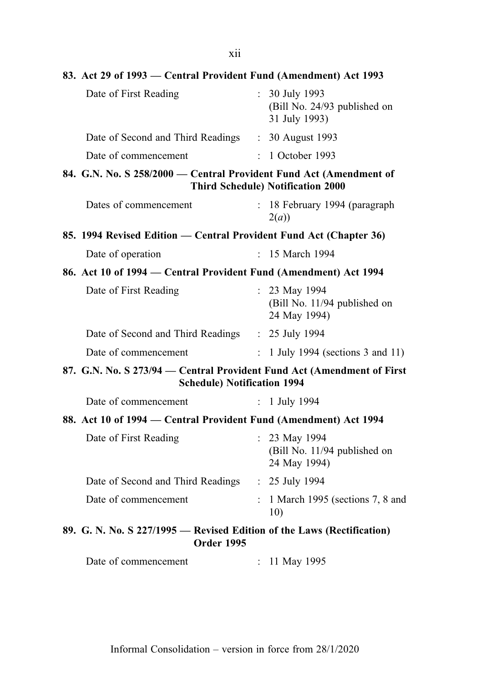| 83. Act 29 of 1993 – Central Provident Fund (Amendment) Act 1993                                             |                |                                                                 |
|--------------------------------------------------------------------------------------------------------------|----------------|-----------------------------------------------------------------|
| Date of First Reading                                                                                        |                | : 30 July 1993<br>(Bill No. 24/93 published on<br>31 July 1993) |
| Date of Second and Third Readings : 30 August 1993                                                           |                |                                                                 |
| Date of commencement                                                                                         |                | $: 1$ October 1993                                              |
| 84. G.N. No. S 258/2000 - Central Provident Fund Act (Amendment of                                           |                | <b>Third Schedule) Notification 2000</b>                        |
| Dates of commencement                                                                                        |                | : 18 February 1994 (paragraph<br>2(a)                           |
| 85. 1994 Revised Edition — Central Provident Fund Act (Chapter 36)                                           |                |                                                                 |
| Date of operation                                                                                            |                | : 15 March 1994                                                 |
| 86. Act 10 of 1994 – Central Provident Fund (Amendment) Act 1994                                             |                |                                                                 |
| Date of First Reading                                                                                        |                | : 23 May 1994<br>(Bill No. 11/94 published on<br>24 May 1994)   |
| Date of Second and Third Readings : 25 July 1994                                                             |                |                                                                 |
| Date of commencement                                                                                         | $\ddot{\cdot}$ | 1 July 1994 (sections 3 and 11)                                 |
| 87. G.N. No. S 273/94 - Central Provident Fund Act (Amendment of First<br><b>Schedule) Notification 1994</b> |                |                                                                 |
| Date of commencement                                                                                         |                | $: 1$ July 1994                                                 |
| 88. Act 10 of 1994 – Central Provident Fund (Amendment) Act 1994                                             |                |                                                                 |
| Date of First Reading                                                                                        |                | : 23 May 1994<br>(Bill No. 11/94 published on<br>24 May 1994)   |
| Date of Second and Third Readings : 25 July 1994                                                             |                |                                                                 |
| Date of commencement                                                                                         | $\ddot{\cdot}$ | 1 March 1995 (sections 7, 8 and<br>10)                          |
| 89. G. N. No. S 227/1995 - Revised Edition of the Laws (Rectification)<br><b>Order 1995</b>                  |                |                                                                 |
| Date of commencement                                                                                         |                | : 11 May 1995                                                   |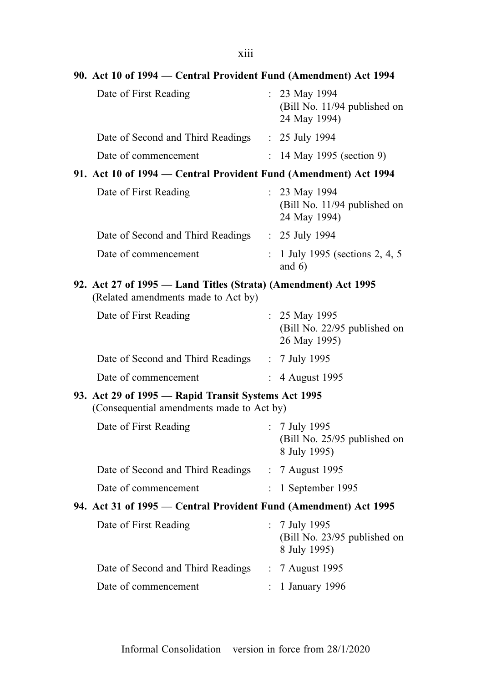| 90. Act 10 of 1994 – Central Provident Fund (Amendment) Act 1994                                      |                |                                                                          |
|-------------------------------------------------------------------------------------------------------|----------------|--------------------------------------------------------------------------|
| Date of First Reading                                                                                 |                | : 23 May 1994<br>(Bill No. 11/94 published on<br>24 May 1994)            |
| Date of Second and Third Readings : 25 July 1994                                                      |                |                                                                          |
| Date of commencement                                                                                  |                | : $14$ May 1995 (section 9)                                              |
| 91. Act 10 of 1994 – Central Provident Fund (Amendment) Act 1994                                      |                |                                                                          |
| Date of First Reading                                                                                 |                | $: 23$ May 1994<br>(Bill No. 11/94 published on<br>24 May 1994)          |
| Date of Second and Third Readings : 25 July 1994                                                      |                |                                                                          |
| Date of commencement                                                                                  |                | : 1 July 1995 (sections $2, 4, 5$<br>and $6)$                            |
| 92. Act 27 of 1995 — Land Titles (Strata) (Amendment) Act 1995<br>(Related amendments made to Act by) |                |                                                                          |
| Date of First Reading                                                                                 |                | : $25$ May 1995<br>(Bill No. 22/95 published on<br>26 May 1995)          |
| Date of Second and Third Readings : 7 July 1995                                                       |                |                                                                          |
| Date of commencement                                                                                  | $\ddot{\cdot}$ | 4 August 1995                                                            |
| 93. Act 29 of 1995 - Rapid Transit Systems Act 1995<br>(Consequential amendments made to Act by)      |                |                                                                          |
| Date of First Reading                                                                                 |                | : $7 \text{ July } 1995$<br>(Bill No. 25/95 published on<br>8 July 1995) |
| Date of Second and Third Readings                                                                     |                | : 7 August 1995                                                          |
| Date of commencement                                                                                  |                | 1 September 1995                                                         |
| 94. Act 31 of 1995 – Central Provident Fund (Amendment) Act 1995                                      |                |                                                                          |
| Date of First Reading                                                                                 | $\mathbf{r}$   | 7 July 1995<br>(Bill No. 23/95 published on<br>8 July 1995)              |
| Date of Second and Third Readings                                                                     |                | : 7 August 1995                                                          |
| Date of commencement                                                                                  |                | 1 January 1996                                                           |
|                                                                                                       |                |                                                                          |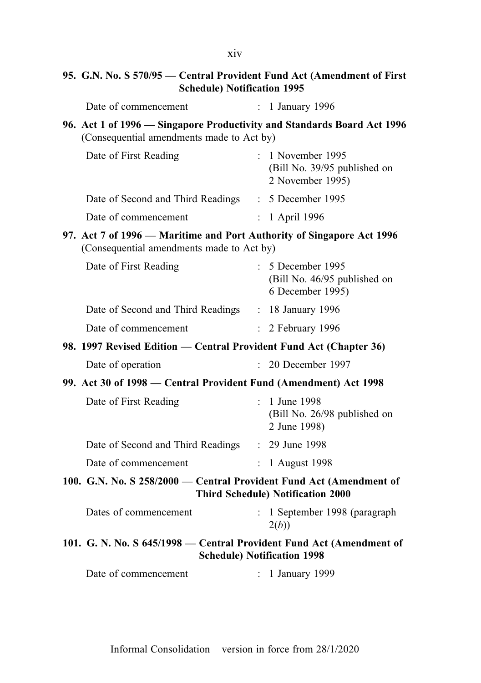# 95. G.N. No. S 570/95 — Central Provident Fund Act (Amendment of First Schedule) Notification 1995

| Date of commencement | 1 January 1996 |
|----------------------|----------------|
|----------------------|----------------|

96. Act 1 of 1996 — Singapore Productivity and Standards Board Act 1996 (Consequential amendments made to Act by)

| Date of First Reading             | $: 1$ November 1995<br>(Bill No. 39/95 published on<br>2 November 1995) |
|-----------------------------------|-------------------------------------------------------------------------|
| Date of Second and Third Readings | $\therefore$ 5 December 1995                                            |
| Date of commencement              | $: 1$ April 1996                                                        |

97. Act 7 of 1996 — Maritime and Port Authority of Singapore Act 1996 (Consequential amendments made to Act by)

| Date of First Reading             | $\therefore$ 5 December 1995<br>(Bill No. 46/95 published on<br>6 December 1995) |
|-----------------------------------|----------------------------------------------------------------------------------|
| Date of Second and Third Readings | $: 18$ January 1996                                                              |
| Date of commencement              | $\therefore$ 2 February 1996                                                     |

- 98. 1997 Revised Edition Central Provident Fund Act (Chapter 36)
	- Date of operation : 20 December 1997
- 99. Act 30 of 1998 Central Provident Fund (Amendment) Act 1998

| Date of First Reading             | : 1 June 1998<br>(Bill No. 26/98 published on<br>2 June 1998) |
|-----------------------------------|---------------------------------------------------------------|
| Date of Second and Third Readings | $: 29$ June 1998                                              |
| Date of commencement              | $: 1$ August 1998                                             |

# 100. G.N. No. S 258/2000 — Central Provident Fund Act (Amendment of Third Schedule) Notification 2000

| Dates of commencement                                                | $: 1$ September 1998 (paragraph<br>2(b) |
|----------------------------------------------------------------------|-----------------------------------------|
| 101. G. N. No. S 645/1998 — Central Provident Fund Act (Amendment of |                                         |

Schedule) Notification 1998

| Date of commencement |  | 1 January 1999 |
|----------------------|--|----------------|
|----------------------|--|----------------|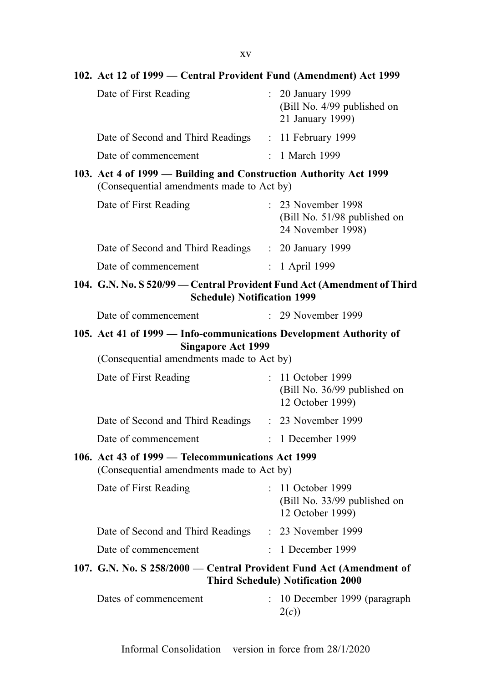102. Act 12 of 1999 — Central Provident Fund (Amendment) Act 1999 Date of First Reading : 20 January 1999 (Bill No. 4/99 published on 21 January 1999) Date of Second and Third Readings : 11 February 1999 Date of commencement : 1 March 1999 103. Act 4 of 1999 — Building and Construction Authority Act 1999 (Consequential amendments made to Act by) Date of First Reading : 23 November 1998 (Bill No. 51/98 published on 24 November 1998) Date of Second and Third Readings : 20 January 1999 Date of commencement : 1 April 1999 104. G.N. No. S 520/99 — Central Provident Fund Act (Amendment of Third Schedule) Notification 1999 Date of commencement : 29 November 1999 105. Act 41 of 1999 — Info-communications Development Authority of Singapore Act 1999 (Consequential amendments made to Act by) Date of First Reading : 11 October 1999 (Bill No. 36/99 published on 12 October 1999) Date of Second and Third Readings : 23 November 1999 Date of commencement : 1 December 1999 106. Act 43 of 1999 — Telecommunications Act 1999 (Consequential amendments made to Act by) Date of First Reading : 11 October 1999 (Bill No. 33/99 published on 12 October 1999) Date of Second and Third Readings : 23 November 1999 Date of commencement : 1 December 1999 107. G.N. No. S 258/2000 — Central Provident Fund Act (Amendment of Third Schedule) Notification 2000

| Dates of commencement | : 10 December 1999 (paragraph |
|-----------------------|-------------------------------|
|                       | 2(c)                          |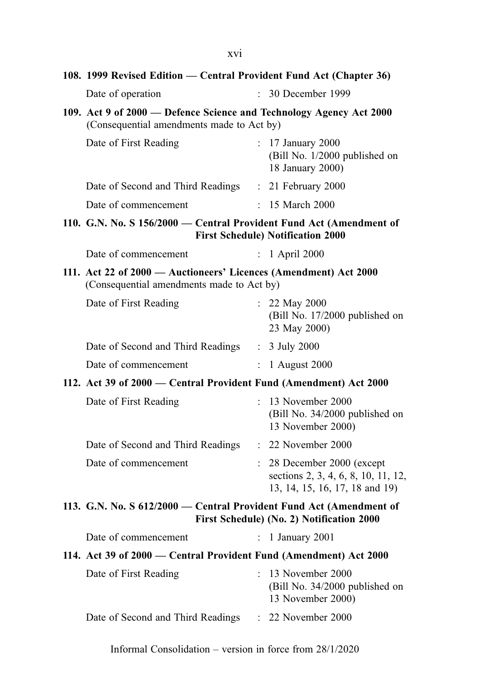108. 1999 Revised Edition — Central Provident Fund Act (Chapter 36)

| Date of operation                                                                                                | $\therefore$ 30 December 1999                                            |  |  |
|------------------------------------------------------------------------------------------------------------------|--------------------------------------------------------------------------|--|--|
| 109. Act 9 of 2000 — Defence Science and Technology Agency Act 2000<br>(Consequential amendments made to Act by) |                                                                          |  |  |
| Date of First Reading                                                                                            | $: 17$ January 2000<br>(Bill No. 1/2000 published on<br>18 January 2000) |  |  |
| Date of Second and Third Readings                                                                                | $\therefore$ 21 February 2000                                            |  |  |
| Date of commencement                                                                                             | : 15 March 2000                                                          |  |  |
| 110. G.N. No. S 156/2000 — Central Provident Fund Act (Amendment of<br><b>First Schedule) Notification 2000</b>  |                                                                          |  |  |
| Date of commencement                                                                                             | $: 1$ April 2000                                                         |  |  |

111. Act 22 of 2000 — Auctioneers' Licences (Amendment) Act 2000 (Consequential amendments made to Act by)

| Date of First Reading             | $: 22$ May 2000<br>(Bill No. 17/2000 published on<br>23 May 2000) |
|-----------------------------------|-------------------------------------------------------------------|
| Date of Second and Third Readings | $: 3$ July 2000                                                   |
| Date of commencement              | $\therefore$ 1 August 2000                                        |

112. Act 39 of 2000 — Central Provident Fund (Amendment) Act 2000

| Date of First Reading             | $: 13$ November 2000<br>(Bill No. $34/2000$ published on<br>13 November 2000)                         |
|-----------------------------------|-------------------------------------------------------------------------------------------------------|
| Date of Second and Third Readings | $\therefore$ 22 November 2000                                                                         |
| Date of commencement              | $: 28$ December 2000 (except<br>sections 2, 3, 4, 6, 8, 10, 11, 12,<br>13, 14, 15, 16, 17, 18 and 19) |

# 113. G.N. No. S 612/2000 — Central Provident Fund Act (Amendment of First Schedule) (No. 2) Notification 2000

| Date of commencement |  | 1 January 2001 |
|----------------------|--|----------------|
|----------------------|--|----------------|

## 114. Act 39 of 2000 — Central Provident Fund (Amendment) Act 2000

| Date of First Reading             | $\therefore$ 13 November 2000<br>(Bill No. 34/2000 published on<br>13 November 2000) |
|-----------------------------------|--------------------------------------------------------------------------------------|
| Date of Second and Third Readings | $\therefore$ 22 November 2000                                                        |

Informal Consolidation – version in force from 28/1/2020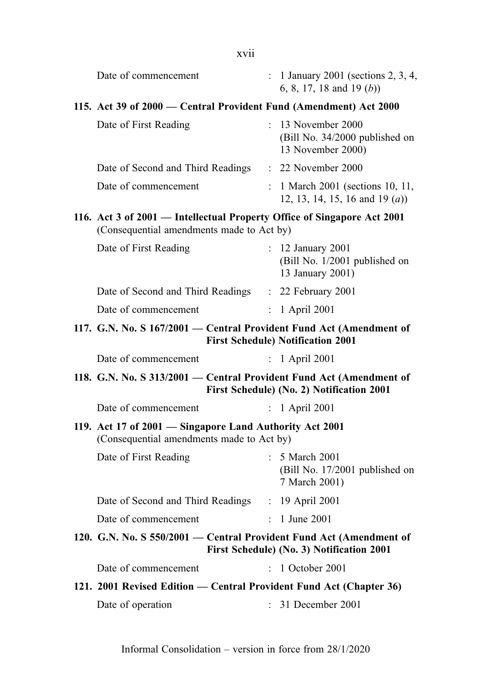| xvii                                                                                                                 |                      |                                                                           |
|----------------------------------------------------------------------------------------------------------------------|----------------------|---------------------------------------------------------------------------|
| Date of commencement                                                                                                 |                      | $: 1$ January 2001 (sections 2, 3, 4,<br>6, 8, 17, 18 and 19 $(b)$ )      |
| 115. Act 39 of 2000 – Central Provident Fund (Amendment) Act 2000                                                    |                      |                                                                           |
| Date of First Reading                                                                                                |                      | : 13 November 2000<br>(Bill No. 34/2000 published on<br>13 November 2000) |
| Date of Second and Third Readings                                                                                    |                      | : 22 November 2000                                                        |
| Date of commencement                                                                                                 |                      | : 1 March 2001 (sections 10, 11,<br>12, 13, 14, 15, 16 and 19 $(a)$ )     |
| 116. Act 3 of 2001 - Intellectual Property Office of Singapore Act 2001<br>(Consequential amendments made to Act by) |                      |                                                                           |
| Date of First Reading                                                                                                |                      | : 12 January 2001<br>(Bill No. 1/2001 published on<br>13 January 2001)    |
| Date of Second and Third Readings : 22 February 2001                                                                 |                      |                                                                           |
| Date of commencement                                                                                                 |                      | $: 1$ April 2001                                                          |
| 117. G.N. No. S 167/2001 - Central Provident Fund Act (Amendment of                                                  |                      | <b>First Schedule) Notification 2001</b>                                  |
| Date of commencement                                                                                                 | $\ddot{\phantom{0}}$ | 1 April 2001                                                              |
| 118. G.N. No. S 313/2001 - Central Provident Fund Act (Amendment of                                                  |                      | First Schedule) (No. 2) Notification 2001                                 |
| Date of commencement                                                                                                 |                      | $: 1$ April 2001                                                          |
| 119. Act 17 of 2001 - Singapore Land Authority Act 2001<br>(Consequential amendments made to Act by)                 |                      |                                                                           |
| Date of First Reading                                                                                                |                      | : 5 March 2001<br>(Bill No. 17/2001 published on<br>7 March 2001)         |
| Date of Second and Third Readings                                                                                    |                      | : 19 April 2001                                                           |
| Date of commencement                                                                                                 |                      | 1 June 2001                                                               |
| 120. G.N. No. S 550/2001 - Central Provident Fund Act (Amendment of                                                  |                      | First Schedule) (No. 3) Notification 2001                                 |
| Date of commencement                                                                                                 |                      | : 1 October 2001                                                          |
| 121. 2001 Revised Edition - Central Provident Fund Act (Chapter 36)                                                  |                      |                                                                           |
| Date of operation                                                                                                    |                      | : 31 December 2001                                                        |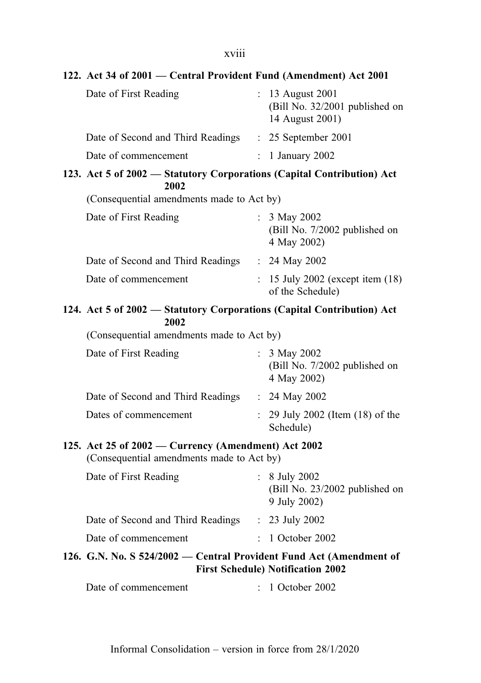# xviii

| 122. Act 34 of 2001 - Central Provident Fund (Amendment) Act 2001                                |                           |                                                                       |  |
|--------------------------------------------------------------------------------------------------|---------------------------|-----------------------------------------------------------------------|--|
| Date of First Reading                                                                            |                           | : 13 August 2001<br>(Bill No. 32/2001 published on<br>14 August 2001) |  |
| Date of Second and Third Readings                                                                |                           | $: 25$ September 2001                                                 |  |
| Date of commencement                                                                             | $\mathbb{R}^{\mathbb{Z}}$ | 1 January 2002                                                        |  |
| 123. Act 5 of 2002 - Statutory Corporations (Capital Contribution) Act<br>2002                   |                           |                                                                       |  |
| (Consequential amendments made to Act by)                                                        |                           |                                                                       |  |
| Date of First Reading                                                                            |                           | : $3$ May 2002<br>(Bill No. 7/2002 published on<br>4 May 2002)        |  |
| Date of Second and Third Readings : 24 May 2002                                                  |                           |                                                                       |  |
| Date of commencement                                                                             |                           | $: 15$ July 2002 (except item $(18)$ )<br>of the Schedule)            |  |
| 124. Act 5 of 2002 – Statutory Corporations (Capital Contribution) Act<br>2002                   |                           |                                                                       |  |
| (Consequential amendments made to Act by)                                                        |                           |                                                                       |  |
| Date of First Reading                                                                            |                           | : $3$ May 2002<br>(Bill No. 7/2002 published on<br>4 May 2002)        |  |
| Date of Second and Third Readings                                                                |                           | : $24$ May 2002                                                       |  |
| Dates of commencement                                                                            | ÷.                        | 29 July 2002 (Item (18) of the<br>Schedule)                           |  |
| 125. Act 25 of 2002 – Currency (Amendment) Act 2002<br>(Consequential amendments made to Act by) |                           |                                                                       |  |
| Date of First Reading                                                                            | $\mathbb{R}^{\mathbb{Z}}$ | 8 July 2002<br>$(Bill No. 23/2002$ published on<br>9 July 2002)       |  |
| Date of Second and Third Readings                                                                |                           | $: 23$ July 2002                                                      |  |
| Date of commencement                                                                             |                           | 1 October 2002                                                        |  |
| 126. G.N. No. S 524/2002 – Central Provident Fund Act (Amendment of                              |                           | <b>First Schedule) Notification 2002</b>                              |  |
| Date of commencement                                                                             |                           | 1 October 2002                                                        |  |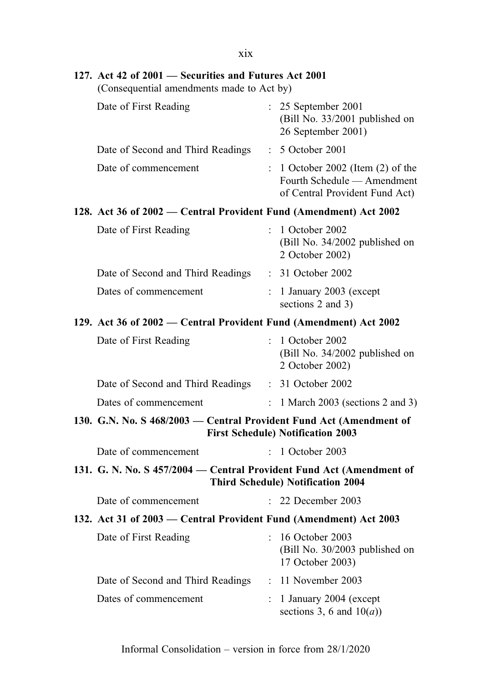| X1X                                                                                                |                |                                                                                                    |  |
|----------------------------------------------------------------------------------------------------|----------------|----------------------------------------------------------------------------------------------------|--|
| 127. Act 42 of 2001 – Securities and Futures Act 2001<br>(Consequential amendments made to Act by) |                |                                                                                                    |  |
| Date of First Reading                                                                              |                | : 25 September 2001<br>(Bill No. 33/2001 published on<br>26 September 2001)                        |  |
| Date of Second and Third Readings                                                                  |                | : 5 October 2001                                                                                   |  |
| Date of commencement                                                                               | $\ddot{\cdot}$ | 1 October 2002 (Item $(2)$ of the<br>Fourth Schedule — Amendment<br>of Central Provident Fund Act) |  |
| 128. Act 36 of 2002 – Central Provident Fund (Amendment) Act 2002                                  |                |                                                                                                    |  |
| Date of First Reading                                                                              |                | 1 October 2002<br>(Bill No. 34/2002 published on<br>2 October 2002)                                |  |
| Date of Second and Third Readings                                                                  |                | : 31 October 2002                                                                                  |  |
| Dates of commencement                                                                              |                | : $1$ January 2003 (except<br>sections 2 and 3)                                                    |  |
| 129. Act 36 of 2002 – Central Provident Fund (Amendment) Act 2002                                  |                |                                                                                                    |  |
| Date of First Reading                                                                              |                | : 1 October 2002<br>(Bill No. 34/2002 published on<br>2 October 2002)                              |  |
| Date of Second and Third Readings                                                                  |                | $: 31$ October 2002                                                                                |  |
| Dates of commencement                                                                              | $\mathbf{L}$   | 1 March 2003 (sections 2 and 3)                                                                    |  |
| 130. G.N. No. S 468/2003 - Central Provident Fund Act (Amendment of                                |                | <b>First Schedule) Notification 2003</b>                                                           |  |
| Date of commencement                                                                               | ÷.             | 1 October 2003                                                                                     |  |
| 131. G. N. No. S 457/2004 – Central Provident Fund Act (Amendment of                               |                | <b>Third Schedule) Notification 2004</b>                                                           |  |
| Date of commencement                                                                               |                | 22 December 2003                                                                                   |  |
| 132. Act 31 of 2003 – Central Provident Fund (Amendment) Act 2003                                  |                |                                                                                                    |  |
| Date of First Reading                                                                              | $\ddot{\cdot}$ | 16 October 2003<br>(Bill No. 30/2003 published on<br>17 October 2003)                              |  |
| Date of Second and Third Readings                                                                  |                | : 11 November 2003                                                                                 |  |
| Dates of commencement                                                                              |                | 1 January 2004 (except<br>sections 3, 6 and $10(a)$ )                                              |  |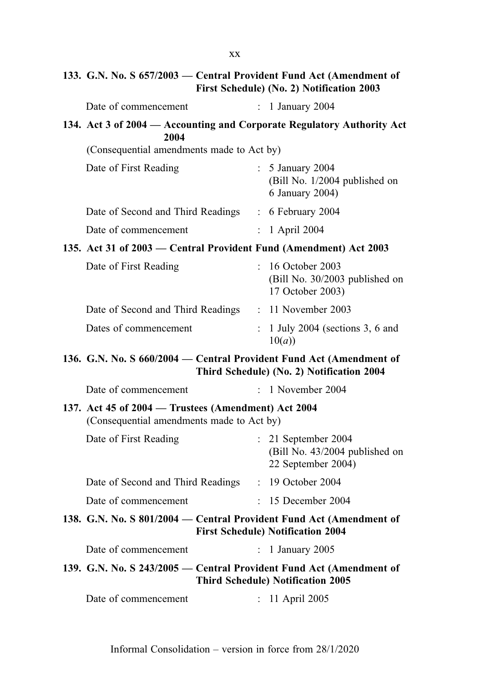# 133. G.N. No. S 657/2003 — Central Provident Fund Act (Amendment of First Schedule) (No. 2) Notification 2003

| Date of commencement                                                                             |                      | : 1 January 2004                                                              |
|--------------------------------------------------------------------------------------------------|----------------------|-------------------------------------------------------------------------------|
| 134. Act 3 of 2004 – Accounting and Corporate Regulatory Authority Act                           |                      |                                                                               |
| 2004<br>(Consequential amendments made to Act by)                                                |                      |                                                                               |
|                                                                                                  |                      |                                                                               |
| Date of First Reading                                                                            |                      | : 5 January 2004<br>(Bill No. 1/2004 published on<br>6 January 2004)          |
| Date of Second and Third Readings : 6 February 2004                                              |                      |                                                                               |
| Date of commencement                                                                             |                      | : 1 April 2004                                                                |
| 135. Act 31 of 2003 – Central Provident Fund (Amendment) Act 2003                                |                      |                                                                               |
| Date of First Reading                                                                            |                      | : 16 October 2003<br>(Bill No. 30/2003 published on<br>17 October 2003)       |
| Date of Second and Third Readings : 11 November 2003                                             |                      |                                                                               |
| Dates of commencement                                                                            | $\ddot{\cdot}$       | 1 July 2004 (sections 3, 6 and<br>10(a)                                       |
| 136. G.N. No. S 660/2004 - Central Provident Fund Act (Amendment of                              |                      | Third Schedule) (No. 2) Notification 2004                                     |
| Date of commencement                                                                             |                      | $: 1$ November 2004                                                           |
| 137. Act 45 of 2004 - Trustees (Amendment) Act 2004<br>(Consequential amendments made to Act by) |                      |                                                                               |
| Date of First Reading                                                                            |                      | $: 21$ September 2004<br>(Bill No. 43/2004 published on<br>22 September 2004) |
| Date of Second and Third Readings                                                                |                      | $: 19$ October 2004                                                           |
| Date of commencement                                                                             | ÷                    | 15 December 2004                                                              |
| 138. G.N. No. S 801/2004 - Central Provident Fund Act (Amendment of                              |                      | <b>First Schedule) Notification 2004</b>                                      |
| Date of commencement                                                                             | $\ddot{\phantom{0}}$ | 1 January 2005                                                                |
| 139. G.N. No. S 243/2005 - Central Provident Fund Act (Amendment of                              |                      |                                                                               |
|                                                                                                  |                      | <b>Third Schedule) Notification 2005</b>                                      |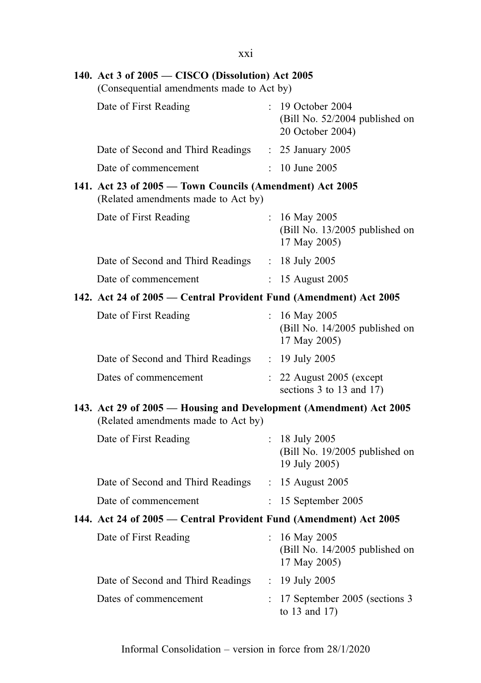| XX1                                                                                                       |                |                                                                         |
|-----------------------------------------------------------------------------------------------------------|----------------|-------------------------------------------------------------------------|
| 140. Act 3 of 2005 – CISCO (Dissolution) Act 2005<br>(Consequential amendments made to Act by)            |                |                                                                         |
| Date of First Reading                                                                                     |                | : 19 October 2004<br>(Bill No. 52/2004 published on<br>20 October 2004) |
| Date of Second and Third Readings                                                                         |                | : 25 January 2005                                                       |
| Date of commencement                                                                                      | $\mathcal{L}$  | 10 June 2005                                                            |
| 141. Act 23 of 2005 - Town Councils (Amendment) Act 2005<br>(Related amendments made to Act by)           |                |                                                                         |
| Date of First Reading                                                                                     |                | : $16$ May 2005<br>(Bill No. 13/2005 published on<br>17 May 2005)       |
| Date of Second and Third Readings : 18 July 2005                                                          |                |                                                                         |
| Date of commencement                                                                                      |                | : 15 August 2005                                                        |
| 142. Act 24 of 2005 – Central Provident Fund (Amendment) Act 2005                                         |                |                                                                         |
| Date of First Reading                                                                                     |                | : 16 May 2005<br>(Bill No. 14/2005 published on<br>17 May 2005)         |
| Date of Second and Third Readings : 19 July 2005                                                          |                |                                                                         |
| Dates of commencement                                                                                     |                | $: 22$ August 2005 (except<br>sections $3$ to $13$ and $17$ )           |
| 143. Act 29 of 2005 – Housing and Development (Amendment) Act 2005<br>(Related amendments made to Act by) |                |                                                                         |
| Date of First Reading                                                                                     |                | : $18$ July 2005<br>(Bill No. 19/2005 published on<br>19 July 2005)     |
| Date of Second and Third Readings : 15 August 2005                                                        |                |                                                                         |
| Date of commencement                                                                                      | $\ddot{\cdot}$ | 15 September 2005                                                       |
| 144. Act 24 of 2005 – Central Provident Fund (Amendment) Act 2005                                         |                |                                                                         |
| Date of First Reading                                                                                     | $\mathbf{r}$   | 16 May 2005<br>(Bill No. 14/2005 published on<br>17 May 2005)           |
| Date of Second and Third Readings                                                                         |                | : 19 July 2005                                                          |
| Dates of commencement                                                                                     |                | : 17 September 2005 (sections 3<br>to $13$ and $17$ )                   |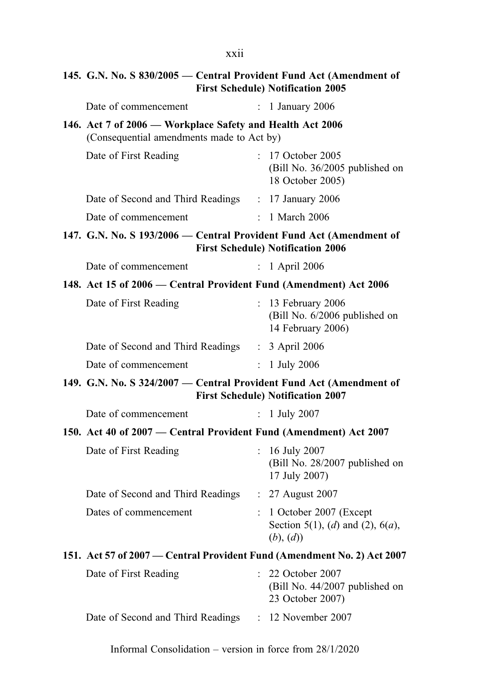# 145. G.N. No. S 830/2005 — Central Provident Fund Act (Amendment of First Schedule) Notification 2005

| Date of commencement                                                                                   |                           | : 1 January 2006                                                           |
|--------------------------------------------------------------------------------------------------------|---------------------------|----------------------------------------------------------------------------|
| 146. Act 7 of 2006 - Workplace Safety and Health Act 2006<br>(Consequential amendments made to Act by) |                           |                                                                            |
| Date of First Reading                                                                                  |                           | : 17 October 2005<br>(Bill No. 36/2005 published on<br>18 October 2005)    |
| Date of Second and Third Readings : 17 January 2006                                                    |                           |                                                                            |
| Date of commencement                                                                                   |                           | $: 1$ March 2006                                                           |
| 147. G.N. No. S 193/2006 – Central Provident Fund Act (Amendment of                                    |                           | <b>First Schedule) Notification 2006</b>                                   |
| Date of commencement                                                                                   | $\mathbb{R}^{\mathbb{Z}}$ | 1 April 2006                                                               |
| 148. Act 15 of 2006 – Central Provident Fund (Amendment) Act 2006                                      |                           |                                                                            |
| Date of First Reading                                                                                  | $\mathbb{R}^{\mathbb{Z}}$ | 13 February 2006<br>(Bill No. 6/2006 published on<br>14 February 2006)     |
| Date of Second and Third Readings                                                                      |                           | $\therefore$ 3 April 2006                                                  |
| Date of commencement                                                                                   | $\mathbb{R}^{\mathbb{Z}}$ | 1 July 2006                                                                |
| 149. G.N. No. S 324/2007 – Central Provident Fund Act (Amendment of                                    |                           | <b>First Schedule) Notification 2007</b>                                   |
| Date of commencement                                                                                   | $\ddot{\cdot}$            | 1 July 2007                                                                |
| 150. Act 40 of 2007 – Central Provident Fund (Amendment) Act 2007                                      |                           |                                                                            |
| Date of First Reading                                                                                  | $\ddot{\cdot}$            | 16 July 2007<br>(Bill No. 28/2007 published on<br>17 July 2007)            |
| Date of Second and Third Readings                                                                      |                           | $\therefore$ 27 August 2007                                                |
| Dates of commencement                                                                                  |                           | 1 October 2007 (Except<br>Section 5(1), (d) and (2), $6(a)$ ,<br>(b), (d)) |
| 151. Act 57 of 2007 – Central Provident Fund (Amendment No. 2) Act 2007                                |                           |                                                                            |
| Date of First Reading                                                                                  |                           | 22 October 2007<br>(Bill No. 44/2007 published on<br>23 October 2007)      |
| Date of Second and Third Readings                                                                      | $\mathbb{R}^{\mathbb{Z}}$ | 12 November 2007                                                           |

Informal Consolidation – version in force from 28/1/2020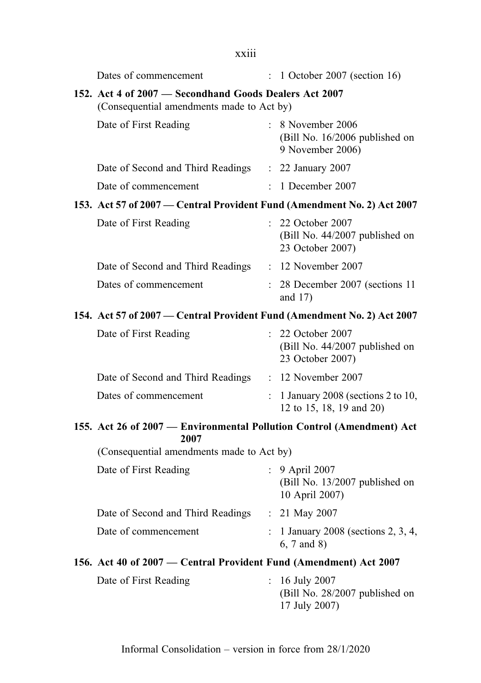| xxiii                                                                                               |                      |                                                                            |  |
|-----------------------------------------------------------------------------------------------------|----------------------|----------------------------------------------------------------------------|--|
| Dates of commencement                                                                               |                      | $: 1$ October 2007 (section 16)                                            |  |
| 152. Act 4 of 2007 - Secondhand Goods Dealers Act 2007<br>(Consequential amendments made to Act by) |                      |                                                                            |  |
| Date of First Reading                                                                               |                      | $: 8$ November 2006<br>(Bill No. 16/2006 published on<br>9 November 2006)  |  |
| Date of Second and Third Readings : 22 January 2007                                                 |                      |                                                                            |  |
| Date of commencement                                                                                |                      | $\therefore$ 1 December 2007                                               |  |
| 153. Act 57 of 2007 - Central Provident Fund (Amendment No. 2) Act 2007                             |                      |                                                                            |  |
| Date of First Reading                                                                               |                      | : 22 October 2007<br>(Bill No. 44/2007 published on<br>23 October 2007)    |  |
| Date of Second and Third Readings : 12 November 2007                                                |                      |                                                                            |  |
| Dates of commencement                                                                               |                      | : 28 December 2007 (sections 11<br>and $17)$                               |  |
| 154. Act 57 of 2007 – Central Provident Fund (Amendment No. 2) Act 2007                             |                      |                                                                            |  |
| Date of First Reading                                                                               |                      | : 22 October 2007<br>(Bill No. 44/2007 published on<br>23 October 2007)    |  |
| Date of Second and Third Readings                                                                   |                      | : 12 November 2007                                                         |  |
| Dates of commencement                                                                               |                      | $\therefore$ 1 January 2008 (sections 2 to 10,<br>12 to 15, 18, 19 and 20) |  |
| 155. Act 26 of 2007 - Environmental Pollution Control (Amendment) Act<br>2007                       |                      |                                                                            |  |
| (Consequential amendments made to Act by)                                                           |                      |                                                                            |  |
| Date of First Reading                                                                               | $\ddot{\phantom{0}}$ | 9 April 2007<br>$(Bill No. 13/2007$ published on<br>10 April 2007)         |  |
| Date of Second and Third Readings                                                                   |                      | : $21$ May 2007                                                            |  |
| Date of commencement                                                                                |                      | 1 January 2008 (sections 2, 3, 4,<br>6, 7 and 8)                           |  |
| 156. Act 40 of 2007 – Central Provident Fund (Amendment) Act 2007                                   |                      |                                                                            |  |
| Date of First Reading                                                                               | $\ddot{\phantom{0}}$ | 16 July 2007<br>(Bill No. 28/2007 published on<br>17 July 2007)            |  |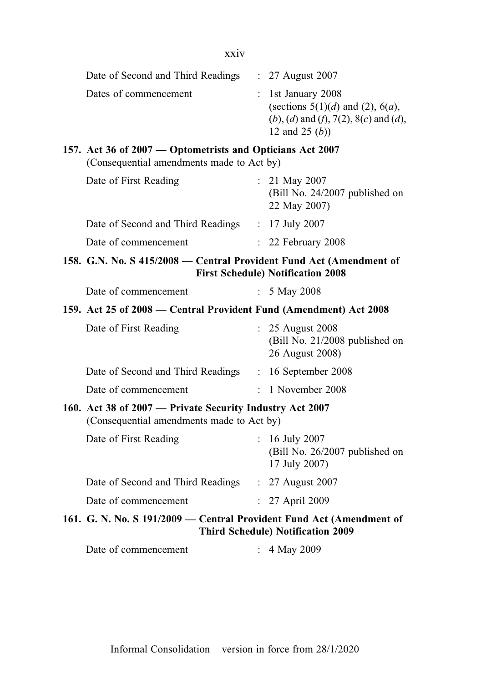xxiv

| Date of Second and Third Readings                                                                      | $\therefore$ 27 August 2007                                                                                                 |
|--------------------------------------------------------------------------------------------------------|-----------------------------------------------------------------------------------------------------------------------------|
| Dates of commencement                                                                                  | $:$ 1st January 2008<br>(sections $5(1)(d)$ and (2), $6(a)$ ,<br>(b), (d) and (f), 7(2), 8(c) and (d),<br>12 and 25 $(b)$ ) |
| 157. Act 36 of 2007 — Optometrists and Opticians Act 2007<br>(Consequential amendments made to Act by) |                                                                                                                             |

| Date of First Reading             | : 21 May 2007<br>(Bill No. 24/2007 published on<br>22 May 2007) |
|-----------------------------------|-----------------------------------------------------------------|
| Date of Second and Third Readings | $: 17$ July 2007                                                |
| Date of commencement              | $\therefore$ 22 February 2008                                   |

#### 158. G.N. No. S 415/2008 — Central Provident Fund Act (Amendment of First Schedule) Notification 2008

| Date of commencement | : $5$ May 2008 |
|----------------------|----------------|
|----------------------|----------------|

#### 159. Act 25 of 2008 — Central Provident Fund (Amendment) Act 2008

| Date of First Reading             | $\therefore$ 25 August 2008<br>(Bill No. 21/2008 published on<br>26 August 2008) |
|-----------------------------------|----------------------------------------------------------------------------------|
| Date of Second and Third Readings | $: 16$ September 2008                                                            |
| Date of commencement              | $\therefore$ 1 November 2008                                                     |

# 160. Act 38 of 2007 — Private Security Industry Act 2007

(Consequential amendments made to Act by)

| Date of First Reading             | $: 16$ July 2007<br>(Bill No. 26/2007 published on<br>17 July 2007) |
|-----------------------------------|---------------------------------------------------------------------|
| Date of Second and Third Readings | $\therefore$ 27 August 2007                                         |
| Date of commencement              | $: 27$ April 2009                                                   |
|                                   |                                                                     |

# 161. G. N. No. S 191/2009 — Central Provident Fund Act (Amendment of Third Schedule) Notification 2009

| Date of commencement | 4 May 2009 |
|----------------------|------------|
|----------------------|------------|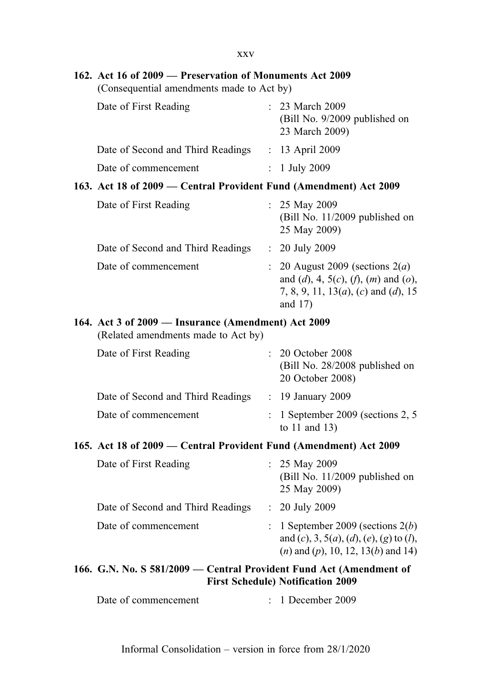xxv

| 162. Act 16 of 2009 - Preservation of Monuments Act 2009<br>(Consequential amendments made to Act by) |                     |                                                                                                                                                         |  |  |
|-------------------------------------------------------------------------------------------------------|---------------------|---------------------------------------------------------------------------------------------------------------------------------------------------------|--|--|
| Date of First Reading                                                                                 |                     | : 23 March 2009<br>(Bill No. 9/2009 published on<br>23 March 2009)                                                                                      |  |  |
| Date of Second and Third Readings : 13 April 2009                                                     |                     |                                                                                                                                                         |  |  |
| Date of commencement                                                                                  | $\mathcal{L}^{\pm}$ | 1 July 2009                                                                                                                                             |  |  |
| 163. Act 18 of 2009 – Central Provident Fund (Amendment) Act 2009                                     |                     |                                                                                                                                                         |  |  |
| Date of First Reading                                                                                 |                     | : $25$ May 2009<br>(Bill No. 11/2009 published on<br>25 May 2009)                                                                                       |  |  |
| Date of Second and Third Readings                                                                     |                     | : 20 July 2009                                                                                                                                          |  |  |
| Date of commencement                                                                                  |                     | $\therefore$ 20 August 2009 (sections 2( <i>a</i> )<br>and (d), 4, 5(c), (f), (m) and (o),<br>7, 8, 9, 11, 13 $(a)$ , $(c)$ and $(d)$ , 15<br>and $17)$ |  |  |
| 164. Act 3 of 2009 - Insurance (Amendment) Act 2009<br>(Related amendments made to Act by)            |                     |                                                                                                                                                         |  |  |
| Date of First Reading                                                                                 |                     | : 20 October 2008<br>(Bill No. 28/2008 published on<br>20 October 2008)                                                                                 |  |  |
| Date of Second and Third Readings : 19 January 2009                                                   |                     |                                                                                                                                                         |  |  |
| Date of commencement                                                                                  | $\mathcal{L}^{\pm}$ | 1 September 2009 (sections 2, 5)<br>to $11$ and $13$ )                                                                                                  |  |  |
| 165. Act 18 of 2009 - Central Provident Fund (Amendment) Act 2009                                     |                     |                                                                                                                                                         |  |  |
| Date of First Reading                                                                                 |                     | : $25$ May 2009<br>(Bill No. 11/2009 published on<br>25 May 2009)                                                                                       |  |  |
| Date of Second and Third Readings                                                                     |                     | $: 20$ July 2009                                                                                                                                        |  |  |
| Date of commencement                                                                                  |                     | 1 September 2009 (sections $2(b)$ )<br>and (c), 3, 5(a), (d), (e), (g) to (l),<br>$(n)$ and $(p)$ , 10, 12, 13 $(b)$ and 14)                            |  |  |
| 166. G.N. No. S 581/2009 - Central Provident Fund Act (Amendment of                                   |                     | <b>First Schedule) Notification 2009</b>                                                                                                                |  |  |
| Date of commencement                                                                                  |                     | 1 December 2009                                                                                                                                         |  |  |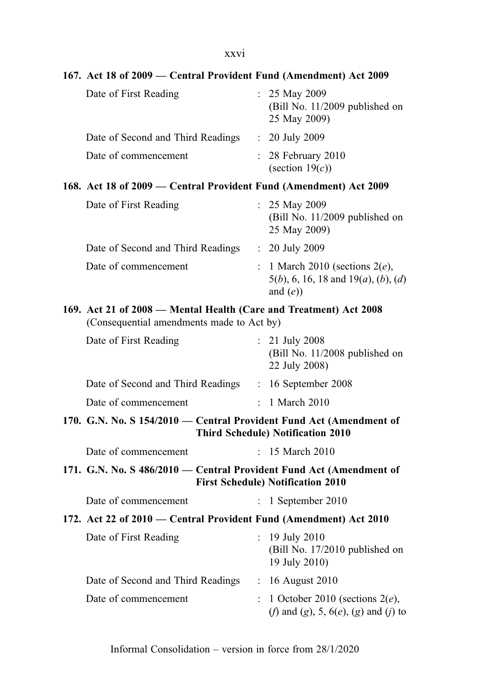# xxvi

| 167. Act 18 of 2009 – Central Provident Fund (Amendment) Act 2009                                               |                |                                                                                                                       |
|-----------------------------------------------------------------------------------------------------------------|----------------|-----------------------------------------------------------------------------------------------------------------------|
| Date of First Reading                                                                                           |                | : $25$ May 2009<br>(Bill No. 11/2009 published on<br>25 May 2009)                                                     |
| Date of Second and Third Readings                                                                               |                | $: 20$ July 2009                                                                                                      |
| Date of commencement                                                                                            |                | $: 28$ February 2010<br>(section $19(c)$ )                                                                            |
| 168. Act 18 of 2009 – Central Provident Fund (Amendment) Act 2009                                               |                |                                                                                                                       |
| Date of First Reading                                                                                           |                | : $25$ May 2009<br>(Bill No. 11/2009 published on<br>25 May 2009)                                                     |
| Date of Second and Third Readings                                                                               |                | $: 20$ July 2009                                                                                                      |
| Date of commencement                                                                                            |                | : 1 March 2010 (sections $2(e)$ ,<br>$5(b)$ , 6, 16, 18 and 19( <i>a</i> ), ( <i>b</i> ), ( <i>d</i> )<br>and $(e)$ ) |
| 169. Act 21 of 2008 - Mental Health (Care and Treatment) Act 2008<br>(Consequential amendments made to Act by)  |                |                                                                                                                       |
| Date of First Reading                                                                                           |                | $: 21$ July 2008<br>(Bill No. 11/2008 published on<br>22 July 2008)                                                   |
| Date of Second and Third Readings : 16 September 2008                                                           |                |                                                                                                                       |
| Date of commencement                                                                                            |                | 1 March 2010                                                                                                          |
| 170. G.N. No. S 154/2010 - Central Provident Fund Act (Amendment of<br><b>Third Schedule) Notification 2010</b> |                |                                                                                                                       |
| Date of commencement                                                                                            |                | : 15 March 2010                                                                                                       |
| 171. G.N. No. S 486/2010 - Central Provident Fund Act (Amendment of<br><b>First Schedule) Notification 2010</b> |                |                                                                                                                       |
| Date of commencement                                                                                            |                | $\therefore$ 1 September 2010                                                                                         |
| 172. Act 22 of 2010 – Central Provident Fund (Amendment) Act 2010                                               |                |                                                                                                                       |
| Date of First Reading                                                                                           | ÷              | 19 July 2010<br>(Bill No. 17/2010 published on<br>19 July 2010)                                                       |
| Date of Second and Third Readings                                                                               |                | : 16 August 2010                                                                                                      |
| Date of commencement                                                                                            | $\ddot{\cdot}$ | 1 October 2010 (sections $2(e)$ ,<br>( <i>f</i> ) and ( <i>g</i> ), 5, $6(e)$ , ( <i>g</i> ) and ( <i>j</i> ) to      |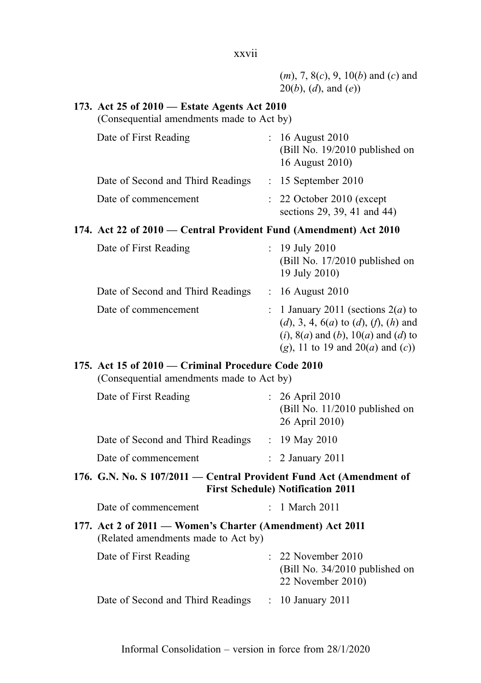| $(m)$ , 7, 8(c), 9, 10(b) and (c) and     |
|-------------------------------------------|
| $20(b)$ , ( <i>d</i> ), and ( <i>e</i> )) |
|                                           |

#### 173. Act 25 of 2010 — Estate Agents Act 2010

(Consequential amendments made to Act by)

| Date of First Reading             | : 16 August 2010<br>(Bill No. 19/2010 published on<br>16 August 2010) |
|-----------------------------------|-----------------------------------------------------------------------|
| Date of Second and Third Readings | $: 15$ September 2010                                                 |
| Date of commencement              | $\therefore$ 22 October 2010 (except<br>sections 29, 39, 41 and 44)   |

#### 174. Act 22 of 2010 — Central Provident Fund (Amendment) Act 2010

| Date of First Reading             | : $19$ July 2010<br>(Bill No. 17/2010 published on<br>19 July 2010)                                                                                                                                                                        |
|-----------------------------------|--------------------------------------------------------------------------------------------------------------------------------------------------------------------------------------------------------------------------------------------|
| Date of Second and Third Readings | : 16 August 2010                                                                                                                                                                                                                           |
| Date of commencement              | : 1 January 2011 (sections $2(a)$ to<br>$(d)$ , 3, 4, 6( <i>a</i> ) to ( <i>d</i> ), ( <i>f</i> ), ( <i>h</i> ) and<br>$(i)$ , 8( <i>a</i> ) and ( <i>b</i> ), 10( <i>a</i> ) and ( <i>d</i> ) to<br>(g), 11 to 19 and $20(a)$ and $(c)$ ) |

### 175. Act 15 of 2010 — Criminal Procedure Code 2010

(Consequential amendments made to Act by)

| Date of First Reading             | $: 26$ April 2010<br>(Bill No. $11/2010$ published on<br>26 April 2010) |
|-----------------------------------|-------------------------------------------------------------------------|
| Date of Second and Third Readings | : 19 May 2010                                                           |
| Date of commencement              | $\therefore$ 2 January 2011                                             |

### 176. G.N. No. S 107/2011 — Central Provident Fund Act (Amendment of First Schedule) Notification 2011

| Date of commencement | 1 March 2011 |
|----------------------|--------------|
|----------------------|--------------|

177. Act 2 of 2011 — Women's Charter (Amendment) Act 2011 (Related amendments made to Act by)

| Date of First Reading             | $\therefore$ 22 November 2010<br>(Bill No. $34/2010$ published on<br>22 November 2010) |
|-----------------------------------|----------------------------------------------------------------------------------------|
| Date of Second and Third Readings | $: 10$ January 2011                                                                    |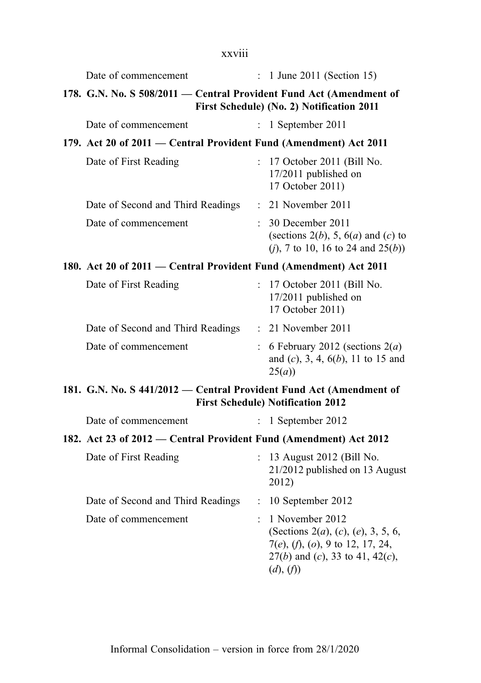| xxviii                                                                                                           |                           |                                                                                                                                                                        |  |  |
|------------------------------------------------------------------------------------------------------------------|---------------------------|------------------------------------------------------------------------------------------------------------------------------------------------------------------------|--|--|
| Date of commencement                                                                                             | $\mathbb{Z}^{\mathbb{Z}}$ | 1 June 2011 (Section 15)                                                                                                                                               |  |  |
| 178. G.N. No. S 508/2011 - Central Provident Fund Act (Amendment of<br>First Schedule) (No. 2) Notification 2011 |                           |                                                                                                                                                                        |  |  |
| Date of commencement                                                                                             | $\mathcal{I}$             | 1 September 2011                                                                                                                                                       |  |  |
| 179. Act 20 of 2011 – Central Provident Fund (Amendment) Act 2011                                                |                           |                                                                                                                                                                        |  |  |
| Date of First Reading                                                                                            |                           | : 17 October 2011 (Bill No.<br>17/2011 published on<br>17 October 2011)                                                                                                |  |  |
| Date of Second and Third Readings                                                                                |                           | $: 21$ November 2011                                                                                                                                                   |  |  |
| Date of commencement                                                                                             |                           | : 30 December 2011<br>(sections $2(b)$ , 5, $6(a)$ and $(c)$ to<br>( <i>j</i> ), 7 to 10, 16 to 24 and $25(b)$ )                                                       |  |  |
| 180. Act 20 of 2011 – Central Provident Fund (Amendment) Act 2011                                                |                           |                                                                                                                                                                        |  |  |
| Date of First Reading                                                                                            |                           | : 17 October 2011 (Bill No.<br>17/2011 published on<br>17 October 2011)                                                                                                |  |  |
| Date of Second and Third Readings                                                                                |                           | $: 21$ November 2011                                                                                                                                                   |  |  |
| Date of commencement                                                                                             |                           | : 6 February 2012 (sections $2(a)$<br>and $(c)$ , 3, 4, $6(b)$ , 11 to 15 and<br>25(a)                                                                                 |  |  |
| 181. G.N. No. S 441/2012 - Central Provident Fund Act (Amendment of<br><b>First Schedule) Notification 2012</b>  |                           |                                                                                                                                                                        |  |  |
| Date of commencement                                                                                             |                           | 1 September 2012                                                                                                                                                       |  |  |
| 182. Act 23 of 2012 – Central Provident Fund (Amendment) Act 2012                                                |                           |                                                                                                                                                                        |  |  |
| Date of First Reading                                                                                            |                           | 13 August 2012 (Bill No.<br>21/2012 published on 13 August<br>2012)                                                                                                    |  |  |
| Date of Second and Third Readings                                                                                | $\ddot{\cdot}$            | 10 September 2012                                                                                                                                                      |  |  |
| Date of commencement                                                                                             |                           | 1 November 2012<br>(Sections 2( <i>a</i> ), ( <i>c</i> ), ( <i>e</i> ), 3, 5, 6,<br>7(e), (f), (o), 9 to 12, 17, 24,<br>$27(b)$ and (c), 33 to 41, 42(c),<br>(d), (f)) |  |  |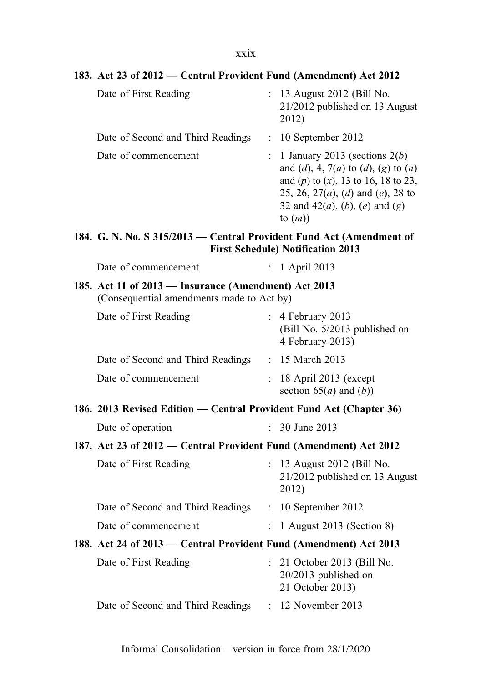#### 183. Act 23 of 2012 — Central Provident Fund (Amendment) Act 2012

| Date of First Reading             | : 13 August 2012 (Bill No.<br>21/2012 published on 13 August<br>2012)                                                                                                                                                                           |
|-----------------------------------|-------------------------------------------------------------------------------------------------------------------------------------------------------------------------------------------------------------------------------------------------|
| Date of Second and Third Readings | $: 10$ September 2012                                                                                                                                                                                                                           |
| Date of commencement              | : 1 January 2013 (sections $2(b)$<br>and (d), 4, 7(a) to (d), (g) to (n)<br>and (p) to (x), 13 to 16, 18 to 23,<br>25, 26, 27 $(a)$ , $(d)$ and $(e)$ , 28 to<br>32 and 42( <i>a</i> ), ( <i>b</i> ), ( <i>e</i> ) and ( <i>g</i> )<br>to $(m)$ |

#### 184. G. N. No. S 315/2013 — Central Provident Fund Act (Amendment of First Schedule) Notification 2013

| Date of commencement |  | 1 April 2013 |
|----------------------|--|--------------|
|----------------------|--|--------------|

## 185. Act 11 of 2013 — Insurance (Amendment) Act 2013 (Consequential amendments made to Act by)

| Date of First Reading             | $\therefore$ 4 February 2013<br>(Bill No. 5/2013 published on<br>4 February 2013) |
|-----------------------------------|-----------------------------------------------------------------------------------|
| Date of Second and Third Readings | : 15 March 2013                                                                   |
| Date of commencement              | $: 18$ April 2013 (except<br>section $65(a)$ and $(b)$ )                          |

186. 2013 Revised Edition — Central Provident Fund Act (Chapter 36)

| Date of operation | 30 June 2013 |
|-------------------|--------------|
|-------------------|--------------|

187. Act 23 of 2012 — Central Provident Fund (Amendment) Act 2012

| Date of First Reading                                             | $: 13$ August 2012 (Bill No.<br>21/2012 published on 13 August<br>2012) |
|-------------------------------------------------------------------|-------------------------------------------------------------------------|
| Date of Second and Third Readings                                 | $: 10$ September 2012                                                   |
| Date of commencement                                              | $: 1$ August 2013 (Section 8)                                           |
| 188. Act 24 of 2013 — Central Provident Fund (Amendment) Act 2013 |                                                                         |

| Date of First Reading             | $\therefore$ 21 October 2013 (Bill No.<br>$20/2013$ published on |
|-----------------------------------|------------------------------------------------------------------|
|                                   | 21 October 2013)                                                 |
| Date of Second and Third Readings | $: 12$ November 2013                                             |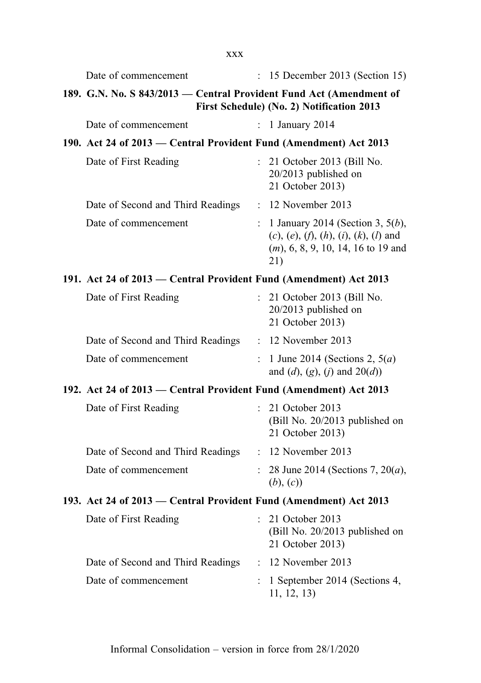| <b>XXX</b>                                                          |                      |                                                                                                                                  |  |
|---------------------------------------------------------------------|----------------------|----------------------------------------------------------------------------------------------------------------------------------|--|
| Date of commencement                                                | $\ddot{\phantom{0}}$ | 15 December 2013 (Section 15)                                                                                                    |  |
| 189. G.N. No. S 843/2013 – Central Provident Fund Act (Amendment of |                      | First Schedule) (No. 2) Notification 2013                                                                                        |  |
| Date of commencement                                                | $\mathbf{r}$         | 1 January 2014                                                                                                                   |  |
| 190. Act 24 of 2013 – Central Provident Fund (Amendment) Act 2013   |                      |                                                                                                                                  |  |
| Date of First Reading                                               |                      | : 21 October 2013 (Bill No.<br>20/2013 published on<br>21 October 2013)                                                          |  |
| Date of Second and Third Readings                                   |                      | $: 12$ November 2013                                                                                                             |  |
| Date of commencement                                                |                      | : 1 January 2014 (Section 3, $5(b)$ ,<br>$(c), (e), (f), (h), (i), (k), (l)$ and<br>$(m)$ , 6, 8, 9, 10, 14, 16 to 19 and<br>21) |  |
| 191. Act 24 of 2013 – Central Provident Fund (Amendment) Act 2013   |                      |                                                                                                                                  |  |
| Date of First Reading                                               |                      | 21 October 2013 (Bill No.<br>20/2013 published on<br>21 October 2013)                                                            |  |
| Date of Second and Third Readings                                   |                      | $: 12$ November 2013                                                                                                             |  |
| Date of commencement                                                |                      | 1 June 2014 (Sections 2, $5(a)$ )<br>and (d), (g), (j) and $20(d)$ )                                                             |  |
| 192. Act 24 of 2013 – Central Provident Fund (Amendment) Act 2013   |                      |                                                                                                                                  |  |
| Date of First Reading                                               |                      | : 21 October 2013<br>(Bill No. 20/2013 published on<br>21 October 2013)                                                          |  |
| Date of Second and Third Readings                                   |                      | : 12 November 2013                                                                                                               |  |
| Date of commencement                                                |                      | 28 June 2014 (Sections 7, 20( <i>a</i> ),<br>(b), (c)                                                                            |  |
| 193. Act 24 of 2013 – Central Provident Fund (Amendment) Act 2013   |                      |                                                                                                                                  |  |
| Date of First Reading                                               | $\mathbf{r}$         | 21 October 2013<br>(Bill No. 20/2013 published on<br>21 October 2013)                                                            |  |
| Date of Second and Third Readings                                   |                      | : 12 November 2013                                                                                                               |  |
| Date of commencement                                                |                      | 1 September 2014 (Sections 4,<br>11, 12, 13)                                                                                     |  |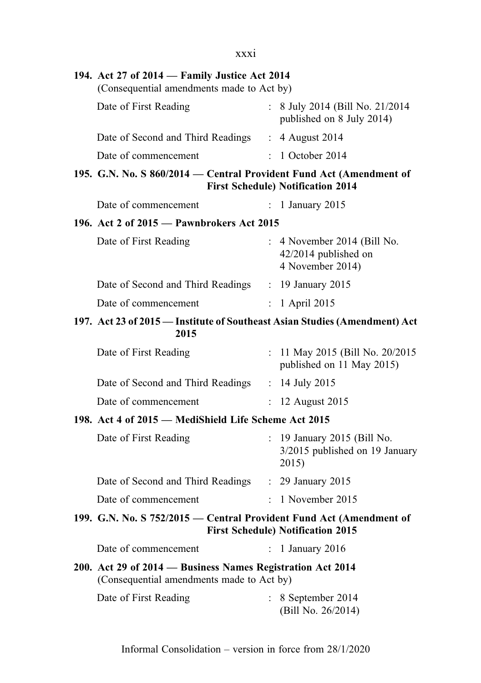| XXX1                                                                                                    |                      |                                                                           |
|---------------------------------------------------------------------------------------------------------|----------------------|---------------------------------------------------------------------------|
| 194. Act 27 of 2014 - Family Justice Act 2014<br>(Consequential amendments made to Act by)              |                      |                                                                           |
| Date of First Reading                                                                                   |                      | : 8 July 2014 (Bill No. 21/2014)<br>published on 8 July 2014)             |
| Date of Second and Third Readings : 4 August 2014                                                       |                      |                                                                           |
| Date of commencement                                                                                    |                      | $\therefore$ 1 October 2014                                               |
| 195. G.N. No. S 860/2014 - Central Provident Fund Act (Amendment of                                     |                      | <b>First Schedule) Notification 2014</b>                                  |
| Date of commencement                                                                                    |                      | : 1 January 2015                                                          |
| 196. Act 2 of 2015 - Pawnbrokers Act 2015                                                               |                      |                                                                           |
| Date of First Reading                                                                                   |                      | $: 4$ November 2014 (Bill No.<br>42/2014 published on<br>4 November 2014) |
| Date of Second and Third Readings : 19 January 2015                                                     |                      |                                                                           |
| Date of commencement                                                                                    |                      | $: 1$ April 2015                                                          |
| 197. Act 23 of 2015 - Institute of Southeast Asian Studies (Amendment) Act<br>2015                      |                      |                                                                           |
| Date of First Reading                                                                                   |                      | : 11 May 2015 (Bill No. 20/2015)<br>published on 11 May 2015)             |
| Date of Second and Third Readings : 14 July 2015                                                        |                      |                                                                           |
| Date of commencement                                                                                    |                      | $: 12$ August 2015                                                        |
| 198. Act 4 of 2015 - MediShield Life Scheme Act 2015                                                    |                      |                                                                           |
| Date of First Reading                                                                                   |                      | : 19 January 2015 (Bill No.<br>3/2015 published on 19 January<br>2015)    |
| Date of Second and Third Readings : 29 January 2015                                                     |                      |                                                                           |
| Date of commencement                                                                                    |                      | $: 1$ November 2015                                                       |
| 199. G.N. No. S 752/2015 - Central Provident Fund Act (Amendment of                                     |                      | <b>First Schedule) Notification 2015</b>                                  |
| Date of commencement                                                                                    | $\ddot{\phantom{0}}$ | 1 January 2016                                                            |
| 200. Act 29 of 2014 - Business Names Registration Act 2014<br>(Consequential amendments made to Act by) |                      |                                                                           |
| Date of First Reading                                                                                   |                      | 8 September 2014<br>(Bill No. 26/2014)                                    |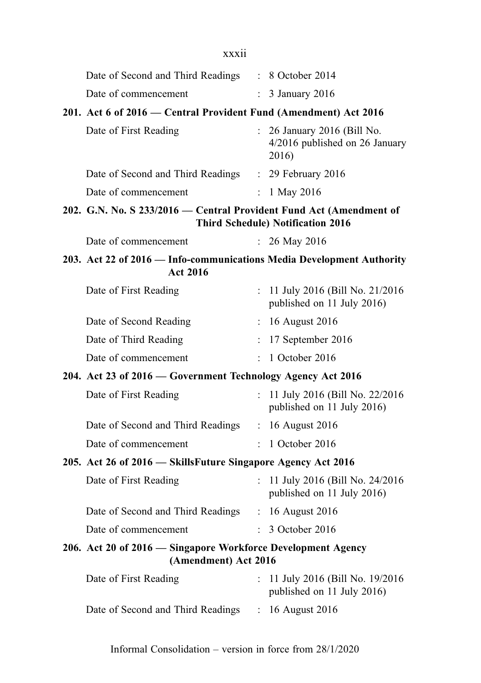| Date of Second and Third Readings | : 8 October 2014            |
|-----------------------------------|-----------------------------|
| Date of commencement              | $\therefore$ 3 January 2016 |

#### 201. Act 6 of 2016 — Central Provident Fund (Amendment) Act 2016

| Date of First Reading             | $\therefore$ 26 January 2016 (Bill No.<br>4/2016 published on 26 January<br>2016) |
|-----------------------------------|-----------------------------------------------------------------------------------|
| Date of Second and Third Readings | $\therefore$ 29 February 2016                                                     |
| Date of commencement              | : 1 May 2016                                                                      |

#### 202. G.N. No. S 233/2016 — Central Provident Fund Act (Amendment of Third Schedule) Notification 2016

| Date of commencement | 26 May 2016 |
|----------------------|-------------|
|----------------------|-------------|

#### 203. Act 22 of 2016 — Info-communications Media Development Authority Act 2016

| Date of First Reading  | : 11 July 2016 (Bill No. 21/2016)<br>published on 11 July 2016) |
|------------------------|-----------------------------------------------------------------|
| Date of Second Reading | $\therefore$ 16 August 2016                                     |
| Date of Third Reading  | $: 17$ September 2016                                           |
| Date of commencement   | $\therefore$ 1 October 2016                                     |

## 204. Act 23 of 2016 — Government Technology Agency Act 2016

| Date of First Reading             | : 11 July 2016 (Bill No. $22/2016$<br>published on 11 July 2016) |
|-----------------------------------|------------------------------------------------------------------|
| Date of Second and Third Readings | : 16 August 2016                                                 |
| Date of commencement              | $\therefore$ 1 October 2016                                      |

## 205. Act 26 of 2016 — SkillsFuture Singapore Agency Act 2016

| Date of First Reading             | : 11 July 2016 (Bill No. $24/2016$<br>published on 11 July 2016) |
|-----------------------------------|------------------------------------------------------------------|
| Date of Second and Third Readings | $\therefore$ 16 August 2016                                      |
| Date of commencement              | $\therefore$ 3 October 2016                                      |

#### 206. Act 20 of 2016 — Singapore Workforce Development Agency (Amendment) Act 2016

| Date of First Reading             | : 11 July 2016 (Bill No. $19/2016$<br>published on 11 July 2016) |
|-----------------------------------|------------------------------------------------------------------|
| Date of Second and Third Readings | $\therefore$ 16 August 2016                                      |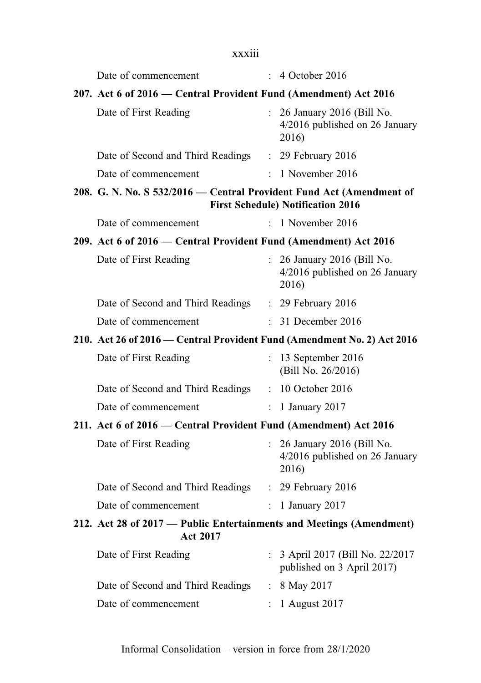## xxxiii

| Date of commencement                                                                    |                           | : 4 October 2016                                                       |
|-----------------------------------------------------------------------------------------|---------------------------|------------------------------------------------------------------------|
| 207. Act 6 of 2016 – Central Provident Fund (Amendment) Act 2016                        |                           |                                                                        |
| Date of First Reading                                                                   |                           | : 26 January 2016 (Bill No.<br>4/2016 published on 26 January<br>2016) |
| Date of Second and Third Readings                                                       |                           | $: 29$ February 2016                                                   |
| Date of commencement                                                                    |                           | $: 1$ November 2016                                                    |
| 208. G. N. No. S 532/2016 – Central Provident Fund Act (Amendment of                    |                           | <b>First Schedule) Notification 2016</b>                               |
| Date of commencement                                                                    |                           | $: 1$ November 2016                                                    |
| 209. Act 6 of 2016 – Central Provident Fund (Amendment) Act 2016                        |                           |                                                                        |
| Date of First Reading                                                                   |                           | : 26 January 2016 (Bill No.<br>4/2016 published on 26 January<br>2016) |
| Date of Second and Third Readings : 29 February 2016                                    |                           |                                                                        |
| Date of commencement                                                                    |                           | : 31 December 2016                                                     |
| 210. Act 26 of 2016 – Central Provident Fund (Amendment No. 2) Act 2016                 |                           |                                                                        |
| Date of First Reading                                                                   | $\mathbf{L}$              | 13 September 2016<br>(Bill No. 26/2016)                                |
| Date of Second and Third Readings                                                       |                           | $: 10$ October 2016                                                    |
| Date of commencement                                                                    | $\mathbb{R}^{\mathbb{Z}}$ | 1 January 2017                                                         |
| 211. Act 6 of 2016 – Central Provident Fund (Amendment) Act 2016                        |                           |                                                                        |
| Date of First Reading                                                                   |                           | : 26 January 2016 (Bill No.<br>4/2016 published on 26 January<br>2016) |
| Date of Second and Third Readings : 29 February 2016                                    |                           |                                                                        |
| Date of commencement                                                                    |                           | : 1 January 2017                                                       |
| 212. Act 28 of 2017 — Public Entertainments and Meetings (Amendment)<br><b>Act 2017</b> |                           |                                                                        |
| Date of First Reading                                                                   |                           | 3 April 2017 (Bill No. 22/2017<br>published on 3 April 2017)           |
| Date of Second and Third Readings                                                       | $\mathbb{R}^{\mathbb{Z}}$ | 8 May 2017                                                             |
| Date of commencement                                                                    |                           | 1 August 2017                                                          |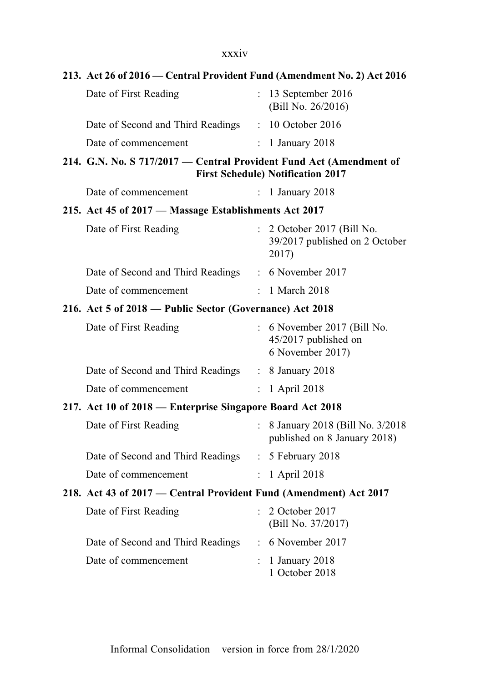## xxxiv

| 213. Act 26 of 2016 – Central Provident Fund (Amendment No. 2) Act 2016                                         |                           |                                                                           |
|-----------------------------------------------------------------------------------------------------------------|---------------------------|---------------------------------------------------------------------------|
| Date of First Reading                                                                                           |                           | $: 13$ September 2016<br>(Bill No. 26/2016)                               |
| Date of Second and Third Readings                                                                               |                           | : 10 October 2016                                                         |
| Date of commencement                                                                                            | ÷.                        | 1 January 2018                                                            |
| 214. G.N. No. S 717/2017 - Central Provident Fund Act (Amendment of<br><b>First Schedule) Notification 2017</b> |                           |                                                                           |
| Date of commencement                                                                                            | $\ddot{\phantom{0}}$      | 1 January 2018                                                            |
| 215. Act 45 of 2017 - Massage Establishments Act 2017                                                           |                           |                                                                           |
| Date of First Reading                                                                                           |                           | : 2 October 2017 (Bill No.<br>39/2017 published on 2 October<br>2017)     |
| Date of Second and Third Readings : 6 November 2017                                                             |                           |                                                                           |
| Date of commencement                                                                                            |                           | : 1 March 2018                                                            |
| 216. Act 5 of 2018 – Public Sector (Governance) Act 2018                                                        |                           |                                                                           |
| Date of First Reading                                                                                           |                           | $: 6$ November 2017 (Bill No.<br>45/2017 published on<br>6 November 2017) |
| Date of Second and Third Readings : 8 January 2018                                                              |                           |                                                                           |
| Date of commencement                                                                                            | $\ddot{\phantom{0}}$      | 1 April 2018                                                              |
| 217. Act 10 of 2018 - Enterprise Singapore Board Act 2018                                                       |                           |                                                                           |
| Date of First Reading                                                                                           | $\mathbb{R}^{\mathbb{Z}}$ | 8 January 2018 (Bill No. 3/2018)<br>published on 8 January 2018)          |
| Date of Second and Third Readings : 5 February 2018                                                             |                           |                                                                           |
| Date of commencement                                                                                            | $\mathbb{R}^{\mathbb{Z}}$ | 1 April 2018                                                              |
| 218. Act 43 of 2017 - Central Provident Fund (Amendment) Act 2017                                               |                           |                                                                           |
| Date of First Reading                                                                                           |                           | 2 October 2017<br>(Bill No. 37/2017)                                      |
| Date of Second and Third Readings                                                                               | $\ddot{\cdot}$            | 6 November 2017                                                           |
| Date of commencement                                                                                            |                           | 1 January 2018<br>1 October 2018                                          |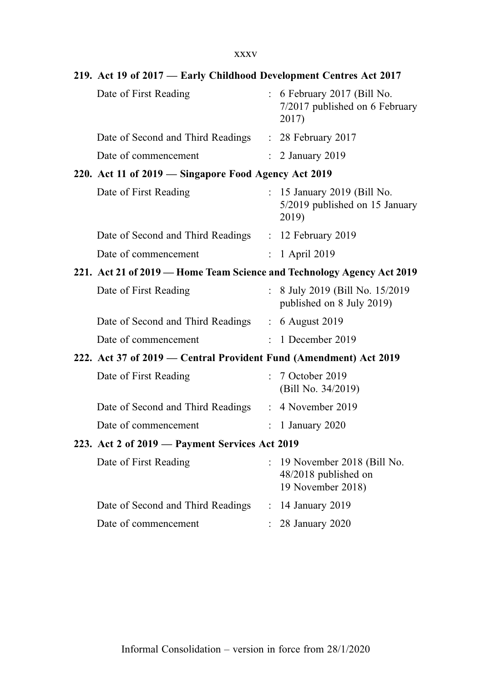xxxv

|                                                                        | 219. Act 19 of 2017 - Early Childhood Development Centres Act 2017 |                      |                                                                           |  |  |
|------------------------------------------------------------------------|--------------------------------------------------------------------|----------------------|---------------------------------------------------------------------------|--|--|
|                                                                        | Date of First Reading                                              |                      | : 6 February 2017 (Bill No.<br>7/2017 published on 6 February<br>2017)    |  |  |
|                                                                        | Date of Second and Third Readings                                  |                      | : 28 February 2017                                                        |  |  |
|                                                                        | Date of commencement                                               |                      | 2 January 2019                                                            |  |  |
|                                                                        | 220. Act 11 of 2019 - Singapore Food Agency Act 2019               |                      |                                                                           |  |  |
|                                                                        | Date of First Reading                                              |                      | 15 January 2019 (Bill No.<br>5/2019 published on 15 January<br>2019)      |  |  |
|                                                                        | Date of Second and Third Readings : 12 February 2019               |                      |                                                                           |  |  |
|                                                                        | Date of commencement                                               | $\mathcal{L}$        | 1 April 2019                                                              |  |  |
| 221. Act 21 of 2019 - Home Team Science and Technology Agency Act 2019 |                                                                    |                      |                                                                           |  |  |
|                                                                        | Date of First Reading                                              |                      | : 8 July 2019 (Bill No. 15/2019)<br>published on 8 July 2019)             |  |  |
|                                                                        | Date of Second and Third Readings : 6 August 2019                  |                      |                                                                           |  |  |
|                                                                        | Date of commencement                                               |                      | $: 1$ December 2019                                                       |  |  |
|                                                                        | 222. Act 37 of 2019 – Central Provident Fund (Amendment) Act 2019  |                      |                                                                           |  |  |
|                                                                        | Date of First Reading                                              |                      | : 7 October 2019<br>(Bill No. 34/2019)                                    |  |  |
|                                                                        | Date of Second and Third Readings                                  |                      | $: 4$ November 2019                                                       |  |  |
|                                                                        | Date of commencement                                               | $\ddot{\phantom{a}}$ | 1 January 2020                                                            |  |  |
|                                                                        | 223. Act 2 of 2019 - Payment Services Act 2019                     |                      |                                                                           |  |  |
|                                                                        | Date of First Reading                                              |                      | : 19 November 2018 (Bill No.<br>48/2018 published on<br>19 November 2018) |  |  |
|                                                                        | Date of Second and Third Readings : 14 January 2019                |                      |                                                                           |  |  |
|                                                                        | Date of commencement                                               |                      | 28 January 2020                                                           |  |  |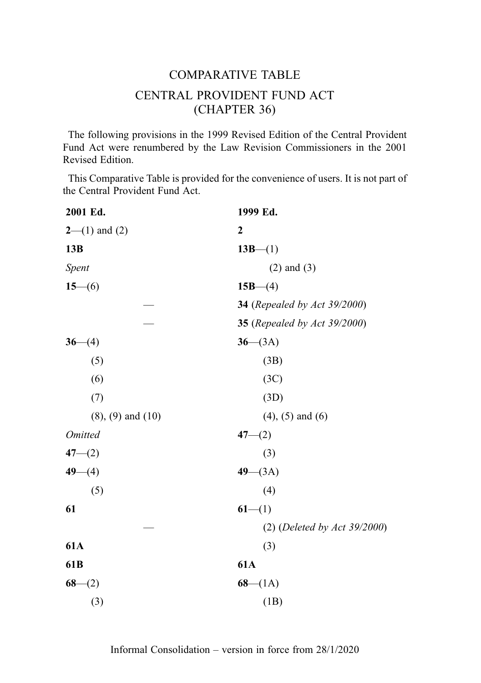# COMPARATIVE TABLE CENTRAL PROVIDENT FUND ACT (CHAPTER 36)

The following provisions in the 1999 Revised Edition of the Central Provident Fund Act were renumbered by the Law Revision Commissioners in the 2001 Revised Edition.

This Comparative Table is provided for the convenience of users. It is not part of the Central Provident Fund Act.

| 1999 Ed.                            |
|-------------------------------------|
| $\mathbf{2}$                        |
| $13B-(1)$                           |
| $(2)$ and $(3)$                     |
| $15B-(4)$                           |
| <b>34</b> (Repealed by Act 39/2000) |
| 35 (Repealed by Act 39/2000)        |
| $36 - (3A)$                         |
| (3B)                                |
| (3C)                                |
| (3D)                                |
| $(4)$ , $(5)$ and $(6)$             |
| $47 - (2)$                          |
| (3)                                 |
| $49 - (3A)$                         |
| (4)                                 |
| $61-(1)$                            |
| $(2)$ (Deleted by Act 39/2000)      |
| (3)                                 |
| <b>61A</b>                          |
| $68 - (1A)$                         |
| (1B)                                |
|                                     |